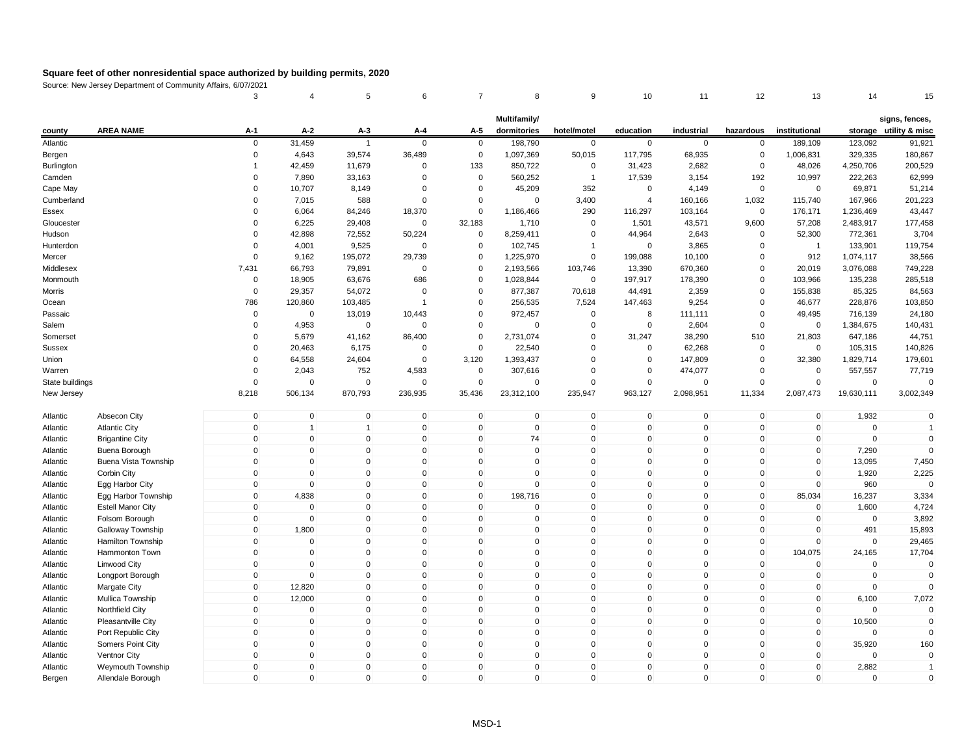|                      |                                                 | 3                           | $\overline{4}$ | 5              | 6                          | 7                          | 8                    | 9                        | 10                          | 11                         | 12                         | 13                         | 14              | 15                            |
|----------------------|-------------------------------------------------|-----------------------------|----------------|----------------|----------------------------|----------------------------|----------------------|--------------------------|-----------------------------|----------------------------|----------------------------|----------------------------|-----------------|-------------------------------|
|                      |                                                 |                             |                |                |                            |                            | Multifamily/         |                          |                             |                            |                            |                            |                 | signs, fences,                |
| county               | <b>AREA NAME</b>                                | A-1                         | $A-2$          | A-3            | A-4                        | A-5                        | dormitories          | hotel/motel              | education                   | industrial                 | hazardous                  | institutional              |                 | storage utility & misc        |
| Atlantic             |                                                 | $\mathbf 0$                 | 31,459         | $\overline{1}$ | $\mathbf 0$                | $\mathbf 0$                | 198,790              | $\mathbf 0$              | $\mathbf 0$                 | $\mathbf 0$                | $\mathbf 0$                | 189,109                    | 123,092         | 91,921                        |
| Bergen               |                                                 | 0                           | 4,643          | 39,574         | 36,489                     | $\overline{0}$             | 1,097,369            | 50,015                   | 117,795                     | 68,935                     | 0                          | 1,006,831                  | 329,335         | 180,867                       |
| Burlington           |                                                 | $\mathbf{1}$                | 42,459         | 11,679         | $\mathbf 0$                | 133                        | 850,722              | $\mathbf 0$              | 31,423                      | 2,682                      | $\mathbf 0$                | 48,026                     | 4,250,706       | 200,529                       |
| Camden               |                                                 | $\mathbf 0$                 | 7,890          | 33,163         | $\mathbf 0$                | $\mathbf 0$                | 560,252              | $\overline{1}$           | 17,539                      | 3,154                      | 192                        | 10,997                     | 222,263         | 62,999                        |
| Cape May             |                                                 | $\Omega$                    | 10,707         | 8,149          | $\Omega$                   | $\mathbf 0$                | 45,209               | 352                      | $\mathbf 0$                 | 4,149                      | 0                          | $\mathbf 0$                | 69,871          | 51,214                        |
| Cumberland           |                                                 | $\Omega$                    | 7,015          | 588            | $\mathbf 0$                | 0                          | $\Omega$             | 3,400                    | $\overline{4}$              | 160,166                    | 1,032                      | 115,740                    | 167,966         | 201,223                       |
| Essex                |                                                 | $\Omega$                    | 6,064          | 84,246         | 18,370                     | $\mathbf 0$                | 1,186,466            | 290                      | 116,297                     | 103,164                    | $\mathbf 0$                | 176,171                    | 1,236,469       | 43,447                        |
| Gloucester           |                                                 | $\Omega$                    | 6,225          | 29,408         | $\mathbf 0$                | 32,183                     | 1,710                | $\mathbf 0$              | 1,501                       | 43,571                     | 9,600                      | 57,208                     | 2,483,917       | 177,458                       |
| Hudson               |                                                 | 0                           | 42,898         | 72,552         | 50,224                     | $\mathbf 0$                | 8,259,411            | $\mathbf 0$              | 44,964                      | 2,643                      | 0                          | 52,300                     | 772,361         | 3,704                         |
| Hunterdon            |                                                 | $\Omega$                    | 4,001          | 9,525          | $\mathbf 0$                | $\mathbf 0$                | 102,745              | $\overline{1}$           | $\Omega$                    | 3,865                      | 0                          | $\overline{1}$             | 133,901         | 119,754                       |
| Mercer               |                                                 | $\Omega$                    | 9,162          | 195,072        | 29,739                     | 0                          | 1,225,970            | $\mathsf 0$              | 199,088                     | 10,100                     | $\Omega$                   | 912                        | 1,074,117       | 38,566                        |
| Middlesex            |                                                 | 7,431                       | 66,793         | 79,891         | $\mathbf 0$                | $\Omega$                   | 2,193,566            | 103,746                  | 13,390                      | 670,360                    | $\Omega$                   | 20,019                     | 3,076,088       | 749,228                       |
| Monmouth             |                                                 | 0                           | 18,905         | 63,676         | 686                        | $\mathbf 0$                | 1,028,844            | $\mathbf 0$              | 197,917                     | 178,390                    | 0                          | 103,966                    | 135,238         | 285,518                       |
| Morris               |                                                 | $\mathbf 0$                 | 29,357         | 54,072         | $\mathbf 0$                | 0                          | 877,387              | 70,618                   | 44,491                      | 2,359                      | 0                          | 155,838                    | 85,325          | 84,563                        |
| Ocean                |                                                 | 786                         | 120,860        | 103,485        | $\overline{1}$             | $\mathbf 0$                | 256,535              | 7,524                    | 147,463                     | 9,254                      | $\Omega$                   | 46,677                     | 228,876         | 103,850                       |
| Passaic              |                                                 | 0                           | $\mathbf 0$    | 13,019         | 10,443                     | $\mathbf 0$                | 972,457              | $\mathbf 0$              | 8                           | 111,111                    | 0                          | 49,495                     | 716,139         | 24,180                        |
| Salem                |                                                 | $\Omega$                    | 4,953          | $\mathsf 0$    | 0                          | $\Omega$                   | $\mathbf 0$          | $\Omega$                 | $\mathbf 0$                 | 2,604                      | 0                          | 0                          | 1,384,675       | 140,431                       |
| Somerset             |                                                 | $\mathbf 0$                 | 5,679          | 41,162         | 86,400                     | $\mathbf 0$                | 2,731,074            | $\mathbf 0$              | 31,247                      | 38,290                     | 510                        | 21,803                     | 647,186         | 44,751                        |
| <b>Sussex</b>        |                                                 | $\Omega$                    | 20,463         | 6,175          | $\mathbf 0$                | $\mathbf 0$                | 22,540               | $\mathbf 0$              | $\mathbf 0$                 | 62,268                     | 0                          | 0                          | 105,315         | 140,826                       |
| Union                |                                                 | $\Omega$                    | 64,558         | 24,604         | $\mathbf 0$                | 3,120                      | 1,393,437            | $\Omega$                 | $\mathbf 0$                 | 147,809                    | $\Omega$                   | 32,380                     | 1,829,714       | 179,601                       |
| Warren               |                                                 | $\mathbf 0$                 | 2,043          | 752            | 4,583                      | $\mathbf 0$                | 307,616              | $\mathbf 0$              | $\mathbf 0$                 | 474,077                    | 0                          | $\mathbf 0$                | 557,557         | 77,719                        |
| State buildings      |                                                 | $\Omega$                    | $\Omega$       | $\mathbf 0$    | $\Omega$                   | 0                          | $\Omega$             | $\mathbf 0$              | $\Omega$                    | $\Omega$                   | $\Omega$                   | $\Omega$                   | $\Omega$        | $\Omega$                      |
| New Jersey           |                                                 | 8,218                       | 506,134        | 870,793        | 236,935                    | 35,436                     | 23,312,100           | 235,947                  | 963,127                     | 2,098,951                  | 11,334                     | 2,087,473                  | 19,630,111      | 3,002,349                     |
|                      |                                                 | $\mathbf 0$                 | $\mathbf 0$    | $\mathsf 0$    | $\mathbf 0$                | $\mathbf 0$                | $\mathbf 0$          | $\mathsf 0$              | $\mathbf 0$                 | $\mathbf 0$                | $\mathbf 0$                | $\mathbf 0$                | 1,932           | $\mathbf 0$                   |
| Atlantic             | Absecon City                                    |                             | $\overline{1}$ | $\overline{1}$ |                            |                            |                      |                          |                             |                            |                            |                            | $\mathbf 0$     |                               |
| Atlantic             | <b>Atlantic City</b>                            | $\mathbf 0$<br>$\mathbf{0}$ | $\mathbf 0$    | $\mathbf{0}$   | $\mathbf 0$<br>$\mathbf 0$ | $\mathbf 0$<br>$\mathbf 0$ | $\overline{0}$<br>74 | $\pmb{0}$<br>$\mathsf 0$ | $\mathbf 0$<br>$\mathbf{0}$ | $\mathbf 0$<br>$\mathbf 0$ | $\mathbf 0$<br>$\mathbf 0$ | $\mathbf 0$<br>$\mathbf 0$ | $\mathbf 0$     | $\overline{1}$<br>$\mathbf 0$ |
| Atlantic             | <b>Brigantine City</b>                          | $\mathbf 0$                 | $\pmb{0}$      | $\mathbf 0$    | $\mathbf 0$                | $\mathbf 0$                |                      | $\pmb{0}$                | $\mathbf{0}$                | $\mathbf 0$                | $\mathbf 0$                | $\mathbf 0$                |                 | $\mathbf 0$                   |
| Atlantic             | Buena Borough                                   | $\mathbf 0$                 | $\mathbf 0$    | $\mathbf 0$    | $\mathbf 0$                | $\mathbf 0$                | $\mathbf 0$<br>0     | $\pmb{0}$                | $\mathbf 0$                 | $\mathbf 0$                | $\mathbf 0$                | $\mathbf 0$                | 7,290           |                               |
| Atlantic<br>Atlantic | Buena Vista Township<br>Corbin City             | $\mathbf{0}$                | $\mathbf 0$    | $\mathbf 0$    | $\mathbf 0$                | $\mathbf 0$                | $\mathbf 0$          | $\mathsf 0$              | $\mathbf{0}$                | $\mathbf 0$                | $\mathbf 0$                | $\mathbf 0$                | 13,095<br>1,920 | 7,450<br>2,225                |
| Atlantic             |                                                 | $\mathbf 0$                 | $\mathbf 0$    | $\mathbf 0$    | $\mathbf 0$                | $\mathbf 0$                | 0                    | $\mathbf 0$              | $\mathbf{0}$                | $\mathbf 0$                | 0                          | $\mathbf 0$                | 960             |                               |
| Atlantic             | Egg Harbor City                                 | $\mathbf{0}$                | 4,838          | $\mathbf{0}$   | $\mathbf{0}$               | $\mathbf{0}$               | 198,716              | $\mathbf{0}$             | $\Omega$                    | $\Omega$                   | $\mathbf 0$                |                            |                 | 3,334                         |
| Atlantic             | Egg Harbor Township<br><b>Estell Manor City</b> | $\mathbf 0$                 | $\mathbf 0$    | $\mathsf 0$    | $\mathbf 0$                | $\mathbf 0$                | $\mathbf 0$          | $\mathsf 0$              | $\mathbf{0}$                | $\mathbf 0$                | $\mathbf 0$                | 85,034<br>$\mathbf 0$      | 16,237<br>1,600 | 4,724                         |
| Atlantic             | Folsom Borough                                  | $\mathbf 0$                 | $\mathbf 0$    | $\mathbf 0$    | $\mathbf 0$                | $\mathbf 0$                | $\mathbf 0$          | $\pmb{0}$                | $\mathbf 0$                 | $\mathbf 0$                | $\mathbf 0$                | $\mathbf 0$                | $\mathbf 0$     | 3,892                         |
| Atlantic             | Galloway Township                               | $\mathbf 0$                 | 1,800          | $\mathbf 0$    | $\mathbf 0$                | $\mathbf 0$                | 0                    | $\mathsf 0$              | $\mathbf 0$                 | $\mathbf 0$                | $\mathbf 0$                | $\mathbf 0$                | 491             | 15,893                        |
| Atlantic             | <b>Hamilton Township</b>                        | 0                           | 0              | $\mathbf 0$    | $\mathbf 0$                | 0                          | 0                    | $\mathbf 0$              | $\mathbf{0}$                | $\mathbf 0$                | 0                          | $\mathbf 0$                | $\mathbf 0$     | 29,465                        |
| Atlantic             | Hammonton Town                                  | $\mathbf{0}$                | $\mathbf 0$    | $\mathsf 0$    | $\mathbf{0}$               | $\mathbf{0}$               | 0                    | $\mathsf 0$              | $\mathbf{0}$                | $\mathbf 0$                | $\mathbf{0}$               | 104,075                    | 24,165          | 17,704                        |
| Atlantic             | <b>Linwood City</b>                             | $\mathbf 0$                 | $\mathbf 0$    | $\mathbf 0$    | $\mathbf 0$                | $\mathbf 0$                | 0                    | $\mathbf 0$              | $\mathbf{0}$                | $\mathbf 0$                | $\mathbf 0$                | $\mathbf 0$                | $\mathbf 0$     | 0                             |
| Atlantic             | Longport Borough                                | $\mathbf 0$                 | $\mathbf 0$    | $\mathbf 0$    | $\mathbf 0$                | $\mathbf 0$                | 0                    | $\mathbf 0$              | $\Omega$                    | $\mathbf 0$                | 0                          | $\mathbf 0$                | 0               | $\Omega$                      |
| Atlantic             | <b>Margate City</b>                             | $\mathbf 0$                 | 12,820         | $\mathbf 0$    | $\mathbf 0$                | $\mathbf 0$                | 0                    | $\mathsf 0$              | $\mathbf{0}$                | $\mathbf 0$                | $\mathbf 0$                | 0                          | $\mathbf 0$     |                               |
| Atlantic             | Mullica Township                                | $\mathbf 0$                 | 12,000         | $\mathbf 0$    | $\mathbf 0$                | $\mathbf 0$                | $\mathbf 0$          | $\mathsf 0$              | $\mathbf{0}$                | $\mathbf 0$                | $\mathbf 0$                | $\mathbf 0$                | 6,100           | 7,072                         |
| Atlantic             | Northfield City                                 | $\mathbf 0$                 | $\mathbf 0$    | $\mathsf 0$    | $\mathbf 0$                | $\mathbf 0$                | $\mathbf 0$          | $\mathsf 0$              | $\mathbf{0}$                | $\mathbf 0$                | $\mathbf 0$                | $\mathbf 0$                | $\Omega$        | $\Omega$                      |
| Atlantic             | Pleasantville City                              | $\mathbf 0$                 | $\mathbf 0$    | $\mathbf 0$    | $\mathbf 0$                | $\mathbf 0$                | 0                    | $\mathsf 0$              | $\mathbf{0}$                | $\mathbf 0$                | $\mathbf 0$                | $\mathbf 0$                | 10,500          | $\mathbf 0$                   |
| Atlantic             | Port Republic City                              | 0                           | $\mathbf 0$    | 0              | $\mathbf 0$                | 0                          | 0                    | $\mathbf 0$              | $\mathbf 0$                 | $\mathbf 0$                | 0                          | 0                          | $\Omega$        | $\Omega$                      |
| Atlantic             | Somers Point City                               | $\mathbf 0$                 | $\mathbf 0$    | $\mathbf 0$    | $\mathbf 0$                | $\mathbf 0$                | 0                    | $\mathsf 0$              | $\mathbf{0}$                | $\mathbf 0$                | $\mathbf 0$                | $\mathbf 0$                | 35,920          | 160                           |
| Atlantic             | Ventnor City                                    | $\mathbf 0$                 | $\mathbf 0$    | $\mathbf 0$    | $\mathbf 0$                | $\mathbf 0$                | 0                    | $\mathsf 0$              | $\mathbf{0}$                | $\mathbf 0$                | $\mathbf 0$                | $\mathbf 0$                | $\mathbf 0$     | $\mathbf 0$                   |
| Atlantic             | Weymouth Township                               | $\mathbf{0}$                | $\mathbf 0$    | $\mathbf 0$    | $\mathbf 0$                | $\mathbf{0}$               | 0                    | $\mathbf 0$              | $\Omega$                    | $\Omega$                   | $\mathbf{0}$               | $\Omega$                   | 2,882           | $\mathbf{1}$                  |
| Bergen               | Allendale Borough                               | $\mathbf{0}$                | $\mathbf{0}$   | $\mathbf{0}$   | $\mathbf{0}$               | $\mathbf{0}$               | $\mathbf{0}$         | $\mathbf{0}$             | $\Omega$                    | $\Omega$                   | $\mathbf{0}$               | $\Omega$                   | $\Omega$        | $\Omega$                      |
|                      |                                                 |                             |                |                |                            |                            |                      |                          |                             |                            |                            |                            |                 |                               |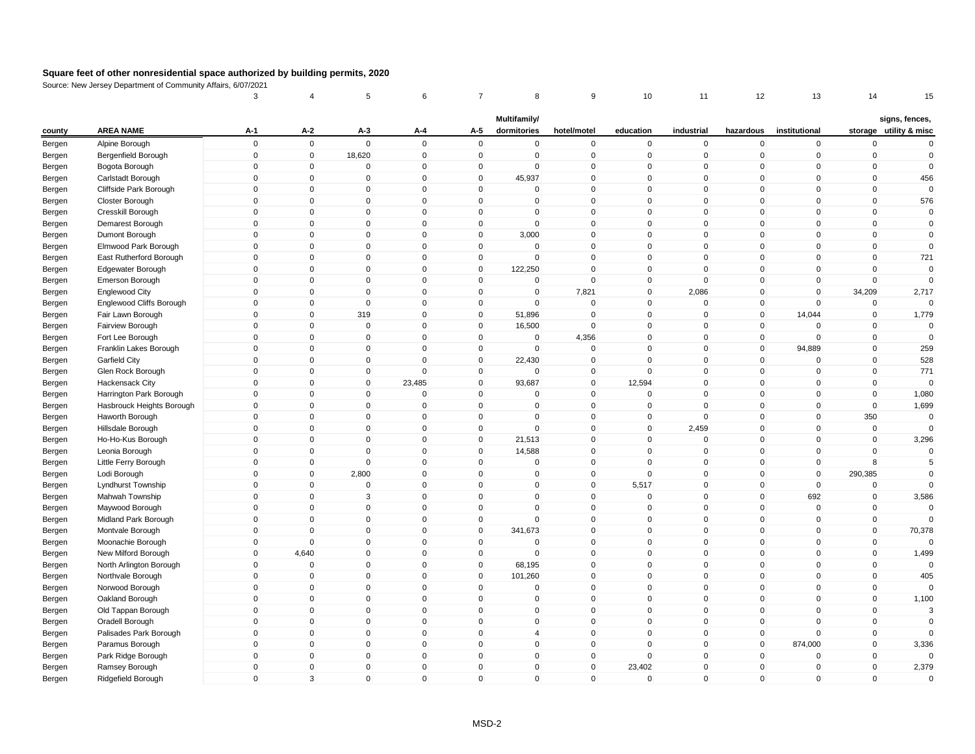|        |                           | 3            | $\overline{4}$ | 5            | 6            | 7            | 8              | 9            | 10           | 11           | 12             | 13            | 14          | 15                     |
|--------|---------------------------|--------------|----------------|--------------|--------------|--------------|----------------|--------------|--------------|--------------|----------------|---------------|-------------|------------------------|
|        |                           |              |                |              |              |              | Multifamily/   |              |              |              |                |               |             | signs, fences,         |
| county | <b>AREA NAME</b>          | A-1          | A-2            | A-3          | A-4          | A-5          | dormitories    | hotel/motel  | education    | industrial   | hazardous      | institutional |             | storage utility & misc |
| Bergen | Alpine Borough            | $\mathbf 0$  | $\mathbf 0$    | $\mathbf 0$  | $\mathbf 0$  | $\mathbf 0$  | $\mathbf 0$    | $\pmb{0}$    | $\mathbf 0$  | $\mathbf 0$  | $\mathbf 0$    | $\mathbf 0$   | $\mathbf 0$ | $\mathbf 0$            |
| Bergen | Bergenfield Borough       | $\mathbf 0$  | $\mathbf 0$    | 18,620       | $\mathbf 0$  | $\mathbf 0$  | $\mathbf 0$    | $\mathsf 0$  | $\mathbf 0$  | $\mathbf 0$  | $\mathbf 0$    | $\mathbf 0$   | $\mathbf 0$ | $\mathbf 0$            |
| Bergen | Bogota Borough            | $\mathbf 0$  | 0              | 0            | $\mathbf 0$  | 0            | $\mathbf 0$    | $\mathbf 0$  | $\mathbf 0$  | 0            | $\mathbf 0$    | 0             | $\mathbf 0$ | $\overline{0}$         |
| Bergen | Carlstadt Borough         | $\mathbf{0}$ | $\mathbf{0}$   | $\mathbf{0}$ | $\mathbf{0}$ | $\mathbf{0}$ | 45,937         | $\mathbf 0$  | $\mathbf{0}$ | $\mathbf{0}$ | $\mathbf{0}$   | $\mathbf 0$   | $\Omega$    | 456                    |
| Bergen | Cliffside Park Borough    | $\mathbf 0$  | $\mathbf 0$    | $\mathbf 0$  | $\mathbf 0$  | $\mathbf 0$  | $\mathbf 0$    | $\mathbf 0$  | $\mathbf{0}$ | $\mathbf 0$  | $\overline{0}$ | $\mathbf 0$   | $\mathbf 0$ | $\overline{0}$         |
| Bergen | Closter Borough           | $\mathbf 0$  | $\mathbf 0$    | $\mathbf 0$  | $\mathbf 0$  | $\mathbf 0$  | $\mathbf 0$    | $\mathbf 0$  | $\mathbf 0$  | $\mathbf 0$  | $\mathbf 0$    | $\mathbf 0$   | $\mathbf 0$ | 576                    |
| Bergen | Cresskill Borough         | $\mathbf{0}$ | $\mathbf{0}$   | $\mathbf{0}$ | $\mathbf{0}$ | $\mathbf{0}$ | $\mathbf{0}$   | $\mathbf{0}$ | $\mathbf{0}$ | $\mathbf{0}$ | $\mathbf{0}$   | $\mathbf 0$   | $\mathbf 0$ | $\mathbf{0}$           |
| Bergen | Demarest Borough          | $\mathbf 0$  | $\mathbf 0$    | $\mathbf 0$  | $\mathbf 0$  | $\mathbf 0$  | $\mathbf 0$    | $\mathsf 0$  | $\mathbf 0$  | $\mathbf 0$  | $\mathbf 0$    | $\mathbf 0$   | $\mathbf 0$ | $\mathbf 0$            |
| Bergen | Dumont Borough            | $\mathbf 0$  | $\mathbf 0$    | $\mathbf 0$  | $\mathbf 0$  | $\mathbf 0$  | 3,000          | $\mathsf 0$  | $\mathbf 0$  | $\mathbf 0$  | $\mathbf 0$    | $\mathbf 0$   | $\mathbf 0$ | $\mathbf 0$            |
| Bergen | Elmwood Park Borough      | $\mathbf 0$  | $\mathbf 0$    | $\mathbf 0$  | $\mathbf 0$  | $\mathbf 0$  | $\mathbf 0$    | $\mathsf 0$  | $\mathbf 0$  | $\mathbf 0$  | $\mathbf 0$    | $\mathbf 0$   | $\mathbf 0$ | $\mathbf{0}$           |
| Bergen | East Rutherford Borough   | $\mathbf 0$  | $\mathbf 0$    | $\mathbf 0$  | $\Omega$     | $\mathbf 0$  | $\mathbf 0$    | $\mathbf 0$  | $\mathbf 0$  | $\mathbf 0$  | $\mathbf 0$    | $\mathbf 0$   | $\mathbf 0$ | 721                    |
| Bergen | Edgewater Borough         | $\mathbf 0$  | $\mathbf 0$    | $\mathbf 0$  | $\mathbf 0$  | $\mathbf 0$  | 122,250        | $\mathsf 0$  | $\mathbf 0$  | $\mathbf 0$  | $\mathbf 0$    | $\mathbf 0$   | $\mathbf 0$ | $\mathbf 0$            |
| Bergen | Emerson Borough           | $\mathbf 0$  | $\mathbf 0$    | $\mathbf 0$  | $\mathbf 0$  | $\mathbf 0$  | $\mathbf 0$    | $\mathbf 0$  | $\mathbf 0$  | $\mathbf{0}$ | $\mathbf 0$    | $\mathbf 0$   | $\mathbf 0$ | $\mathbf{0}$           |
| Bergen | Englewood City            | $\mathbf{0}$ | $\mathbf 0$    | $\mathbf 0$  | $\mathbf 0$  | $\mathbf 0$  | $\mathbf 0$    | 7,821        | $\mathbf{0}$ | 2,086        | $\overline{0}$ | $\mathbf 0$   | 34,209      | 2,717                  |
| Bergen | Englewood Cliffs Borough  | $\mathbf 0$  | $\mathbf 0$    | $\mathbf 0$  | $\mathbf 0$  | 0            | $\mathbf 0$    | 0            | 0            | $\mathbf 0$  | $\mathbf 0$    | $\Omega$      | 0           |                        |
| Bergen | Fair Lawn Borough         | $\mathbf{0}$ | $\mathbf{0}$   | 319          | $\mathbf{0}$ | $\mathbf{0}$ | 51,896         | $\mathbf 0$  | $\mathbf{0}$ | $\mathbf{0}$ | $\overline{0}$ | 14,044        | $\mathbf 0$ | 1,779                  |
| Bergen | Fairview Borough          | $\mathbf 0$  | $\mathbf 0$    | $\mathbf 0$  | $\mathbf 0$  | $\mathbf 0$  | 16,500         | $\mathbf 0$  | $\mathbf 0$  | $\mathbf 0$  | $\overline{0}$ | $\mathbf 0$   | $\mathbf 0$ | 0                      |
| Bergen | Fort Lee Borough          | $\mathbf 0$  | $\mathbf 0$    | $\mathbf 0$  | $\mathbf 0$  | $\mathbf 0$  | $\mathbf 0$    | 4,356        | $\mathbf 0$  | $\mathbf 0$  | $\mathbf 0$    | $\mathbf 0$   | $\mathbf 0$ | $\mathbf 0$            |
| Bergen | Franklin Lakes Borough    | $\mathbf{0}$ | $\mathbf 0$    | $\mathbf 0$  | $\Omega$     | $\mathbf 0$  | $\mathbf{0}$   | $\mathbf 0$  | $\mathbf{0}$ | $\mathbf 0$  | $\mathbf 0$    | 94,889        | $\mathbf 0$ | 259                    |
| Bergen | Garfield City             | $\mathbf 0$  | $\mathbf 0$    | $\mathbf 0$  | $\Omega$     | $\mathbf 0$  | 22,430         | $\mathbf 0$  | $\mathbf{0}$ | $\mathbf 0$  | $\mathbf 0$    | $\mathbf 0$   | $\mathbf 0$ | 528                    |
| Bergen | Glen Rock Borough         | $\mathbf 0$  | $\mathbf 0$    | $\mathbf 0$  | $\mathbf 0$  | $\mathbf 0$  | $\mathbf 0$    | $\mathbf 0$  | $\mathbf 0$  | $\mathbf 0$  | $\overline{0}$ | $\mathbf 0$   | $\mathbf 0$ | 771                    |
| Bergen | Hackensack City           | $\mathbf{0}$ | $\mathbf 0$    | $\mathbf 0$  | 23,485       | $\mathbf 0$  | 93,687         | $\mathbf 0$  | 12,594       | $\mathbf{0}$ | $\overline{0}$ | $\mathbf 0$   | $\mathbf 0$ | $\Omega$               |
| Bergen | Harrington Park Borough   | $\mathbf{0}$ | $\mathbf 0$    | $\mathbf{0}$ | $\mathbf 0$  | $\mathbf 0$  | $\mathbf{0}$   | $\mathsf 0$  | $\Omega$     | $\mathbf 0$  | $\mathbf 0$    | $\mathbf 0$   | $\Omega$    | 1,080                  |
| Bergen | Hasbrouck Heights Borough | $\mathbf 0$  | $\mathbf 0$    | $\mathbf 0$  | $\mathbf 0$  | $\mathbf 0$  | 0              | $\mathsf 0$  | $\mathbf 0$  | $\mathbf 0$  | $\overline{0}$ | $\mathbf 0$   | $\mathbf 0$ | 1,699                  |
| Bergen | Haworth Borough           | $\mathbf 0$  | $\mathbf 0$    | $\mathbf{0}$ | $\mathbf 0$  | $\mathbf 0$  | $\mathbf{0}$   | $\mathsf 0$  | $\mathbf 0$  | $\mathbf 0$  | $\mathbf 0$    | $\mathbf 0$   | 350         | $\mathbf 0$            |
| Bergen | Hillsdale Borough         | $\mathbf 0$  | $\mathbf 0$    | $\mathbf 0$  | $\mathbf 0$  | $\mathbf 0$  | $\mathbf 0$    | $\pmb{0}$    | $\mathbf 0$  | 2,459        | $\mathbf 0$    | $\mathbf 0$   | $\pmb{0}$   | $\mathbf 0$            |
| Bergen | Ho-Ho-Kus Borough         | $\mathbf 0$  | $\mathbf 0$    | $\mathbf 0$  | $\mathbf 0$  | $\mathbf 0$  | 21,513         | $\pmb{0}$    | $\mathbf 0$  | $\mathbf 0$  | $\mathbf 0$    | $\mathbf 0$   | $\mathbf 0$ | 3,296                  |
| Bergen | Leonia Borough            | $\mathbf{0}$ | $\mathbf 0$    | $\mathbf 0$  | $\mathbf{0}$ | $\mathbf 0$  | 14,588         | $\mathsf 0$  | $\mathbf{0}$ | $\mathbf 0$  | $\mathbf 0$    | $\mathbf{0}$  | $\Omega$    | $\mathbf{0}$           |
| Bergen | Little Ferry Borough      | $\mathbf 0$  | $\mathbf 0$    | $\mathbf 0$  | $\mathbf 0$  | $\mathbf 0$  | $\mathbf 0$    | $\mathbf 0$  | $\mathbf 0$  | $\mathbf 0$  | $\overline{0}$ | $\mathbf 0$   | 8           | 5                      |
| Bergen | Lodi Borough              | $\mathbf 0$  | $\mathbf 0$    | 2,800        | $\mathbf 0$  | $\mathbf 0$  | $\mathbf 0$    | $\mathbf 0$  | $\mathbf 0$  | $\mathbf 0$  | $\mathbf 0$    | $\mathbf 0$   | 290,385     | $\mathbf{0}$           |
| Bergen | Lyndhurst Township        | $\mathbf 0$  | $\Omega$       | $\Omega$     | $\mathbf{0}$ | $\mathbf{0}$ | $\Omega$       | $\mathbf 0$  | 5,517        | $\mathbf 0$  | $\mathbf{0}$   | $\mathbf 0$   | $\Omega$    | $\Omega$               |
| Bergen | Mahwah Township           | $\mathbf 0$  | $\mathbf 0$    | 3            | $\mathbf{0}$ | $\mathbf 0$  | $\mathbf 0$    | $\mathsf 0$  | $\mathbf 0$  | $\mathbf 0$  | $\mathbf 0$    | 692           | $\mathbf 0$ | 3,586                  |
| Bergen | Maywood Borough           | $\mathbf 0$  | $\mathbf 0$    | $\mathbf 0$  | $\mathbf 0$  | $\mathbf 0$  | $\mathbf 0$    | $\mathbf 0$  | $\mathbf 0$  | $\mathbf 0$  | $\overline{0}$ | $\mathbf 0$   | $\mathbf 0$ | $\mathbf{0}$           |
| Bergen | Midland Park Borough      | $\mathbf 0$  | $\mathbf 0$    | $\mathbf{0}$ | $\Omega$     | $\mathbf 0$  | $\mathbf{0}$   | $\mathsf 0$  | $\Omega$     | $\mathbf 0$  | $\mathbf 0$    | $\mathbf 0$   | $\mathbf 0$ | $\Omega$               |
| Bergen | Montvale Borough          | $\mathbf 0$  | $\mathbf 0$    | $\mathbf 0$  | $\mathbf 0$  | $\mathbf 0$  | 341,673        | $\pmb{0}$    | $\mathbf 0$  | $\mathbf 0$  | $\mathbf 0$    | $\mathbf 0$   | $\mathbf 0$ | 70,378                 |
| Bergen | Moonachie Borough         | $\mathbf 0$  | $\mathbf 0$    | $\mathbf 0$  | $\mathbf 0$  | $\mathbf 0$  | $\mathbf 0$    | $\mathbf 0$  | $\mathbf 0$  | $\mathbf 0$  | $\overline{0}$ | $\mathbf 0$   | $\mathbf 0$ | $\Omega$               |
| Bergen | New Milford Borough       | $\mathbf{0}$ | 4,640          | $\mathbf 0$  | $\mathbf{0}$ | $\mathbf 0$  | $\mathbf 0$    | $\mathbf 0$  | $\mathbf{0}$ | $\mathbf 0$  | $\overline{0}$ | $\mathbf 0$   | $\mathbf 0$ | 1,499                  |
| Bergen | North Arlington Borough   | $\mathbf 0$  | $\mathbf 0$    | $\mathbf 0$  | $\mathbf 0$  | $\mathbf 0$  | 68,195         | $\mathbf 0$  | $\mathbf{0}$ | $\mathbf 0$  | $\mathbf 0$    | $\mathbf 0$   | $\mathbf 0$ | $\mathbf 0$            |
| Bergen | Northvale Borough         | $\mathbf 0$  | $\mathbf 0$    | $\mathbf 0$  | $\mathbf 0$  | $\mathbf 0$  | 101,260        | $\mathsf 0$  | $\mathbf 0$  | $\mathbf 0$  | $\overline{0}$ | $\mathbf 0$   | $\mathbf 0$ | 405                    |
| Bergen | Norwood Borough           | $\mathbf 0$  | $\mathbf 0$    | $\mathbf 0$  | $\mathbf 0$  | $\mathbf 0$  | $\mathbf 0$    | $\mathsf 0$  | $\mathbf 0$  | $\mathbf 0$  | $\mathbf 0$    | $\mathbf 0$   | $\mathbf 0$ | $\Omega$               |
| Bergen | Oakland Borough           | $\mathbf 0$  | $\mathbf 0$    | $\mathbf 0$  | $\mathbf 0$  | $\mathbf 0$  | $\mathbf 0$    | $\mathsf 0$  | $\mathbf 0$  | $\mathbf 0$  | $\mathbf 0$    | $\mathbf 0$   | $\mathbf 0$ | 1,100                  |
| Bergen | Old Tappan Borough        | $\mathbf 0$  | $\mathbf 0$    | $\mathbf 0$  | $\mathbf 0$  | 0            | 0              | $\mathbf 0$  | $\mathbf 0$  | 0            | $\overline{0}$ | 0             | $\mathbf 0$ | 3                      |
| Bergen | Oradell Borough           | $\mathbf 0$  | $\mathbf 0$    | $\mathbf 0$  | $\mathbf{0}$ | $\mathbf{0}$ | $\Omega$       | $\mathsf 0$  | $\mathbf{0}$ | $\mathbf{0}$ | $\mathbf 0$    | $\mathbf 0$   | $\mathbf 0$ | $\mathbf 0$            |
| Bergen | Palisades Park Borough    | $\mathbf 0$  | $\mathbf 0$    | $\mathbf 0$  | $\mathbf{0}$ | $\mathbf 0$  | $\overline{4}$ | $\mathsf 0$  | $\mathbf{0}$ | $\mathbf 0$  | $\mathbf 0$    | $\mathbf 0$   | $\mathbf 0$ | $\mathbf{0}$           |
| Bergen | Paramus Borough           | $\mathbf 0$  | $\mathbf 0$    | $\mathbf 0$  | $\mathbf 0$  | $\mathbf 0$  | 0              | $\mathbf 0$  | $\mathbf 0$  | $\mathbf 0$  | $\overline{0}$ | 874,000       | $\mathbf 0$ | 3,336                  |
| Bergen | Park Ridge Borough        | $\mathbf{0}$ | $\mathbf{0}$   | $\mathbf{0}$ | $\mathbf{0}$ | $\mathbf{0}$ | $\mathbf{0}$   | $\mathbf 0$  | $\Omega$     | $\mathbf{0}$ | $\mathbf{0}$   | $\mathbf 0$   | $\mathbf 0$ | $\Omega$               |
| Bergen | Ramsey Borough            | $\mathbf 0$  | $\mathbf 0$    | $\mathbf 0$  | $\mathbf 0$  | $\mathbf 0$  | 0              | $\mathsf 0$  | 23,402       | $\mathbf 0$  | $\mathbf 0$    | $\mathbf 0$   | $\mathbf 0$ | 2,379                  |
| Bergen | Ridgefield Borough        | $\mathbf 0$  | 3              | $\mathbf 0$  | $\mathbf 0$  | $\mathbf 0$  | $\mathbf 0$    | $\mathbf 0$  | $\mathbf 0$  | $\mathbf 0$  | $\mathbf 0$    | $\mathbf 0$   | $\mathbf 0$ | $\mathbf 0$            |
|        |                           |              |                |              |              |              |                |              |              |              |                |               |             |                        |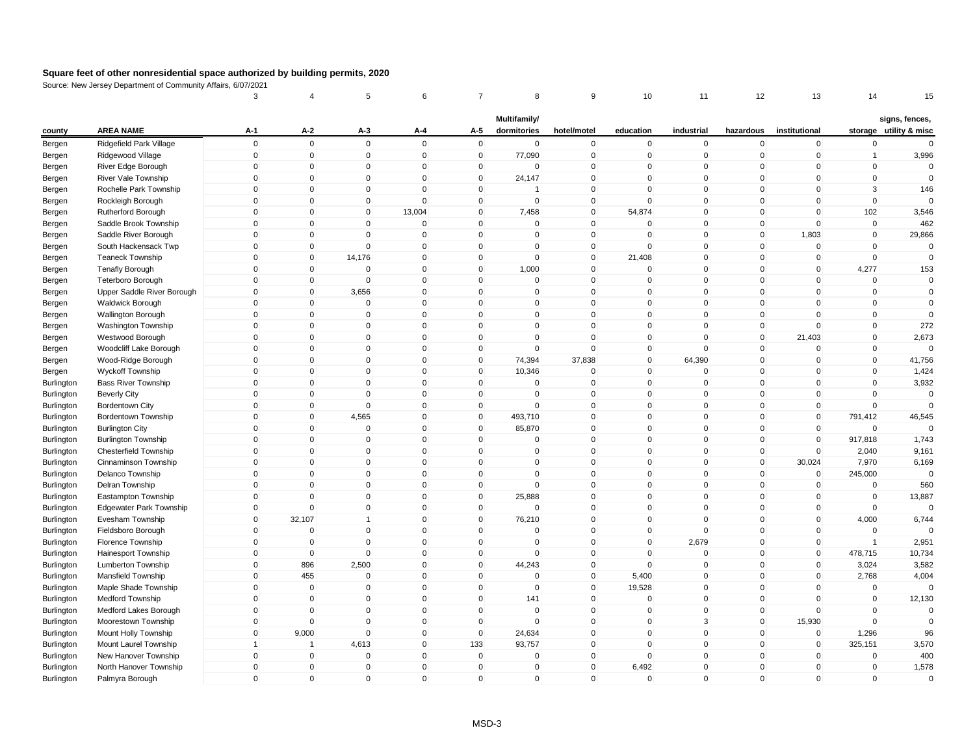|            |                                                        | 3                | 4                          | 5              | 6                          | 7                          | 8                           | 9                          | 10           | 11                      | 12                         | 13            | 14                         | 15                                       |
|------------|--------------------------------------------------------|------------------|----------------------------|----------------|----------------------------|----------------------------|-----------------------------|----------------------------|--------------|-------------------------|----------------------------|---------------|----------------------------|------------------------------------------|
| county     | <b>AREA NAME</b>                                       | A-1              | $A-2$                      | A-3            | A-4                        | A-5                        | Multifamily/<br>dormitories | hotel/motel                | education    | industrial              | hazardous                  | institutional |                            | signs, fences,<br>storage utility & misc |
| Bergen     | Ridgefield Park Village                                | $\mathbf 0$      | $\mathbf 0$                | $\mathsf 0$    | $\mathbf 0$                | $\mathbf 0$                | $\mathbf 0$                 | $\pmb{0}$                  | $\mathbf 0$  | $\mathbf 0$             | $\mathbf 0$                | $\mathbf 0$   | $\mathbf 0$                | $\Omega$                                 |
| Bergen     | Ridgewood Village                                      | $\mathbf 0$      | $\mathbf 0$                | $\mathbf 0$    | $\mathbf 0$                | $\mathbf 0$                | 77,090                      | $\mathsf 0$                | $\mathbf 0$  | $\mathbf 0$             | $\mathbf 0$                | $\mathbf 0$   | $\overline{1}$             | 3,996                                    |
| Bergen     | River Edge Borough                                     | $\mathbf 0$      | $\mathbf 0$                | 0              | $\mathbf 0$                | 0                          | 0                           | $\mathbf 0$                | $\Omega$     | $\mathbf 0$             | 0                          | 0             | 0                          | $\mathbf 0$                              |
| Bergen     | River Vale Township                                    | $\mathbf{0}$     | $\mathbf 0$                | $\mathbf 0$    | $\Omega$                   | $\mathbf 0$                | 24,147                      | $\mathsf 0$                | $\mathbf{0}$ | $\Omega$                | $\mathbf{0}$               | $\Omega$      | $\mathbf 0$                | $\mathbf 0$                              |
| Bergen     | Rochelle Park Township                                 | $\mathbf{0}$     | $\mathbf 0$                | $\mathbf 0$    | $\Omega$                   | $\mathbf 0$                | -1                          | $\mathbf 0$                | $\Omega$     | $\mathbf 0$             | $\mathbf 0$                | $\Omega$      | 3                          | 146                                      |
| Bergen     | Rockleigh Borough                                      | $\mathbf 0$      | $\mathbf 0$                | $\mathbf 0$    | $\Omega$                   | 0                          | $\Omega$                    | $\mathbf 0$                | $\Omega$     | $\Omega$                | 0                          | $\Omega$      | $\mathbf 0$                | $\Omega$                                 |
| Bergen     | Rutherford Borough                                     | $\mathbf{0}$     | $\mathbf 0$                | $\mathbf 0$    | 13,004                     | $\mathbf 0$                | 7,458                       | $\mathbf{0}$               | 54,874       | $\mathbf 0$             | $\mathbf{0}$               | $\Omega$      | 102                        | 3,546                                    |
| Bergen     | Saddle Brook Township                                  | $\mathbf 0$      | $\mathbf 0$                | $\mathbf 0$    | $\mathbf 0$                | $\mathbf 0$                | $\mathbf 0$                 | $\mathsf 0$                | $\Omega$     | $\mathbf 0$             | $\mathbf 0$                | $\mathbf 0$   | $\mathbf 0$                | 462                                      |
| Bergen     | Saddle River Borough                                   | $\mathbf{0}$     | $\mathbf 0$                | $\mathbf{0}$   | $\Omega$                   | $\mathbf{0}$               | $\Omega$                    | $\pmb{0}$                  | $\Omega$     | $\Omega$                | $\mathbf{0}$               | 1,803         | $\mathbf 0$                | 29,866                                   |
| Bergen     | South Hackensack Twp                                   | $\mathbf 0$      | $\pmb{0}$                  | $\mathbf 0$    | $\mathbf 0$                | $\mathbf 0$                | 0                           | $\pmb{0}$                  | $\mathbf{0}$ | $\mathbf 0$             | $\mathbf 0$                | $\mathbf 0$   | $\mathbf 0$                | $\Omega$                                 |
| Bergen     | <b>Teaneck Township</b>                                | $\mathbf 0$      | $\pmb{0}$                  | 14,176         | $\mathbf 0$                | $\mathbf 0$                | 0                           | $\mathsf 0$                | 21,408       | $\mathbf 0$             | $\mathbf 0$                | $\mathbf 0$   | $\mathbf 0$                | $\Omega$                                 |
|            | <b>Tenafly Borough</b>                                 | $\mathbf{0}$     | $\pmb{0}$                  | $\mathbf{0}$   | $\mathbf{0}$               | 0                          | 1,000                       | $\pmb{0}$                  | $\Omega$     | $\mathbf 0$             | $\mathbf 0$                | $\mathbf{0}$  | 4,277                      | 153                                      |
| Bergen     |                                                        | $\mathbf{0}$     | $\mathbf 0$                | $\mathbf 0$    | $\mathbf 0$                | $\mathbf 0$                | $\mathbf 0$                 | $\mathsf 0$                | $\mathbf{0}$ | $\mathbf 0$             | $\mathbf 0$                | $\mathbf 0$   | $\mathbf 0$                | $\mathbf 0$                              |
| Bergen     | <b>Teterboro Borough</b><br>Upper Saddle River Borough | $\mathbf{0}$     | $\mathbf 0$                | 3,656          | $\mathbf 0$                | $\mathbf 0$                | 0                           | $\mathbf 0$                | $\mathbf{0}$ | $\mathbf 0$             | $\mathbf 0$                | $\Omega$      | $\mathbf 0$                | $\mathbf 0$                              |
| Bergen     |                                                        | $\mathbf{0}$     | $\mathbf 0$                | $\Omega$       | $\mathbf{0}$               | $\mathbf{0}$               | $\Omega$                    | $\mathbf 0$                | $\mathbf{0}$ | $\Omega$                | $\mathbf{0}$               | $\Omega$      | $\mathbf 0$                | $\mathbf 0$                              |
| Bergen     | Waldwick Borough                                       | $\mathbf{0}$     | $\mathbf 0$                | $\mathbf{0}$   | $\mathbf{0}$               | $\mathbf{0}$               | $\mathbf{0}$                | $\mathbf 0$                | $\mathbf{0}$ | $\Omega$                | $\mathbf{0}$               | $\mathbf{0}$  | $\mathbf 0$                | $\mathbf 0$                              |
| Bergen     | <b>Wallington Borough</b>                              | $\mathbf 0$      |                            | $\mathbf 0$    |                            |                            | 0                           |                            | $\mathbf 0$  | $\mathbf 0$             |                            | $\mathbf 0$   |                            | 272                                      |
| Bergen     | Washington Township                                    | $\mathbf{0}$     | $\mathbf 0$<br>$\mathbf 0$ | $\mathbf 0$    | $\mathbf 0$<br>$\mathbf 0$ | $\mathbf 0$<br>$\mathbf 0$ | $\mathbf 0$                 | $\mathbf 0$<br>$\mathsf 0$ | $\mathbf{0}$ | $\mathbf 0$             | $\mathbf 0$<br>$\mathbf 0$ |               | $\pmb{0}$<br>$\mathbf 0$   |                                          |
| Bergen     | Westwood Borough                                       |                  | $\pmb{0}$                  | $\mathbf 0$    | $\mathbf 0$                |                            | $\mathbf 0$                 | $\mathbf 0$                | $\mathbf{0}$ | $\mathbf 0$             |                            | 21,403<br>0   | $\mathbf 0$                | 2,673<br>$\Omega$                        |
| Bergen     | Woodcliff Lake Borough                                 | 0<br>$\mathbf 0$ | $\pmb{0}$                  | $\mathbf 0$    | $\mathbf 0$                | 0<br>$\mathbf 0$           |                             |                            | $\mathbf 0$  | 64,390                  | 0<br>$\mathbf 0$           | $\mathbf 0$   | $\mathbf 0$                |                                          |
| Bergen     | Wood-Ridge Borough                                     | $\mathbf{0}$     | $\mathbf 0$                | $\mathbf 0$    | $\mathbf{0}$               | $\mathbf 0$                | 74,394                      | 37,838<br>$\mathsf 0$      | $\mathbf{0}$ | $\mathbf 0$             | $\mathbf 0$                | $\mathbf{0}$  | $\mathbf 0$                | 41,756<br>1,424                          |
| Bergen     | <b>Wyckoff Township</b>                                | $\mathbf{0}$     | $\mathbf 0$                |                |                            |                            | 10,346                      |                            | $\mathbf{0}$ | $\mathbf 0$             |                            | 0             |                            |                                          |
| Burlington | <b>Bass River Township</b>                             |                  |                            | $\mathbf 0$    | $\mathbf 0$                | $\mathbf 0$                | 0                           | $\mathbf 0$                |              |                         | $\mathbf 0$                | $\Omega$      | $\mathbf 0$<br>$\mathbf 0$ | 3,932                                    |
| Burlington | <b>Beverly City</b>                                    | $\mathbf{0}$     | $\mathbf 0$                | $\mathbf 0$    | $\mathbf 0$                | $\mathbf 0$                | 0<br>$\Omega$               | $\mathbf 0$                | $\mathbf{0}$ | $\mathbf 0$<br>$\Omega$ | $\mathbf 0$                |               | $\Omega$                   | $\mathbf 0$<br>$\Omega$                  |
| Burlington | <b>Bordentown City</b>                                 | $\mathbf{0}$     | $\mathbf 0$                | $\mathbf 0$    | $\mathbf{0}$               | $\mathbf 0$                |                             | $\mathsf 0$                | $\mathbf{0}$ |                         | $\mathbf 0$                | 0             |                            |                                          |
| Burlington | Bordentown Township                                    | $\mathbf 0$      | $\mathbf 0$                | 4,565          | $\mathbf 0$                | $\mathbf 0$                | 493,710                     | $\mathbf 0$                | $\mathbf 0$  | $\mathbf 0$             | $\mathbf 0$                | $\mathbf 0$   | 791,412                    | 46,545                                   |
| Burlington | <b>Burlington City</b>                                 | $\mathbf 0$      | $\mathbf 0$                | $\mathbf 0$    | $\mathbf 0$                | $\mathbf 0$                | 85,870                      | $\mathbf 0$                | $\mathbf 0$  | $\mathbf 0$             | $\mathbf 0$                | $\mathbf 0$   | $\Omega$                   |                                          |
| Burlington | <b>Burlington Township</b>                             | $\mathbf{0}$     | $\mathbf 0$                | $\mathbf 0$    | $\mathbf 0$                | $\mathbf 0$                | $\mathbf 0$                 | $\mathsf 0$                | $\mathbf{0}$ | $\mathbf 0$             | $\mathbf 0$                | $\mathbf 0$   | 917,818                    | 1,743                                    |
| Burlington | <b>Chesterfield Township</b>                           | $\mathbf 0$      | $\mathbf 0$                | $\mathbf 0$    | $\mathbf 0$                | $\mathbf 0$                | 0                           | $\mathsf 0$                | $\mathbf{0}$ | $\mathbf 0$             | $\mathbf 0$                | $\mathbf 0$   | 2,040                      | 9,161                                    |
| Burlington | Cinnaminson Township                                   | $\mathbf{0}$     | $\mathbf 0$                | $\mathbf{0}$   | $\mathsf 0$                | $\mathsf 0$                | $\Omega$                    | $\pmb{0}$                  | $\mathbf{0}$ | $\mathbf 0$             | $\mathsf 0$                | 30,024        | 7,970                      | 6,169                                    |
| Burlington | Delanco Township                                       | $\mathbf{0}$     | $\mathbf 0$                | $\mathbf 0$    | $\mathbf{0}$               | $\mathbf 0$                | $\Omega$                    | $\mathsf 0$                | $\Omega$     | $\mathbf 0$             | $\mathbf 0$                | $\mathbf 0$   | 245,000                    | $\Omega$                                 |
| Burlington | Delran Township                                        | $\mathbf 0$      | $\mathbf 0$                | $\mathbf 0$    | $\mathbf 0$                | 0                          | $\mathbf 0$                 | $\mathbf 0$                | $\mathbf{0}$ | $\mathbf 0$             | 0                          | $\mathbf 0$   | $\mathbf 0$                | 560                                      |
| Burlington | Eastampton Township                                    | $\mathbf{0}$     | $\mathbf{0}$               | $\mathbf{0}$   | $\mathbf{0}$               | $\mathbf{0}$               | 25,888                      | $\mathbf 0$                | $\mathbf{0}$ | $\Omega$                | $\mathbf{0}$               | $\mathbf{0}$  | $\mathbf 0$                | 13,887                                   |
| Burlington | <b>Edgewater Park Township</b>                         | $\mathbf 0$      | $\mathbf 0$                | $\mathbf 0$    | $\mathbf 0$                | $\mathbf 0$                | 0                           | $\mathsf 0$                | $\mathbf{0}$ | $\mathbf 0$             | $\mathbf 0$                | $\mathbf 0$   | $\mathbf 0$                | $\Omega$                                 |
| Burlington | Evesham Township                                       | $\mathbf 0$      | 32,107                     | $\overline{1}$ | $\mathbf 0$                | $\mathbf 0$                | 76,210                      | $\mathbf 0$                | $\mathbf 0$  | $\mathbf 0$             | $\mathbf 0$                | $\mathbf 0$   | 4,000                      | 6,744                                    |
| Burlington | Fieldsboro Borough                                     | $\Omega$         | $\mathbf 0$                | $\mathbf 0$    | $\mathbf 0$                | $\mathbf 0$                | $\mathbf 0$                 | $\mathsf 0$                | $\mathbf{0}$ | $\mathbf 0$             | $\mathbf 0$                | $\mathbf 0$   | $\Omega$                   |                                          |
| Burlington | Florence Township                                      | $\mathbf 0$      | $\mathbf 0$                | $\mathbf 0$    | $\mathbf 0$                | $\mathbf 0$                | 0                           | $\mathsf 0$                | $\mathbf{0}$ | 2,679                   | $\mathbf 0$                | $\mathbf 0$   | $\overline{1}$             | 2,951                                    |
| Burlington | Hainesport Township                                    | $\mathbf 0$      | $\mathbf 0$                | $\mathbf 0$    | $\mathbf 0$                | $\mathbf 0$                | 0                           | $\mathbf 0$                | $\mathbf{0}$ | $\mathbf 0$             | $\mathbf 0$                | $\mathbf 0$   | 478,715                    | 10,734                                   |
| Burlington | <b>Lumberton Township</b>                              | $\mathbf{0}$     | 896                        | 2,500          | $\mathbf{0}$               | $\mathbf 0$                | 44,243                      | $\mathsf 0$                | $\Omega$     | $\Omega$                | $\mathbf 0$                | $\Omega$      | 3,024                      | 3,582                                    |
| Burlington | Mansfield Township                                     | $\mathbf{0}$     | 455                        | $\mathbf 0$    | $\Omega$                   | $\mathbf 0$                | $\mathbf{0}$                | $\mathbf 0$                | 5,400        | $\Omega$                | $\mathbf{0}$               | $\mathbf{0}$  | 2,768                      | 4,004                                    |
| Burlington | Maple Shade Township                                   | $\mathbf 0$      | $\mathbf 0$                | $\mathbf 0$    | $\mathbf 0$                | $\mathbf 0$                | 0                           | $\mathsf 0$                | 19,528       | $\mathbf 0$             | $\mathbf 0$                | $\mathbf 0$   | $\mathbf 0$                | $\Omega$                                 |
| Burlington | Medford Township                                       | $\mathbf{0}$     | $\mathbf 0$                | $\mathbf{0}$   | $\Omega$                   | $\mathbf{0}$               | 141                         | $\mathsf 0$                | $\mathbf{0}$ | $\mathbf 0$             | $\mathbf{0}$               | $\mathbf{0}$  | $\mathbf 0$                | 12,130                                   |
| Burlington | Medford Lakes Borough                                  | $\mathbf 0$      | $\mathbf 0$                | $\mathbf 0$    | $\mathbf 0$                | $\mathbf 0$                | 0                           | $\mathbf 0$                | $\mathbf 0$  | $\mathbf 0$             | $\mathbf 0$                | $\mathbf 0$   | $\mathbf 0$                | $\Omega$                                 |
| Burlington | Moorestown Township                                    | $\mathbf 0$      | $\Omega$                   | $\mathbf 0$    | $\Omega$                   | $\mathbf 0$                | $\mathbf 0$                 | $\mathbf 0$                | $\Omega$     | 3                       | $\mathbf 0$                | 15,930        | $\Omega$                   | $\Omega$                                 |
| Burlington | Mount Holly Township                                   | $\mathbf{0}$     | 9,000                      | $\mathbf 0$    | $\mathbf 0$                | $\mathbf 0$                | 24,634                      | $\mathsf 0$                | $\mathbf{0}$ | $\mathbf 0$             | $\mathbf 0$                | $\mathbf 0$   | 1,296                      | 96                                       |
| Burlington | Mount Laurel Township                                  | 1                | $\overline{1}$             | 4,613          | $\mathbf 0$                | 133                        | 93,757                      | $\mathbf 0$                | $\mathbf{0}$ | $\mathbf 0$             | $\mathbf 0$                | $\mathbf 0$   | 325,151                    | 3,570                                    |
| Burlington | New Hanover Township                                   | $\Omega$         | $\pmb{0}$                  | $\mathbf{0}$   | $\mathbf{0}$               | $\mathbf 0$                | $\Omega$                    | $\mathbf 0$                | $\Omega$     | $\Omega$                | $\mathbf 0$                | $\Omega$      | $\mathbf 0$                | 400                                      |
| Burlington | North Hanover Township                                 | $\Omega$         | $\mathbf 0$                | $\Omega$       | $\mathbf 0$                | $\mathbf 0$                | $\mathbf 0$                 | $\mathsf 0$                | 6,492        | $\Omega$                | $\mathbf{0}$               | 0             | $\mathbf 0$                | 1,578                                    |
| Burlington | Palmyra Borough                                        | $\mathbf{0}$     | $\mathsf 0$                | $\mathbf 0$    | $\mathbf 0$                | $\mathbf 0$                | $\mathbf 0$                 | $\mathsf 0$                | $\mathbf{0}$ | $\mathbf 0$             | $\mathbf 0$                | 0             | $\mathbf 0$                | $\mathbf 0$                              |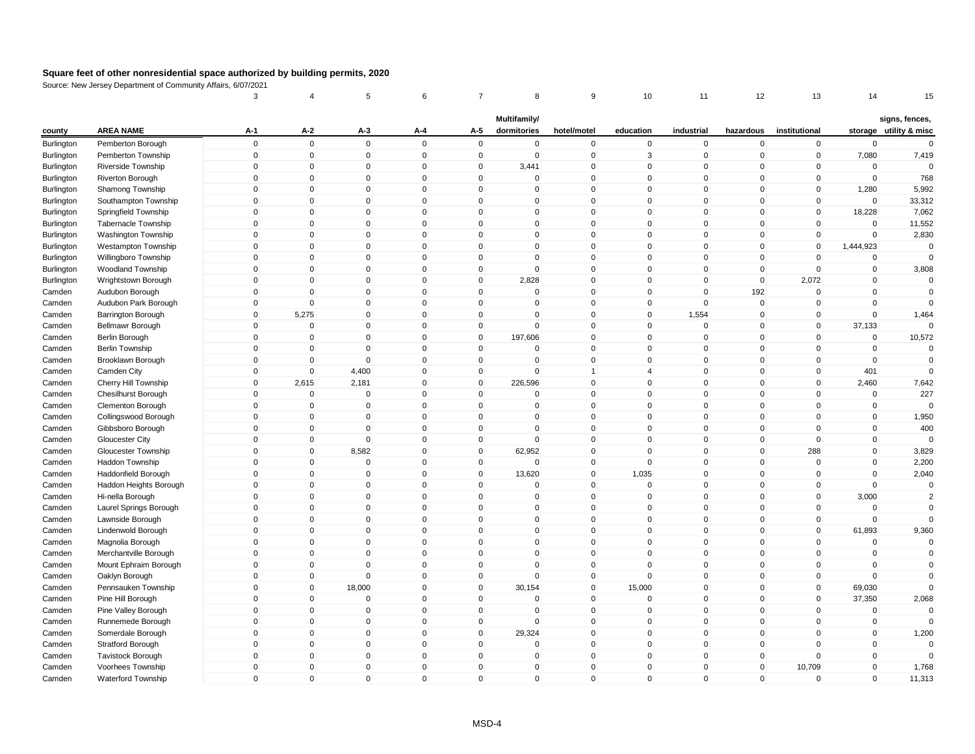|            |                            | 3            | 4            | 5            | 6                   | 7            | 8                           | 9            | 10             | 11           | 12           | 13             | 14          | 15                                       |
|------------|----------------------------|--------------|--------------|--------------|---------------------|--------------|-----------------------------|--------------|----------------|--------------|--------------|----------------|-------------|------------------------------------------|
| county     | <b>AREA NAME</b>           | A-1          | A-2          | A-3          | A-4                 | A-5          | Multifamily/<br>dormitories | hotel/motel  | education      | industrial   | hazardous    | institutional  |             | signs, fences,<br>storage utility & misc |
| Burlington | Pemberton Borough          | $\mathbf 0$  | $\mathbf 0$  | $\mathsf 0$  | $\mathbf 0$         | $\mathbf 0$  | $\mathbf 0$                 | $\mathbf 0$  | $\mathbf 0$    | $\mathbf 0$  | $\mathbf 0$  | $\pmb{0}$      | $\mathbf 0$ | $\Omega$                                 |
| Burlington | Pemberton Township         | $\mathbf 0$  | $\mathbf 0$  | $\mathbf 0$  | $\mathbf 0$         | $\mathbf 0$  | $\mathbf 0$                 | $\mathsf 0$  | 3              | $\mathbf 0$  | $\mathbf 0$  | $\mathbf 0$    | 7,080       | 7,419                                    |
| Burlington | Riverside Township         | $\Omega$     | $\pmb{0}$    | 0            | $\mathsf{O}\xspace$ | 0            | 3,441                       | $\pmb{0}$    | $\Omega$       | 0            | $\mathbf 0$  | $\mathbf 0$    | $\Omega$    | $\Omega$                                 |
| Burlington | Riverton Borough           | $\mathbf{0}$ | $\mathbf 0$  | $\mathbf 0$  | $\mathbf 0$         | $\mathbf 0$  | $\Omega$                    | $\mathsf 0$  | $\mathbf{0}$   | $\Omega$     | $\mathbf{0}$ | $\mathbf 0$    | $\mathbf 0$ | 768                                      |
| Burlington | Shamong Township           | $\mathbf{0}$ | $\mathbf 0$  | $\mathbf 0$  | $\mathbf 0$         | $\mathbf 0$  | $\mathbf 0$                 | $\mathbf 0$  | $\mathbf{0}$   | $\mathbf 0$  | $\mathbf 0$  | $\mathbf 0$    | 1,280       | 5,992                                    |
| Burlington | Southampton Township       | $\mathbf{0}$ | $\mathbf 0$  | $\mathbf 0$  | $\mathbf 0$         | $\mathbf 0$  | $\Omega$                    | $\mathsf 0$  | $\Omega$       | $\Omega$     | $\mathbf 0$  | $\mathbf 0$    | $\mathbf 0$ | 33,312                                   |
| Burlington | Springfield Township       | $\mathbf{0}$ | $\mathbf 0$  | $\mathbf 0$  | $\mathbf{0}$        | $\mathbf 0$  | $\Omega$                    | $\mathbf 0$  | $\mathbf{0}$   | $\mathbf 0$  | $\mathbf{0}$ | $\mathbf{0}$   | 18,228      | 7,062                                    |
| Burlington | <b>Tabernacle Township</b> | $\mathbf 0$  | $\mathbf 0$  | $\mathbf 0$  | $\mathbf 0$         | $\mathbf 0$  | 0                           | $\mathbf 0$  | $\mathbf 0$    | $\mathbf 0$  | $\mathbf 0$  | $\mathbf 0$    | $\mathbf 0$ | 11,552                                   |
| Burlington | Washington Township        | $\mathbf{0}$ | $\mathbf 0$  | $\mathbf{0}$ | $\mathbf{0}$        | $\mathbf{0}$ | $\mathbf{0}$                | $\mathsf 0$  | $\mathbf{0}$   | $\mathbf 0$  | $\mathbf{0}$ | $\mathbf 0$    | $\mathbf 0$ | 2,830                                    |
| Burlington | <b>Westampton Township</b> | $\mathbf 0$  | $\pmb{0}$    | $\mathbf 0$  | $\mathbf 0$         | $\mathbf 0$  | 0                           | $\mathbf 0$  | $\mathbf 0$    | $\mathbf 0$  | $\mathbf 0$  | $\mathbf 0$    | 1,444,923   | $\Omega$                                 |
| Burlington | Willingboro Township       | 0            | $\mathbf 0$  | $\mathbf 0$  | $\Omega$            | 0            | $\Omega$                    | $\mathbf 0$  | $\Omega$       | $\Omega$     | 0            | $\mathbf 0$    | 0           |                                          |
| Burlington | <b>Woodland Township</b>   | $\mathbf{0}$ | $\mathbf 0$  | $\mathbf 0$  | $\mathbf 0$         | $\mathbf 0$  | $\mathbf 0$                 | $\mathsf 0$  | $\mathbf{0}$   | $\mathbf 0$  | $\mathbf 0$  | $\mathbf 0$    | $\mathbf 0$ | 3,808                                    |
| Burlington | Wrightstown Borough        | $\mathbf 0$  | $\mathbf 0$  | $\mathbf 0$  | $\mathbf 0$         | $\mathbf 0$  | 2,828                       | $\mathsf 0$  | $\mathbf{0}$   | $\mathbf 0$  | $\mathbf 0$  | 2,072          | $\mathbf 0$ | $\mathbf 0$                              |
| Camden     | Audubon Borough            | $\Omega$     | $\mathbf{0}$ | $\mathbf 0$  | $\mathbf{0}$        | $\mathbf 0$  | $\mathbf 0$                 | $\mathbf 0$  | $\Omega$       | $\mathbf 0$  | 192          | $\mathbf 0$    | $\mathbf 0$ | $\mathbf 0$                              |
| Camden     | Audubon Park Borough       | $\mathbf 0$  | $\mathbf 0$  | $\mathbf 0$  | $\mathbf 0$         | $\mathbf 0$  | $\mathbf 0$                 | $\mathbf 0$  | $\mathbf{0}$   | $\mathbf 0$  | $\mathbf 0$  | $\mathbf 0$    | $\Omega$    |                                          |
| Camden     | <b>Barrington Borough</b>  | $\mathbf{0}$ | 5,275        | $\mathsf 0$  | $\mathbf 0$         | $\mathbf 0$  | 0                           | $\mathsf 0$  | $\mathbf{0}$   | 1,554        | $\mathbf 0$  | $\mathbf 0$    | $\mathbf 0$ | 1,464                                    |
| Camden     | Bellmawr Borough           | $\mathbf 0$  | $\mathbf 0$  | $\mathbf 0$  | $\mathbf 0$         | $\mathbf 0$  | $\mathbf 0$                 | $\mathsf 0$  | $\mathbf{0}$   | $\mathbf 0$  | $\mathbf 0$  | $\mathbf 0$    | 37,133      |                                          |
| Camden     | <b>Berlin Borough</b>      | $\mathbf 0$  | $\mathbf 0$  | $\mathbf 0$  | $\mathbf 0$         | $\mathbf 0$  | 197,606                     | $\mathsf 0$  | $\mathbf{0}$   | $\mathbf 0$  | $\mathbf 0$  | $\mathbf 0$    | $\mathbf 0$ | 10,572                                   |
| Camden     | <b>Berlin Township</b>     | 0            | $\mathbf 0$  | $\mathbf 0$  | $\mathbf 0$         | 0            | 0                           | $\mathbf 0$  | $\mathbf 0$    | $\mathbf 0$  | 0            | 0              | $\Omega$    | $\Omega$                                 |
| Camden     | Brooklawn Borough          | $\mathbf{0}$ | $\mathbf 0$  | $\mathbf{0}$ | $\Omega$            | $\mathbf 0$  | $\Omega$                    | $\mathsf 0$  | $\mathbf{0}$   | $\Omega$     | $\mathbf{0}$ | $\mathbf{0}$   | $\Omega$    | $\mathbf 0$                              |
| Camden     | Camden City                | $\mathbf 0$  | $\mathbf 0$  | 4,400        | $\mathbf 0$         | $\mathbf 0$  | 0                           | $\mathbf{1}$ | $\overline{4}$ | $\mathbf 0$  | $\mathbf 0$  | $\mathbf 0$    | 401         | $\mathbf 0$                              |
| Camden     | Cherry Hill Township       | $\mathbf{0}$ | 2,615        | 2,181        | $\mathbf{0}$        | 0            | 226,596                     | $\pmb{0}$    | $\Omega$       | $\mathbf{0}$ | $\mathbf 0$  | $\Omega$       | 2,460       | 7,642                                    |
| Camden     | <b>Chesilhurst Borough</b> | $\mathbf{0}$ | $\mathbf 0$  | $\mathbf 0$  | $\mathbf{0}$        | $\mathbf 0$  | $\mathbf 0$                 | $\mathsf 0$  | $\mathbf{0}$   | $\mathbf 0$  | $\mathbf{0}$ | $\Omega$       | $\mathbf 0$ | 227                                      |
| Camden     | Clementon Borough          | $\mathbf 0$  | $\mathbf 0$  | $\mathbf 0$  | $\mathbf 0$         | 0            | $\mathbf 0$                 | $\mathbf 0$  | $\mathbf{0}$   | $\mathbf 0$  | $\mathbf 0$  | 0              | $\mathbf 0$ |                                          |
| Camden     | Collingswood Borough       | $\mathbf{0}$ | $\mathbf 0$  | $\mathbf{0}$ | $\mathbf{0}$        | $\mathbf{0}$ | $\Omega$                    | $\mathsf 0$  | $\mathbf{0}$   | $\Omega$     | $\mathbf{0}$ | $\mathbf{0}$   | $\mathbf 0$ | 1,950                                    |
| Camden     | Gibbsboro Borough          | $\mathbf 0$  | $\pmb{0}$    | $\mathbf 0$  | $\mathbf 0$         | $\mathbf 0$  | 0                           | $\pmb{0}$    | $\mathbf 0$    | $\mathbf 0$  | $\mathbf 0$  | $\mathbf 0$    | $\mathbf 0$ | 400                                      |
| Camden     | Gloucester City            | $\mathbf 0$  | $\pmb{0}$    | $\mathbf 0$  | $\mathbf 0$         | $\mathbf 0$  | 0                           | $\mathbf 0$  | $\mathbf{0}$   | $\mathbf 0$  | $\mathbf 0$  | $\mathbf 0$    | $\mathbf 0$ | $\Omega$                                 |
| Camden     | Gloucester Township        | $\mathbf{0}$ | $\pmb{0}$    | 8,582        | $\mathbf 0$         | $\mathbf 0$  | 62,952                      | $\mathsf 0$  | $\mathbf{0}$   | $\mathbf 0$  | $\mathbf 0$  | 288            | $\mathbf 0$ | 3,829                                    |
| Camden     | Haddon Township            | $\mathbf 0$  | $\mathbf 0$  | $\mathbf 0$  | $\mathbf 0$         | $\mathbf 0$  | 0                           | $\pmb{0}$    | $\Omega$       | $\mathbf 0$  | $\mathbf 0$  | $\mathbf 0$    | $\mathbf 0$ | 2,200                                    |
| Camden     | Haddonfield Borough        | $\mathbf 0$  | $\mathbf 0$  | $\mathbf 0$  | $\mathbf 0$         | $\mathbf 0$  | 13,620                      | $\mathbf 0$  | 1,035          | $\mathbf 0$  | $\mathbf 0$  | $\mathbf 0$    | $\mathbf 0$ | 2,040                                    |
| Camden     | Haddon Heights Borough     | $\Omega$     | $\mathbf 0$  | $\mathbf 0$  | $\mathbf 0$         | $\mathbf 0$  | $\Omega$                    | $\mathbf 0$  | $\mathbf{0}$   | $\mathbf 0$  | $\mathbf 0$  | $\Omega$       | $\mathbf 0$ | $\mathbf 0$                              |
| Camden     | Hi-nella Borough           | $\mathbf{0}$ | $\mathbf 0$  | $\mathbf 0$  | $\mathbf 0$         | $\mathbf 0$  | 0                           | $\mathsf 0$  | $\mathbf{0}$   | $\mathbf 0$  | $\mathbf 0$  | $\mathbf{0}$   | 3,000       | $\overline{2}$                           |
| Camden     | Laurel Springs Borough     | $\mathbf{0}$ | $\mathbf 0$  | $\Omega$     | $\mathbf{0}$        | $\mathbf{0}$ | $\Omega$                    | $\mathbf 0$  | $\mathbf{0}$   | $\mathbf{0}$ | $\mathbf{0}$ | $\Omega$       | $\Omega$    | $\Omega$                                 |
| Camden     | Lawnside Borough           | $\mathbf 0$  | $\mathbf 0$  | $\mathbf 0$  | $\mathbf 0$         | $\mathbf 0$  | 0                           | $\mathsf 0$  | $\mathbf{0}$   | $\mathbf 0$  | $\mathbf 0$  | $\mathbf 0$    | $\mathbf 0$ | $\Omega$                                 |
| Camden     | Lindenwold Borough         | $\mathbf 0$  | $\pmb{0}$    | 0            | $\mathbf 0$         | $\mathbf 0$  | 0                           | $\mathbf 0$  | $\mathbf 0$    | $\mathbf 0$  | $\mathbf 0$  | $\pmb{0}$      | 61,893      | 9,360                                    |
| Camden     | Magnolia Borough           | $\mathbf{0}$ | $\mathbf 0$  | $\mathbf 0$  | $\Omega$            | $\mathbf{0}$ | $\Omega$                    | $\mathbf 0$  | $\mathbf{0}$   | $\Omega$     | $\mathbf{0}$ | $\mathbf{0}$   | $\mathbf 0$ | $\mathbf 0$                              |
| Camden     | Merchantville Borough      | $\mathbf{0}$ | $\mathbf 0$  | $\mathbf 0$  | $\mathbf 0$         | $\mathbf 0$  | $\mathbf 0$                 | $\mathsf 0$  | $\mathbf{0}$   | $\mathbf 0$  | $\mathbf 0$  | $\mathbf 0$    | $\mathbf 0$ | $\mathbf 0$                              |
| Camden     | Mount Ephraim Borough      | $\mathbf 0$  | $\mathbf 0$  | $\mathbf 0$  | $\mathbf 0$         | $\mathbf 0$  | 0                           | $\mathbf 0$  | $\mathbf{0}$   | $\mathbf 0$  | $\mathbf 0$  | $\mathbf 0$    | $\mathbf 0$ | $\mathbf 0$                              |
| Camden     | Oaklyn Borough             | $\mathbf{0}$ | $\mathbf 0$  | $\mathbf 0$  | $\mathbf{0}$        | $\mathbf 0$  | $\mathbf 0$                 | $\mathsf 0$  | $\mathbf{0}$   | $\mathbf 0$  | $\mathbf{0}$ | $\overline{0}$ | $\mathbf 0$ | $\Omega$                                 |
| Camden     | Pennsauken Township        | $\mathbf 0$  | $\mathbf 0$  | 18,000       | $\mathbf 0$         | $\mathbf 0$  | 30,154                      | $\mathsf 0$  | 15,000         | $\mathbf 0$  | $\mathbf 0$  | 0              | 69,030      |                                          |
| Camden     | Pine Hill Borough          | $\mathbf{0}$ | $\mathbf 0$  | $\mathbf{0}$ | $\mathbf{0}$        | $\mathbf{0}$ | $\mathbf{0}$                | $\mathbf 0$  | $\mathbf{0}$   | $\Omega$     | $\mathbf 0$  | $\mathbf{0}$   | 37,350      | 2,068                                    |
| Camden     | Pine Valley Borough        | $\mathbf 0$  | $\pmb{0}$    | $\mathbf 0$  | $\mathbf 0$         | $\mathbf 0$  | 0                           | $\mathbf 0$  | $\mathbf 0$    | $\mathbf 0$  | $\mathbf 0$  | $\mathbf 0$    | $\mathbf 0$ | $\Omega$                                 |
| Camden     | Runnemede Borough          | $\mathbf 0$  | $\pmb{0}$    | $\mathbf 0$  | $\mathbf 0$         | $\mathbf 0$  | 0                           | $\mathbf 0$  | $\mathbf 0$    | $\mathbf 0$  | $\mathbf 0$  | $\mathbf 0$    | $\pmb{0}$   | $\Omega$                                 |
| Camden     | Somerdale Borough          | $\Omega$     | $\pmb{0}$    | $\mathbf 0$  | $\mathbf 0$         | $\mathbf 0$  | 29,324                      | $\mathsf 0$  | $\mathbf{0}$   | $\mathbf 0$  | $\mathbf 0$  | $\Omega$       | $\mathbf 0$ | 1,200                                    |
| Camden     | <b>Stratford Borough</b>   | $\mathbf 0$  | $\mathbf 0$  | $\mathbf 0$  | $\mathbf 0$         | $\mathbf 0$  | 0                           | $\mathsf 0$  | $\mathbf{0}$   | $\mathbf 0$  | $\mathbf 0$  | $\mathbf 0$    | $\mathbf 0$ | $\mathbf 0$                              |
| Camden     | <b>Tavistock Borough</b>   | $\mathbf{0}$ | $\mathbf 0$  | $\mathbf 0$  | $\mathbf 0$         | $\mathbf 0$  | 0                           | $\mathbf 0$  | $\mathbf{0}$   | $\mathbf 0$  | $\mathbf 0$  | $\mathbf 0$    | $\mathbf 0$ | $\mathbf 0$                              |
| Camden     | Voorhees Township          | $\mathbf{0}$ | $\mathbf 0$  | $\mathbf 0$  | $\mathbf 0$         | $\mathbf 0$  | 0                           | $\mathsf 0$  | $\Omega$       | $\mathbf 0$  | $\mathbf 0$  | 10,709         | $\mathbf 0$ | 1,768                                    |
| Camden     | <b>Waterford Township</b>  | $\mathbf{0}$ | $\mathsf 0$  | $\mathbf 0$  | $\mathbf 0$         | $\mathbf{0}$ | $\mathbf 0$                 | $\mathsf 0$  | $\mathbf{0}$   | $\mathbf 0$  | $\mathbf 0$  | $\mathbf{0}$   | $\mathbf 0$ | 11,313                                   |
|            |                            |              |              |              |                     |              |                             |              |                |              |              |                |             |                                          |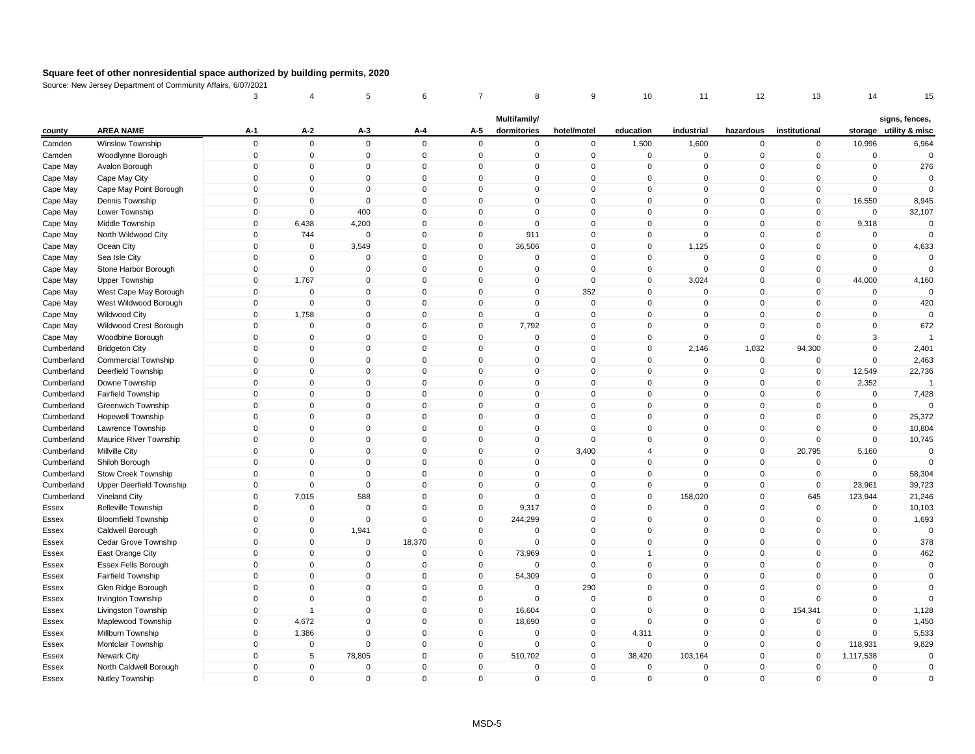| Multifamily/<br>signs, fences,<br><b>AREA NAME</b><br>storage utility & misc<br>$A-1$<br>A-2<br>A-5<br>dormitories<br>education<br>industrial<br>institutional<br>county<br>A-3<br>A-4<br>hotel/motel<br>hazardous<br>$\mathsf 0$<br>$\mathbf 0$<br>$\mathsf 0$<br>$\mathbf 0$<br>$\mathbf 0$<br>$\mathbf 0$<br>1,500<br>1,600<br>$\mathbf 0$<br>10,996<br>6,964<br>Camden<br>Winslow Township<br>$\mathbf 0$<br>$\mathbf 0$<br>$\mathsf 0$<br>$\mathbf 0$<br>$\mathsf 0$<br>$\mathbf 0$<br>$\mathsf 0$<br>$\mathbf 0$<br>$\mathbf{0}$<br>$\mathbf 0$<br>Woodlynne Borough<br>$\mathbf 0$<br>$\mathbf 0$<br>$\mathbf 0$<br>$\mathbf 0$<br>Camden<br>$\mathbf 0$<br>276<br>$\mathbf 0$<br>$\pmb{0}$<br>$\mathbf 0$<br>$\mathbf 0$<br>$\mathbf 0$<br>Cape May<br>Avalon Borough<br>$\mathbf 0$<br>0<br>0<br>0<br>0<br>0<br>$\mathbf 0$<br>$\Omega$<br>$\Omega$<br>$\mathbf 0$<br>$\mathbf{0}$<br>$\mathbf{0}$<br>$\mathbf{0}$<br>$\Omega$<br>$\mathbf 0$<br>Cape May<br>Cape May City<br>$\mathbf 0$<br>$\mathbf{0}$<br>$\mathbf{0}$<br>$\mathbf 0$<br>$\mathbf 0$<br>Cape May<br>Cape May Point Borough<br>$\mathbf 0$<br>$\mathbf 0$<br>$\mathbf{0}$<br>$\mathbf 0$<br>$\overline{0}$<br>$\Omega$<br>$\mathbf{0}$<br>$\mathbf 0$<br>$\mathbf 0$<br>$\mathbf 0$<br>$\mathbf 0$<br>$\mathbf 0$<br>$\mathbf 0$<br>$\mathbf 0$<br>0<br>$\Omega$<br>$\Omega$<br>$\mathbf 0$<br>16,550<br>8,945<br>Cape May<br>Dennis Township<br>$\mathbf 0$<br>$\Omega$<br>0<br>$\mathbf 0$<br>$\Omega$<br>$\Omega$<br>$\mathbf{0}$<br>400<br>$\mathbf 0$<br>$\mathbf{0}$<br>$\overline{0}$<br>$\mathbf{0}$<br>$\mathbf{0}$<br>$\mathbf{0}$<br>$\mathbf{0}$<br>32,107<br>Cape May<br>Lower Township<br>$\mathsf 0$<br>6,438<br>4,200<br>$\mathbf 0$<br>$\mathsf 0$<br>$\Omega$<br>9,318<br>$\mathbf 0$<br>$\overline{0}$<br>0<br>$\mathbf 0$<br>$\mathbf 0$<br>$\mathbf 0$<br>Cape May<br>Middle Township<br>$\mathsf 0$<br>$\mathbf 0$<br>North Wildwood City<br>744<br>$\mathbf 0$<br>$\mathbf 0$<br>911<br>$\overline{0}$<br>$\mathbf 0$<br>$\Omega$<br>$\mathbf 0$<br>$\mathbf 0$<br>$\mathbf 0$<br>Cape May<br>$\mathsf 0$<br>3,549<br>$\mathbf 0$<br>36,506<br>1,125<br>4,633<br>Cape May<br>Ocean City<br>$\mathbf 0$<br>$\mathbf 0$<br>$\mathbf 0$<br>$\mathbf 0$<br>$\mathbf 0$<br>$\mathbf 0$<br>$\mathbf 0$<br>$\mathsf 0$<br>$\mathbf 0$<br>$\mathbf{0}$<br>$\mathbf 0$<br>$\mathbf 0$<br>$\mathbf 0$<br>$\mathbf{0}$<br>$\mathbf 0$<br>$\Omega$<br>$\mathbf{0}$<br>$\mathbf{0}$<br>$\mathbf 0$<br>Cape May<br>Sea Isle City<br>$\mathsf 0$<br>$\mathbf 0$<br>$\mathbf 0$<br>$\mathbf 0$<br>$\mathbf 0$<br>$\mathbf 0$<br>$\mathbf 0$<br>$\mathbf 0$<br>$\Omega$<br>$\mathbf 0$<br>$\mathbf 0$<br>$\mathbf 0$<br>Cape May<br>Stone Harbor Borough<br>$\mathbf 0$<br>1,767<br>$\mathbf{0}$<br>$\mathbf 0$<br>$\mathbf{0}$<br>$\mathsf 0$<br>$\Omega$<br>$\mathbf 0$<br>3,024<br>$\mathbf{0}$<br>$\mathbf{0}$<br>44,000<br>4,160<br>Cape May<br><b>Upper Township</b><br>$\Omega$<br>$\mathbf{0}$<br>352<br>Cape May<br>West Cape May Borough<br>$\mathbf{0}$<br>$\mathbf 0$<br>$\mathbf 0$<br>$\mathbf 0$<br>$\Omega$<br>$\Omega$<br>$\mathbf 0$<br>$\mathbf{0}$<br>$\mathbf 0$<br>$\Omega$<br>$\mathbf 0$<br>$\mathbf 0$<br>0<br>$\mathbf 0$<br>$\mathbf 0$<br>$\mathbf 0$<br>$\Omega$<br>$\Omega$<br>$\mathbf 0$<br>$\mathbf 0$<br>$\overline{0}$<br>420<br>Cape May<br>West Wildwood Borough<br>0<br>$\mathbf 0$<br>$\mathbf 0$<br>$\mathbf{0}$<br>1,758<br>$\mathbf{0}$<br>$\mathbf{0}$<br>$\overline{0}$<br>$\Omega$<br>$\Omega$<br>$\mathbf{0}$<br>$\mathbf{0}$<br>$\mathbf{0}$<br>Cape May<br>Wildwood City<br>7,792<br>672<br>Cape May<br>Wildwood Crest Borough<br>$\mathbf 0$<br>$\mathbf 0$<br>$\mathbf 0$<br>$\mathbf 0$<br>$\mathbf 0$<br>$\overline{0}$<br>$\mathbf 0$<br>$\Omega$<br>$\mathbf 0$<br>$\mathbf 0$<br>$\mathbf 0$<br>$\mathbf 0$<br>$\mathbf 0$<br>$\mathbf 0$<br>$\mathbf 0$<br>$\mathbf 0$<br>$\pmb{0}$<br>$\mathbf 0$<br>$\mathbf 0$<br>$\Omega$<br>$\mathbf 0$<br>3<br>Cape May<br>Woodbine Borough<br>0<br>$\mathbf 0$<br>$\mathbf 0$<br>2,146<br>1,032<br>94,300<br>2,401<br>$\mathbf 0$<br>$\mathbf 0$<br>$\Omega$<br>$\mathbf 0$<br>$\mathbf{0}$<br>$\mathbf{0}$<br>$\mathbf 0$<br>Cumberland<br><b>Bridgeton City</b><br>$\mathsf 0$<br>$\Omega$<br>$\mathbf 0$<br>$\mathbf 0$<br>$\mathsf 0$<br>$\mathbf 0$<br>$\mathbf 0$<br>2,463<br><b>Commercial Township</b><br>$\mathbf 0$<br>$\Omega$<br>$\mathbf 0$<br>$\mathbf 0$<br>$\mathbf 0$<br>Cumberland<br>$\mathsf 0$<br>Cumberland<br>Deerfield Township<br>$\mathbf 0$<br>$\mathbf 0$<br>$\mathbf 0$<br>$\mathbf 0$<br>$\mathbf 0$<br>$\overline{0}$<br>$\mathbf 0$<br>$\mathbf 0$<br>$\mathbf 0$<br>$\mathbf 0$<br>12,549<br>22,736<br>$\mathbf 0$<br>$\Omega$<br>$\mathbf 0$<br>$\mathbf{0}$<br>2,352<br>Cumberland<br>Downe Township<br>$\Omega$<br>$\Omega$<br>$\Omega$<br>$\Omega$<br>$\mathbf{0}$<br>$\mathbf{0}$<br>$\mathbf{0}$<br>$\mathbf 0$<br>$\mathbf{0}$<br>$\mathbf{0}$<br>$\mathbf 0$<br>$\Omega$<br>$\mathbf{0}$<br>$\overline{0}$<br>$\Omega$<br>$\mathbf{0}$<br>$\mathbf{0}$<br>$\mathbf{0}$<br>$\mathbf{0}$<br>7,428<br>Cumberland<br><b>Fairfield Township</b><br>$\mathsf 0$<br>$\mathbf 0$<br>$\mathbf 0$<br>$\mathsf 0$<br>$\mathbf 0$<br>$\mathbf 0$<br>$\mathbf 0$<br>$\mathbf 0$<br>$\mathbf 0$<br>$\mathbf 0$<br>$\mathbf 0$<br>$\mathbf 0$<br>$\Omega$<br>Cumberland<br>Greenwich Township<br>$\mathsf 0$<br>$\mathbf{0}$<br>$\Omega$<br>$\mathbf 0$<br>$\mathbf{0}$<br>$\mathsf 0$<br>$\mathbf{0}$<br>$\mathbf{0}$<br>$\mathbf{0}$<br>$\mathbf{0}$<br>$\mathbf{0}$<br>25,372<br>Cumberland<br>$\mathbf 0$<br><b>Hopewell Township</b><br>$\pmb{0}$<br>$\mathbf 0$<br>$\mathbf 0$<br>$\mathbf 0$<br>0<br>$\mathbf 0$<br>$\pmb{0}$<br>$\mathbf 0$<br>$\mathbf 0$<br>$\mathbf 0$<br>$\mathbf 0$<br>$\mathbf 0$<br>10,804<br>Cumberland<br>Lawrence Township<br>$\mathsf 0$<br>$\mathbf 0$<br>$\mathbf{0}$<br>$\mathbf 0$<br>$\mathbf 0$<br>$\mathbf 0$<br>$\Omega$<br>$\mathbf 0$<br>$\mathbf 0$<br>$\mathbf 0$<br>$\mathbf 0$<br>10,745<br>Cumberland<br>Maurice River Township<br>0<br>$\mathbf 0$<br>$\overline{0}$<br>$\mathsf 0$<br>$\mathbf 0$<br>$\mathbf{0}$<br>3,400<br>$\mathbf{0}$<br>$\mathbf 0$<br>20,795<br>5,160<br>Cumberland<br>Millville City<br>$\mathbf 0$<br>$\overline{4}$<br>$\mathsf 0$<br>Cumberland<br>Shiloh Borough<br>$\mathbf 0$<br>$\mathbf 0$<br>$\mathbf 0$<br>$\mathbf{0}$<br>$\mathbf 0$<br>0<br>$\Omega$<br>$\mathbf{0}$<br>$\mathbf 0$<br>$\mathbf 0$<br>$\mathbf 0$<br>$\Omega$<br>$\mathbf 0$<br>$\mathbf 0$<br>Cumberland<br>Stow Creek Township<br>$\Omega$<br>$\mathbf 0$<br>$\mathbf{0}$<br>$\mathbf 0$<br>$\mathbf{0}$<br>$\Omega$<br>$\mathbf{0}$<br>$\mathbf 0$<br>$\mathbf 0$<br>$\mathbf 0$<br>58,304<br>$\mathbf 0$<br>$\mathbf 0$<br>$\Omega$<br>$\mathbf 0$<br>$\mathbf{0}$<br>$\Omega$<br>$\Omega$<br>$\mathbf{0}$<br>39,723<br>Cumberland<br><b>Upper Deerfield Township</b><br>$\Omega$<br>$\Omega$<br>$\mathbf{0}$<br>23,961<br>$\mathsf 0$<br>7,015<br>588<br>$\mathbf 0$<br>$\mathbf 0$<br>$\mathsf 0$<br>$\mathbf 0$<br>158,020<br>645<br>Cumberland<br>Vineland City<br>$\mathbf{0}$<br>$\mathbf 0$<br>123,944<br>21,246<br><b>Belleville Township</b><br>$\pmb{0}$<br>0<br>$\mathbf 0$<br>$\mathbf 0$<br>$\mathbf 0$<br>9,317<br>$\overline{0}$<br>$\mathbf 0$<br>$\mathbf 0$<br>$\mathbf 0$<br>$\mathbf 0$<br>$\mathbf 0$<br>10,103<br>Essex<br>$\mathbf 0$<br>$\mathbf 0$<br>$\mathbf 0$<br>$\mathbf 0$<br>244,299<br>$\Omega$<br>1,693<br><b>Bloomfield Township</b><br>$\mathbf 0$<br>$\mathbf{0}$<br>$\mathbf 0$<br>$\mathbf{0}$<br>$\mathbf 0$<br>$\mathbf 0$<br>Essex<br>$\mathbf 0$<br>$\mathbf 0$<br>$\mathbf 0$<br>$\mathbf 0$<br>1,941<br>$\mathbf 0$<br>$\mathbf 0$<br>$\mathbf{0}$<br>$\Omega$<br>$\mathbf 0$<br>$\mathbf{0}$<br>$\mathbf 0$<br>Essex<br>Caldwell Borough<br>$\mathbf 0$<br>$\mathbf 0$<br>$\mathbf 0$<br>18,370<br>$\mathbf 0$<br>$\mathbf 0$<br>$\mathbf 0$<br>$\mathbf 0$<br>$\mathbf 0$<br>$\mathbf 0$<br>$\mathbf 0$<br>$\mathbf 0$<br>378<br>Cedar Grove Township<br>Essex<br>$\mathbf 0$<br>$\mathbf{0}$<br>$\mathbf{0}$<br>$\mathbf 0$<br>$\mathbf{0}$<br>73,969<br>$\overline{0}$<br>$\mathbf{0}$<br>$\mathbf{0}$<br>$\mathbf{0}$<br>$\mathbf 0$<br>462<br>East Orange City<br>$\mathbf{1}$<br>Essex<br>Essex Fells Borough<br>$\mathbf 0$<br>$\mathbf 0$<br>0<br>$\mathbf 0$<br>$\mathbf 0$<br>$\mathbf 0$<br>0<br>$\Omega$<br>$\Omega$<br>$\mathbf 0$<br>$\mathbf{0}$<br>$\mathbf 0$<br>Essex<br>$\mathsf 0$<br>$\mathbf 0$<br>$\mathbf 0$<br>$\mathbf 0$<br>$\mathbf 0$<br>$\mathbf 0$<br>$\mathbf 0$<br>$\mathbf 0$<br>54,309<br>$\overline{0}$<br>$\mathbf 0$<br>$\mathbf 0$<br>Fairfield Township<br>Essex<br>$\mathsf 0$<br>$\mathbf 0$<br>$\mathbf{0}$<br>$\mathbf 0$<br>$\mathsf 0$<br>290<br>$\mathbf 0$<br>$\Omega$<br>$\mathbf 0$<br>$\mathbf 0$<br>$\mathbf 0$<br>Glen Ridge Borough<br>$\mathbf 0$<br>Essex<br>$\mathsf 0$<br>$\mathbf{0}$<br>$\mathbf 0$<br>$\mathbf 0$<br>$\mathbf{0}$<br>$\mathbf{0}$<br>$\mathbf 0$<br>Irvington Township<br>$\mathbf 0$<br>$\mathbf 0$<br>$\mathbf 0$<br>$\mathbf 0$<br>$\mathbf 0$<br>Essex<br>$\mathbf 0$<br>0<br>$\pmb{0}$<br>$\mathbf 0$<br>16,604<br>$\mathbf 0$<br>$\mathbf 0$<br>$\mathbf 0$<br>154,341<br>$\mathbf 0$<br>1,128<br>Essex<br>Livingston Township<br>1<br>$\Omega$<br>$\mathbf 0$<br>4,672<br>$\mathbf{0}$<br>$\mathbf 0$<br>$\mathbf 0$<br>$\Omega$<br>$\mathbf 0$<br>1,450<br>Maplewood Township<br>18,690<br>$\mathbf 0$<br>$\Omega$<br>$\mathbf 0$<br>$\mathbf 0$<br>Essex<br>$\mathsf 0$<br>1,386<br>$\mathbf 0$<br>$\mathbf 0$<br>$\mathbf 0$<br>$\mathsf 0$<br>4,311<br>$\Omega$<br>$\mathbf 0$<br>5,533<br>Millburn Township<br>0<br>$\mathbf 0$<br>$\mathbf 0$<br>Essex<br>Montclair Township<br>$\mathbf 0$<br>$\mathbf 0$<br>$\mathbf 0$<br>$\mathbf 0$<br>118,931<br>9,829<br>Essex<br>0<br>0<br>0<br>$\Omega$<br>$\Omega$<br>0<br>0<br>$\mathbf 0$<br>5<br>78,805<br>$\mathbf 0$<br>$\mathbf{0}$<br>510,702<br>$\overline{0}$<br>$\mathbf{0}$<br>$\mathbf{0}$<br>1,117,538<br>Newark City<br>38,420<br>103,164<br>$\Omega$<br>Essex<br>$\mathbf 0$<br>$\mathbf 0$<br>Essex<br>North Caldwell Borough<br>$\Omega$<br>$\mathbf 0$<br>0<br>$\Omega$<br>$\mathbf 0$<br>$\overline{0}$<br>$\mathbf 0$<br>$\Omega$<br>$\Omega$<br>$\Omega$<br>$\Omega$<br>$\mathbf 0$<br>$\mathbf 0$<br>$\mathbf 0$<br>$\mathbf 0$<br>$\mathbf{0}$<br>$\mathbf 0$<br>$\overline{0}$<br>$\mathbf 0$<br>$\mathbf 0$<br>$\mathbf 0$<br>$\mathbf 0$<br>Essex<br><b>Nutley Township</b> |  | 3 | 4 | 5 | 6 | 8 | 9 | 10 | 11 | 12 | 13 | 14 | 15 |
|----------------------------------------------------------------------------------------------------------------------------------------------------------------------------------------------------------------------------------------------------------------------------------------------------------------------------------------------------------------------------------------------------------------------------------------------------------------------------------------------------------------------------------------------------------------------------------------------------------------------------------------------------------------------------------------------------------------------------------------------------------------------------------------------------------------------------------------------------------------------------------------------------------------------------------------------------------------------------------------------------------------------------------------------------------------------------------------------------------------------------------------------------------------------------------------------------------------------------------------------------------------------------------------------------------------------------------------------------------------------------------------------------------------------------------------------------------------------------------------------------------------------------------------------------------------------------------------------------------------------------------------------------------------------------------------------------------------------------------------------------------------------------------------------------------------------------------------------------------------------------------------------------------------------------------------------------------------------------------------------------------------------------------------------------------------------------------------------------------------------------------------------------------------------------------------------------------------------------------------------------------------------------------------------------------------------------------------------------------------------------------------------------------------------------------------------------------------------------------------------------------------------------------------------------------------------------------------------------------------------------------------------------------------------------------------------------------------------------------------------------------------------------------------------------------------------------------------------------------------------------------------------------------------------------------------------------------------------------------------------------------------------------------------------------------------------------------------------------------------------------------------------------------------------------------------------------------------------------------------------------------------------------------------------------------------------------------------------------------------------------------------------------------------------------------------------------------------------------------------------------------------------------------------------------------------------------------------------------------------------------------------------------------------------------------------------------------------------------------------------------------------------------------------------------------------------------------------------------------------------------------------------------------------------------------------------------------------------------------------------------------------------------------------------------------------------------------------------------------------------------------------------------------------------------------------------------------------------------------------------------------------------------------------------------------------------------------------------------------------------------------------------------------------------------------------------------------------------------------------------------------------------------------------------------------------------------------------------------------------------------------------------------------------------------------------------------------------------------------------------------------------------------------------------------------------------------------------------------------------------------------------------------------------------------------------------------------------------------------------------------------------------------------------------------------------------------------------------------------------------------------------------------------------------------------------------------------------------------------------------------------------------------------------------------------------------------------------------------------------------------------------------------------------------------------------------------------------------------------------------------------------------------------------------------------------------------------------------------------------------------------------------------------------------------------------------------------------------------------------------------------------------------------------------------------------------------------------------------------------------------------------------------------------------------------------------------------------------------------------------------------------------------------------------------------------------------------------------------------------------------------------------------------------------------------------------------------------------------------------------------------------------------------------------------------------------------------------------------------------------------------------------------------------------------------------------------------------------------------------------------------------------------------------------------------------------------------------------------------------------------------------------------------------------------------------------------------------------------------------------------------------------------------------------------------------------------------------------------------------------------------------------------------------------------------------------------------------------------------------------------------------------------------------------------------------------------------------------------------------------------------------------------------------------------------------------------------------------------------------------------------------------------------------------------------------------------------------------------------------------------------------------------------------------------------------------------------------------------------------------------------------------------------------------------------------------------------------------------------------------------------------------------------------------------------------------------------------------------------------------------------------------------------------------------------------------------------------------------------------------------------------------------------------------------------------------------------------------------------------------------------------------------------------------------------------------------------------------------------------------------------------------------------------------------------------------------------------------------------------------------------------------------------------------------------------------------------------------------------------------------------------------------------------------------------------------------------------------------------------------------------------------------------------------------------------------------------------------------------------------------------------------------------------------------------------------------------------------------------------------------------------------------------------------------------------------------------------------------------------------------------------------------------------------------------------------------------------------------------------------------------------------------------------------------------------------------------------------------------------------------------------------------------------------------------------------------------------------------------------------------------------------------------------------------------------------------------------------------------------------------------------------------------------------------------------------------------------------------------------------------------------------------------------------------------------------------------------------------------------------------------------------------------------------------------------------------------------------------------------------------------------------------------------------------------------------------------------------------------------------------------------------------------------------------------------------------------------------------------------------------------------------------------------------------------------------------------------------------------------------------------------------------------------------------------------------------------------------------------------------------------------------------------------------------------------------------------------------------------------------------------------------------------------------------------------------------------------------------------------------------------------------------------------------------------------|--|---|---|---|---|---|---|----|----|----|----|----|----|
|                                                                                                                                                                                                                                                                                                                                                                                                                                                                                                                                                                                                                                                                                                                                                                                                                                                                                                                                                                                                                                                                                                                                                                                                                                                                                                                                                                                                                                                                                                                                                                                                                                                                                                                                                                                                                                                                                                                                                                                                                                                                                                                                                                                                                                                                                                                                                                                                                                                                                                                                                                                                                                                                                                                                                                                                                                                                                                                                                                                                                                                                                                                                                                                                                                                                                                                                                                                                                                                                                                                                                                                                                                                                                                                                                                                                                                                                                                                                                                                                                                                                                                                                                                                                                                                                                                                                                                                                                                                                                                                                                                                                                                                                                                                                                                                                                                                                                                                                                                                                                                                                                                                                                                                                                                                                                                                                                                                                                                                                                                                                                                                                                                                                                                                                                                                                                                                                                                                                                                                                                                                                                                                                                                                                                                                                                                                                                                                                                                                                                                                                                                                                                                                                                                                                                                                                                                                                                                                                                                                                                                                                                                                                                                                                                                                                                                                                                                                                                                                                                                                                                                                                                                                                                                                                                                                                                                                                                                                                                                                                                                                                                                                                                                                                                                                                                                                                                                                                                                                                                                                                                                                                                                                                                                                                                                                                                                                                                                                                                                                                                                                                                                                                                                                                                                                                                                                                                                                                                                                                                                                                                                                                                                                                                                                                                                                                                                                                                                                                                                                                                                                                                                                                                                                                                                                                                                                                                                                                                                                                                                                                                                |  |   |   |   |   |   |   |    |    |    |    |    |    |
| $\mathbf{0}$<br>$\mathbf{0}$<br>$\Omega$<br>$\mathbf 0$<br>$\mathbf{0}$<br>$\mathbf{0}$<br>$\mathbf{0}$<br>$\mathbf 0$<br>$\mathbf{0}$<br>$\mathbf 0$<br>$\mathbf 0$<br>$\mathbf 0$<br>$\mathbf{0}$<br>$\mathbf{0}$<br>$\mathbf 0$                                                                                                                                                                                                                                                                                                                                                                                                                                                                                                                                                                                                                                                                                                                                                                                                                                                                                                                                                                                                                                                                                                                                                                                                                                                                                                                                                                                                                                                                                                                                                                                                                                                                                                                                                                                                                                                                                                                                                                                                                                                                                                                                                                                                                                                                                                                                                                                                                                                                                                                                                                                                                                                                                                                                                                                                                                                                                                                                                                                                                                                                                                                                                                                                                                                                                                                                                                                                                                                                                                                                                                                                                                                                                                                                                                                                                                                                                                                                                                                                                                                                                                                                                                                                                                                                                                                                                                                                                                                                                                                                                                                                                                                                                                                                                                                                                                                                                                                                                                                                                                                                                                                                                                                                                                                                                                                                                                                                                                                                                                                                                                                                                                                                                                                                                                                                                                                                                                                                                                                                                                                                                                                                                                                                                                                                                                                                                                                                                                                                                                                                                                                                                                                                                                                                                                                                                                                                                                                                                                                                                                                                                                                                                                                                                                                                                                                                                                                                                                                                                                                                                                                                                                                                                                                                                                                                                                                                                                                                                                                                                                                                                                                                                                                                                                                                                                                                                                                                                                                                                                                                                                                                                                                                                                                                                                                                                                                                                                                                                                                                                                                                                                                                                                                                                                                                                                                                                                                                                                                                                                                                                                                                                                                                                                                                                                                                                                                                                                                                                                                                                                                                                                                                                                                                                                                                                                                             |  |   |   |   |   |   |   |    |    |    |    |    |    |
|                                                                                                                                                                                                                                                                                                                                                                                                                                                                                                                                                                                                                                                                                                                                                                                                                                                                                                                                                                                                                                                                                                                                                                                                                                                                                                                                                                                                                                                                                                                                                                                                                                                                                                                                                                                                                                                                                                                                                                                                                                                                                                                                                                                                                                                                                                                                                                                                                                                                                                                                                                                                                                                                                                                                                                                                                                                                                                                                                                                                                                                                                                                                                                                                                                                                                                                                                                                                                                                                                                                                                                                                                                                                                                                                                                                                                                                                                                                                                                                                                                                                                                                                                                                                                                                                                                                                                                                                                                                                                                                                                                                                                                                                                                                                                                                                                                                                                                                                                                                                                                                                                                                                                                                                                                                                                                                                                                                                                                                                                                                                                                                                                                                                                                                                                                                                                                                                                                                                                                                                                                                                                                                                                                                                                                                                                                                                                                                                                                                                                                                                                                                                                                                                                                                                                                                                                                                                                                                                                                                                                                                                                                                                                                                                                                                                                                                                                                                                                                                                                                                                                                                                                                                                                                                                                                                                                                                                                                                                                                                                                                                                                                                                                                                                                                                                                                                                                                                                                                                                                                                                                                                                                                                                                                                                                                                                                                                                                                                                                                                                                                                                                                                                                                                                                                                                                                                                                                                                                                                                                                                                                                                                                                                                                                                                                                                                                                                                                                                                                                                                                                                                                                                                                                                                                                                                                                                                                                                                                                                                                                                                                                |  |   |   |   |   |   |   |    |    |    |    |    |    |
|                                                                                                                                                                                                                                                                                                                                                                                                                                                                                                                                                                                                                                                                                                                                                                                                                                                                                                                                                                                                                                                                                                                                                                                                                                                                                                                                                                                                                                                                                                                                                                                                                                                                                                                                                                                                                                                                                                                                                                                                                                                                                                                                                                                                                                                                                                                                                                                                                                                                                                                                                                                                                                                                                                                                                                                                                                                                                                                                                                                                                                                                                                                                                                                                                                                                                                                                                                                                                                                                                                                                                                                                                                                                                                                                                                                                                                                                                                                                                                                                                                                                                                                                                                                                                                                                                                                                                                                                                                                                                                                                                                                                                                                                                                                                                                                                                                                                                                                                                                                                                                                                                                                                                                                                                                                                                                                                                                                                                                                                                                                                                                                                                                                                                                                                                                                                                                                                                                                                                                                                                                                                                                                                                                                                                                                                                                                                                                                                                                                                                                                                                                                                                                                                                                                                                                                                                                                                                                                                                                                                                                                                                                                                                                                                                                                                                                                                                                                                                                                                                                                                                                                                                                                                                                                                                                                                                                                                                                                                                                                                                                                                                                                                                                                                                                                                                                                                                                                                                                                                                                                                                                                                                                                                                                                                                                                                                                                                                                                                                                                                                                                                                                                                                                                                                                                                                                                                                                                                                                                                                                                                                                                                                                                                                                                                                                                                                                                                                                                                                                                                                                                                                                                                                                                                                                                                                                                                                                                                                                                                                                                                                                |  |   |   |   |   |   |   |    |    |    |    |    |    |
|                                                                                                                                                                                                                                                                                                                                                                                                                                                                                                                                                                                                                                                                                                                                                                                                                                                                                                                                                                                                                                                                                                                                                                                                                                                                                                                                                                                                                                                                                                                                                                                                                                                                                                                                                                                                                                                                                                                                                                                                                                                                                                                                                                                                                                                                                                                                                                                                                                                                                                                                                                                                                                                                                                                                                                                                                                                                                                                                                                                                                                                                                                                                                                                                                                                                                                                                                                                                                                                                                                                                                                                                                                                                                                                                                                                                                                                                                                                                                                                                                                                                                                                                                                                                                                                                                                                                                                                                                                                                                                                                                                                                                                                                                                                                                                                                                                                                                                                                                                                                                                                                                                                                                                                                                                                                                                                                                                                                                                                                                                                                                                                                                                                                                                                                                                                                                                                                                                                                                                                                                                                                                                                                                                                                                                                                                                                                                                                                                                                                                                                                                                                                                                                                                                                                                                                                                                                                                                                                                                                                                                                                                                                                                                                                                                                                                                                                                                                                                                                                                                                                                                                                                                                                                                                                                                                                                                                                                                                                                                                                                                                                                                                                                                                                                                                                                                                                                                                                                                                                                                                                                                                                                                                                                                                                                                                                                                                                                                                                                                                                                                                                                                                                                                                                                                                                                                                                                                                                                                                                                                                                                                                                                                                                                                                                                                                                                                                                                                                                                                                                                                                                                                                                                                                                                                                                                                                                                                                                                                                                                                                                                                |  |   |   |   |   |   |   |    |    |    |    |    |    |
|                                                                                                                                                                                                                                                                                                                                                                                                                                                                                                                                                                                                                                                                                                                                                                                                                                                                                                                                                                                                                                                                                                                                                                                                                                                                                                                                                                                                                                                                                                                                                                                                                                                                                                                                                                                                                                                                                                                                                                                                                                                                                                                                                                                                                                                                                                                                                                                                                                                                                                                                                                                                                                                                                                                                                                                                                                                                                                                                                                                                                                                                                                                                                                                                                                                                                                                                                                                                                                                                                                                                                                                                                                                                                                                                                                                                                                                                                                                                                                                                                                                                                                                                                                                                                                                                                                                                                                                                                                                                                                                                                                                                                                                                                                                                                                                                                                                                                                                                                                                                                                                                                                                                                                                                                                                                                                                                                                                                                                                                                                                                                                                                                                                                                                                                                                                                                                                                                                                                                                                                                                                                                                                                                                                                                                                                                                                                                                                                                                                                                                                                                                                                                                                                                                                                                                                                                                                                                                                                                                                                                                                                                                                                                                                                                                                                                                                                                                                                                                                                                                                                                                                                                                                                                                                                                                                                                                                                                                                                                                                                                                                                                                                                                                                                                                                                                                                                                                                                                                                                                                                                                                                                                                                                                                                                                                                                                                                                                                                                                                                                                                                                                                                                                                                                                                                                                                                                                                                                                                                                                                                                                                                                                                                                                                                                                                                                                                                                                                                                                                                                                                                                                                                                                                                                                                                                                                                                                                                                                                                                                                                                                                |  |   |   |   |   |   |   |    |    |    |    |    |    |
|                                                                                                                                                                                                                                                                                                                                                                                                                                                                                                                                                                                                                                                                                                                                                                                                                                                                                                                                                                                                                                                                                                                                                                                                                                                                                                                                                                                                                                                                                                                                                                                                                                                                                                                                                                                                                                                                                                                                                                                                                                                                                                                                                                                                                                                                                                                                                                                                                                                                                                                                                                                                                                                                                                                                                                                                                                                                                                                                                                                                                                                                                                                                                                                                                                                                                                                                                                                                                                                                                                                                                                                                                                                                                                                                                                                                                                                                                                                                                                                                                                                                                                                                                                                                                                                                                                                                                                                                                                                                                                                                                                                                                                                                                                                                                                                                                                                                                                                                                                                                                                                                                                                                                                                                                                                                                                                                                                                                                                                                                                                                                                                                                                                                                                                                                                                                                                                                                                                                                                                                                                                                                                                                                                                                                                                                                                                                                                                                                                                                                                                                                                                                                                                                                                                                                                                                                                                                                                                                                                                                                                                                                                                                                                                                                                                                                                                                                                                                                                                                                                                                                                                                                                                                                                                                                                                                                                                                                                                                                                                                                                                                                                                                                                                                                                                                                                                                                                                                                                                                                                                                                                                                                                                                                                                                                                                                                                                                                                                                                                                                                                                                                                                                                                                                                                                                                                                                                                                                                                                                                                                                                                                                                                                                                                                                                                                                                                                                                                                                                                                                                                                                                                                                                                                                                                                                                                                                                                                                                                                                                                                                                                |  |   |   |   |   |   |   |    |    |    |    |    |    |
|                                                                                                                                                                                                                                                                                                                                                                                                                                                                                                                                                                                                                                                                                                                                                                                                                                                                                                                                                                                                                                                                                                                                                                                                                                                                                                                                                                                                                                                                                                                                                                                                                                                                                                                                                                                                                                                                                                                                                                                                                                                                                                                                                                                                                                                                                                                                                                                                                                                                                                                                                                                                                                                                                                                                                                                                                                                                                                                                                                                                                                                                                                                                                                                                                                                                                                                                                                                                                                                                                                                                                                                                                                                                                                                                                                                                                                                                                                                                                                                                                                                                                                                                                                                                                                                                                                                                                                                                                                                                                                                                                                                                                                                                                                                                                                                                                                                                                                                                                                                                                                                                                                                                                                                                                                                                                                                                                                                                                                                                                                                                                                                                                                                                                                                                                                                                                                                                                                                                                                                                                                                                                                                                                                                                                                                                                                                                                                                                                                                                                                                                                                                                                                                                                                                                                                                                                                                                                                                                                                                                                                                                                                                                                                                                                                                                                                                                                                                                                                                                                                                                                                                                                                                                                                                                                                                                                                                                                                                                                                                                                                                                                                                                                                                                                                                                                                                                                                                                                                                                                                                                                                                                                                                                                                                                                                                                                                                                                                                                                                                                                                                                                                                                                                                                                                                                                                                                                                                                                                                                                                                                                                                                                                                                                                                                                                                                                                                                                                                                                                                                                                                                                                                                                                                                                                                                                                                                                                                                                                                                                                                                                                |  |   |   |   |   |   |   |    |    |    |    |    |    |
|                                                                                                                                                                                                                                                                                                                                                                                                                                                                                                                                                                                                                                                                                                                                                                                                                                                                                                                                                                                                                                                                                                                                                                                                                                                                                                                                                                                                                                                                                                                                                                                                                                                                                                                                                                                                                                                                                                                                                                                                                                                                                                                                                                                                                                                                                                                                                                                                                                                                                                                                                                                                                                                                                                                                                                                                                                                                                                                                                                                                                                                                                                                                                                                                                                                                                                                                                                                                                                                                                                                                                                                                                                                                                                                                                                                                                                                                                                                                                                                                                                                                                                                                                                                                                                                                                                                                                                                                                                                                                                                                                                                                                                                                                                                                                                                                                                                                                                                                                                                                                                                                                                                                                                                                                                                                                                                                                                                                                                                                                                                                                                                                                                                                                                                                                                                                                                                                                                                                                                                                                                                                                                                                                                                                                                                                                                                                                                                                                                                                                                                                                                                                                                                                                                                                                                                                                                                                                                                                                                                                                                                                                                                                                                                                                                                                                                                                                                                                                                                                                                                                                                                                                                                                                                                                                                                                                                                                                                                                                                                                                                                                                                                                                                                                                                                                                                                                                                                                                                                                                                                                                                                                                                                                                                                                                                                                                                                                                                                                                                                                                                                                                                                                                                                                                                                                                                                                                                                                                                                                                                                                                                                                                                                                                                                                                                                                                                                                                                                                                                                                                                                                                                                                                                                                                                                                                                                                                                                                                                                                                                                                                                |  |   |   |   |   |   |   |    |    |    |    |    |    |
|                                                                                                                                                                                                                                                                                                                                                                                                                                                                                                                                                                                                                                                                                                                                                                                                                                                                                                                                                                                                                                                                                                                                                                                                                                                                                                                                                                                                                                                                                                                                                                                                                                                                                                                                                                                                                                                                                                                                                                                                                                                                                                                                                                                                                                                                                                                                                                                                                                                                                                                                                                                                                                                                                                                                                                                                                                                                                                                                                                                                                                                                                                                                                                                                                                                                                                                                                                                                                                                                                                                                                                                                                                                                                                                                                                                                                                                                                                                                                                                                                                                                                                                                                                                                                                                                                                                                                                                                                                                                                                                                                                                                                                                                                                                                                                                                                                                                                                                                                                                                                                                                                                                                                                                                                                                                                                                                                                                                                                                                                                                                                                                                                                                                                                                                                                                                                                                                                                                                                                                                                                                                                                                                                                                                                                                                                                                                                                                                                                                                                                                                                                                                                                                                                                                                                                                                                                                                                                                                                                                                                                                                                                                                                                                                                                                                                                                                                                                                                                                                                                                                                                                                                                                                                                                                                                                                                                                                                                                                                                                                                                                                                                                                                                                                                                                                                                                                                                                                                                                                                                                                                                                                                                                                                                                                                                                                                                                                                                                                                                                                                                                                                                                                                                                                                                                                                                                                                                                                                                                                                                                                                                                                                                                                                                                                                                                                                                                                                                                                                                                                                                                                                                                                                                                                                                                                                                                                                                                                                                                                                                                                                                |  |   |   |   |   |   |   |    |    |    |    |    |    |
|                                                                                                                                                                                                                                                                                                                                                                                                                                                                                                                                                                                                                                                                                                                                                                                                                                                                                                                                                                                                                                                                                                                                                                                                                                                                                                                                                                                                                                                                                                                                                                                                                                                                                                                                                                                                                                                                                                                                                                                                                                                                                                                                                                                                                                                                                                                                                                                                                                                                                                                                                                                                                                                                                                                                                                                                                                                                                                                                                                                                                                                                                                                                                                                                                                                                                                                                                                                                                                                                                                                                                                                                                                                                                                                                                                                                                                                                                                                                                                                                                                                                                                                                                                                                                                                                                                                                                                                                                                                                                                                                                                                                                                                                                                                                                                                                                                                                                                                                                                                                                                                                                                                                                                                                                                                                                                                                                                                                                                                                                                                                                                                                                                                                                                                                                                                                                                                                                                                                                                                                                                                                                                                                                                                                                                                                                                                                                                                                                                                                                                                                                                                                                                                                                                                                                                                                                                                                                                                                                                                                                                                                                                                                                                                                                                                                                                                                                                                                                                                                                                                                                                                                                                                                                                                                                                                                                                                                                                                                                                                                                                                                                                                                                                                                                                                                                                                                                                                                                                                                                                                                                                                                                                                                                                                                                                                                                                                                                                                                                                                                                                                                                                                                                                                                                                                                                                                                                                                                                                                                                                                                                                                                                                                                                                                                                                                                                                                                                                                                                                                                                                                                                                                                                                                                                                                                                                                                                                                                                                                                                                                                                                |  |   |   |   |   |   |   |    |    |    |    |    |    |
|                                                                                                                                                                                                                                                                                                                                                                                                                                                                                                                                                                                                                                                                                                                                                                                                                                                                                                                                                                                                                                                                                                                                                                                                                                                                                                                                                                                                                                                                                                                                                                                                                                                                                                                                                                                                                                                                                                                                                                                                                                                                                                                                                                                                                                                                                                                                                                                                                                                                                                                                                                                                                                                                                                                                                                                                                                                                                                                                                                                                                                                                                                                                                                                                                                                                                                                                                                                                                                                                                                                                                                                                                                                                                                                                                                                                                                                                                                                                                                                                                                                                                                                                                                                                                                                                                                                                                                                                                                                                                                                                                                                                                                                                                                                                                                                                                                                                                                                                                                                                                                                                                                                                                                                                                                                                                                                                                                                                                                                                                                                                                                                                                                                                                                                                                                                                                                                                                                                                                                                                                                                                                                                                                                                                                                                                                                                                                                                                                                                                                                                                                                                                                                                                                                                                                                                                                                                                                                                                                                                                                                                                                                                                                                                                                                                                                                                                                                                                                                                                                                                                                                                                                                                                                                                                                                                                                                                                                                                                                                                                                                                                                                                                                                                                                                                                                                                                                                                                                                                                                                                                                                                                                                                                                                                                                                                                                                                                                                                                                                                                                                                                                                                                                                                                                                                                                                                                                                                                                                                                                                                                                                                                                                                                                                                                                                                                                                                                                                                                                                                                                                                                                                                                                                                                                                                                                                                                                                                                                                                                                                                                                                |  |   |   |   |   |   |   |    |    |    |    |    |    |
|                                                                                                                                                                                                                                                                                                                                                                                                                                                                                                                                                                                                                                                                                                                                                                                                                                                                                                                                                                                                                                                                                                                                                                                                                                                                                                                                                                                                                                                                                                                                                                                                                                                                                                                                                                                                                                                                                                                                                                                                                                                                                                                                                                                                                                                                                                                                                                                                                                                                                                                                                                                                                                                                                                                                                                                                                                                                                                                                                                                                                                                                                                                                                                                                                                                                                                                                                                                                                                                                                                                                                                                                                                                                                                                                                                                                                                                                                                                                                                                                                                                                                                                                                                                                                                                                                                                                                                                                                                                                                                                                                                                                                                                                                                                                                                                                                                                                                                                                                                                                                                                                                                                                                                                                                                                                                                                                                                                                                                                                                                                                                                                                                                                                                                                                                                                                                                                                                                                                                                                                                                                                                                                                                                                                                                                                                                                                                                                                                                                                                                                                                                                                                                                                                                                                                                                                                                                                                                                                                                                                                                                                                                                                                                                                                                                                                                                                                                                                                                                                                                                                                                                                                                                                                                                                                                                                                                                                                                                                                                                                                                                                                                                                                                                                                                                                                                                                                                                                                                                                                                                                                                                                                                                                                                                                                                                                                                                                                                                                                                                                                                                                                                                                                                                                                                                                                                                                                                                                                                                                                                                                                                                                                                                                                                                                                                                                                                                                                                                                                                                                                                                                                                                                                                                                                                                                                                                                                                                                                                                                                                                                                                |  |   |   |   |   |   |   |    |    |    |    |    |    |
|                                                                                                                                                                                                                                                                                                                                                                                                                                                                                                                                                                                                                                                                                                                                                                                                                                                                                                                                                                                                                                                                                                                                                                                                                                                                                                                                                                                                                                                                                                                                                                                                                                                                                                                                                                                                                                                                                                                                                                                                                                                                                                                                                                                                                                                                                                                                                                                                                                                                                                                                                                                                                                                                                                                                                                                                                                                                                                                                                                                                                                                                                                                                                                                                                                                                                                                                                                                                                                                                                                                                                                                                                                                                                                                                                                                                                                                                                                                                                                                                                                                                                                                                                                                                                                                                                                                                                                                                                                                                                                                                                                                                                                                                                                                                                                                                                                                                                                                                                                                                                                                                                                                                                                                                                                                                                                                                                                                                                                                                                                                                                                                                                                                                                                                                                                                                                                                                                                                                                                                                                                                                                                                                                                                                                                                                                                                                                                                                                                                                                                                                                                                                                                                                                                                                                                                                                                                                                                                                                                                                                                                                                                                                                                                                                                                                                                                                                                                                                                                                                                                                                                                                                                                                                                                                                                                                                                                                                                                                                                                                                                                                                                                                                                                                                                                                                                                                                                                                                                                                                                                                                                                                                                                                                                                                                                                                                                                                                                                                                                                                                                                                                                                                                                                                                                                                                                                                                                                                                                                                                                                                                                                                                                                                                                                                                                                                                                                                                                                                                                                                                                                                                                                                                                                                                                                                                                                                                                                                                                                                                                                                                                |  |   |   |   |   |   |   |    |    |    |    |    |    |
|                                                                                                                                                                                                                                                                                                                                                                                                                                                                                                                                                                                                                                                                                                                                                                                                                                                                                                                                                                                                                                                                                                                                                                                                                                                                                                                                                                                                                                                                                                                                                                                                                                                                                                                                                                                                                                                                                                                                                                                                                                                                                                                                                                                                                                                                                                                                                                                                                                                                                                                                                                                                                                                                                                                                                                                                                                                                                                                                                                                                                                                                                                                                                                                                                                                                                                                                                                                                                                                                                                                                                                                                                                                                                                                                                                                                                                                                                                                                                                                                                                                                                                                                                                                                                                                                                                                                                                                                                                                                                                                                                                                                                                                                                                                                                                                                                                                                                                                                                                                                                                                                                                                                                                                                                                                                                                                                                                                                                                                                                                                                                                                                                                                                                                                                                                                                                                                                                                                                                                                                                                                                                                                                                                                                                                                                                                                                                                                                                                                                                                                                                                                                                                                                                                                                                                                                                                                                                                                                                                                                                                                                                                                                                                                                                                                                                                                                                                                                                                                                                                                                                                                                                                                                                                                                                                                                                                                                                                                                                                                                                                                                                                                                                                                                                                                                                                                                                                                                                                                                                                                                                                                                                                                                                                                                                                                                                                                                                                                                                                                                                                                                                                                                                                                                                                                                                                                                                                                                                                                                                                                                                                                                                                                                                                                                                                                                                                                                                                                                                                                                                                                                                                                                                                                                                                                                                                                                                                                                                                                                                                                                                                |  |   |   |   |   |   |   |    |    |    |    |    |    |
|                                                                                                                                                                                                                                                                                                                                                                                                                                                                                                                                                                                                                                                                                                                                                                                                                                                                                                                                                                                                                                                                                                                                                                                                                                                                                                                                                                                                                                                                                                                                                                                                                                                                                                                                                                                                                                                                                                                                                                                                                                                                                                                                                                                                                                                                                                                                                                                                                                                                                                                                                                                                                                                                                                                                                                                                                                                                                                                                                                                                                                                                                                                                                                                                                                                                                                                                                                                                                                                                                                                                                                                                                                                                                                                                                                                                                                                                                                                                                                                                                                                                                                                                                                                                                                                                                                                                                                                                                                                                                                                                                                                                                                                                                                                                                                                                                                                                                                                                                                                                                                                                                                                                                                                                                                                                                                                                                                                                                                                                                                                                                                                                                                                                                                                                                                                                                                                                                                                                                                                                                                                                                                                                                                                                                                                                                                                                                                                                                                                                                                                                                                                                                                                                                                                                                                                                                                                                                                                                                                                                                                                                                                                                                                                                                                                                                                                                                                                                                                                                                                                                                                                                                                                                                                                                                                                                                                                                                                                                                                                                                                                                                                                                                                                                                                                                                                                                                                                                                                                                                                                                                                                                                                                                                                                                                                                                                                                                                                                                                                                                                                                                                                                                                                                                                                                                                                                                                                                                                                                                                                                                                                                                                                                                                                                                                                                                                                                                                                                                                                                                                                                                                                                                                                                                                                                                                                                                                                                                                                                                                                                                                                |  |   |   |   |   |   |   |    |    |    |    |    |    |
|                                                                                                                                                                                                                                                                                                                                                                                                                                                                                                                                                                                                                                                                                                                                                                                                                                                                                                                                                                                                                                                                                                                                                                                                                                                                                                                                                                                                                                                                                                                                                                                                                                                                                                                                                                                                                                                                                                                                                                                                                                                                                                                                                                                                                                                                                                                                                                                                                                                                                                                                                                                                                                                                                                                                                                                                                                                                                                                                                                                                                                                                                                                                                                                                                                                                                                                                                                                                                                                                                                                                                                                                                                                                                                                                                                                                                                                                                                                                                                                                                                                                                                                                                                                                                                                                                                                                                                                                                                                                                                                                                                                                                                                                                                                                                                                                                                                                                                                                                                                                                                                                                                                                                                                                                                                                                                                                                                                                                                                                                                                                                                                                                                                                                                                                                                                                                                                                                                                                                                                                                                                                                                                                                                                                                                                                                                                                                                                                                                                                                                                                                                                                                                                                                                                                                                                                                                                                                                                                                                                                                                                                                                                                                                                                                                                                                                                                                                                                                                                                                                                                                                                                                                                                                                                                                                                                                                                                                                                                                                                                                                                                                                                                                                                                                                                                                                                                                                                                                                                                                                                                                                                                                                                                                                                                                                                                                                                                                                                                                                                                                                                                                                                                                                                                                                                                                                                                                                                                                                                                                                                                                                                                                                                                                                                                                                                                                                                                                                                                                                                                                                                                                                                                                                                                                                                                                                                                                                                                                                                                                                                                                                |  |   |   |   |   |   |   |    |    |    |    |    |    |
|                                                                                                                                                                                                                                                                                                                                                                                                                                                                                                                                                                                                                                                                                                                                                                                                                                                                                                                                                                                                                                                                                                                                                                                                                                                                                                                                                                                                                                                                                                                                                                                                                                                                                                                                                                                                                                                                                                                                                                                                                                                                                                                                                                                                                                                                                                                                                                                                                                                                                                                                                                                                                                                                                                                                                                                                                                                                                                                                                                                                                                                                                                                                                                                                                                                                                                                                                                                                                                                                                                                                                                                                                                                                                                                                                                                                                                                                                                                                                                                                                                                                                                                                                                                                                                                                                                                                                                                                                                                                                                                                                                                                                                                                                                                                                                                                                                                                                                                                                                                                                                                                                                                                                                                                                                                                                                                                                                                                                                                                                                                                                                                                                                                                                                                                                                                                                                                                                                                                                                                                                                                                                                                                                                                                                                                                                                                                                                                                                                                                                                                                                                                                                                                                                                                                                                                                                                                                                                                                                                                                                                                                                                                                                                                                                                                                                                                                                                                                                                                                                                                                                                                                                                                                                                                                                                                                                                                                                                                                                                                                                                                                                                                                                                                                                                                                                                                                                                                                                                                                                                                                                                                                                                                                                                                                                                                                                                                                                                                                                                                                                                                                                                                                                                                                                                                                                                                                                                                                                                                                                                                                                                                                                                                                                                                                                                                                                                                                                                                                                                                                                                                                                                                                                                                                                                                                                                                                                                                                                                                                                                                                                                |  |   |   |   |   |   |   |    |    |    |    |    |    |
|                                                                                                                                                                                                                                                                                                                                                                                                                                                                                                                                                                                                                                                                                                                                                                                                                                                                                                                                                                                                                                                                                                                                                                                                                                                                                                                                                                                                                                                                                                                                                                                                                                                                                                                                                                                                                                                                                                                                                                                                                                                                                                                                                                                                                                                                                                                                                                                                                                                                                                                                                                                                                                                                                                                                                                                                                                                                                                                                                                                                                                                                                                                                                                                                                                                                                                                                                                                                                                                                                                                                                                                                                                                                                                                                                                                                                                                                                                                                                                                                                                                                                                                                                                                                                                                                                                                                                                                                                                                                                                                                                                                                                                                                                                                                                                                                                                                                                                                                                                                                                                                                                                                                                                                                                                                                                                                                                                                                                                                                                                                                                                                                                                                                                                                                                                                                                                                                                                                                                                                                                                                                                                                                                                                                                                                                                                                                                                                                                                                                                                                                                                                                                                                                                                                                                                                                                                                                                                                                                                                                                                                                                                                                                                                                                                                                                                                                                                                                                                                                                                                                                                                                                                                                                                                                                                                                                                                                                                                                                                                                                                                                                                                                                                                                                                                                                                                                                                                                                                                                                                                                                                                                                                                                                                                                                                                                                                                                                                                                                                                                                                                                                                                                                                                                                                                                                                                                                                                                                                                                                                                                                                                                                                                                                                                                                                                                                                                                                                                                                                                                                                                                                                                                                                                                                                                                                                                                                                                                                                                                                                                                                                |  |   |   |   |   |   |   |    |    |    |    |    |    |
|                                                                                                                                                                                                                                                                                                                                                                                                                                                                                                                                                                                                                                                                                                                                                                                                                                                                                                                                                                                                                                                                                                                                                                                                                                                                                                                                                                                                                                                                                                                                                                                                                                                                                                                                                                                                                                                                                                                                                                                                                                                                                                                                                                                                                                                                                                                                                                                                                                                                                                                                                                                                                                                                                                                                                                                                                                                                                                                                                                                                                                                                                                                                                                                                                                                                                                                                                                                                                                                                                                                                                                                                                                                                                                                                                                                                                                                                                                                                                                                                                                                                                                                                                                                                                                                                                                                                                                                                                                                                                                                                                                                                                                                                                                                                                                                                                                                                                                                                                                                                                                                                                                                                                                                                                                                                                                                                                                                                                                                                                                                                                                                                                                                                                                                                                                                                                                                                                                                                                                                                                                                                                                                                                                                                                                                                                                                                                                                                                                                                                                                                                                                                                                                                                                                                                                                                                                                                                                                                                                                                                                                                                                                                                                                                                                                                                                                                                                                                                                                                                                                                                                                                                                                                                                                                                                                                                                                                                                                                                                                                                                                                                                                                                                                                                                                                                                                                                                                                                                                                                                                                                                                                                                                                                                                                                                                                                                                                                                                                                                                                                                                                                                                                                                                                                                                                                                                                                                                                                                                                                                                                                                                                                                                                                                                                                                                                                                                                                                                                                                                                                                                                                                                                                                                                                                                                                                                                                                                                                                                                                                                                                                |  |   |   |   |   |   |   |    |    |    |    |    |    |
|                                                                                                                                                                                                                                                                                                                                                                                                                                                                                                                                                                                                                                                                                                                                                                                                                                                                                                                                                                                                                                                                                                                                                                                                                                                                                                                                                                                                                                                                                                                                                                                                                                                                                                                                                                                                                                                                                                                                                                                                                                                                                                                                                                                                                                                                                                                                                                                                                                                                                                                                                                                                                                                                                                                                                                                                                                                                                                                                                                                                                                                                                                                                                                                                                                                                                                                                                                                                                                                                                                                                                                                                                                                                                                                                                                                                                                                                                                                                                                                                                                                                                                                                                                                                                                                                                                                                                                                                                                                                                                                                                                                                                                                                                                                                                                                                                                                                                                                                                                                                                                                                                                                                                                                                                                                                                                                                                                                                                                                                                                                                                                                                                                                                                                                                                                                                                                                                                                                                                                                                                                                                                                                                                                                                                                                                                                                                                                                                                                                                                                                                                                                                                                                                                                                                                                                                                                                                                                                                                                                                                                                                                                                                                                                                                                                                                                                                                                                                                                                                                                                                                                                                                                                                                                                                                                                                                                                                                                                                                                                                                                                                                                                                                                                                                                                                                                                                                                                                                                                                                                                                                                                                                                                                                                                                                                                                                                                                                                                                                                                                                                                                                                                                                                                                                                                                                                                                                                                                                                                                                                                                                                                                                                                                                                                                                                                                                                                                                                                                                                                                                                                                                                                                                                                                                                                                                                                                                                                                                                                                                                                                                                |  |   |   |   |   |   |   |    |    |    |    |    |    |
|                                                                                                                                                                                                                                                                                                                                                                                                                                                                                                                                                                                                                                                                                                                                                                                                                                                                                                                                                                                                                                                                                                                                                                                                                                                                                                                                                                                                                                                                                                                                                                                                                                                                                                                                                                                                                                                                                                                                                                                                                                                                                                                                                                                                                                                                                                                                                                                                                                                                                                                                                                                                                                                                                                                                                                                                                                                                                                                                                                                                                                                                                                                                                                                                                                                                                                                                                                                                                                                                                                                                                                                                                                                                                                                                                                                                                                                                                                                                                                                                                                                                                                                                                                                                                                                                                                                                                                                                                                                                                                                                                                                                                                                                                                                                                                                                                                                                                                                                                                                                                                                                                                                                                                                                                                                                                                                                                                                                                                                                                                                                                                                                                                                                                                                                                                                                                                                                                                                                                                                                                                                                                                                                                                                                                                                                                                                                                                                                                                                                                                                                                                                                                                                                                                                                                                                                                                                                                                                                                                                                                                                                                                                                                                                                                                                                                                                                                                                                                                                                                                                                                                                                                                                                                                                                                                                                                                                                                                                                                                                                                                                                                                                                                                                                                                                                                                                                                                                                                                                                                                                                                                                                                                                                                                                                                                                                                                                                                                                                                                                                                                                                                                                                                                                                                                                                                                                                                                                                                                                                                                                                                                                                                                                                                                                                                                                                                                                                                                                                                                                                                                                                                                                                                                                                                                                                                                                                                                                                                                                                                                                                                                |  |   |   |   |   |   |   |    |    |    |    |    |    |
|                                                                                                                                                                                                                                                                                                                                                                                                                                                                                                                                                                                                                                                                                                                                                                                                                                                                                                                                                                                                                                                                                                                                                                                                                                                                                                                                                                                                                                                                                                                                                                                                                                                                                                                                                                                                                                                                                                                                                                                                                                                                                                                                                                                                                                                                                                                                                                                                                                                                                                                                                                                                                                                                                                                                                                                                                                                                                                                                                                                                                                                                                                                                                                                                                                                                                                                                                                                                                                                                                                                                                                                                                                                                                                                                                                                                                                                                                                                                                                                                                                                                                                                                                                                                                                                                                                                                                                                                                                                                                                                                                                                                                                                                                                                                                                                                                                                                                                                                                                                                                                                                                                                                                                                                                                                                                                                                                                                                                                                                                                                                                                                                                                                                                                                                                                                                                                                                                                                                                                                                                                                                                                                                                                                                                                                                                                                                                                                                                                                                                                                                                                                                                                                                                                                                                                                                                                                                                                                                                                                                                                                                                                                                                                                                                                                                                                                                                                                                                                                                                                                                                                                                                                                                                                                                                                                                                                                                                                                                                                                                                                                                                                                                                                                                                                                                                                                                                                                                                                                                                                                                                                                                                                                                                                                                                                                                                                                                                                                                                                                                                                                                                                                                                                                                                                                                                                                                                                                                                                                                                                                                                                                                                                                                                                                                                                                                                                                                                                                                                                                                                                                                                                                                                                                                                                                                                                                                                                                                                                                                                                                                                                |  |   |   |   |   |   |   |    |    |    |    |    |    |
|                                                                                                                                                                                                                                                                                                                                                                                                                                                                                                                                                                                                                                                                                                                                                                                                                                                                                                                                                                                                                                                                                                                                                                                                                                                                                                                                                                                                                                                                                                                                                                                                                                                                                                                                                                                                                                                                                                                                                                                                                                                                                                                                                                                                                                                                                                                                                                                                                                                                                                                                                                                                                                                                                                                                                                                                                                                                                                                                                                                                                                                                                                                                                                                                                                                                                                                                                                                                                                                                                                                                                                                                                                                                                                                                                                                                                                                                                                                                                                                                                                                                                                                                                                                                                                                                                                                                                                                                                                                                                                                                                                                                                                                                                                                                                                                                                                                                                                                                                                                                                                                                                                                                                                                                                                                                                                                                                                                                                                                                                                                                                                                                                                                                                                                                                                                                                                                                                                                                                                                                                                                                                                                                                                                                                                                                                                                                                                                                                                                                                                                                                                                                                                                                                                                                                                                                                                                                                                                                                                                                                                                                                                                                                                                                                                                                                                                                                                                                                                                                                                                                                                                                                                                                                                                                                                                                                                                                                                                                                                                                                                                                                                                                                                                                                                                                                                                                                                                                                                                                                                                                                                                                                                                                                                                                                                                                                                                                                                                                                                                                                                                                                                                                                                                                                                                                                                                                                                                                                                                                                                                                                                                                                                                                                                                                                                                                                                                                                                                                                                                                                                                                                                                                                                                                                                                                                                                                                                                                                                                                                                                                                                |  |   |   |   |   |   |   |    |    |    |    |    |    |
|                                                                                                                                                                                                                                                                                                                                                                                                                                                                                                                                                                                                                                                                                                                                                                                                                                                                                                                                                                                                                                                                                                                                                                                                                                                                                                                                                                                                                                                                                                                                                                                                                                                                                                                                                                                                                                                                                                                                                                                                                                                                                                                                                                                                                                                                                                                                                                                                                                                                                                                                                                                                                                                                                                                                                                                                                                                                                                                                                                                                                                                                                                                                                                                                                                                                                                                                                                                                                                                                                                                                                                                                                                                                                                                                                                                                                                                                                                                                                                                                                                                                                                                                                                                                                                                                                                                                                                                                                                                                                                                                                                                                                                                                                                                                                                                                                                                                                                                                                                                                                                                                                                                                                                                                                                                                                                                                                                                                                                                                                                                                                                                                                                                                                                                                                                                                                                                                                                                                                                                                                                                                                                                                                                                                                                                                                                                                                                                                                                                                                                                                                                                                                                                                                                                                                                                                                                                                                                                                                                                                                                                                                                                                                                                                                                                                                                                                                                                                                                                                                                                                                                                                                                                                                                                                                                                                                                                                                                                                                                                                                                                                                                                                                                                                                                                                                                                                                                                                                                                                                                                                                                                                                                                                                                                                                                                                                                                                                                                                                                                                                                                                                                                                                                                                                                                                                                                                                                                                                                                                                                                                                                                                                                                                                                                                                                                                                                                                                                                                                                                                                                                                                                                                                                                                                                                                                                                                                                                                                                                                                                                                                                |  |   |   |   |   |   |   |    |    |    |    |    |    |
|                                                                                                                                                                                                                                                                                                                                                                                                                                                                                                                                                                                                                                                                                                                                                                                                                                                                                                                                                                                                                                                                                                                                                                                                                                                                                                                                                                                                                                                                                                                                                                                                                                                                                                                                                                                                                                                                                                                                                                                                                                                                                                                                                                                                                                                                                                                                                                                                                                                                                                                                                                                                                                                                                                                                                                                                                                                                                                                                                                                                                                                                                                                                                                                                                                                                                                                                                                                                                                                                                                                                                                                                                                                                                                                                                                                                                                                                                                                                                                                                                                                                                                                                                                                                                                                                                                                                                                                                                                                                                                                                                                                                                                                                                                                                                                                                                                                                                                                                                                                                                                                                                                                                                                                                                                                                                                                                                                                                                                                                                                                                                                                                                                                                                                                                                                                                                                                                                                                                                                                                                                                                                                                                                                                                                                                                                                                                                                                                                                                                                                                                                                                                                                                                                                                                                                                                                                                                                                                                                                                                                                                                                                                                                                                                                                                                                                                                                                                                                                                                                                                                                                                                                                                                                                                                                                                                                                                                                                                                                                                                                                                                                                                                                                                                                                                                                                                                                                                                                                                                                                                                                                                                                                                                                                                                                                                                                                                                                                                                                                                                                                                                                                                                                                                                                                                                                                                                                                                                                                                                                                                                                                                                                                                                                                                                                                                                                                                                                                                                                                                                                                                                                                                                                                                                                                                                                                                                                                                                                                                                                                                                                                |  |   |   |   |   |   |   |    |    |    |    |    |    |
|                                                                                                                                                                                                                                                                                                                                                                                                                                                                                                                                                                                                                                                                                                                                                                                                                                                                                                                                                                                                                                                                                                                                                                                                                                                                                                                                                                                                                                                                                                                                                                                                                                                                                                                                                                                                                                                                                                                                                                                                                                                                                                                                                                                                                                                                                                                                                                                                                                                                                                                                                                                                                                                                                                                                                                                                                                                                                                                                                                                                                                                                                                                                                                                                                                                                                                                                                                                                                                                                                                                                                                                                                                                                                                                                                                                                                                                                                                                                                                                                                                                                                                                                                                                                                                                                                                                                                                                                                                                                                                                                                                                                                                                                                                                                                                                                                                                                                                                                                                                                                                                                                                                                                                                                                                                                                                                                                                                                                                                                                                                                                                                                                                                                                                                                                                                                                                                                                                                                                                                                                                                                                                                                                                                                                                                                                                                                                                                                                                                                                                                                                                                                                                                                                                                                                                                                                                                                                                                                                                                                                                                                                                                                                                                                                                                                                                                                                                                                                                                                                                                                                                                                                                                                                                                                                                                                                                                                                                                                                                                                                                                                                                                                                                                                                                                                                                                                                                                                                                                                                                                                                                                                                                                                                                                                                                                                                                                                                                                                                                                                                                                                                                                                                                                                                                                                                                                                                                                                                                                                                                                                                                                                                                                                                                                                                                                                                                                                                                                                                                                                                                                                                                                                                                                                                                                                                                                                                                                                                                                                                                                                                                |  |   |   |   |   |   |   |    |    |    |    |    |    |
|                                                                                                                                                                                                                                                                                                                                                                                                                                                                                                                                                                                                                                                                                                                                                                                                                                                                                                                                                                                                                                                                                                                                                                                                                                                                                                                                                                                                                                                                                                                                                                                                                                                                                                                                                                                                                                                                                                                                                                                                                                                                                                                                                                                                                                                                                                                                                                                                                                                                                                                                                                                                                                                                                                                                                                                                                                                                                                                                                                                                                                                                                                                                                                                                                                                                                                                                                                                                                                                                                                                                                                                                                                                                                                                                                                                                                                                                                                                                                                                                                                                                                                                                                                                                                                                                                                                                                                                                                                                                                                                                                                                                                                                                                                                                                                                                                                                                                                                                                                                                                                                                                                                                                                                                                                                                                                                                                                                                                                                                                                                                                                                                                                                                                                                                                                                                                                                                                                                                                                                                                                                                                                                                                                                                                                                                                                                                                                                                                                                                                                                                                                                                                                                                                                                                                                                                                                                                                                                                                                                                                                                                                                                                                                                                                                                                                                                                                                                                                                                                                                                                                                                                                                                                                                                                                                                                                                                                                                                                                                                                                                                                                                                                                                                                                                                                                                                                                                                                                                                                                                                                                                                                                                                                                                                                                                                                                                                                                                                                                                                                                                                                                                                                                                                                                                                                                                                                                                                                                                                                                                                                                                                                                                                                                                                                                                                                                                                                                                                                                                                                                                                                                                                                                                                                                                                                                                                                                                                                                                                                                                                                                                |  |   |   |   |   |   |   |    |    |    |    |    |    |
|                                                                                                                                                                                                                                                                                                                                                                                                                                                                                                                                                                                                                                                                                                                                                                                                                                                                                                                                                                                                                                                                                                                                                                                                                                                                                                                                                                                                                                                                                                                                                                                                                                                                                                                                                                                                                                                                                                                                                                                                                                                                                                                                                                                                                                                                                                                                                                                                                                                                                                                                                                                                                                                                                                                                                                                                                                                                                                                                                                                                                                                                                                                                                                                                                                                                                                                                                                                                                                                                                                                                                                                                                                                                                                                                                                                                                                                                                                                                                                                                                                                                                                                                                                                                                                                                                                                                                                                                                                                                                                                                                                                                                                                                                                                                                                                                                                                                                                                                                                                                                                                                                                                                                                                                                                                                                                                                                                                                                                                                                                                                                                                                                                                                                                                                                                                                                                                                                                                                                                                                                                                                                                                                                                                                                                                                                                                                                                                                                                                                                                                                                                                                                                                                                                                                                                                                                                                                                                                                                                                                                                                                                                                                                                                                                                                                                                                                                                                                                                                                                                                                                                                                                                                                                                                                                                                                                                                                                                                                                                                                                                                                                                                                                                                                                                                                                                                                                                                                                                                                                                                                                                                                                                                                                                                                                                                                                                                                                                                                                                                                                                                                                                                                                                                                                                                                                                                                                                                                                                                                                                                                                                                                                                                                                                                                                                                                                                                                                                                                                                                                                                                                                                                                                                                                                                                                                                                                                                                                                                                                                                                                                                |  |   |   |   |   |   |   |    |    |    |    |    |    |
|                                                                                                                                                                                                                                                                                                                                                                                                                                                                                                                                                                                                                                                                                                                                                                                                                                                                                                                                                                                                                                                                                                                                                                                                                                                                                                                                                                                                                                                                                                                                                                                                                                                                                                                                                                                                                                                                                                                                                                                                                                                                                                                                                                                                                                                                                                                                                                                                                                                                                                                                                                                                                                                                                                                                                                                                                                                                                                                                                                                                                                                                                                                                                                                                                                                                                                                                                                                                                                                                                                                                                                                                                                                                                                                                                                                                                                                                                                                                                                                                                                                                                                                                                                                                                                                                                                                                                                                                                                                                                                                                                                                                                                                                                                                                                                                                                                                                                                                                                                                                                                                                                                                                                                                                                                                                                                                                                                                                                                                                                                                                                                                                                                                                                                                                                                                                                                                                                                                                                                                                                                                                                                                                                                                                                                                                                                                                                                                                                                                                                                                                                                                                                                                                                                                                                                                                                                                                                                                                                                                                                                                                                                                                                                                                                                                                                                                                                                                                                                                                                                                                                                                                                                                                                                                                                                                                                                                                                                                                                                                                                                                                                                                                                                                                                                                                                                                                                                                                                                                                                                                                                                                                                                                                                                                                                                                                                                                                                                                                                                                                                                                                                                                                                                                                                                                                                                                                                                                                                                                                                                                                                                                                                                                                                                                                                                                                                                                                                                                                                                                                                                                                                                                                                                                                                                                                                                                                                                                                                                                                                                                                                                |  |   |   |   |   |   |   |    |    |    |    |    |    |
|                                                                                                                                                                                                                                                                                                                                                                                                                                                                                                                                                                                                                                                                                                                                                                                                                                                                                                                                                                                                                                                                                                                                                                                                                                                                                                                                                                                                                                                                                                                                                                                                                                                                                                                                                                                                                                                                                                                                                                                                                                                                                                                                                                                                                                                                                                                                                                                                                                                                                                                                                                                                                                                                                                                                                                                                                                                                                                                                                                                                                                                                                                                                                                                                                                                                                                                                                                                                                                                                                                                                                                                                                                                                                                                                                                                                                                                                                                                                                                                                                                                                                                                                                                                                                                                                                                                                                                                                                                                                                                                                                                                                                                                                                                                                                                                                                                                                                                                                                                                                                                                                                                                                                                                                                                                                                                                                                                                                                                                                                                                                                                                                                                                                                                                                                                                                                                                                                                                                                                                                                                                                                                                                                                                                                                                                                                                                                                                                                                                                                                                                                                                                                                                                                                                                                                                                                                                                                                                                                                                                                                                                                                                                                                                                                                                                                                                                                                                                                                                                                                                                                                                                                                                                                                                                                                                                                                                                                                                                                                                                                                                                                                                                                                                                                                                                                                                                                                                                                                                                                                                                                                                                                                                                                                                                                                                                                                                                                                                                                                                                                                                                                                                                                                                                                                                                                                                                                                                                                                                                                                                                                                                                                                                                                                                                                                                                                                                                                                                                                                                                                                                                                                                                                                                                                                                                                                                                                                                                                                                                                                                                                                |  |   |   |   |   |   |   |    |    |    |    |    |    |
|                                                                                                                                                                                                                                                                                                                                                                                                                                                                                                                                                                                                                                                                                                                                                                                                                                                                                                                                                                                                                                                                                                                                                                                                                                                                                                                                                                                                                                                                                                                                                                                                                                                                                                                                                                                                                                                                                                                                                                                                                                                                                                                                                                                                                                                                                                                                                                                                                                                                                                                                                                                                                                                                                                                                                                                                                                                                                                                                                                                                                                                                                                                                                                                                                                                                                                                                                                                                                                                                                                                                                                                                                                                                                                                                                                                                                                                                                                                                                                                                                                                                                                                                                                                                                                                                                                                                                                                                                                                                                                                                                                                                                                                                                                                                                                                                                                                                                                                                                                                                                                                                                                                                                                                                                                                                                                                                                                                                                                                                                                                                                                                                                                                                                                                                                                                                                                                                                                                                                                                                                                                                                                                                                                                                                                                                                                                                                                                                                                                                                                                                                                                                                                                                                                                                                                                                                                                                                                                                                                                                                                                                                                                                                                                                                                                                                                                                                                                                                                                                                                                                                                                                                                                                                                                                                                                                                                                                                                                                                                                                                                                                                                                                                                                                                                                                                                                                                                                                                                                                                                                                                                                                                                                                                                                                                                                                                                                                                                                                                                                                                                                                                                                                                                                                                                                                                                                                                                                                                                                                                                                                                                                                                                                                                                                                                                                                                                                                                                                                                                                                                                                                                                                                                                                                                                                                                                                                                                                                                                                                                                                                                                |  |   |   |   |   |   |   |    |    |    |    |    |    |
|                                                                                                                                                                                                                                                                                                                                                                                                                                                                                                                                                                                                                                                                                                                                                                                                                                                                                                                                                                                                                                                                                                                                                                                                                                                                                                                                                                                                                                                                                                                                                                                                                                                                                                                                                                                                                                                                                                                                                                                                                                                                                                                                                                                                                                                                                                                                                                                                                                                                                                                                                                                                                                                                                                                                                                                                                                                                                                                                                                                                                                                                                                                                                                                                                                                                                                                                                                                                                                                                                                                                                                                                                                                                                                                                                                                                                                                                                                                                                                                                                                                                                                                                                                                                                                                                                                                                                                                                                                                                                                                                                                                                                                                                                                                                                                                                                                                                                                                                                                                                                                                                                                                                                                                                                                                                                                                                                                                                                                                                                                                                                                                                                                                                                                                                                                                                                                                                                                                                                                                                                                                                                                                                                                                                                                                                                                                                                                                                                                                                                                                                                                                                                                                                                                                                                                                                                                                                                                                                                                                                                                                                                                                                                                                                                                                                                                                                                                                                                                                                                                                                                                                                                                                                                                                                                                                                                                                                                                                                                                                                                                                                                                                                                                                                                                                                                                                                                                                                                                                                                                                                                                                                                                                                                                                                                                                                                                                                                                                                                                                                                                                                                                                                                                                                                                                                                                                                                                                                                                                                                                                                                                                                                                                                                                                                                                                                                                                                                                                                                                                                                                                                                                                                                                                                                                                                                                                                                                                                                                                                                                                                                                |  |   |   |   |   |   |   |    |    |    |    |    |    |
|                                                                                                                                                                                                                                                                                                                                                                                                                                                                                                                                                                                                                                                                                                                                                                                                                                                                                                                                                                                                                                                                                                                                                                                                                                                                                                                                                                                                                                                                                                                                                                                                                                                                                                                                                                                                                                                                                                                                                                                                                                                                                                                                                                                                                                                                                                                                                                                                                                                                                                                                                                                                                                                                                                                                                                                                                                                                                                                                                                                                                                                                                                                                                                                                                                                                                                                                                                                                                                                                                                                                                                                                                                                                                                                                                                                                                                                                                                                                                                                                                                                                                                                                                                                                                                                                                                                                                                                                                                                                                                                                                                                                                                                                                                                                                                                                                                                                                                                                                                                                                                                                                                                                                                                                                                                                                                                                                                                                                                                                                                                                                                                                                                                                                                                                                                                                                                                                                                                                                                                                                                                                                                                                                                                                                                                                                                                                                                                                                                                                                                                                                                                                                                                                                                                                                                                                                                                                                                                                                                                                                                                                                                                                                                                                                                                                                                                                                                                                                                                                                                                                                                                                                                                                                                                                                                                                                                                                                                                                                                                                                                                                                                                                                                                                                                                                                                                                                                                                                                                                                                                                                                                                                                                                                                                                                                                                                                                                                                                                                                                                                                                                                                                                                                                                                                                                                                                                                                                                                                                                                                                                                                                                                                                                                                                                                                                                                                                                                                                                                                                                                                                                                                                                                                                                                                                                                                                                                                                                                                                                                                                                                                |  |   |   |   |   |   |   |    |    |    |    |    |    |
|                                                                                                                                                                                                                                                                                                                                                                                                                                                                                                                                                                                                                                                                                                                                                                                                                                                                                                                                                                                                                                                                                                                                                                                                                                                                                                                                                                                                                                                                                                                                                                                                                                                                                                                                                                                                                                                                                                                                                                                                                                                                                                                                                                                                                                                                                                                                                                                                                                                                                                                                                                                                                                                                                                                                                                                                                                                                                                                                                                                                                                                                                                                                                                                                                                                                                                                                                                                                                                                                                                                                                                                                                                                                                                                                                                                                                                                                                                                                                                                                                                                                                                                                                                                                                                                                                                                                                                                                                                                                                                                                                                                                                                                                                                                                                                                                                                                                                                                                                                                                                                                                                                                                                                                                                                                                                                                                                                                                                                                                                                                                                                                                                                                                                                                                                                                                                                                                                                                                                                                                                                                                                                                                                                                                                                                                                                                                                                                                                                                                                                                                                                                                                                                                                                                                                                                                                                                                                                                                                                                                                                                                                                                                                                                                                                                                                                                                                                                                                                                                                                                                                                                                                                                                                                                                                                                                                                                                                                                                                                                                                                                                                                                                                                                                                                                                                                                                                                                                                                                                                                                                                                                                                                                                                                                                                                                                                                                                                                                                                                                                                                                                                                                                                                                                                                                                                                                                                                                                                                                                                                                                                                                                                                                                                                                                                                                                                                                                                                                                                                                                                                                                                                                                                                                                                                                                                                                                                                                                                                                                                                                                                                |  |   |   |   |   |   |   |    |    |    |    |    |    |
|                                                                                                                                                                                                                                                                                                                                                                                                                                                                                                                                                                                                                                                                                                                                                                                                                                                                                                                                                                                                                                                                                                                                                                                                                                                                                                                                                                                                                                                                                                                                                                                                                                                                                                                                                                                                                                                                                                                                                                                                                                                                                                                                                                                                                                                                                                                                                                                                                                                                                                                                                                                                                                                                                                                                                                                                                                                                                                                                                                                                                                                                                                                                                                                                                                                                                                                                                                                                                                                                                                                                                                                                                                                                                                                                                                                                                                                                                                                                                                                                                                                                                                                                                                                                                                                                                                                                                                                                                                                                                                                                                                                                                                                                                                                                                                                                                                                                                                                                                                                                                                                                                                                                                                                                                                                                                                                                                                                                                                                                                                                                                                                                                                                                                                                                                                                                                                                                                                                                                                                                                                                                                                                                                                                                                                                                                                                                                                                                                                                                                                                                                                                                                                                                                                                                                                                                                                                                                                                                                                                                                                                                                                                                                                                                                                                                                                                                                                                                                                                                                                                                                                                                                                                                                                                                                                                                                                                                                                                                                                                                                                                                                                                                                                                                                                                                                                                                                                                                                                                                                                                                                                                                                                                                                                                                                                                                                                                                                                                                                                                                                                                                                                                                                                                                                                                                                                                                                                                                                                                                                                                                                                                                                                                                                                                                                                                                                                                                                                                                                                                                                                                                                                                                                                                                                                                                                                                                                                                                                                                                                                                                                                |  |   |   |   |   |   |   |    |    |    |    |    |    |
|                                                                                                                                                                                                                                                                                                                                                                                                                                                                                                                                                                                                                                                                                                                                                                                                                                                                                                                                                                                                                                                                                                                                                                                                                                                                                                                                                                                                                                                                                                                                                                                                                                                                                                                                                                                                                                                                                                                                                                                                                                                                                                                                                                                                                                                                                                                                                                                                                                                                                                                                                                                                                                                                                                                                                                                                                                                                                                                                                                                                                                                                                                                                                                                                                                                                                                                                                                                                                                                                                                                                                                                                                                                                                                                                                                                                                                                                                                                                                                                                                                                                                                                                                                                                                                                                                                                                                                                                                                                                                                                                                                                                                                                                                                                                                                                                                                                                                                                                                                                                                                                                                                                                                                                                                                                                                                                                                                                                                                                                                                                                                                                                                                                                                                                                                                                                                                                                                                                                                                                                                                                                                                                                                                                                                                                                                                                                                                                                                                                                                                                                                                                                                                                                                                                                                                                                                                                                                                                                                                                                                                                                                                                                                                                                                                                                                                                                                                                                                                                                                                                                                                                                                                                                                                                                                                                                                                                                                                                                                                                                                                                                                                                                                                                                                                                                                                                                                                                                                                                                                                                                                                                                                                                                                                                                                                                                                                                                                                                                                                                                                                                                                                                                                                                                                                                                                                                                                                                                                                                                                                                                                                                                                                                                                                                                                                                                                                                                                                                                                                                                                                                                                                                                                                                                                                                                                                                                                                                                                                                                                                                                                                |  |   |   |   |   |   |   |    |    |    |    |    |    |
|                                                                                                                                                                                                                                                                                                                                                                                                                                                                                                                                                                                                                                                                                                                                                                                                                                                                                                                                                                                                                                                                                                                                                                                                                                                                                                                                                                                                                                                                                                                                                                                                                                                                                                                                                                                                                                                                                                                                                                                                                                                                                                                                                                                                                                                                                                                                                                                                                                                                                                                                                                                                                                                                                                                                                                                                                                                                                                                                                                                                                                                                                                                                                                                                                                                                                                                                                                                                                                                                                                                                                                                                                                                                                                                                                                                                                                                                                                                                                                                                                                                                                                                                                                                                                                                                                                                                                                                                                                                                                                                                                                                                                                                                                                                                                                                                                                                                                                                                                                                                                                                                                                                                                                                                                                                                                                                                                                                                                                                                                                                                                                                                                                                                                                                                                                                                                                                                                                                                                                                                                                                                                                                                                                                                                                                                                                                                                                                                                                                                                                                                                                                                                                                                                                                                                                                                                                                                                                                                                                                                                                                                                                                                                                                                                                                                                                                                                                                                                                                                                                                                                                                                                                                                                                                                                                                                                                                                                                                                                                                                                                                                                                                                                                                                                                                                                                                                                                                                                                                                                                                                                                                                                                                                                                                                                                                                                                                                                                                                                                                                                                                                                                                                                                                                                                                                                                                                                                                                                                                                                                                                                                                                                                                                                                                                                                                                                                                                                                                                                                                                                                                                                                                                                                                                                                                                                                                                                                                                                                                                                                                                                                |  |   |   |   |   |   |   |    |    |    |    |    |    |
|                                                                                                                                                                                                                                                                                                                                                                                                                                                                                                                                                                                                                                                                                                                                                                                                                                                                                                                                                                                                                                                                                                                                                                                                                                                                                                                                                                                                                                                                                                                                                                                                                                                                                                                                                                                                                                                                                                                                                                                                                                                                                                                                                                                                                                                                                                                                                                                                                                                                                                                                                                                                                                                                                                                                                                                                                                                                                                                                                                                                                                                                                                                                                                                                                                                                                                                                                                                                                                                                                                                                                                                                                                                                                                                                                                                                                                                                                                                                                                                                                                                                                                                                                                                                                                                                                                                                                                                                                                                                                                                                                                                                                                                                                                                                                                                                                                                                                                                                                                                                                                                                                                                                                                                                                                                                                                                                                                                                                                                                                                                                                                                                                                                                                                                                                                                                                                                                                                                                                                                                                                                                                                                                                                                                                                                                                                                                                                                                                                                                                                                                                                                                                                                                                                                                                                                                                                                                                                                                                                                                                                                                                                                                                                                                                                                                                                                                                                                                                                                                                                                                                                                                                                                                                                                                                                                                                                                                                                                                                                                                                                                                                                                                                                                                                                                                                                                                                                                                                                                                                                                                                                                                                                                                                                                                                                                                                                                                                                                                                                                                                                                                                                                                                                                                                                                                                                                                                                                                                                                                                                                                                                                                                                                                                                                                                                                                                                                                                                                                                                                                                                                                                                                                                                                                                                                                                                                                                                                                                                                                                                                                                                |  |   |   |   |   |   |   |    |    |    |    |    |    |
|                                                                                                                                                                                                                                                                                                                                                                                                                                                                                                                                                                                                                                                                                                                                                                                                                                                                                                                                                                                                                                                                                                                                                                                                                                                                                                                                                                                                                                                                                                                                                                                                                                                                                                                                                                                                                                                                                                                                                                                                                                                                                                                                                                                                                                                                                                                                                                                                                                                                                                                                                                                                                                                                                                                                                                                                                                                                                                                                                                                                                                                                                                                                                                                                                                                                                                                                                                                                                                                                                                                                                                                                                                                                                                                                                                                                                                                                                                                                                                                                                                                                                                                                                                                                                                                                                                                                                                                                                                                                                                                                                                                                                                                                                                                                                                                                                                                                                                                                                                                                                                                                                                                                                                                                                                                                                                                                                                                                                                                                                                                                                                                                                                                                                                                                                                                                                                                                                                                                                                                                                                                                                                                                                                                                                                                                                                                                                                                                                                                                                                                                                                                                                                                                                                                                                                                                                                                                                                                                                                                                                                                                                                                                                                                                                                                                                                                                                                                                                                                                                                                                                                                                                                                                                                                                                                                                                                                                                                                                                                                                                                                                                                                                                                                                                                                                                                                                                                                                                                                                                                                                                                                                                                                                                                                                                                                                                                                                                                                                                                                                                                                                                                                                                                                                                                                                                                                                                                                                                                                                                                                                                                                                                                                                                                                                                                                                                                                                                                                                                                                                                                                                                                                                                                                                                                                                                                                                                                                                                                                                                                                                                                |  |   |   |   |   |   |   |    |    |    |    |    |    |
|                                                                                                                                                                                                                                                                                                                                                                                                                                                                                                                                                                                                                                                                                                                                                                                                                                                                                                                                                                                                                                                                                                                                                                                                                                                                                                                                                                                                                                                                                                                                                                                                                                                                                                                                                                                                                                                                                                                                                                                                                                                                                                                                                                                                                                                                                                                                                                                                                                                                                                                                                                                                                                                                                                                                                                                                                                                                                                                                                                                                                                                                                                                                                                                                                                                                                                                                                                                                                                                                                                                                                                                                                                                                                                                                                                                                                                                                                                                                                                                                                                                                                                                                                                                                                                                                                                                                                                                                                                                                                                                                                                                                                                                                                                                                                                                                                                                                                                                                                                                                                                                                                                                                                                                                                                                                                                                                                                                                                                                                                                                                                                                                                                                                                                                                                                                                                                                                                                                                                                                                                                                                                                                                                                                                                                                                                                                                                                                                                                                                                                                                                                                                                                                                                                                                                                                                                                                                                                                                                                                                                                                                                                                                                                                                                                                                                                                                                                                                                                                                                                                                                                                                                                                                                                                                                                                                                                                                                                                                                                                                                                                                                                                                                                                                                                                                                                                                                                                                                                                                                                                                                                                                                                                                                                                                                                                                                                                                                                                                                                                                                                                                                                                                                                                                                                                                                                                                                                                                                                                                                                                                                                                                                                                                                                                                                                                                                                                                                                                                                                                                                                                                                                                                                                                                                                                                                                                                                                                                                                                                                                                                                                |  |   |   |   |   |   |   |    |    |    |    |    |    |
|                                                                                                                                                                                                                                                                                                                                                                                                                                                                                                                                                                                                                                                                                                                                                                                                                                                                                                                                                                                                                                                                                                                                                                                                                                                                                                                                                                                                                                                                                                                                                                                                                                                                                                                                                                                                                                                                                                                                                                                                                                                                                                                                                                                                                                                                                                                                                                                                                                                                                                                                                                                                                                                                                                                                                                                                                                                                                                                                                                                                                                                                                                                                                                                                                                                                                                                                                                                                                                                                                                                                                                                                                                                                                                                                                                                                                                                                                                                                                                                                                                                                                                                                                                                                                                                                                                                                                                                                                                                                                                                                                                                                                                                                                                                                                                                                                                                                                                                                                                                                                                                                                                                                                                                                                                                                                                                                                                                                                                                                                                                                                                                                                                                                                                                                                                                                                                                                                                                                                                                                                                                                                                                                                                                                                                                                                                                                                                                                                                                                                                                                                                                                                                                                                                                                                                                                                                                                                                                                                                                                                                                                                                                                                                                                                                                                                                                                                                                                                                                                                                                                                                                                                                                                                                                                                                                                                                                                                                                                                                                                                                                                                                                                                                                                                                                                                                                                                                                                                                                                                                                                                                                                                                                                                                                                                                                                                                                                                                                                                                                                                                                                                                                                                                                                                                                                                                                                                                                                                                                                                                                                                                                                                                                                                                                                                                                                                                                                                                                                                                                                                                                                                                                                                                                                                                                                                                                                                                                                                                                                                                                                                                |  |   |   |   |   |   |   |    |    |    |    |    |    |
|                                                                                                                                                                                                                                                                                                                                                                                                                                                                                                                                                                                                                                                                                                                                                                                                                                                                                                                                                                                                                                                                                                                                                                                                                                                                                                                                                                                                                                                                                                                                                                                                                                                                                                                                                                                                                                                                                                                                                                                                                                                                                                                                                                                                                                                                                                                                                                                                                                                                                                                                                                                                                                                                                                                                                                                                                                                                                                                                                                                                                                                                                                                                                                                                                                                                                                                                                                                                                                                                                                                                                                                                                                                                                                                                                                                                                                                                                                                                                                                                                                                                                                                                                                                                                                                                                                                                                                                                                                                                                                                                                                                                                                                                                                                                                                                                                                                                                                                                                                                                                                                                                                                                                                                                                                                                                                                                                                                                                                                                                                                                                                                                                                                                                                                                                                                                                                                                                                                                                                                                                                                                                                                                                                                                                                                                                                                                                                                                                                                                                                                                                                                                                                                                                                                                                                                                                                                                                                                                                                                                                                                                                                                                                                                                                                                                                                                                                                                                                                                                                                                                                                                                                                                                                                                                                                                                                                                                                                                                                                                                                                                                                                                                                                                                                                                                                                                                                                                                                                                                                                                                                                                                                                                                                                                                                                                                                                                                                                                                                                                                                                                                                                                                                                                                                                                                                                                                                                                                                                                                                                                                                                                                                                                                                                                                                                                                                                                                                                                                                                                                                                                                                                                                                                                                                                                                                                                                                                                                                                                                                                                                                                |  |   |   |   |   |   |   |    |    |    |    |    |    |
|                                                                                                                                                                                                                                                                                                                                                                                                                                                                                                                                                                                                                                                                                                                                                                                                                                                                                                                                                                                                                                                                                                                                                                                                                                                                                                                                                                                                                                                                                                                                                                                                                                                                                                                                                                                                                                                                                                                                                                                                                                                                                                                                                                                                                                                                                                                                                                                                                                                                                                                                                                                                                                                                                                                                                                                                                                                                                                                                                                                                                                                                                                                                                                                                                                                                                                                                                                                                                                                                                                                                                                                                                                                                                                                                                                                                                                                                                                                                                                                                                                                                                                                                                                                                                                                                                                                                                                                                                                                                                                                                                                                                                                                                                                                                                                                                                                                                                                                                                                                                                                                                                                                                                                                                                                                                                                                                                                                                                                                                                                                                                                                                                                                                                                                                                                                                                                                                                                                                                                                                                                                                                                                                                                                                                                                                                                                                                                                                                                                                                                                                                                                                                                                                                                                                                                                                                                                                                                                                                                                                                                                                                                                                                                                                                                                                                                                                                                                                                                                                                                                                                                                                                                                                                                                                                                                                                                                                                                                                                                                                                                                                                                                                                                                                                                                                                                                                                                                                                                                                                                                                                                                                                                                                                                                                                                                                                                                                                                                                                                                                                                                                                                                                                                                                                                                                                                                                                                                                                                                                                                                                                                                                                                                                                                                                                                                                                                                                                                                                                                                                                                                                                                                                                                                                                                                                                                                                                                                                                                                                                                                                                                |  |   |   |   |   |   |   |    |    |    |    |    |    |
|                                                                                                                                                                                                                                                                                                                                                                                                                                                                                                                                                                                                                                                                                                                                                                                                                                                                                                                                                                                                                                                                                                                                                                                                                                                                                                                                                                                                                                                                                                                                                                                                                                                                                                                                                                                                                                                                                                                                                                                                                                                                                                                                                                                                                                                                                                                                                                                                                                                                                                                                                                                                                                                                                                                                                                                                                                                                                                                                                                                                                                                                                                                                                                                                                                                                                                                                                                                                                                                                                                                                                                                                                                                                                                                                                                                                                                                                                                                                                                                                                                                                                                                                                                                                                                                                                                                                                                                                                                                                                                                                                                                                                                                                                                                                                                                                                                                                                                                                                                                                                                                                                                                                                                                                                                                                                                                                                                                                                                                                                                                                                                                                                                                                                                                                                                                                                                                                                                                                                                                                                                                                                                                                                                                                                                                                                                                                                                                                                                                                                                                                                                                                                                                                                                                                                                                                                                                                                                                                                                                                                                                                                                                                                                                                                                                                                                                                                                                                                                                                                                                                                                                                                                                                                                                                                                                                                                                                                                                                                                                                                                                                                                                                                                                                                                                                                                                                                                                                                                                                                                                                                                                                                                                                                                                                                                                                                                                                                                                                                                                                                                                                                                                                                                                                                                                                                                                                                                                                                                                                                                                                                                                                                                                                                                                                                                                                                                                                                                                                                                                                                                                                                                                                                                                                                                                                                                                                                                                                                                                                                                                                                                |  |   |   |   |   |   |   |    |    |    |    |    |    |
|                                                                                                                                                                                                                                                                                                                                                                                                                                                                                                                                                                                                                                                                                                                                                                                                                                                                                                                                                                                                                                                                                                                                                                                                                                                                                                                                                                                                                                                                                                                                                                                                                                                                                                                                                                                                                                                                                                                                                                                                                                                                                                                                                                                                                                                                                                                                                                                                                                                                                                                                                                                                                                                                                                                                                                                                                                                                                                                                                                                                                                                                                                                                                                                                                                                                                                                                                                                                                                                                                                                                                                                                                                                                                                                                                                                                                                                                                                                                                                                                                                                                                                                                                                                                                                                                                                                                                                                                                                                                                                                                                                                                                                                                                                                                                                                                                                                                                                                                                                                                                                                                                                                                                                                                                                                                                                                                                                                                                                                                                                                                                                                                                                                                                                                                                                                                                                                                                                                                                                                                                                                                                                                                                                                                                                                                                                                                                                                                                                                                                                                                                                                                                                                                                                                                                                                                                                                                                                                                                                                                                                                                                                                                                                                                                                                                                                                                                                                                                                                                                                                                                                                                                                                                                                                                                                                                                                                                                                                                                                                                                                                                                                                                                                                                                                                                                                                                                                                                                                                                                                                                                                                                                                                                                                                                                                                                                                                                                                                                                                                                                                                                                                                                                                                                                                                                                                                                                                                                                                                                                                                                                                                                                                                                                                                                                                                                                                                                                                                                                                                                                                                                                                                                                                                                                                                                                                                                                                                                                                                                                                                                                                |  |   |   |   |   |   |   |    |    |    |    |    |    |
|                                                                                                                                                                                                                                                                                                                                                                                                                                                                                                                                                                                                                                                                                                                                                                                                                                                                                                                                                                                                                                                                                                                                                                                                                                                                                                                                                                                                                                                                                                                                                                                                                                                                                                                                                                                                                                                                                                                                                                                                                                                                                                                                                                                                                                                                                                                                                                                                                                                                                                                                                                                                                                                                                                                                                                                                                                                                                                                                                                                                                                                                                                                                                                                                                                                                                                                                                                                                                                                                                                                                                                                                                                                                                                                                                                                                                                                                                                                                                                                                                                                                                                                                                                                                                                                                                                                                                                                                                                                                                                                                                                                                                                                                                                                                                                                                                                                                                                                                                                                                                                                                                                                                                                                                                                                                                                                                                                                                                                                                                                                                                                                                                                                                                                                                                                                                                                                                                                                                                                                                                                                                                                                                                                                                                                                                                                                                                                                                                                                                                                                                                                                                                                                                                                                                                                                                                                                                                                                                                                                                                                                                                                                                                                                                                                                                                                                                                                                                                                                                                                                                                                                                                                                                                                                                                                                                                                                                                                                                                                                                                                                                                                                                                                                                                                                                                                                                                                                                                                                                                                                                                                                                                                                                                                                                                                                                                                                                                                                                                                                                                                                                                                                                                                                                                                                                                                                                                                                                                                                                                                                                                                                                                                                                                                                                                                                                                                                                                                                                                                                                                                                                                                                                                                                                                                                                                                                                                                                                                                                                                                                                                                |  |   |   |   |   |   |   |    |    |    |    |    |    |
|                                                                                                                                                                                                                                                                                                                                                                                                                                                                                                                                                                                                                                                                                                                                                                                                                                                                                                                                                                                                                                                                                                                                                                                                                                                                                                                                                                                                                                                                                                                                                                                                                                                                                                                                                                                                                                                                                                                                                                                                                                                                                                                                                                                                                                                                                                                                                                                                                                                                                                                                                                                                                                                                                                                                                                                                                                                                                                                                                                                                                                                                                                                                                                                                                                                                                                                                                                                                                                                                                                                                                                                                                                                                                                                                                                                                                                                                                                                                                                                                                                                                                                                                                                                                                                                                                                                                                                                                                                                                                                                                                                                                                                                                                                                                                                                                                                                                                                                                                                                                                                                                                                                                                                                                                                                                                                                                                                                                                                                                                                                                                                                                                                                                                                                                                                                                                                                                                                                                                                                                                                                                                                                                                                                                                                                                                                                                                                                                                                                                                                                                                                                                                                                                                                                                                                                                                                                                                                                                                                                                                                                                                                                                                                                                                                                                                                                                                                                                                                                                                                                                                                                                                                                                                                                                                                                                                                                                                                                                                                                                                                                                                                                                                                                                                                                                                                                                                                                                                                                                                                                                                                                                                                                                                                                                                                                                                                                                                                                                                                                                                                                                                                                                                                                                                                                                                                                                                                                                                                                                                                                                                                                                                                                                                                                                                                                                                                                                                                                                                                                                                                                                                                                                                                                                                                                                                                                                                                                                                                                                                                                                                                |  |   |   |   |   |   |   |    |    |    |    |    |    |
|                                                                                                                                                                                                                                                                                                                                                                                                                                                                                                                                                                                                                                                                                                                                                                                                                                                                                                                                                                                                                                                                                                                                                                                                                                                                                                                                                                                                                                                                                                                                                                                                                                                                                                                                                                                                                                                                                                                                                                                                                                                                                                                                                                                                                                                                                                                                                                                                                                                                                                                                                                                                                                                                                                                                                                                                                                                                                                                                                                                                                                                                                                                                                                                                                                                                                                                                                                                                                                                                                                                                                                                                                                                                                                                                                                                                                                                                                                                                                                                                                                                                                                                                                                                                                                                                                                                                                                                                                                                                                                                                                                                                                                                                                                                                                                                                                                                                                                                                                                                                                                                                                                                                                                                                                                                                                                                                                                                                                                                                                                                                                                                                                                                                                                                                                                                                                                                                                                                                                                                                                                                                                                                                                                                                                                                                                                                                                                                                                                                                                                                                                                                                                                                                                                                                                                                                                                                                                                                                                                                                                                                                                                                                                                                                                                                                                                                                                                                                                                                                                                                                                                                                                                                                                                                                                                                                                                                                                                                                                                                                                                                                                                                                                                                                                                                                                                                                                                                                                                                                                                                                                                                                                                                                                                                                                                                                                                                                                                                                                                                                                                                                                                                                                                                                                                                                                                                                                                                                                                                                                                                                                                                                                                                                                                                                                                                                                                                                                                                                                                                                                                                                                                                                                                                                                                                                                                                                                                                                                                                                                                                                                                |  |   |   |   |   |   |   |    |    |    |    |    |    |
|                                                                                                                                                                                                                                                                                                                                                                                                                                                                                                                                                                                                                                                                                                                                                                                                                                                                                                                                                                                                                                                                                                                                                                                                                                                                                                                                                                                                                                                                                                                                                                                                                                                                                                                                                                                                                                                                                                                                                                                                                                                                                                                                                                                                                                                                                                                                                                                                                                                                                                                                                                                                                                                                                                                                                                                                                                                                                                                                                                                                                                                                                                                                                                                                                                                                                                                                                                                                                                                                                                                                                                                                                                                                                                                                                                                                                                                                                                                                                                                                                                                                                                                                                                                                                                                                                                                                                                                                                                                                                                                                                                                                                                                                                                                                                                                                                                                                                                                                                                                                                                                                                                                                                                                                                                                                                                                                                                                                                                                                                                                                                                                                                                                                                                                                                                                                                                                                                                                                                                                                                                                                                                                                                                                                                                                                                                                                                                                                                                                                                                                                                                                                                                                                                                                                                                                                                                                                                                                                                                                                                                                                                                                                                                                                                                                                                                                                                                                                                                                                                                                                                                                                                                                                                                                                                                                                                                                                                                                                                                                                                                                                                                                                                                                                                                                                                                                                                                                                                                                                                                                                                                                                                                                                                                                                                                                                                                                                                                                                                                                                                                                                                                                                                                                                                                                                                                                                                                                                                                                                                                                                                                                                                                                                                                                                                                                                                                                                                                                                                                                                                                                                                                                                                                                                                                                                                                                                                                                                                                                                                                                                                                |  |   |   |   |   |   |   |    |    |    |    |    |    |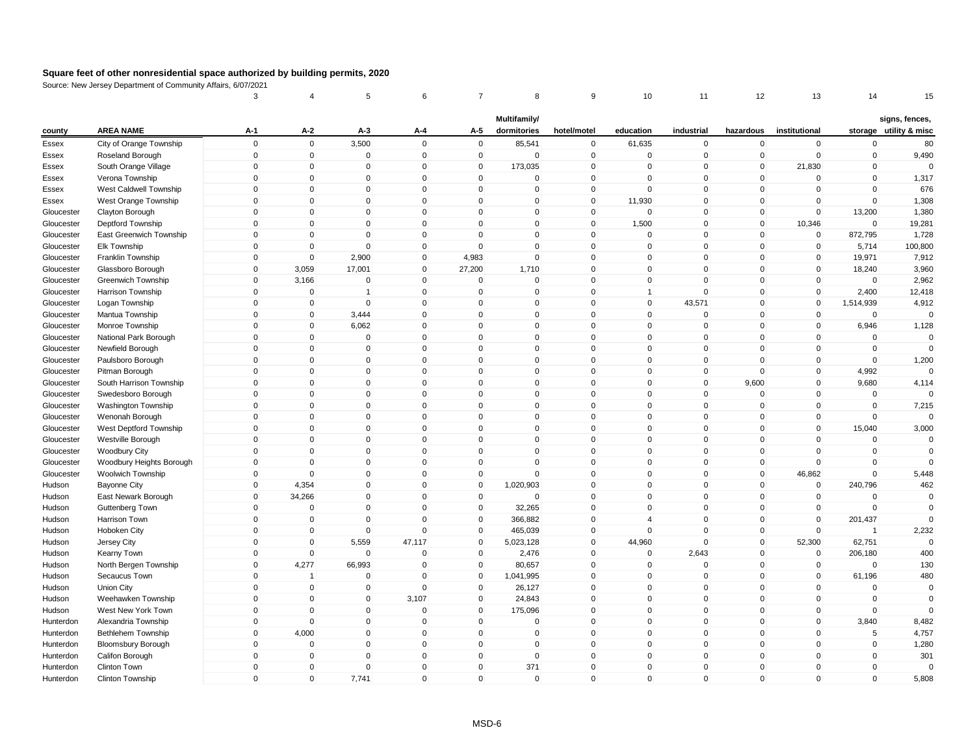| Multifamily/<br>signs, fences,<br><b>AREA NAME</b><br>$A-1$<br>A-2<br>A-5<br>institutional<br>$A-3$<br>A-4<br>dormitories<br>hotel/motel<br>education<br>industrial<br>hazardous<br>storage utility & misc<br>county<br>City of Orange Township<br>$\mathbf 0$<br>$\mathbf 0$<br>3,500<br>$\mathbf 0$<br>$\mathsf 0$<br>85,541<br>$\mathbf 0$<br>Essex<br>61,635<br>$\mathbf 0$<br>$\mathbf 0$<br>$\mathbf 0$<br>$\mathbf 0$<br>80<br>$\mathbf 0$<br>$\mathbf 0$<br>$\mathbf{0}$<br>$\mathbf 0$<br>$\mathbf 0$<br>$\mathbf 0$<br>$\mathbf 0$<br>$\mathbf 0$<br>$\mathbf 0$<br>$\mathbf 0$<br>$\mathbf 0$<br>$\mathbf 0$<br>9,490<br>Roseland Borough<br>Essex<br>$\pmb{0}$<br>$\overline{0}$<br>$\pmb{0}$<br>$\Omega$<br>173,035<br>$\mathbf 0$<br>South Orange Village<br>0<br>0<br>$\mathbf{0}$<br>0<br>21,830<br>$\mathbf 0$<br>$\Omega$<br>Essex<br>$\mathbf 0$<br>$\Omega$<br>$\Omega$<br>$\mathbf 0$<br>$\Omega$<br>$\mathbf 0$<br>$\mathbf 0$<br>$\mathbf{0}$<br>$\mathbf{0}$<br>$\mathbf{0}$<br>$\mathbf 0$<br>$\mathbf 0$<br>1,317<br>Essex<br>Verona Township<br>676<br>West Caldwell Township<br>$\mathbf 0$<br>$\mathbf 0$<br>$\mathbf 0$<br>$\mathbf{0}$<br>$\mathbf 0$<br>$\mathbf 0$<br>$\mathbf 0$<br>$\mathbf{0}$<br>$\mathbf 0$<br>$\mathbf 0$<br>$\mathbf 0$<br>$\mathbf 0$<br>Essex<br>$\mathbf 0$<br>$\mathbf 0$<br>$\Omega$<br>$\mathbf{0}$<br>$\Omega$<br>$\mathbf 0$<br>11,930<br>$\Omega$<br>1,308<br>West Orange Township<br>$\mathbf{0}$<br>$\mathbf 0$<br>$\Omega$<br>$\mathbf 0$<br>Essex<br>$\mathbf{0}$<br>$\mathbf 0$<br>$\mathbf{0}$<br>$\mathbf 0$<br>$\mathbf 0$<br>$\mathbf 0$<br>1,380<br>$\mathbf 0$<br>$\mathbf{0}$<br>$\Omega$<br>$\mathbf{0}$<br>$\mathbf 0$<br>13,200<br>Gloucester<br>Clayton Borough<br>$\mathbf 0$<br>1,500<br>$\mathbf 0$<br>$\mathbf 0$<br>$\mathbf 0$<br>$\mathbf 0$<br>$\mathbf 0$<br>0<br>$\mathbf 0$<br>$\mathbf 0$<br>10,346<br>$\mathbf 0$<br>19,281<br>Gloucester<br>Deptford Township<br>$\mathbf{0}$<br>$\mathbf{0}$<br>$\mathbf 0$<br>$\Omega$<br>$\mathbf{0}$<br>$\mathbf{0}$<br>$\mathbf 0$<br>$\mathbf{0}$<br>$\mathbf 0$<br>$\mathbf 0$<br>$\mathbf 0$<br>872,795<br>1,728<br>East Greenwich Township<br>Gloucester<br>$\pmb{0}$<br>Elk Township<br>$\mathbf 0$<br>$\mathbf 0$<br>$\mathbf 0$<br>$\mathbf 0$<br>$\mathbf 0$<br>$\mathbf 0$<br>$\mathbf 0$<br>$\mathbf 0$<br>$\mathbf 0$<br>$\mathbf 0$<br>5,714<br>100,800<br>Gloucester<br>$\Omega$<br>$\mathbf 0$<br>$\Omega$<br>2,900<br>$\Omega$<br>$\Omega$<br>$\Omega$<br>$\mathbf 0$<br>19,971<br>7,912<br>Gloucester<br>Franklin Township<br>4,983<br>$\mathbf 0$<br>0<br>3,059<br>17,001<br>$\Omega$<br>27,200<br>$\mathbf 0$<br>$\mathbf 0$<br>$\mathbf 0$<br>1,710<br>$\mathbf{0}$<br>$\mathbf 0$<br>$\mathbf 0$<br>18,240<br>3,960<br>Gloucester<br>Glassboro Borough<br>3,166<br>$\mathbf 0$<br>$\mathbf 0$<br>$\mathbf 0$<br>$\mathbf 0$<br>$\mathbf 0$<br>$\mathbf 0$<br>0<br>$\mathbf{0}$<br>$\mathbf 0$<br>$\mathbf 0$<br>$\mathbf 0$<br>2,962<br>Gloucester<br>Greenwich Township<br>$\mathbf{0}$<br>$\mathbf{0}$<br>$\mathbf 0$<br>$\mathbf 0$<br>$\mathbf{0}$<br>2,400<br>12,418<br>Gloucester<br>Harrison Township<br>$\mathbf 0$<br>$\overline{1}$<br>$\mathbf{0}$<br>0<br>$\overline{1}$<br>$\mathbf{0}$<br>$\Omega$<br>$\Omega$<br>$\mathbf 0$<br>43,571<br>$\Omega$<br>1,514,939<br>4,912<br>$\mathbf 0$<br>$\mathbf 0$<br>$\mathbf{0}$<br>$\mathbf{0}$<br>$\mathbf{0}$<br>$\mathbf 0$<br>Gloucester<br>Logan Township<br>$\mathbf 0$<br>$\mathbf{0}$<br>$\mathbf{0}$<br>$\mathbf{0}$<br>$\mathbf 0$<br>3,444<br>$\mathbf{0}$<br>$\mathbf{0}$<br>$\mathbf{0}$<br>$\mathbf 0$<br>$\mathbf 0$<br>$\mathbf 0$<br>$\Omega$<br>Gloucester<br>Mantua Township<br>$\mathbf 0$<br>$\mathbf 0$<br>6,062<br>$\mathbf{0}$<br>$\mathbf 0$<br>$\mathbf 0$<br>$\mathbf 0$<br>$\mathbf{0}$<br>$\mathbf 0$<br>$\mathbf 0$<br>$\mathbf 0$<br>6,946<br>Gloucester<br>1,128<br>Monroe Township<br>$\mathbf 0$<br>$\mathbf 0$<br>$\mathbf 0$<br>National Park Borough<br>$\mathbf 0$<br>$\Omega$<br>$\mathbf 0$<br>$\mathbf 0$<br>$\mathbf{0}$<br>$\mathbf 0$<br>$\mathbf 0$<br>$\mathbf 0$<br>$\mathbf 0$<br>$\mathbf 0$<br>Gloucester<br>$\mathbf 0$<br>$\mathbf 0$<br>$\Omega$<br>$\mathbf 0$<br>$\mathbf 0$<br>$\mathbf 0$<br>Gloucester<br>Newfield Borough<br>0<br>$\mathbf 0$<br>$\Omega$<br>$\mathbf 0$<br>0<br>0<br>$\Omega$<br>$\mathbf 0$<br>$\mathbf 0$<br>$\mathbf 0$<br>$\Omega$<br>$\mathbf 0$<br>$\mathbf 0$<br>$\mathbf 0$<br>$\mathbf 0$<br>$\mathbf{0}$<br>$\mathbf{0}$<br>$\mathbf{0}$<br>$\mathbf{0}$<br>1,200<br>Gloucester<br>Paulsboro Borough<br>$\mathbf 0$<br>$\mathbf 0$<br>$\Omega$<br>$\mathbf 0$<br>$\mathbf 0$<br>$\mathbf 0$<br>$\mathbf{0}$<br>4,992<br>$\mathbf 0$<br>$\mathbf 0$<br>$\mathbf{0}$<br>$\mathbf 0$<br>Gloucester<br>Pitman Borough<br>$\Omega$<br>$\mathbf{0}$<br>$\Omega$<br>$\Omega$<br>$\mathbf{0}$<br>$\Omega$<br>$\mathbf 0$<br>$\Omega$<br>9,600<br>9,680<br>4,114<br>Gloucester<br>South Harrison Township<br>$\mathbf{0}$<br>$\Omega$<br>$\Omega$<br>$\mathbf{0}$<br>$\Omega$<br>$\mathbf{0}$<br>$\mathbf{0}$<br>$\mathbf{0}$<br>$\Omega$<br>$\Omega$<br>$\mathbf 0$<br>$\Omega$<br>Swedesboro Borough<br>$\Omega$<br>$\mathbf 0$<br>$\mathbf 0$<br>Gloucester<br>$\mathbf 0$<br>$\mathbf 0$<br>$\mathbf 0$<br>$\mathbf 0$<br>$\Omega$<br>$\mathbf 0$<br>$\mathbf{0}$<br>$\mathbf 0$<br>0<br>$\mathbf 0$<br>7,215<br>Gloucester<br>Washington Township<br>$\mathbf 0$<br>0<br>$\mathbf{0}$<br>$\mathbf 0$<br>$\mathbf{0}$<br>$\Omega$<br>$\mathbf{0}$<br>$\mathbf{0}$<br>$\mathbf 0$<br>$\mathbf{0}$<br>$\Omega$<br>$\mathbf 0$<br>$\mathbf 0$<br>Wenonah Borough<br>$\mathbf{0}$<br>$\Omega$<br>Gloucester<br>$\mathbf 0$<br>$\pmb{0}$<br>15,040<br>3,000<br>West Deptford Township<br>$\mathbf 0$<br>$\mathbf 0$<br>$\mathbf 0$<br>$\mathbf 0$<br>$\mathbf 0$<br>$\mathbf{0}$<br>$\mathbf 0$<br>$\mathbf 0$<br>$\mathbf 0$<br>Gloucester<br>$\mathbf 0$<br>$\mathbf 0$<br>$\mathbf 0$<br>$\Omega$<br>$\mathbf 0$<br>$\Omega$<br>$\mathbf 0$<br>$\mathbf{0}$<br>$\mathbf 0$<br>$\mathbf 0$<br>$\mathbf 0$<br>$\mathbf 0$<br>$\mathbf 0$<br>Gloucester<br>Westville Borough<br>$\mathbf{0}$<br>$\mathbf 0$<br>$\Omega$<br>$\mathbf 0$<br>$\mathbf 0$<br>$\mathbf 0$<br>$\mathbf 0$<br>$\mathbf 0$<br>$\mathbf{0}$<br>$\mathbf{0}$<br>$\mathbf{0}$<br>$\mathbf{0}$<br>$\mathbf{0}$<br>Gloucester<br><b>Woodbury City</b><br>$\mathbf 0$<br>$\Omega$<br>$\mathbf 0$<br>$\mathbf 0$<br>$\mathbf 0$<br>$\mathbf 0$<br>$\mathbf 0$<br>0<br>$\mathbf{0}$<br>$\mathbf 0$<br>$\mathbf 0$<br>$\mathbf 0$<br>Gloucester<br>Woodbury Heights Borough<br>$\Omega$<br>$\mathbf 0$<br>$\mathbf 0$<br>$\mathbf 0$<br>$\mathbf 0$<br>$\mathbf 0$<br>$\mathbf 0$<br>$\mathbf 0$<br>$\Omega$<br>$\mathbf 0$<br>$\mathbf 0$<br>46,862<br>$\mathbf 0$<br>5,448<br>Gloucester<br>Woolwich Township<br>240,796<br>Hudson<br>$\mathbf 0$<br>4,354<br>$\Omega$<br>$\mathbf{0}$<br>$\mathbf{0}$<br>1,020,903<br>$\mathbf 0$<br>$\mathbf{0}$<br>$\mathbf 0$<br>$\mathbf 0$<br>$\mathbf 0$<br>462<br><b>Bayonne City</b><br>$\mathbf{0}$<br>34,266<br>$\mathbf{0}$<br>$\Omega$<br>$\mathbf{0}$<br>$\mathbf{0}$<br>$\mathbf 0$<br>$\mathbf 0$<br>$\mathbf 0$<br>$\mathbf 0$<br>0<br>$\mathbf 0$<br>$\mathbf 0$<br>Hudson<br>East Newark Borough<br>$\mathbf{0}$<br>$\mathbf{0}$<br>$\Omega$<br>$\mathbf{0}$<br>32,265<br>$\mathbf{0}$<br>$\Omega$<br>$\Omega$<br>$\mathbf{0}$<br>$\mathbf{0}$<br>$\Omega$<br>Hudson<br>Guttenberg Town<br>$\Omega$<br>$\Omega$<br>$\mathbf 0$<br>$\mathbf 0$<br>$\Omega$<br>$\mathbf 0$<br>$\mathbf 0$<br>$\mathbf 0$<br>$\mathbf 0$<br>$\mathbf 0$<br>366,882<br>$\overline{4}$<br>$\mathbf 0$<br>201,437<br>Hudson<br>Harrison Town<br>$\mathbf 0$<br>$\mathbf 0$<br>$\Omega$<br>$\mathbf 0$<br>465,039<br>$\mathbf 0$<br>$\mathbf 0$<br>$\mathbf 0$<br>2,232<br>Hudson<br>Hoboken City<br>0<br>$\mathbf{0}$<br>0<br>$\overline{1}$<br>$\mathbf 0$<br>$\mathbf 0$<br>5,559<br>$\mathbf 0$<br>$\Omega$<br>47,117<br>$\mathbf{0}$<br>5,023,128<br>44,960<br>$\mathbf{0}$<br>52,300<br>62,751<br>$\Omega$<br>Hudson<br>Jersey City<br>$\mathbf 0$<br>$\mathbf 0$<br>2,643<br>400<br>$\mathbf 0$<br>$\mathbf 0$<br>$\mathbf 0$<br>2,476<br>$\mathbf 0$<br>$\mathbf 0$<br>$\overline{0}$<br>206,180<br>Kearny Town<br>$\Omega$<br>Hudson<br>66,993<br>$\mathbf 0$<br>4,277<br>$\mathbf 0$<br>$\mathbf 0$<br>80,657<br>$\mathbf 0$<br>$\mathbf 0$<br>$\mathbf 0$<br>$\mathbf 0$<br>$\mathbf 0$<br>$\mathbf 0$<br>130<br>Hudson<br>North Bergen Township<br>$\mathbf{0}$<br>$\mathbf 0$<br>$\mathbf{0}$<br>480<br>Secaucus Town<br>$\mathbf{0}$<br>$\mathbf 0$<br>$\Omega$<br>$\mathbf 0$<br>1,041,995<br>$\mathbf{0}$<br>$\mathbf{0}$<br>61,196<br>Hudson<br>$\mathbf 1$<br>$\mathbf 0$<br>$\mathbf 0$<br>$\mathbf 0$<br>$\mathbf 0$<br>$\mathbf 0$<br>$\Omega$<br>$\mathbf 0$<br>26,127<br>$\mathbf{0}$<br>$\mathbf 0$<br>$\mathbf{0}$<br>$\Omega$<br>$\mathbf 0$<br>Hudson<br>Union City<br>$\mathbf{0}$<br>$\Omega$<br>$\mathbf{0}$<br>$\mathbf{0}$<br>$\mathbf{0}$<br>3,107<br>$\mathbf{0}$<br>24,843<br>$\mathbf{0}$<br>$\mathbf{0}$<br>$\mathbf{0}$<br>$\mathbf 0$<br>$\mathbf 0$<br>Weehawken Township<br>Hudson<br>West New York Town<br>$\mathbf 0$<br>$\mathbf 0$<br>$\mathbf 0$<br>$\mathbf 0$<br>$\mathbf 0$<br>175,096<br>$\mathbf 0$<br>$\mathbf{0}$<br>$\mathbf 0$<br>$\mathbf 0$<br>$\mathbf 0$<br>$\mathbf 0$<br>$\Omega$<br>Hudson<br>$\mathbf 0$<br>$\mathbf 0$<br>$\mathbf 0$<br>$\mathbf 0$<br>$\mathbf 0$<br>0<br>$\mathbf 0$<br>$\mathbf{0}$<br>$\mathbf 0$<br>$\mathbf 0$<br>$\mathbf 0$<br>3,840<br>8,482<br>Hunterdon<br>Alexandria Township<br>$\mathbf 0$<br>$\mathbf 0$<br>4,000<br>$\Omega$<br>$\mathbf 0$<br>5<br>4,757<br>Hunterdon<br>Bethlehem Township<br>$\mathbf 0$<br>$\mathbf{0}$<br>0<br>$\mathbf{0}$<br>$\mathbf 0$<br>$\Omega$<br>$\mathbf 0$<br>$\Omega$<br>$\mathbf 0$<br>$\mathbf 0$<br>$\mathbf 0$<br>$\mathbf 0$<br>$\mathbf 0$<br>0<br>$\mathbf{0}$<br>$\mathbf 0$<br>$\mathbf 0$<br>$\mathbf 0$<br>1,280<br>Hunterdon<br><b>Bloomsbury Borough</b><br>$\mathbf 0$<br>$\mathbf 0$<br>$\mathbf 0$<br>$\mathbf 0$<br>$\mathbf 0$<br>$\mathbf 0$<br>$\mathbf 0$<br>$\mathbf{0}$<br>$\mathbf 0$<br>$\mathbf 0$<br>$\mathbf 0$<br>$\mathbf 0$<br>301<br>Hunterdon<br>Califon Borough<br>$\mathbf 0$<br>$\Omega$<br>371<br>$\mathbf 0$<br>Hunterdon<br>Clinton Town<br>$\mathbf 0$<br>$\mathbf 0$<br>$\mathbf{0}$<br>$\Omega$<br>$\Omega$<br>$\mathbf 0$<br>$\Omega$<br>$\mathbf 0$<br>$\Omega$<br>$\mathbf{0}$<br>$\mathbf{0}$<br>$\mathbf{0}$<br>$\Omega$<br>$\mathbf{0}$<br>$\mathbf 0$<br>Hunterdon<br>Clinton Township<br>$\mathbf{0}$<br>7,741<br>$\mathbf{0}$<br>$\mathbf 0$<br>$\Omega$<br>$\mathbf{0}$<br>5,808 |  | 3 | 4 | 5 | 6 | 7 | 8 | 9 | 10 | 11 | 12 | 13 | 14 | 15 |
|---------------------------------------------------------------------------------------------------------------------------------------------------------------------------------------------------------------------------------------------------------------------------------------------------------------------------------------------------------------------------------------------------------------------------------------------------------------------------------------------------------------------------------------------------------------------------------------------------------------------------------------------------------------------------------------------------------------------------------------------------------------------------------------------------------------------------------------------------------------------------------------------------------------------------------------------------------------------------------------------------------------------------------------------------------------------------------------------------------------------------------------------------------------------------------------------------------------------------------------------------------------------------------------------------------------------------------------------------------------------------------------------------------------------------------------------------------------------------------------------------------------------------------------------------------------------------------------------------------------------------------------------------------------------------------------------------------------------------------------------------------------------------------------------------------------------------------------------------------------------------------------------------------------------------------------------------------------------------------------------------------------------------------------------------------------------------------------------------------------------------------------------------------------------------------------------------------------------------------------------------------------------------------------------------------------------------------------------------------------------------------------------------------------------------------------------------------------------------------------------------------------------------------------------------------------------------------------------------------------------------------------------------------------------------------------------------------------------------------------------------------------------------------------------------------------------------------------------------------------------------------------------------------------------------------------------------------------------------------------------------------------------------------------------------------------------------------------------------------------------------------------------------------------------------------------------------------------------------------------------------------------------------------------------------------------------------------------------------------------------------------------------------------------------------------------------------------------------------------------------------------------------------------------------------------------------------------------------------------------------------------------------------------------------------------------------------------------------------------------------------------------------------------------------------------------------------------------------------------------------------------------------------------------------------------------------------------------------------------------------------------------------------------------------------------------------------------------------------------------------------------------------------------------------------------------------------------------------------------------------------------------------------------------------------------------------------------------------------------------------------------------------------------------------------------------------------------------------------------------------------------------------------------------------------------------------------------------------------------------------------------------------------------------------------------------------------------------------------------------------------------------------------------------------------------------------------------------------------------------------------------------------------------------------------------------------------------------------------------------------------------------------------------------------------------------------------------------------------------------------------------------------------------------------------------------------------------------------------------------------------------------------------------------------------------------------------------------------------------------------------------------------------------------------------------------------------------------------------------------------------------------------------------------------------------------------------------------------------------------------------------------------------------------------------------------------------------------------------------------------------------------------------------------------------------------------------------------------------------------------------------------------------------------------------------------------------------------------------------------------------------------------------------------------------------------------------------------------------------------------------------------------------------------------------------------------------------------------------------------------------------------------------------------------------------------------------------------------------------------------------------------------------------------------------------------------------------------------------------------------------------------------------------------------------------------------------------------------------------------------------------------------------------------------------------------------------------------------------------------------------------------------------------------------------------------------------------------------------------------------------------------------------------------------------------------------------------------------------------------------------------------------------------------------------------------------------------------------------------------------------------------------------------------------------------------------------------------------------------------------------------------------------------------------------------------------------------------------------------------------------------------------------------------------------------------------------------------------------------------------------------------------------------------------------------------------------------------------------------------------------------------------------------------------------------------------------------------------------------------------------------------------------------------------------------------------------------------------------------------------------------------------------------------------------------------------------------------------------------------------------------------------------------------------------------------------------------------------------------------------------------------------------------------------------------------------------------------------------------------------------------------------------------------------------------------------------------------------------------------------------------------------------------------------------------------------------------------------------------------------------------------------------------------------------------------------------------------------------------------------------------------------------------------------------------------------------------------------------------------------------------------------------------------------------------------------------------------------------------------------------------------------------------------------------------------------------------------------------------------------------------------------------------------------------------------------------------------------------------------------------------------------------------------------------------------------------------------------------------------------------------------------------------------------------------------------------------------------------------------------------------------------------------------------------------------------------------------------------------------------------------------------------------------------------------------------------------------------------------------------------------------------------------------------------------------------------------------------------------------------------------------------------------------------------------------------------------------------------------------------------------------------------------------------------------------------------------------------------------------------------------------------------------------------------------------------------------------------------------------------------------------------------------------------------------------------------------------------------------------------------------------------------------------------------------------------------------------------------------------------------------------------------------------------------------------------------------------------------------------------------------------------------------------------------------------------------------------------------------------------------------------------------------------------------------------------------------------------------------------------------------------|--|---|---|---|---|---|---|---|----|----|----|----|----|----|
|                                                                                                                                                                                                                                                                                                                                                                                                                                                                                                                                                                                                                                                                                                                                                                                                                                                                                                                                                                                                                                                                                                                                                                                                                                                                                                                                                                                                                                                                                                                                                                                                                                                                                                                                                                                                                                                                                                                                                                                                                                                                                                                                                                                                                                                                                                                                                                                                                                                                                                                                                                                                                                                                                                                                                                                                                                                                                                                                                                                                                                                                                                                                                                                                                                                                                                                                                                                                                                                                                                                                                                                                                                                                                                                                                                                                                                                                                                                                                                                                                                                                                                                                                                                                                                                                                                                                                                                                                                                                                                                                                                                                                                                                                                                                                                                                                                                                                                                                                                                                                                                                                                                                                                                                                                                                                                                                                                                                                                                                                                                                                                                                                                                                                                                                                                                                                                                                                                                                                                                                                                                                                                                                                                                                                                                                                                                                                                                                                                                                                                                                                                                                                                                                                                                                                                                                                                                                                                                                                                                                                                                                                                                                                                                                                                                                                                                                                                                                                                                                                                                                                                                                                                                                                                                                                                                                                                                                                                                                                                                                                                                                                                                                                                                                                                                                                                                                                                                                                                                                                                                                                                                                                                                                                                                                                                                                                                                                                                                                                                                                                                                                                                                                                                                                                                                                                                                                                                                                                                                                                                                                                                                                                                                                                                                                                                                                                                                                                                                                                                                                                                                                                                                                                                                                                                                                                                                                                                                                                                                                                                                                                                                                                                                                                                                                                               |  |   |   |   |   |   |   |   |    |    |    |    |    |    |
|                                                                                                                                                                                                                                                                                                                                                                                                                                                                                                                                                                                                                                                                                                                                                                                                                                                                                                                                                                                                                                                                                                                                                                                                                                                                                                                                                                                                                                                                                                                                                                                                                                                                                                                                                                                                                                                                                                                                                                                                                                                                                                                                                                                                                                                                                                                                                                                                                                                                                                                                                                                                                                                                                                                                                                                                                                                                                                                                                                                                                                                                                                                                                                                                                                                                                                                                                                                                                                                                                                                                                                                                                                                                                                                                                                                                                                                                                                                                                                                                                                                                                                                                                                                                                                                                                                                                                                                                                                                                                                                                                                                                                                                                                                                                                                                                                                                                                                                                                                                                                                                                                                                                                                                                                                                                                                                                                                                                                                                                                                                                                                                                                                                                                                                                                                                                                                                                                                                                                                                                                                                                                                                                                                                                                                                                                                                                                                                                                                                                                                                                                                                                                                                                                                                                                                                                                                                                                                                                                                                                                                                                                                                                                                                                                                                                                                                                                                                                                                                                                                                                                                                                                                                                                                                                                                                                                                                                                                                                                                                                                                                                                                                                                                                                                                                                                                                                                                                                                                                                                                                                                                                                                                                                                                                                                                                                                                                                                                                                                                                                                                                                                                                                                                                                                                                                                                                                                                                                                                                                                                                                                                                                                                                                                                                                                                                                                                                                                                                                                                                                                                                                                                                                                                                                                                                                                                                                                                                                                                                                                                                                                                                                                                                                                                                                                               |  |   |   |   |   |   |   |   |    |    |    |    |    |    |
|                                                                                                                                                                                                                                                                                                                                                                                                                                                                                                                                                                                                                                                                                                                                                                                                                                                                                                                                                                                                                                                                                                                                                                                                                                                                                                                                                                                                                                                                                                                                                                                                                                                                                                                                                                                                                                                                                                                                                                                                                                                                                                                                                                                                                                                                                                                                                                                                                                                                                                                                                                                                                                                                                                                                                                                                                                                                                                                                                                                                                                                                                                                                                                                                                                                                                                                                                                                                                                                                                                                                                                                                                                                                                                                                                                                                                                                                                                                                                                                                                                                                                                                                                                                                                                                                                                                                                                                                                                                                                                                                                                                                                                                                                                                                                                                                                                                                                                                                                                                                                                                                                                                                                                                                                                                                                                                                                                                                                                                                                                                                                                                                                                                                                                                                                                                                                                                                                                                                                                                                                                                                                                                                                                                                                                                                                                                                                                                                                                                                                                                                                                                                                                                                                                                                                                                                                                                                                                                                                                                                                                                                                                                                                                                                                                                                                                                                                                                                                                                                                                                                                                                                                                                                                                                                                                                                                                                                                                                                                                                                                                                                                                                                                                                                                                                                                                                                                                                                                                                                                                                                                                                                                                                                                                                                                                                                                                                                                                                                                                                                                                                                                                                                                                                                                                                                                                                                                                                                                                                                                                                                                                                                                                                                                                                                                                                                                                                                                                                                                                                                                                                                                                                                                                                                                                                                                                                                                                                                                                                                                                                                                                                                                                                                                                                                                               |  |   |   |   |   |   |   |   |    |    |    |    |    |    |
|                                                                                                                                                                                                                                                                                                                                                                                                                                                                                                                                                                                                                                                                                                                                                                                                                                                                                                                                                                                                                                                                                                                                                                                                                                                                                                                                                                                                                                                                                                                                                                                                                                                                                                                                                                                                                                                                                                                                                                                                                                                                                                                                                                                                                                                                                                                                                                                                                                                                                                                                                                                                                                                                                                                                                                                                                                                                                                                                                                                                                                                                                                                                                                                                                                                                                                                                                                                                                                                                                                                                                                                                                                                                                                                                                                                                                                                                                                                                                                                                                                                                                                                                                                                                                                                                                                                                                                                                                                                                                                                                                                                                                                                                                                                                                                                                                                                                                                                                                                                                                                                                                                                                                                                                                                                                                                                                                                                                                                                                                                                                                                                                                                                                                                                                                                                                                                                                                                                                                                                                                                                                                                                                                                                                                                                                                                                                                                                                                                                                                                                                                                                                                                                                                                                                                                                                                                                                                                                                                                                                                                                                                                                                                                                                                                                                                                                                                                                                                                                                                                                                                                                                                                                                                                                                                                                                                                                                                                                                                                                                                                                                                                                                                                                                                                                                                                                                                                                                                                                                                                                                                                                                                                                                                                                                                                                                                                                                                                                                                                                                                                                                                                                                                                                                                                                                                                                                                                                                                                                                                                                                                                                                                                                                                                                                                                                                                                                                                                                                                                                                                                                                                                                                                                                                                                                                                                                                                                                                                                                                                                                                                                                                                                                                                                                                                               |  |   |   |   |   |   |   |   |    |    |    |    |    |    |
|                                                                                                                                                                                                                                                                                                                                                                                                                                                                                                                                                                                                                                                                                                                                                                                                                                                                                                                                                                                                                                                                                                                                                                                                                                                                                                                                                                                                                                                                                                                                                                                                                                                                                                                                                                                                                                                                                                                                                                                                                                                                                                                                                                                                                                                                                                                                                                                                                                                                                                                                                                                                                                                                                                                                                                                                                                                                                                                                                                                                                                                                                                                                                                                                                                                                                                                                                                                                                                                                                                                                                                                                                                                                                                                                                                                                                                                                                                                                                                                                                                                                                                                                                                                                                                                                                                                                                                                                                                                                                                                                                                                                                                                                                                                                                                                                                                                                                                                                                                                                                                                                                                                                                                                                                                                                                                                                                                                                                                                                                                                                                                                                                                                                                                                                                                                                                                                                                                                                                                                                                                                                                                                                                                                                                                                                                                                                                                                                                                                                                                                                                                                                                                                                                                                                                                                                                                                                                                                                                                                                                                                                                                                                                                                                                                                                                                                                                                                                                                                                                                                                                                                                                                                                                                                                                                                                                                                                                                                                                                                                                                                                                                                                                                                                                                                                                                                                                                                                                                                                                                                                                                                                                                                                                                                                                                                                                                                                                                                                                                                                                                                                                                                                                                                                                                                                                                                                                                                                                                                                                                                                                                                                                                                                                                                                                                                                                                                                                                                                                                                                                                                                                                                                                                                                                                                                                                                                                                                                                                                                                                                                                                                                                                                                                                                                                               |  |   |   |   |   |   |   |   |    |    |    |    |    |    |
|                                                                                                                                                                                                                                                                                                                                                                                                                                                                                                                                                                                                                                                                                                                                                                                                                                                                                                                                                                                                                                                                                                                                                                                                                                                                                                                                                                                                                                                                                                                                                                                                                                                                                                                                                                                                                                                                                                                                                                                                                                                                                                                                                                                                                                                                                                                                                                                                                                                                                                                                                                                                                                                                                                                                                                                                                                                                                                                                                                                                                                                                                                                                                                                                                                                                                                                                                                                                                                                                                                                                                                                                                                                                                                                                                                                                                                                                                                                                                                                                                                                                                                                                                                                                                                                                                                                                                                                                                                                                                                                                                                                                                                                                                                                                                                                                                                                                                                                                                                                                                                                                                                                                                                                                                                                                                                                                                                                                                                                                                                                                                                                                                                                                                                                                                                                                                                                                                                                                                                                                                                                                                                                                                                                                                                                                                                                                                                                                                                                                                                                                                                                                                                                                                                                                                                                                                                                                                                                                                                                                                                                                                                                                                                                                                                                                                                                                                                                                                                                                                                                                                                                                                                                                                                                                                                                                                                                                                                                                                                                                                                                                                                                                                                                                                                                                                                                                                                                                                                                                                                                                                                                                                                                                                                                                                                                                                                                                                                                                                                                                                                                                                                                                                                                                                                                                                                                                                                                                                                                                                                                                                                                                                                                                                                                                                                                                                                                                                                                                                                                                                                                                                                                                                                                                                                                                                                                                                                                                                                                                                                                                                                                                                                                                                                                                                               |  |   |   |   |   |   |   |   |    |    |    |    |    |    |
|                                                                                                                                                                                                                                                                                                                                                                                                                                                                                                                                                                                                                                                                                                                                                                                                                                                                                                                                                                                                                                                                                                                                                                                                                                                                                                                                                                                                                                                                                                                                                                                                                                                                                                                                                                                                                                                                                                                                                                                                                                                                                                                                                                                                                                                                                                                                                                                                                                                                                                                                                                                                                                                                                                                                                                                                                                                                                                                                                                                                                                                                                                                                                                                                                                                                                                                                                                                                                                                                                                                                                                                                                                                                                                                                                                                                                                                                                                                                                                                                                                                                                                                                                                                                                                                                                                                                                                                                                                                                                                                                                                                                                                                                                                                                                                                                                                                                                                                                                                                                                                                                                                                                                                                                                                                                                                                                                                                                                                                                                                                                                                                                                                                                                                                                                                                                                                                                                                                                                                                                                                                                                                                                                                                                                                                                                                                                                                                                                                                                                                                                                                                                                                                                                                                                                                                                                                                                                                                                                                                                                                                                                                                                                                                                                                                                                                                                                                                                                                                                                                                                                                                                                                                                                                                                                                                                                                                                                                                                                                                                                                                                                                                                                                                                                                                                                                                                                                                                                                                                                                                                                                                                                                                                                                                                                                                                                                                                                                                                                                                                                                                                                                                                                                                                                                                                                                                                                                                                                                                                                                                                                                                                                                                                                                                                                                                                                                                                                                                                                                                                                                                                                                                                                                                                                                                                                                                                                                                                                                                                                                                                                                                                                                                                                                                                                               |  |   |   |   |   |   |   |   |    |    |    |    |    |    |
|                                                                                                                                                                                                                                                                                                                                                                                                                                                                                                                                                                                                                                                                                                                                                                                                                                                                                                                                                                                                                                                                                                                                                                                                                                                                                                                                                                                                                                                                                                                                                                                                                                                                                                                                                                                                                                                                                                                                                                                                                                                                                                                                                                                                                                                                                                                                                                                                                                                                                                                                                                                                                                                                                                                                                                                                                                                                                                                                                                                                                                                                                                                                                                                                                                                                                                                                                                                                                                                                                                                                                                                                                                                                                                                                                                                                                                                                                                                                                                                                                                                                                                                                                                                                                                                                                                                                                                                                                                                                                                                                                                                                                                                                                                                                                                                                                                                                                                                                                                                                                                                                                                                                                                                                                                                                                                                                                                                                                                                                                                                                                                                                                                                                                                                                                                                                                                                                                                                                                                                                                                                                                                                                                                                                                                                                                                                                                                                                                                                                                                                                                                                                                                                                                                                                                                                                                                                                                                                                                                                                                                                                                                                                                                                                                                                                                                                                                                                                                                                                                                                                                                                                                                                                                                                                                                                                                                                                                                                                                                                                                                                                                                                                                                                                                                                                                                                                                                                                                                                                                                                                                                                                                                                                                                                                                                                                                                                                                                                                                                                                                                                                                                                                                                                                                                                                                                                                                                                                                                                                                                                                                                                                                                                                                                                                                                                                                                                                                                                                                                                                                                                                                                                                                                                                                                                                                                                                                                                                                                                                                                                                                                                                                                                                                                                                                               |  |   |   |   |   |   |   |   |    |    |    |    |    |    |
|                                                                                                                                                                                                                                                                                                                                                                                                                                                                                                                                                                                                                                                                                                                                                                                                                                                                                                                                                                                                                                                                                                                                                                                                                                                                                                                                                                                                                                                                                                                                                                                                                                                                                                                                                                                                                                                                                                                                                                                                                                                                                                                                                                                                                                                                                                                                                                                                                                                                                                                                                                                                                                                                                                                                                                                                                                                                                                                                                                                                                                                                                                                                                                                                                                                                                                                                                                                                                                                                                                                                                                                                                                                                                                                                                                                                                                                                                                                                                                                                                                                                                                                                                                                                                                                                                                                                                                                                                                                                                                                                                                                                                                                                                                                                                                                                                                                                                                                                                                                                                                                                                                                                                                                                                                                                                                                                                                                                                                                                                                                                                                                                                                                                                                                                                                                                                                                                                                                                                                                                                                                                                                                                                                                                                                                                                                                                                                                                                                                                                                                                                                                                                                                                                                                                                                                                                                                                                                                                                                                                                                                                                                                                                                                                                                                                                                                                                                                                                                                                                                                                                                                                                                                                                                                                                                                                                                                                                                                                                                                                                                                                                                                                                                                                                                                                                                                                                                                                                                                                                                                                                                                                                                                                                                                                                                                                                                                                                                                                                                                                                                                                                                                                                                                                                                                                                                                                                                                                                                                                                                                                                                                                                                                                                                                                                                                                                                                                                                                                                                                                                                                                                                                                                                                                                                                                                                                                                                                                                                                                                                                                                                                                                                                                                                                                                               |  |   |   |   |   |   |   |   |    |    |    |    |    |    |
|                                                                                                                                                                                                                                                                                                                                                                                                                                                                                                                                                                                                                                                                                                                                                                                                                                                                                                                                                                                                                                                                                                                                                                                                                                                                                                                                                                                                                                                                                                                                                                                                                                                                                                                                                                                                                                                                                                                                                                                                                                                                                                                                                                                                                                                                                                                                                                                                                                                                                                                                                                                                                                                                                                                                                                                                                                                                                                                                                                                                                                                                                                                                                                                                                                                                                                                                                                                                                                                                                                                                                                                                                                                                                                                                                                                                                                                                                                                                                                                                                                                                                                                                                                                                                                                                                                                                                                                                                                                                                                                                                                                                                                                                                                                                                                                                                                                                                                                                                                                                                                                                                                                                                                                                                                                                                                                                                                                                                                                                                                                                                                                                                                                                                                                                                                                                                                                                                                                                                                                                                                                                                                                                                                                                                                                                                                                                                                                                                                                                                                                                                                                                                                                                                                                                                                                                                                                                                                                                                                                                                                                                                                                                                                                                                                                                                                                                                                                                                                                                                                                                                                                                                                                                                                                                                                                                                                                                                                                                                                                                                                                                                                                                                                                                                                                                                                                                                                                                                                                                                                                                                                                                                                                                                                                                                                                                                                                                                                                                                                                                                                                                                                                                                                                                                                                                                                                                                                                                                                                                                                                                                                                                                                                                                                                                                                                                                                                                                                                                                                                                                                                                                                                                                                                                                                                                                                                                                                                                                                                                                                                                                                                                                                                                                                                                                               |  |   |   |   |   |   |   |   |    |    |    |    |    |    |
|                                                                                                                                                                                                                                                                                                                                                                                                                                                                                                                                                                                                                                                                                                                                                                                                                                                                                                                                                                                                                                                                                                                                                                                                                                                                                                                                                                                                                                                                                                                                                                                                                                                                                                                                                                                                                                                                                                                                                                                                                                                                                                                                                                                                                                                                                                                                                                                                                                                                                                                                                                                                                                                                                                                                                                                                                                                                                                                                                                                                                                                                                                                                                                                                                                                                                                                                                                                                                                                                                                                                                                                                                                                                                                                                                                                                                                                                                                                                                                                                                                                                                                                                                                                                                                                                                                                                                                                                                                                                                                                                                                                                                                                                                                                                                                                                                                                                                                                                                                                                                                                                                                                                                                                                                                                                                                                                                                                                                                                                                                                                                                                                                                                                                                                                                                                                                                                                                                                                                                                                                                                                                                                                                                                                                                                                                                                                                                                                                                                                                                                                                                                                                                                                                                                                                                                                                                                                                                                                                                                                                                                                                                                                                                                                                                                                                                                                                                                                                                                                                                                                                                                                                                                                                                                                                                                                                                                                                                                                                                                                                                                                                                                                                                                                                                                                                                                                                                                                                                                                                                                                                                                                                                                                                                                                                                                                                                                                                                                                                                                                                                                                                                                                                                                                                                                                                                                                                                                                                                                                                                                                                                                                                                                                                                                                                                                                                                                                                                                                                                                                                                                                                                                                                                                                                                                                                                                                                                                                                                                                                                                                                                                                                                                                                                                                                               |  |   |   |   |   |   |   |   |    |    |    |    |    |    |
|                                                                                                                                                                                                                                                                                                                                                                                                                                                                                                                                                                                                                                                                                                                                                                                                                                                                                                                                                                                                                                                                                                                                                                                                                                                                                                                                                                                                                                                                                                                                                                                                                                                                                                                                                                                                                                                                                                                                                                                                                                                                                                                                                                                                                                                                                                                                                                                                                                                                                                                                                                                                                                                                                                                                                                                                                                                                                                                                                                                                                                                                                                                                                                                                                                                                                                                                                                                                                                                                                                                                                                                                                                                                                                                                                                                                                                                                                                                                                                                                                                                                                                                                                                                                                                                                                                                                                                                                                                                                                                                                                                                                                                                                                                                                                                                                                                                                                                                                                                                                                                                                                                                                                                                                                                                                                                                                                                                                                                                                                                                                                                                                                                                                                                                                                                                                                                                                                                                                                                                                                                                                                                                                                                                                                                                                                                                                                                                                                                                                                                                                                                                                                                                                                                                                                                                                                                                                                                                                                                                                                                                                                                                                                                                                                                                                                                                                                                                                                                                                                                                                                                                                                                                                                                                                                                                                                                                                                                                                                                                                                                                                                                                                                                                                                                                                                                                                                                                                                                                                                                                                                                                                                                                                                                                                                                                                                                                                                                                                                                                                                                                                                                                                                                                                                                                                                                                                                                                                                                                                                                                                                                                                                                                                                                                                                                                                                                                                                                                                                                                                                                                                                                                                                                                                                                                                                                                                                                                                                                                                                                                                                                                                                                                                                                                                                               |  |   |   |   |   |   |   |   |    |    |    |    |    |    |
|                                                                                                                                                                                                                                                                                                                                                                                                                                                                                                                                                                                                                                                                                                                                                                                                                                                                                                                                                                                                                                                                                                                                                                                                                                                                                                                                                                                                                                                                                                                                                                                                                                                                                                                                                                                                                                                                                                                                                                                                                                                                                                                                                                                                                                                                                                                                                                                                                                                                                                                                                                                                                                                                                                                                                                                                                                                                                                                                                                                                                                                                                                                                                                                                                                                                                                                                                                                                                                                                                                                                                                                                                                                                                                                                                                                                                                                                                                                                                                                                                                                                                                                                                                                                                                                                                                                                                                                                                                                                                                                                                                                                                                                                                                                                                                                                                                                                                                                                                                                                                                                                                                                                                                                                                                                                                                                                                                                                                                                                                                                                                                                                                                                                                                                                                                                                                                                                                                                                                                                                                                                                                                                                                                                                                                                                                                                                                                                                                                                                                                                                                                                                                                                                                                                                                                                                                                                                                                                                                                                                                                                                                                                                                                                                                                                                                                                                                                                                                                                                                                                                                                                                                                                                                                                                                                                                                                                                                                                                                                                                                                                                                                                                                                                                                                                                                                                                                                                                                                                                                                                                                                                                                                                                                                                                                                                                                                                                                                                                                                                                                                                                                                                                                                                                                                                                                                                                                                                                                                                                                                                                                                                                                                                                                                                                                                                                                                                                                                                                                                                                                                                                                                                                                                                                                                                                                                                                                                                                                                                                                                                                                                                                                                                                                                                                                               |  |   |   |   |   |   |   |   |    |    |    |    |    |    |
|                                                                                                                                                                                                                                                                                                                                                                                                                                                                                                                                                                                                                                                                                                                                                                                                                                                                                                                                                                                                                                                                                                                                                                                                                                                                                                                                                                                                                                                                                                                                                                                                                                                                                                                                                                                                                                                                                                                                                                                                                                                                                                                                                                                                                                                                                                                                                                                                                                                                                                                                                                                                                                                                                                                                                                                                                                                                                                                                                                                                                                                                                                                                                                                                                                                                                                                                                                                                                                                                                                                                                                                                                                                                                                                                                                                                                                                                                                                                                                                                                                                                                                                                                                                                                                                                                                                                                                                                                                                                                                                                                                                                                                                                                                                                                                                                                                                                                                                                                                                                                                                                                                                                                                                                                                                                                                                                                                                                                                                                                                                                                                                                                                                                                                                                                                                                                                                                                                                                                                                                                                                                                                                                                                                                                                                                                                                                                                                                                                                                                                                                                                                                                                                                                                                                                                                                                                                                                                                                                                                                                                                                                                                                                                                                                                                                                                                                                                                                                                                                                                                                                                                                                                                                                                                                                                                                                                                                                                                                                                                                                                                                                                                                                                                                                                                                                                                                                                                                                                                                                                                                                                                                                                                                                                                                                                                                                                                                                                                                                                                                                                                                                                                                                                                                                                                                                                                                                                                                                                                                                                                                                                                                                                                                                                                                                                                                                                                                                                                                                                                                                                                                                                                                                                                                                                                                                                                                                                                                                                                                                                                                                                                                                                                                                                                                                               |  |   |   |   |   |   |   |   |    |    |    |    |    |    |
|                                                                                                                                                                                                                                                                                                                                                                                                                                                                                                                                                                                                                                                                                                                                                                                                                                                                                                                                                                                                                                                                                                                                                                                                                                                                                                                                                                                                                                                                                                                                                                                                                                                                                                                                                                                                                                                                                                                                                                                                                                                                                                                                                                                                                                                                                                                                                                                                                                                                                                                                                                                                                                                                                                                                                                                                                                                                                                                                                                                                                                                                                                                                                                                                                                                                                                                                                                                                                                                                                                                                                                                                                                                                                                                                                                                                                                                                                                                                                                                                                                                                                                                                                                                                                                                                                                                                                                                                                                                                                                                                                                                                                                                                                                                                                                                                                                                                                                                                                                                                                                                                                                                                                                                                                                                                                                                                                                                                                                                                                                                                                                                                                                                                                                                                                                                                                                                                                                                                                                                                                                                                                                                                                                                                                                                                                                                                                                                                                                                                                                                                                                                                                                                                                                                                                                                                                                                                                                                                                                                                                                                                                                                                                                                                                                                                                                                                                                                                                                                                                                                                                                                                                                                                                                                                                                                                                                                                                                                                                                                                                                                                                                                                                                                                                                                                                                                                                                                                                                                                                                                                                                                                                                                                                                                                                                                                                                                                                                                                                                                                                                                                                                                                                                                                                                                                                                                                                                                                                                                                                                                                                                                                                                                                                                                                                                                                                                                                                                                                                                                                                                                                                                                                                                                                                                                                                                                                                                                                                                                                                                                                                                                                                                                                                                                                                               |  |   |   |   |   |   |   |   |    |    |    |    |    |    |
|                                                                                                                                                                                                                                                                                                                                                                                                                                                                                                                                                                                                                                                                                                                                                                                                                                                                                                                                                                                                                                                                                                                                                                                                                                                                                                                                                                                                                                                                                                                                                                                                                                                                                                                                                                                                                                                                                                                                                                                                                                                                                                                                                                                                                                                                                                                                                                                                                                                                                                                                                                                                                                                                                                                                                                                                                                                                                                                                                                                                                                                                                                                                                                                                                                                                                                                                                                                                                                                                                                                                                                                                                                                                                                                                                                                                                                                                                                                                                                                                                                                                                                                                                                                                                                                                                                                                                                                                                                                                                                                                                                                                                                                                                                                                                                                                                                                                                                                                                                                                                                                                                                                                                                                                                                                                                                                                                                                                                                                                                                                                                                                                                                                                                                                                                                                                                                                                                                                                                                                                                                                                                                                                                                                                                                                                                                                                                                                                                                                                                                                                                                                                                                                                                                                                                                                                                                                                                                                                                                                                                                                                                                                                                                                                                                                                                                                                                                                                                                                                                                                                                                                                                                                                                                                                                                                                                                                                                                                                                                                                                                                                                                                                                                                                                                                                                                                                                                                                                                                                                                                                                                                                                                                                                                                                                                                                                                                                                                                                                                                                                                                                                                                                                                                                                                                                                                                                                                                                                                                                                                                                                                                                                                                                                                                                                                                                                                                                                                                                                                                                                                                                                                                                                                                                                                                                                                                                                                                                                                                                                                                                                                                                                                                                                                                                                               |  |   |   |   |   |   |   |   |    |    |    |    |    |    |
|                                                                                                                                                                                                                                                                                                                                                                                                                                                                                                                                                                                                                                                                                                                                                                                                                                                                                                                                                                                                                                                                                                                                                                                                                                                                                                                                                                                                                                                                                                                                                                                                                                                                                                                                                                                                                                                                                                                                                                                                                                                                                                                                                                                                                                                                                                                                                                                                                                                                                                                                                                                                                                                                                                                                                                                                                                                                                                                                                                                                                                                                                                                                                                                                                                                                                                                                                                                                                                                                                                                                                                                                                                                                                                                                                                                                                                                                                                                                                                                                                                                                                                                                                                                                                                                                                                                                                                                                                                                                                                                                                                                                                                                                                                                                                                                                                                                                                                                                                                                                                                                                                                                                                                                                                                                                                                                                                                                                                                                                                                                                                                                                                                                                                                                                                                                                                                                                                                                                                                                                                                                                                                                                                                                                                                                                                                                                                                                                                                                                                                                                                                                                                                                                                                                                                                                                                                                                                                                                                                                                                                                                                                                                                                                                                                                                                                                                                                                                                                                                                                                                                                                                                                                                                                                                                                                                                                                                                                                                                                                                                                                                                                                                                                                                                                                                                                                                                                                                                                                                                                                                                                                                                                                                                                                                                                                                                                                                                                                                                                                                                                                                                                                                                                                                                                                                                                                                                                                                                                                                                                                                                                                                                                                                                                                                                                                                                                                                                                                                                                                                                                                                                                                                                                                                                                                                                                                                                                                                                                                                                                                                                                                                                                                                                                                                                               |  |   |   |   |   |   |   |   |    |    |    |    |    |    |
|                                                                                                                                                                                                                                                                                                                                                                                                                                                                                                                                                                                                                                                                                                                                                                                                                                                                                                                                                                                                                                                                                                                                                                                                                                                                                                                                                                                                                                                                                                                                                                                                                                                                                                                                                                                                                                                                                                                                                                                                                                                                                                                                                                                                                                                                                                                                                                                                                                                                                                                                                                                                                                                                                                                                                                                                                                                                                                                                                                                                                                                                                                                                                                                                                                                                                                                                                                                                                                                                                                                                                                                                                                                                                                                                                                                                                                                                                                                                                                                                                                                                                                                                                                                                                                                                                                                                                                                                                                                                                                                                                                                                                                                                                                                                                                                                                                                                                                                                                                                                                                                                                                                                                                                                                                                                                                                                                                                                                                                                                                                                                                                                                                                                                                                                                                                                                                                                                                                                                                                                                                                                                                                                                                                                                                                                                                                                                                                                                                                                                                                                                                                                                                                                                                                                                                                                                                                                                                                                                                                                                                                                                                                                                                                                                                                                                                                                                                                                                                                                                                                                                                                                                                                                                                                                                                                                                                                                                                                                                                                                                                                                                                                                                                                                                                                                                                                                                                                                                                                                                                                                                                                                                                                                                                                                                                                                                                                                                                                                                                                                                                                                                                                                                                                                                                                                                                                                                                                                                                                                                                                                                                                                                                                                                                                                                                                                                                                                                                                                                                                                                                                                                                                                                                                                                                                                                                                                                                                                                                                                                                                                                                                                                                                                                                                                                               |  |   |   |   |   |   |   |   |    |    |    |    |    |    |
|                                                                                                                                                                                                                                                                                                                                                                                                                                                                                                                                                                                                                                                                                                                                                                                                                                                                                                                                                                                                                                                                                                                                                                                                                                                                                                                                                                                                                                                                                                                                                                                                                                                                                                                                                                                                                                                                                                                                                                                                                                                                                                                                                                                                                                                                                                                                                                                                                                                                                                                                                                                                                                                                                                                                                                                                                                                                                                                                                                                                                                                                                                                                                                                                                                                                                                                                                                                                                                                                                                                                                                                                                                                                                                                                                                                                                                                                                                                                                                                                                                                                                                                                                                                                                                                                                                                                                                                                                                                                                                                                                                                                                                                                                                                                                                                                                                                                                                                                                                                                                                                                                                                                                                                                                                                                                                                                                                                                                                                                                                                                                                                                                                                                                                                                                                                                                                                                                                                                                                                                                                                                                                                                                                                                                                                                                                                                                                                                                                                                                                                                                                                                                                                                                                                                                                                                                                                                                                                                                                                                                                                                                                                                                                                                                                                                                                                                                                                                                                                                                                                                                                                                                                                                                                                                                                                                                                                                                                                                                                                                                                                                                                                                                                                                                                                                                                                                                                                                                                                                                                                                                                                                                                                                                                                                                                                                                                                                                                                                                                                                                                                                                                                                                                                                                                                                                                                                                                                                                                                                                                                                                                                                                                                                                                                                                                                                                                                                                                                                                                                                                                                                                                                                                                                                                                                                                                                                                                                                                                                                                                                                                                                                                                                                                                                                                               |  |   |   |   |   |   |   |   |    |    |    |    |    |    |
|                                                                                                                                                                                                                                                                                                                                                                                                                                                                                                                                                                                                                                                                                                                                                                                                                                                                                                                                                                                                                                                                                                                                                                                                                                                                                                                                                                                                                                                                                                                                                                                                                                                                                                                                                                                                                                                                                                                                                                                                                                                                                                                                                                                                                                                                                                                                                                                                                                                                                                                                                                                                                                                                                                                                                                                                                                                                                                                                                                                                                                                                                                                                                                                                                                                                                                                                                                                                                                                                                                                                                                                                                                                                                                                                                                                                                                                                                                                                                                                                                                                                                                                                                                                                                                                                                                                                                                                                                                                                                                                                                                                                                                                                                                                                                                                                                                                                                                                                                                                                                                                                                                                                                                                                                                                                                                                                                                                                                                                                                                                                                                                                                                                                                                                                                                                                                                                                                                                                                                                                                                                                                                                                                                                                                                                                                                                                                                                                                                                                                                                                                                                                                                                                                                                                                                                                                                                                                                                                                                                                                                                                                                                                                                                                                                                                                                                                                                                                                                                                                                                                                                                                                                                                                                                                                                                                                                                                                                                                                                                                                                                                                                                                                                                                                                                                                                                                                                                                                                                                                                                                                                                                                                                                                                                                                                                                                                                                                                                                                                                                                                                                                                                                                                                                                                                                                                                                                                                                                                                                                                                                                                                                                                                                                                                                                                                                                                                                                                                                                                                                                                                                                                                                                                                                                                                                                                                                                                                                                                                                                                                                                                                                                                                                                                                                                               |  |   |   |   |   |   |   |   |    |    |    |    |    |    |
|                                                                                                                                                                                                                                                                                                                                                                                                                                                                                                                                                                                                                                                                                                                                                                                                                                                                                                                                                                                                                                                                                                                                                                                                                                                                                                                                                                                                                                                                                                                                                                                                                                                                                                                                                                                                                                                                                                                                                                                                                                                                                                                                                                                                                                                                                                                                                                                                                                                                                                                                                                                                                                                                                                                                                                                                                                                                                                                                                                                                                                                                                                                                                                                                                                                                                                                                                                                                                                                                                                                                                                                                                                                                                                                                                                                                                                                                                                                                                                                                                                                                                                                                                                                                                                                                                                                                                                                                                                                                                                                                                                                                                                                                                                                                                                                                                                                                                                                                                                                                                                                                                                                                                                                                                                                                                                                                                                                                                                                                                                                                                                                                                                                                                                                                                                                                                                                                                                                                                                                                                                                                                                                                                                                                                                                                                                                                                                                                                                                                                                                                                                                                                                                                                                                                                                                                                                                                                                                                                                                                                                                                                                                                                                                                                                                                                                                                                                                                                                                                                                                                                                                                                                                                                                                                                                                                                                                                                                                                                                                                                                                                                                                                                                                                                                                                                                                                                                                                                                                                                                                                                                                                                                                                                                                                                                                                                                                                                                                                                                                                                                                                                                                                                                                                                                                                                                                                                                                                                                                                                                                                                                                                                                                                                                                                                                                                                                                                                                                                                                                                                                                                                                                                                                                                                                                                                                                                                                                                                                                                                                                                                                                                                                                                                                                                                               |  |   |   |   |   |   |   |   |    |    |    |    |    |    |
|                                                                                                                                                                                                                                                                                                                                                                                                                                                                                                                                                                                                                                                                                                                                                                                                                                                                                                                                                                                                                                                                                                                                                                                                                                                                                                                                                                                                                                                                                                                                                                                                                                                                                                                                                                                                                                                                                                                                                                                                                                                                                                                                                                                                                                                                                                                                                                                                                                                                                                                                                                                                                                                                                                                                                                                                                                                                                                                                                                                                                                                                                                                                                                                                                                                                                                                                                                                                                                                                                                                                                                                                                                                                                                                                                                                                                                                                                                                                                                                                                                                                                                                                                                                                                                                                                                                                                                                                                                                                                                                                                                                                                                                                                                                                                                                                                                                                                                                                                                                                                                                                                                                                                                                                                                                                                                                                                                                                                                                                                                                                                                                                                                                                                                                                                                                                                                                                                                                                                                                                                                                                                                                                                                                                                                                                                                                                                                                                                                                                                                                                                                                                                                                                                                                                                                                                                                                                                                                                                                                                                                                                                                                                                                                                                                                                                                                                                                                                                                                                                                                                                                                                                                                                                                                                                                                                                                                                                                                                                                                                                                                                                                                                                                                                                                                                                                                                                                                                                                                                                                                                                                                                                                                                                                                                                                                                                                                                                                                                                                                                                                                                                                                                                                                                                                                                                                                                                                                                                                                                                                                                                                                                                                                                                                                                                                                                                                                                                                                                                                                                                                                                                                                                                                                                                                                                                                                                                                                                                                                                                                                                                                                                                                                                                                                                                               |  |   |   |   |   |   |   |   |    |    |    |    |    |    |
|                                                                                                                                                                                                                                                                                                                                                                                                                                                                                                                                                                                                                                                                                                                                                                                                                                                                                                                                                                                                                                                                                                                                                                                                                                                                                                                                                                                                                                                                                                                                                                                                                                                                                                                                                                                                                                                                                                                                                                                                                                                                                                                                                                                                                                                                                                                                                                                                                                                                                                                                                                                                                                                                                                                                                                                                                                                                                                                                                                                                                                                                                                                                                                                                                                                                                                                                                                                                                                                                                                                                                                                                                                                                                                                                                                                                                                                                                                                                                                                                                                                                                                                                                                                                                                                                                                                                                                                                                                                                                                                                                                                                                                                                                                                                                                                                                                                                                                                                                                                                                                                                                                                                                                                                                                                                                                                                                                                                                                                                                                                                                                                                                                                                                                                                                                                                                                                                                                                                                                                                                                                                                                                                                                                                                                                                                                                                                                                                                                                                                                                                                                                                                                                                                                                                                                                                                                                                                                                                                                                                                                                                                                                                                                                                                                                                                                                                                                                                                                                                                                                                                                                                                                                                                                                                                                                                                                                                                                                                                                                                                                                                                                                                                                                                                                                                                                                                                                                                                                                                                                                                                                                                                                                                                                                                                                                                                                                                                                                                                                                                                                                                                                                                                                                                                                                                                                                                                                                                                                                                                                                                                                                                                                                                                                                                                                                                                                                                                                                                                                                                                                                                                                                                                                                                                                                                                                                                                                                                                                                                                                                                                                                                                                                                                                                                                               |  |   |   |   |   |   |   |   |    |    |    |    |    |    |
|                                                                                                                                                                                                                                                                                                                                                                                                                                                                                                                                                                                                                                                                                                                                                                                                                                                                                                                                                                                                                                                                                                                                                                                                                                                                                                                                                                                                                                                                                                                                                                                                                                                                                                                                                                                                                                                                                                                                                                                                                                                                                                                                                                                                                                                                                                                                                                                                                                                                                                                                                                                                                                                                                                                                                                                                                                                                                                                                                                                                                                                                                                                                                                                                                                                                                                                                                                                                                                                                                                                                                                                                                                                                                                                                                                                                                                                                                                                                                                                                                                                                                                                                                                                                                                                                                                                                                                                                                                                                                                                                                                                                                                                                                                                                                                                                                                                                                                                                                                                                                                                                                                                                                                                                                                                                                                                                                                                                                                                                                                                                                                                                                                                                                                                                                                                                                                                                                                                                                                                                                                                                                                                                                                                                                                                                                                                                                                                                                                                                                                                                                                                                                                                                                                                                                                                                                                                                                                                                                                                                                                                                                                                                                                                                                                                                                                                                                                                                                                                                                                                                                                                                                                                                                                                                                                                                                                                                                                                                                                                                                                                                                                                                                                                                                                                                                                                                                                                                                                                                                                                                                                                                                                                                                                                                                                                                                                                                                                                                                                                                                                                                                                                                                                                                                                                                                                                                                                                                                                                                                                                                                                                                                                                                                                                                                                                                                                                                                                                                                                                                                                                                                                                                                                                                                                                                                                                                                                                                                                                                                                                                                                                                                                                                                                                                                               |  |   |   |   |   |   |   |   |    |    |    |    |    |    |
|                                                                                                                                                                                                                                                                                                                                                                                                                                                                                                                                                                                                                                                                                                                                                                                                                                                                                                                                                                                                                                                                                                                                                                                                                                                                                                                                                                                                                                                                                                                                                                                                                                                                                                                                                                                                                                                                                                                                                                                                                                                                                                                                                                                                                                                                                                                                                                                                                                                                                                                                                                                                                                                                                                                                                                                                                                                                                                                                                                                                                                                                                                                                                                                                                                                                                                                                                                                                                                                                                                                                                                                                                                                                                                                                                                                                                                                                                                                                                                                                                                                                                                                                                                                                                                                                                                                                                                                                                                                                                                                                                                                                                                                                                                                                                                                                                                                                                                                                                                                                                                                                                                                                                                                                                                                                                                                                                                                                                                                                                                                                                                                                                                                                                                                                                                                                                                                                                                                                                                                                                                                                                                                                                                                                                                                                                                                                                                                                                                                                                                                                                                                                                                                                                                                                                                                                                                                                                                                                                                                                                                                                                                                                                                                                                                                                                                                                                                                                                                                                                                                                                                                                                                                                                                                                                                                                                                                                                                                                                                                                                                                                                                                                                                                                                                                                                                                                                                                                                                                                                                                                                                                                                                                                                                                                                                                                                                                                                                                                                                                                                                                                                                                                                                                                                                                                                                                                                                                                                                                                                                                                                                                                                                                                                                                                                                                                                                                                                                                                                                                                                                                                                                                                                                                                                                                                                                                                                                                                                                                                                                                                                                                                                                                                                                                                                               |  |   |   |   |   |   |   |   |    |    |    |    |    |    |
|                                                                                                                                                                                                                                                                                                                                                                                                                                                                                                                                                                                                                                                                                                                                                                                                                                                                                                                                                                                                                                                                                                                                                                                                                                                                                                                                                                                                                                                                                                                                                                                                                                                                                                                                                                                                                                                                                                                                                                                                                                                                                                                                                                                                                                                                                                                                                                                                                                                                                                                                                                                                                                                                                                                                                                                                                                                                                                                                                                                                                                                                                                                                                                                                                                                                                                                                                                                                                                                                                                                                                                                                                                                                                                                                                                                                                                                                                                                                                                                                                                                                                                                                                                                                                                                                                                                                                                                                                                                                                                                                                                                                                                                                                                                                                                                                                                                                                                                                                                                                                                                                                                                                                                                                                                                                                                                                                                                                                                                                                                                                                                                                                                                                                                                                                                                                                                                                                                                                                                                                                                                                                                                                                                                                                                                                                                                                                                                                                                                                                                                                                                                                                                                                                                                                                                                                                                                                                                                                                                                                                                                                                                                                                                                                                                                                                                                                                                                                                                                                                                                                                                                                                                                                                                                                                                                                                                                                                                                                                                                                                                                                                                                                                                                                                                                                                                                                                                                                                                                                                                                                                                                                                                                                                                                                                                                                                                                                                                                                                                                                                                                                                                                                                                                                                                                                                                                                                                                                                                                                                                                                                                                                                                                                                                                                                                                                                                                                                                                                                                                                                                                                                                                                                                                                                                                                                                                                                                                                                                                                                                                                                                                                                                                                                                                                                               |  |   |   |   |   |   |   |   |    |    |    |    |    |    |
|                                                                                                                                                                                                                                                                                                                                                                                                                                                                                                                                                                                                                                                                                                                                                                                                                                                                                                                                                                                                                                                                                                                                                                                                                                                                                                                                                                                                                                                                                                                                                                                                                                                                                                                                                                                                                                                                                                                                                                                                                                                                                                                                                                                                                                                                                                                                                                                                                                                                                                                                                                                                                                                                                                                                                                                                                                                                                                                                                                                                                                                                                                                                                                                                                                                                                                                                                                                                                                                                                                                                                                                                                                                                                                                                                                                                                                                                                                                                                                                                                                                                                                                                                                                                                                                                                                                                                                                                                                                                                                                                                                                                                                                                                                                                                                                                                                                                                                                                                                                                                                                                                                                                                                                                                                                                                                                                                                                                                                                                                                                                                                                                                                                                                                                                                                                                                                                                                                                                                                                                                                                                                                                                                                                                                                                                                                                                                                                                                                                                                                                                                                                                                                                                                                                                                                                                                                                                                                                                                                                                                                                                                                                                                                                                                                                                                                                                                                                                                                                                                                                                                                                                                                                                                                                                                                                                                                                                                                                                                                                                                                                                                                                                                                                                                                                                                                                                                                                                                                                                                                                                                                                                                                                                                                                                                                                                                                                                                                                                                                                                                                                                                                                                                                                                                                                                                                                                                                                                                                                                                                                                                                                                                                                                                                                                                                                                                                                                                                                                                                                                                                                                                                                                                                                                                                                                                                                                                                                                                                                                                                                                                                                                                                                                                                                                                               |  |   |   |   |   |   |   |   |    |    |    |    |    |    |
|                                                                                                                                                                                                                                                                                                                                                                                                                                                                                                                                                                                                                                                                                                                                                                                                                                                                                                                                                                                                                                                                                                                                                                                                                                                                                                                                                                                                                                                                                                                                                                                                                                                                                                                                                                                                                                                                                                                                                                                                                                                                                                                                                                                                                                                                                                                                                                                                                                                                                                                                                                                                                                                                                                                                                                                                                                                                                                                                                                                                                                                                                                                                                                                                                                                                                                                                                                                                                                                                                                                                                                                                                                                                                                                                                                                                                                                                                                                                                                                                                                                                                                                                                                                                                                                                                                                                                                                                                                                                                                                                                                                                                                                                                                                                                                                                                                                                                                                                                                                                                                                                                                                                                                                                                                                                                                                                                                                                                                                                                                                                                                                                                                                                                                                                                                                                                                                                                                                                                                                                                                                                                                                                                                                                                                                                                                                                                                                                                                                                                                                                                                                                                                                                                                                                                                                                                                                                                                                                                                                                                                                                                                                                                                                                                                                                                                                                                                                                                                                                                                                                                                                                                                                                                                                                                                                                                                                                                                                                                                                                                                                                                                                                                                                                                                                                                                                                                                                                                                                                                                                                                                                                                                                                                                                                                                                                                                                                                                                                                                                                                                                                                                                                                                                                                                                                                                                                                                                                                                                                                                                                                                                                                                                                                                                                                                                                                                                                                                                                                                                                                                                                                                                                                                                                                                                                                                                                                                                                                                                                                                                                                                                                                                                                                                                                                               |  |   |   |   |   |   |   |   |    |    |    |    |    |    |
|                                                                                                                                                                                                                                                                                                                                                                                                                                                                                                                                                                                                                                                                                                                                                                                                                                                                                                                                                                                                                                                                                                                                                                                                                                                                                                                                                                                                                                                                                                                                                                                                                                                                                                                                                                                                                                                                                                                                                                                                                                                                                                                                                                                                                                                                                                                                                                                                                                                                                                                                                                                                                                                                                                                                                                                                                                                                                                                                                                                                                                                                                                                                                                                                                                                                                                                                                                                                                                                                                                                                                                                                                                                                                                                                                                                                                                                                                                                                                                                                                                                                                                                                                                                                                                                                                                                                                                                                                                                                                                                                                                                                                                                                                                                                                                                                                                                                                                                                                                                                                                                                                                                                                                                                                                                                                                                                                                                                                                                                                                                                                                                                                                                                                                                                                                                                                                                                                                                                                                                                                                                                                                                                                                                                                                                                                                                                                                                                                                                                                                                                                                                                                                                                                                                                                                                                                                                                                                                                                                                                                                                                                                                                                                                                                                                                                                                                                                                                                                                                                                                                                                                                                                                                                                                                                                                                                                                                                                                                                                                                                                                                                                                                                                                                                                                                                                                                                                                                                                                                                                                                                                                                                                                                                                                                                                                                                                                                                                                                                                                                                                                                                                                                                                                                                                                                                                                                                                                                                                                                                                                                                                                                                                                                                                                                                                                                                                                                                                                                                                                                                                                                                                                                                                                                                                                                                                                                                                                                                                                                                                                                                                                                                                                                                                                                                               |  |   |   |   |   |   |   |   |    |    |    |    |    |    |
|                                                                                                                                                                                                                                                                                                                                                                                                                                                                                                                                                                                                                                                                                                                                                                                                                                                                                                                                                                                                                                                                                                                                                                                                                                                                                                                                                                                                                                                                                                                                                                                                                                                                                                                                                                                                                                                                                                                                                                                                                                                                                                                                                                                                                                                                                                                                                                                                                                                                                                                                                                                                                                                                                                                                                                                                                                                                                                                                                                                                                                                                                                                                                                                                                                                                                                                                                                                                                                                                                                                                                                                                                                                                                                                                                                                                                                                                                                                                                                                                                                                                                                                                                                                                                                                                                                                                                                                                                                                                                                                                                                                                                                                                                                                                                                                                                                                                                                                                                                                                                                                                                                                                                                                                                                                                                                                                                                                                                                                                                                                                                                                                                                                                                                                                                                                                                                                                                                                                                                                                                                                                                                                                                                                                                                                                                                                                                                                                                                                                                                                                                                                                                                                                                                                                                                                                                                                                                                                                                                                                                                                                                                                                                                                                                                                                                                                                                                                                                                                                                                                                                                                                                                                                                                                                                                                                                                                                                                                                                                                                                                                                                                                                                                                                                                                                                                                                                                                                                                                                                                                                                                                                                                                                                                                                                                                                                                                                                                                                                                                                                                                                                                                                                                                                                                                                                                                                                                                                                                                                                                                                                                                                                                                                                                                                                                                                                                                                                                                                                                                                                                                                                                                                                                                                                                                                                                                                                                                                                                                                                                                                                                                                                                                                                                                                                               |  |   |   |   |   |   |   |   |    |    |    |    |    |    |
|                                                                                                                                                                                                                                                                                                                                                                                                                                                                                                                                                                                                                                                                                                                                                                                                                                                                                                                                                                                                                                                                                                                                                                                                                                                                                                                                                                                                                                                                                                                                                                                                                                                                                                                                                                                                                                                                                                                                                                                                                                                                                                                                                                                                                                                                                                                                                                                                                                                                                                                                                                                                                                                                                                                                                                                                                                                                                                                                                                                                                                                                                                                                                                                                                                                                                                                                                                                                                                                                                                                                                                                                                                                                                                                                                                                                                                                                                                                                                                                                                                                                                                                                                                                                                                                                                                                                                                                                                                                                                                                                                                                                                                                                                                                                                                                                                                                                                                                                                                                                                                                                                                                                                                                                                                                                                                                                                                                                                                                                                                                                                                                                                                                                                                                                                                                                                                                                                                                                                                                                                                                                                                                                                                                                                                                                                                                                                                                                                                                                                                                                                                                                                                                                                                                                                                                                                                                                                                                                                                                                                                                                                                                                                                                                                                                                                                                                                                                                                                                                                                                                                                                                                                                                                                                                                                                                                                                                                                                                                                                                                                                                                                                                                                                                                                                                                                                                                                                                                                                                                                                                                                                                                                                                                                                                                                                                                                                                                                                                                                                                                                                                                                                                                                                                                                                                                                                                                                                                                                                                                                                                                                                                                                                                                                                                                                                                                                                                                                                                                                                                                                                                                                                                                                                                                                                                                                                                                                                                                                                                                                                                                                                                                                                                                                                                                               |  |   |   |   |   |   |   |   |    |    |    |    |    |    |
|                                                                                                                                                                                                                                                                                                                                                                                                                                                                                                                                                                                                                                                                                                                                                                                                                                                                                                                                                                                                                                                                                                                                                                                                                                                                                                                                                                                                                                                                                                                                                                                                                                                                                                                                                                                                                                                                                                                                                                                                                                                                                                                                                                                                                                                                                                                                                                                                                                                                                                                                                                                                                                                                                                                                                                                                                                                                                                                                                                                                                                                                                                                                                                                                                                                                                                                                                                                                                                                                                                                                                                                                                                                                                                                                                                                                                                                                                                                                                                                                                                                                                                                                                                                                                                                                                                                                                                                                                                                                                                                                                                                                                                                                                                                                                                                                                                                                                                                                                                                                                                                                                                                                                                                                                                                                                                                                                                                                                                                                                                                                                                                                                                                                                                                                                                                                                                                                                                                                                                                                                                                                                                                                                                                                                                                                                                                                                                                                                                                                                                                                                                                                                                                                                                                                                                                                                                                                                                                                                                                                                                                                                                                                                                                                                                                                                                                                                                                                                                                                                                                                                                                                                                                                                                                                                                                                                                                                                                                                                                                                                                                                                                                                                                                                                                                                                                                                                                                                                                                                                                                                                                                                                                                                                                                                                                                                                                                                                                                                                                                                                                                                                                                                                                                                                                                                                                                                                                                                                                                                                                                                                                                                                                                                                                                                                                                                                                                                                                                                                                                                                                                                                                                                                                                                                                                                                                                                                                                                                                                                                                                                                                                                                                                                                                                                                               |  |   |   |   |   |   |   |   |    |    |    |    |    |    |
|                                                                                                                                                                                                                                                                                                                                                                                                                                                                                                                                                                                                                                                                                                                                                                                                                                                                                                                                                                                                                                                                                                                                                                                                                                                                                                                                                                                                                                                                                                                                                                                                                                                                                                                                                                                                                                                                                                                                                                                                                                                                                                                                                                                                                                                                                                                                                                                                                                                                                                                                                                                                                                                                                                                                                                                                                                                                                                                                                                                                                                                                                                                                                                                                                                                                                                                                                                                                                                                                                                                                                                                                                                                                                                                                                                                                                                                                                                                                                                                                                                                                                                                                                                                                                                                                                                                                                                                                                                                                                                                                                                                                                                                                                                                                                                                                                                                                                                                                                                                                                                                                                                                                                                                                                                                                                                                                                                                                                                                                                                                                                                                                                                                                                                                                                                                                                                                                                                                                                                                                                                                                                                                                                                                                                                                                                                                                                                                                                                                                                                                                                                                                                                                                                                                                                                                                                                                                                                                                                                                                                                                                                                                                                                                                                                                                                                                                                                                                                                                                                                                                                                                                                                                                                                                                                                                                                                                                                                                                                                                                                                                                                                                                                                                                                                                                                                                                                                                                                                                                                                                                                                                                                                                                                                                                                                                                                                                                                                                                                                                                                                                                                                                                                                                                                                                                                                                                                                                                                                                                                                                                                                                                                                                                                                                                                                                                                                                                                                                                                                                                                                                                                                                                                                                                                                                                                                                                                                                                                                                                                                                                                                                                                                                                                                                                                               |  |   |   |   |   |   |   |   |    |    |    |    |    |    |
|                                                                                                                                                                                                                                                                                                                                                                                                                                                                                                                                                                                                                                                                                                                                                                                                                                                                                                                                                                                                                                                                                                                                                                                                                                                                                                                                                                                                                                                                                                                                                                                                                                                                                                                                                                                                                                                                                                                                                                                                                                                                                                                                                                                                                                                                                                                                                                                                                                                                                                                                                                                                                                                                                                                                                                                                                                                                                                                                                                                                                                                                                                                                                                                                                                                                                                                                                                                                                                                                                                                                                                                                                                                                                                                                                                                                                                                                                                                                                                                                                                                                                                                                                                                                                                                                                                                                                                                                                                                                                                                                                                                                                                                                                                                                                                                                                                                                                                                                                                                                                                                                                                                                                                                                                                                                                                                                                                                                                                                                                                                                                                                                                                                                                                                                                                                                                                                                                                                                                                                                                                                                                                                                                                                                                                                                                                                                                                                                                                                                                                                                                                                                                                                                                                                                                                                                                                                                                                                                                                                                                                                                                                                                                                                                                                                                                                                                                                                                                                                                                                                                                                                                                                                                                                                                                                                                                                                                                                                                                                                                                                                                                                                                                                                                                                                                                                                                                                                                                                                                                                                                                                                                                                                                                                                                                                                                                                                                                                                                                                                                                                                                                                                                                                                                                                                                                                                                                                                                                                                                                                                                                                                                                                                                                                                                                                                                                                                                                                                                                                                                                                                                                                                                                                                                                                                                                                                                                                                                                                                                                                                                                                                                                                                                                                                                                               |  |   |   |   |   |   |   |   |    |    |    |    |    |    |
|                                                                                                                                                                                                                                                                                                                                                                                                                                                                                                                                                                                                                                                                                                                                                                                                                                                                                                                                                                                                                                                                                                                                                                                                                                                                                                                                                                                                                                                                                                                                                                                                                                                                                                                                                                                                                                                                                                                                                                                                                                                                                                                                                                                                                                                                                                                                                                                                                                                                                                                                                                                                                                                                                                                                                                                                                                                                                                                                                                                                                                                                                                                                                                                                                                                                                                                                                                                                                                                                                                                                                                                                                                                                                                                                                                                                                                                                                                                                                                                                                                                                                                                                                                                                                                                                                                                                                                                                                                                                                                                                                                                                                                                                                                                                                                                                                                                                                                                                                                                                                                                                                                                                                                                                                                                                                                                                                                                                                                                                                                                                                                                                                                                                                                                                                                                                                                                                                                                                                                                                                                                                                                                                                                                                                                                                                                                                                                                                                                                                                                                                                                                                                                                                                                                                                                                                                                                                                                                                                                                                                                                                                                                                                                                                                                                                                                                                                                                                                                                                                                                                                                                                                                                                                                                                                                                                                                                                                                                                                                                                                                                                                                                                                                                                                                                                                                                                                                                                                                                                                                                                                                                                                                                                                                                                                                                                                                                                                                                                                                                                                                                                                                                                                                                                                                                                                                                                                                                                                                                                                                                                                                                                                                                                                                                                                                                                                                                                                                                                                                                                                                                                                                                                                                                                                                                                                                                                                                                                                                                                                                                                                                                                                                                                                                                                                               |  |   |   |   |   |   |   |   |    |    |    |    |    |    |
|                                                                                                                                                                                                                                                                                                                                                                                                                                                                                                                                                                                                                                                                                                                                                                                                                                                                                                                                                                                                                                                                                                                                                                                                                                                                                                                                                                                                                                                                                                                                                                                                                                                                                                                                                                                                                                                                                                                                                                                                                                                                                                                                                                                                                                                                                                                                                                                                                                                                                                                                                                                                                                                                                                                                                                                                                                                                                                                                                                                                                                                                                                                                                                                                                                                                                                                                                                                                                                                                                                                                                                                                                                                                                                                                                                                                                                                                                                                                                                                                                                                                                                                                                                                                                                                                                                                                                                                                                                                                                                                                                                                                                                                                                                                                                                                                                                                                                                                                                                                                                                                                                                                                                                                                                                                                                                                                                                                                                                                                                                                                                                                                                                                                                                                                                                                                                                                                                                                                                                                                                                                                                                                                                                                                                                                                                                                                                                                                                                                                                                                                                                                                                                                                                                                                                                                                                                                                                                                                                                                                                                                                                                                                                                                                                                                                                                                                                                                                                                                                                                                                                                                                                                                                                                                                                                                                                                                                                                                                                                                                                                                                                                                                                                                                                                                                                                                                                                                                                                                                                                                                                                                                                                                                                                                                                                                                                                                                                                                                                                                                                                                                                                                                                                                                                                                                                                                                                                                                                                                                                                                                                                                                                                                                                                                                                                                                                                                                                                                                                                                                                                                                                                                                                                                                                                                                                                                                                                                                                                                                                                                                                                                                                                                                                                                                                               |  |   |   |   |   |   |   |   |    |    |    |    |    |    |
|                                                                                                                                                                                                                                                                                                                                                                                                                                                                                                                                                                                                                                                                                                                                                                                                                                                                                                                                                                                                                                                                                                                                                                                                                                                                                                                                                                                                                                                                                                                                                                                                                                                                                                                                                                                                                                                                                                                                                                                                                                                                                                                                                                                                                                                                                                                                                                                                                                                                                                                                                                                                                                                                                                                                                                                                                                                                                                                                                                                                                                                                                                                                                                                                                                                                                                                                                                                                                                                                                                                                                                                                                                                                                                                                                                                                                                                                                                                                                                                                                                                                                                                                                                                                                                                                                                                                                                                                                                                                                                                                                                                                                                                                                                                                                                                                                                                                                                                                                                                                                                                                                                                                                                                                                                                                                                                                                                                                                                                                                                                                                                                                                                                                                                                                                                                                                                                                                                                                                                                                                                                                                                                                                                                                                                                                                                                                                                                                                                                                                                                                                                                                                                                                                                                                                                                                                                                                                                                                                                                                                                                                                                                                                                                                                                                                                                                                                                                                                                                                                                                                                                                                                                                                                                                                                                                                                                                                                                                                                                                                                                                                                                                                                                                                                                                                                                                                                                                                                                                                                                                                                                                                                                                                                                                                                                                                                                                                                                                                                                                                                                                                                                                                                                                                                                                                                                                                                                                                                                                                                                                                                                                                                                                                                                                                                                                                                                                                                                                                                                                                                                                                                                                                                                                                                                                                                                                                                                                                                                                                                                                                                                                                                                                                                                                                                               |  |   |   |   |   |   |   |   |    |    |    |    |    |    |
|                                                                                                                                                                                                                                                                                                                                                                                                                                                                                                                                                                                                                                                                                                                                                                                                                                                                                                                                                                                                                                                                                                                                                                                                                                                                                                                                                                                                                                                                                                                                                                                                                                                                                                                                                                                                                                                                                                                                                                                                                                                                                                                                                                                                                                                                                                                                                                                                                                                                                                                                                                                                                                                                                                                                                                                                                                                                                                                                                                                                                                                                                                                                                                                                                                                                                                                                                                                                                                                                                                                                                                                                                                                                                                                                                                                                                                                                                                                                                                                                                                                                                                                                                                                                                                                                                                                                                                                                                                                                                                                                                                                                                                                                                                                                                                                                                                                                                                                                                                                                                                                                                                                                                                                                                                                                                                                                                                                                                                                                                                                                                                                                                                                                                                                                                                                                                                                                                                                                                                                                                                                                                                                                                                                                                                                                                                                                                                                                                                                                                                                                                                                                                                                                                                                                                                                                                                                                                                                                                                                                                                                                                                                                                                                                                                                                                                                                                                                                                                                                                                                                                                                                                                                                                                                                                                                                                                                                                                                                                                                                                                                                                                                                                                                                                                                                                                                                                                                                                                                                                                                                                                                                                                                                                                                                                                                                                                                                                                                                                                                                                                                                                                                                                                                                                                                                                                                                                                                                                                                                                                                                                                                                                                                                                                                                                                                                                                                                                                                                                                                                                                                                                                                                                                                                                                                                                                                                                                                                                                                                                                                                                                                                                                                                                                                                                               |  |   |   |   |   |   |   |   |    |    |    |    |    |    |
|                                                                                                                                                                                                                                                                                                                                                                                                                                                                                                                                                                                                                                                                                                                                                                                                                                                                                                                                                                                                                                                                                                                                                                                                                                                                                                                                                                                                                                                                                                                                                                                                                                                                                                                                                                                                                                                                                                                                                                                                                                                                                                                                                                                                                                                                                                                                                                                                                                                                                                                                                                                                                                                                                                                                                                                                                                                                                                                                                                                                                                                                                                                                                                                                                                                                                                                                                                                                                                                                                                                                                                                                                                                                                                                                                                                                                                                                                                                                                                                                                                                                                                                                                                                                                                                                                                                                                                                                                                                                                                                                                                                                                                                                                                                                                                                                                                                                                                                                                                                                                                                                                                                                                                                                                                                                                                                                                                                                                                                                                                                                                                                                                                                                                                                                                                                                                                                                                                                                                                                                                                                                                                                                                                                                                                                                                                                                                                                                                                                                                                                                                                                                                                                                                                                                                                                                                                                                                                                                                                                                                                                                                                                                                                                                                                                                                                                                                                                                                                                                                                                                                                                                                                                                                                                                                                                                                                                                                                                                                                                                                                                                                                                                                                                                                                                                                                                                                                                                                                                                                                                                                                                                                                                                                                                                                                                                                                                                                                                                                                                                                                                                                                                                                                                                                                                                                                                                                                                                                                                                                                                                                                                                                                                                                                                                                                                                                                                                                                                                                                                                                                                                                                                                                                                                                                                                                                                                                                                                                                                                                                                                                                                                                                                                                                                                                               |  |   |   |   |   |   |   |   |    |    |    |    |    |    |
|                                                                                                                                                                                                                                                                                                                                                                                                                                                                                                                                                                                                                                                                                                                                                                                                                                                                                                                                                                                                                                                                                                                                                                                                                                                                                                                                                                                                                                                                                                                                                                                                                                                                                                                                                                                                                                                                                                                                                                                                                                                                                                                                                                                                                                                                                                                                                                                                                                                                                                                                                                                                                                                                                                                                                                                                                                                                                                                                                                                                                                                                                                                                                                                                                                                                                                                                                                                                                                                                                                                                                                                                                                                                                                                                                                                                                                                                                                                                                                                                                                                                                                                                                                                                                                                                                                                                                                                                                                                                                                                                                                                                                                                                                                                                                                                                                                                                                                                                                                                                                                                                                                                                                                                                                                                                                                                                                                                                                                                                                                                                                                                                                                                                                                                                                                                                                                                                                                                                                                                                                                                                                                                                                                                                                                                                                                                                                                                                                                                                                                                                                                                                                                                                                                                                                                                                                                                                                                                                                                                                                                                                                                                                                                                                                                                                                                                                                                                                                                                                                                                                                                                                                                                                                                                                                                                                                                                                                                                                                                                                                                                                                                                                                                                                                                                                                                                                                                                                                                                                                                                                                                                                                                                                                                                                                                                                                                                                                                                                                                                                                                                                                                                                                                                                                                                                                                                                                                                                                                                                                                                                                                                                                                                                                                                                                                                                                                                                                                                                                                                                                                                                                                                                                                                                                                                                                                                                                                                                                                                                                                                                                                                                                                                                                                                                                               |  |   |   |   |   |   |   |   |    |    |    |    |    |    |
|                                                                                                                                                                                                                                                                                                                                                                                                                                                                                                                                                                                                                                                                                                                                                                                                                                                                                                                                                                                                                                                                                                                                                                                                                                                                                                                                                                                                                                                                                                                                                                                                                                                                                                                                                                                                                                                                                                                                                                                                                                                                                                                                                                                                                                                                                                                                                                                                                                                                                                                                                                                                                                                                                                                                                                                                                                                                                                                                                                                                                                                                                                                                                                                                                                                                                                                                                                                                                                                                                                                                                                                                                                                                                                                                                                                                                                                                                                                                                                                                                                                                                                                                                                                                                                                                                                                                                                                                                                                                                                                                                                                                                                                                                                                                                                                                                                                                                                                                                                                                                                                                                                                                                                                                                                                                                                                                                                                                                                                                                                                                                                                                                                                                                                                                                                                                                                                                                                                                                                                                                                                                                                                                                                                                                                                                                                                                                                                                                                                                                                                                                                                                                                                                                                                                                                                                                                                                                                                                                                                                                                                                                                                                                                                                                                                                                                                                                                                                                                                                                                                                                                                                                                                                                                                                                                                                                                                                                                                                                                                                                                                                                                                                                                                                                                                                                                                                                                                                                                                                                                                                                                                                                                                                                                                                                                                                                                                                                                                                                                                                                                                                                                                                                                                                                                                                                                                                                                                                                                                                                                                                                                                                                                                                                                                                                                                                                                                                                                                                                                                                                                                                                                                                                                                                                                                                                                                                                                                                                                                                                                                                                                                                                                                                                                                                                               |  |   |   |   |   |   |   |   |    |    |    |    |    |    |
|                                                                                                                                                                                                                                                                                                                                                                                                                                                                                                                                                                                                                                                                                                                                                                                                                                                                                                                                                                                                                                                                                                                                                                                                                                                                                                                                                                                                                                                                                                                                                                                                                                                                                                                                                                                                                                                                                                                                                                                                                                                                                                                                                                                                                                                                                                                                                                                                                                                                                                                                                                                                                                                                                                                                                                                                                                                                                                                                                                                                                                                                                                                                                                                                                                                                                                                                                                                                                                                                                                                                                                                                                                                                                                                                                                                                                                                                                                                                                                                                                                                                                                                                                                                                                                                                                                                                                                                                                                                                                                                                                                                                                                                                                                                                                                                                                                                                                                                                                                                                                                                                                                                                                                                                                                                                                                                                                                                                                                                                                                                                                                                                                                                                                                                                                                                                                                                                                                                                                                                                                                                                                                                                                                                                                                                                                                                                                                                                                                                                                                                                                                                                                                                                                                                                                                                                                                                                                                                                                                                                                                                                                                                                                                                                                                                                                                                                                                                                                                                                                                                                                                                                                                                                                                                                                                                                                                                                                                                                                                                                                                                                                                                                                                                                                                                                                                                                                                                                                                                                                                                                                                                                                                                                                                                                                                                                                                                                                                                                                                                                                                                                                                                                                                                                                                                                                                                                                                                                                                                                                                                                                                                                                                                                                                                                                                                                                                                                                                                                                                                                                                                                                                                                                                                                                                                                                                                                                                                                                                                                                                                                                                                                                                                                                                                                                               |  |   |   |   |   |   |   |   |    |    |    |    |    |    |
|                                                                                                                                                                                                                                                                                                                                                                                                                                                                                                                                                                                                                                                                                                                                                                                                                                                                                                                                                                                                                                                                                                                                                                                                                                                                                                                                                                                                                                                                                                                                                                                                                                                                                                                                                                                                                                                                                                                                                                                                                                                                                                                                                                                                                                                                                                                                                                                                                                                                                                                                                                                                                                                                                                                                                                                                                                                                                                                                                                                                                                                                                                                                                                                                                                                                                                                                                                                                                                                                                                                                                                                                                                                                                                                                                                                                                                                                                                                                                                                                                                                                                                                                                                                                                                                                                                                                                                                                                                                                                                                                                                                                                                                                                                                                                                                                                                                                                                                                                                                                                                                                                                                                                                                                                                                                                                                                                                                                                                                                                                                                                                                                                                                                                                                                                                                                                                                                                                                                                                                                                                                                                                                                                                                                                                                                                                                                                                                                                                                                                                                                                                                                                                                                                                                                                                                                                                                                                                                                                                                                                                                                                                                                                                                                                                                                                                                                                                                                                                                                                                                                                                                                                                                                                                                                                                                                                                                                                                                                                                                                                                                                                                                                                                                                                                                                                                                                                                                                                                                                                                                                                                                                                                                                                                                                                                                                                                                                                                                                                                                                                                                                                                                                                                                                                                                                                                                                                                                                                                                                                                                                                                                                                                                                                                                                                                                                                                                                                                                                                                                                                                                                                                                                                                                                                                                                                                                                                                                                                                                                                                                                                                                                                                                                                                                                                               |  |   |   |   |   |   |   |   |    |    |    |    |    |    |
|                                                                                                                                                                                                                                                                                                                                                                                                                                                                                                                                                                                                                                                                                                                                                                                                                                                                                                                                                                                                                                                                                                                                                                                                                                                                                                                                                                                                                                                                                                                                                                                                                                                                                                                                                                                                                                                                                                                                                                                                                                                                                                                                                                                                                                                                                                                                                                                                                                                                                                                                                                                                                                                                                                                                                                                                                                                                                                                                                                                                                                                                                                                                                                                                                                                                                                                                                                                                                                                                                                                                                                                                                                                                                                                                                                                                                                                                                                                                                                                                                                                                                                                                                                                                                                                                                                                                                                                                                                                                                                                                                                                                                                                                                                                                                                                                                                                                                                                                                                                                                                                                                                                                                                                                                                                                                                                                                                                                                                                                                                                                                                                                                                                                                                                                                                                                                                                                                                                                                                                                                                                                                                                                                                                                                                                                                                                                                                                                                                                                                                                                                                                                                                                                                                                                                                                                                                                                                                                                                                                                                                                                                                                                                                                                                                                                                                                                                                                                                                                                                                                                                                                                                                                                                                                                                                                                                                                                                                                                                                                                                                                                                                                                                                                                                                                                                                                                                                                                                                                                                                                                                                                                                                                                                                                                                                                                                                                                                                                                                                                                                                                                                                                                                                                                                                                                                                                                                                                                                                                                                                                                                                                                                                                                                                                                                                                                                                                                                                                                                                                                                                                                                                                                                                                                                                                                                                                                                                                                                                                                                                                                                                                                                                                                                                                                                               |  |   |   |   |   |   |   |   |    |    |    |    |    |    |
|                                                                                                                                                                                                                                                                                                                                                                                                                                                                                                                                                                                                                                                                                                                                                                                                                                                                                                                                                                                                                                                                                                                                                                                                                                                                                                                                                                                                                                                                                                                                                                                                                                                                                                                                                                                                                                                                                                                                                                                                                                                                                                                                                                                                                                                                                                                                                                                                                                                                                                                                                                                                                                                                                                                                                                                                                                                                                                                                                                                                                                                                                                                                                                                                                                                                                                                                                                                                                                                                                                                                                                                                                                                                                                                                                                                                                                                                                                                                                                                                                                                                                                                                                                                                                                                                                                                                                                                                                                                                                                                                                                                                                                                                                                                                                                                                                                                                                                                                                                                                                                                                                                                                                                                                                                                                                                                                                                                                                                                                                                                                                                                                                                                                                                                                                                                                                                                                                                                                                                                                                                                                                                                                                                                                                                                                                                                                                                                                                                                                                                                                                                                                                                                                                                                                                                                                                                                                                                                                                                                                                                                                                                                                                                                                                                                                                                                                                                                                                                                                                                                                                                                                                                                                                                                                                                                                                                                                                                                                                                                                                                                                                                                                                                                                                                                                                                                                                                                                                                                                                                                                                                                                                                                                                                                                                                                                                                                                                                                                                                                                                                                                                                                                                                                                                                                                                                                                                                                                                                                                                                                                                                                                                                                                                                                                                                                                                                                                                                                                                                                                                                                                                                                                                                                                                                                                                                                                                                                                                                                                                                                                                                                                                                                                                                                                                               |  |   |   |   |   |   |   |   |    |    |    |    |    |    |
|                                                                                                                                                                                                                                                                                                                                                                                                                                                                                                                                                                                                                                                                                                                                                                                                                                                                                                                                                                                                                                                                                                                                                                                                                                                                                                                                                                                                                                                                                                                                                                                                                                                                                                                                                                                                                                                                                                                                                                                                                                                                                                                                                                                                                                                                                                                                                                                                                                                                                                                                                                                                                                                                                                                                                                                                                                                                                                                                                                                                                                                                                                                                                                                                                                                                                                                                                                                                                                                                                                                                                                                                                                                                                                                                                                                                                                                                                                                                                                                                                                                                                                                                                                                                                                                                                                                                                                                                                                                                                                                                                                                                                                                                                                                                                                                                                                                                                                                                                                                                                                                                                                                                                                                                                                                                                                                                                                                                                                                                                                                                                                                                                                                                                                                                                                                                                                                                                                                                                                                                                                                                                                                                                                                                                                                                                                                                                                                                                                                                                                                                                                                                                                                                                                                                                                                                                                                                                                                                                                                                                                                                                                                                                                                                                                                                                                                                                                                                                                                                                                                                                                                                                                                                                                                                                                                                                                                                                                                                                                                                                                                                                                                                                                                                                                                                                                                                                                                                                                                                                                                                                                                                                                                                                                                                                                                                                                                                                                                                                                                                                                                                                                                                                                                                                                                                                                                                                                                                                                                                                                                                                                                                                                                                                                                                                                                                                                                                                                                                                                                                                                                                                                                                                                                                                                                                                                                                                                                                                                                                                                                                                                                                                                                                                                                                                               |  |   |   |   |   |   |   |   |    |    |    |    |    |    |
|                                                                                                                                                                                                                                                                                                                                                                                                                                                                                                                                                                                                                                                                                                                                                                                                                                                                                                                                                                                                                                                                                                                                                                                                                                                                                                                                                                                                                                                                                                                                                                                                                                                                                                                                                                                                                                                                                                                                                                                                                                                                                                                                                                                                                                                                                                                                                                                                                                                                                                                                                                                                                                                                                                                                                                                                                                                                                                                                                                                                                                                                                                                                                                                                                                                                                                                                                                                                                                                                                                                                                                                                                                                                                                                                                                                                                                                                                                                                                                                                                                                                                                                                                                                                                                                                                                                                                                                                                                                                                                                                                                                                                                                                                                                                                                                                                                                                                                                                                                                                                                                                                                                                                                                                                                                                                                                                                                                                                                                                                                                                                                                                                                                                                                                                                                                                                                                                                                                                                                                                                                                                                                                                                                                                                                                                                                                                                                                                                                                                                                                                                                                                                                                                                                                                                                                                                                                                                                                                                                                                                                                                                                                                                                                                                                                                                                                                                                                                                                                                                                                                                                                                                                                                                                                                                                                                                                                                                                                                                                                                                                                                                                                                                                                                                                                                                                                                                                                                                                                                                                                                                                                                                                                                                                                                                                                                                                                                                                                                                                                                                                                                                                                                                                                                                                                                                                                                                                                                                                                                                                                                                                                                                                                                                                                                                                                                                                                                                                                                                                                                                                                                                                                                                                                                                                                                                                                                                                                                                                                                                                                                                                                                                                                                                                                                                               |  |   |   |   |   |   |   |   |    |    |    |    |    |    |
|                                                                                                                                                                                                                                                                                                                                                                                                                                                                                                                                                                                                                                                                                                                                                                                                                                                                                                                                                                                                                                                                                                                                                                                                                                                                                                                                                                                                                                                                                                                                                                                                                                                                                                                                                                                                                                                                                                                                                                                                                                                                                                                                                                                                                                                                                                                                                                                                                                                                                                                                                                                                                                                                                                                                                                                                                                                                                                                                                                                                                                                                                                                                                                                                                                                                                                                                                                                                                                                                                                                                                                                                                                                                                                                                                                                                                                                                                                                                                                                                                                                                                                                                                                                                                                                                                                                                                                                                                                                                                                                                                                                                                                                                                                                                                                                                                                                                                                                                                                                                                                                                                                                                                                                                                                                                                                                                                                                                                                                                                                                                                                                                                                                                                                                                                                                                                                                                                                                                                                                                                                                                                                                                                                                                                                                                                                                                                                                                                                                                                                                                                                                                                                                                                                                                                                                                                                                                                                                                                                                                                                                                                                                                                                                                                                                                                                                                                                                                                                                                                                                                                                                                                                                                                                                                                                                                                                                                                                                                                                                                                                                                                                                                                                                                                                                                                                                                                                                                                                                                                                                                                                                                                                                                                                                                                                                                                                                                                                                                                                                                                                                                                                                                                                                                                                                                                                                                                                                                                                                                                                                                                                                                                                                                                                                                                                                                                                                                                                                                                                                                                                                                                                                                                                                                                                                                                                                                                                                                                                                                                                                                                                                                                                                                                                                                                               |  |   |   |   |   |   |   |   |    |    |    |    |    |    |
|                                                                                                                                                                                                                                                                                                                                                                                                                                                                                                                                                                                                                                                                                                                                                                                                                                                                                                                                                                                                                                                                                                                                                                                                                                                                                                                                                                                                                                                                                                                                                                                                                                                                                                                                                                                                                                                                                                                                                                                                                                                                                                                                                                                                                                                                                                                                                                                                                                                                                                                                                                                                                                                                                                                                                                                                                                                                                                                                                                                                                                                                                                                                                                                                                                                                                                                                                                                                                                                                                                                                                                                                                                                                                                                                                                                                                                                                                                                                                                                                                                                                                                                                                                                                                                                                                                                                                                                                                                                                                                                                                                                                                                                                                                                                                                                                                                                                                                                                                                                                                                                                                                                                                                                                                                                                                                                                                                                                                                                                                                                                                                                                                                                                                                                                                                                                                                                                                                                                                                                                                                                                                                                                                                                                                                                                                                                                                                                                                                                                                                                                                                                                                                                                                                                                                                                                                                                                                                                                                                                                                                                                                                                                                                                                                                                                                                                                                                                                                                                                                                                                                                                                                                                                                                                                                                                                                                                                                                                                                                                                                                                                                                                                                                                                                                                                                                                                                                                                                                                                                                                                                                                                                                                                                                                                                                                                                                                                                                                                                                                                                                                                                                                                                                                                                                                                                                                                                                                                                                                                                                                                                                                                                                                                                                                                                                                                                                                                                                                                                                                                                                                                                                                                                                                                                                                                                                                                                                                                                                                                                                                                                                                                                                                                                                                                                               |  |   |   |   |   |   |   |   |    |    |    |    |    |    |
|                                                                                                                                                                                                                                                                                                                                                                                                                                                                                                                                                                                                                                                                                                                                                                                                                                                                                                                                                                                                                                                                                                                                                                                                                                                                                                                                                                                                                                                                                                                                                                                                                                                                                                                                                                                                                                                                                                                                                                                                                                                                                                                                                                                                                                                                                                                                                                                                                                                                                                                                                                                                                                                                                                                                                                                                                                                                                                                                                                                                                                                                                                                                                                                                                                                                                                                                                                                                                                                                                                                                                                                                                                                                                                                                                                                                                                                                                                                                                                                                                                                                                                                                                                                                                                                                                                                                                                                                                                                                                                                                                                                                                                                                                                                                                                                                                                                                                                                                                                                                                                                                                                                                                                                                                                                                                                                                                                                                                                                                                                                                                                                                                                                                                                                                                                                                                                                                                                                                                                                                                                                                                                                                                                                                                                                                                                                                                                                                                                                                                                                                                                                                                                                                                                                                                                                                                                                                                                                                                                                                                                                                                                                                                                                                                                                                                                                                                                                                                                                                                                                                                                                                                                                                                                                                                                                                                                                                                                                                                                                                                                                                                                                                                                                                                                                                                                                                                                                                                                                                                                                                                                                                                                                                                                                                                                                                                                                                                                                                                                                                                                                                                                                                                                                                                                                                                                                                                                                                                                                                                                                                                                                                                                                                                                                                                                                                                                                                                                                                                                                                                                                                                                                                                                                                                                                                                                                                                                                                                                                                                                                                                                                                                                                                                                                                                               |  |   |   |   |   |   |   |   |    |    |    |    |    |    |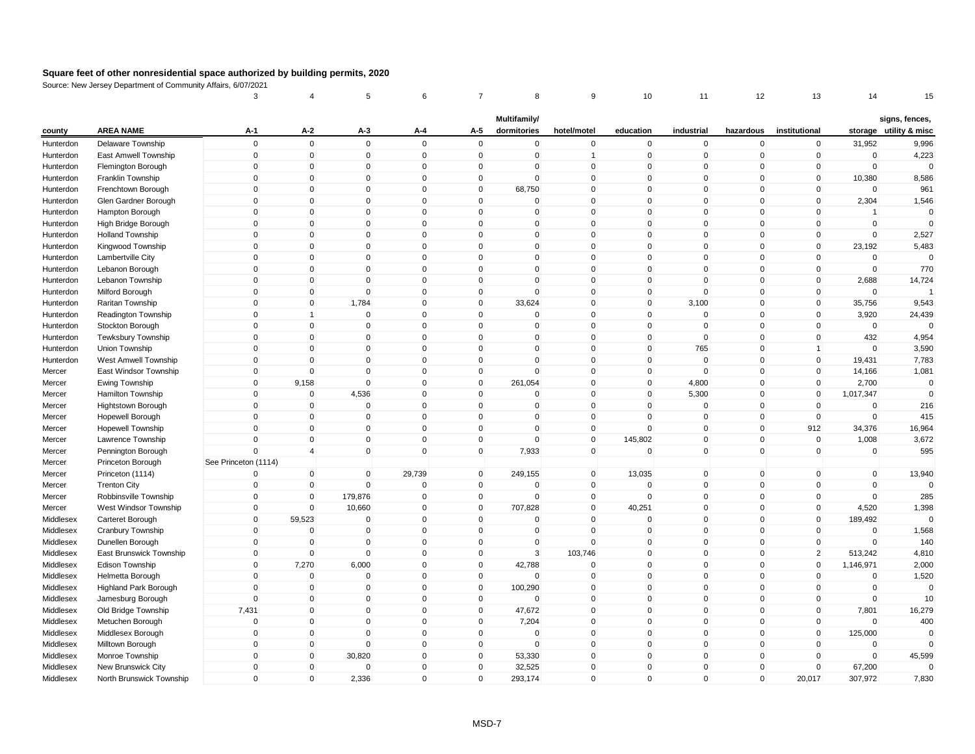| Multifamily/<br>signs, fences,<br><b>AREA NAME</b><br>$A-1$<br>$A-2$<br>institutional<br>storage utility & misc<br>$A-3$<br>A-4<br>A-5<br>dormitories<br>hotel/motel<br>education<br>industrial<br>hazardous<br>county<br>$\mathsf 0$<br>$\mathbf 0$<br>$\mathsf 0$<br>$\mathbf 0$<br>31,952<br>Delaware Township<br>$\mathbf 0$<br>$\mathbf 0$<br>$\mathbf 0$<br>$\mathbf 0$<br>$\mathbf 0$<br>$\mathbf 0$<br>$\mathbf 0$<br>9,996<br>Hunterdon<br>$\mathbf 0$<br>$\overline{0}$<br>$\mathbf 0$<br>$\mathbf 0$<br>$\mathbf 0$<br>$\mathbf 0$<br>$\mathbf{1}$<br>$\mathbf 0$<br>$\mathbf 0$<br>$\mathbf 0$<br>$\mathbf 0$<br>$\mathbf 0$<br>4,223<br>Hunterdon<br>East Amwell Township<br>$\pmb{0}$<br>$\Omega$<br>Flemington Borough<br>0<br>$\mathbf{0}$<br>0<br>$\Omega$<br>0<br>$\mathbf 0$<br>$\Omega$<br>0<br>0<br>$\mathbf 0$<br>Hunterdon<br>$\mathbf 0$<br>$\mathbf{0}$<br>$\mathbf 0$<br>$\mathbf 0$<br>$\Omega$<br>$\mathbf 0$<br>$\mathbf 0$<br>$\mathbf 0$<br>$\Omega$<br>$\Omega$<br>$\mathbf 0$<br>10,380<br>8,586<br>Hunterdon<br>Franklin Township<br>$\mathbf 0$<br>$\mathbf 0$<br>$\mathbf 0$<br>$\mathbf 0$<br>$\mathbf 0$<br>68,750<br>$\mathbf 0$<br>0<br>$\mathbf 0$<br>$\mathbf 0$<br>$\mathbf 0$<br>$\mathbf 0$<br>961<br>Hunterdon<br>Frenchtown Borough<br>$\mathbf 0$<br>$\mathbf 0$<br>2,304<br>1,546<br>Hunterdon<br>Glen Gardner Borough<br>$\Omega$<br>$\Omega$<br>$\mathbf{0}$<br>$\mathbf 0$<br>$\overline{0}$<br>$\Omega$<br>$\Omega$<br>$\mathbf{0}$<br>$\mathbf{0}$<br>$\Omega$<br>$\Omega$<br>$\mathbf{0}$<br>$\Omega$<br>$\mathbf{0}$<br>$\Omega$<br>$\mathbf 0$<br>$\mathbf 0$<br>$\mathbf{0}$<br>$\mathbf 0$<br>$\mathbf{0}$<br>$\Omega$<br>Hunterdon<br>Hampton Borough<br>-1<br>$\mathbf 0$<br>$\mathbf 0$<br>0<br>$\mathbf 0$<br>$\mathbf 0$<br>$\mathbf 0$<br>$\mathbf 0$<br>$\mathbf 0$<br>$\mathbf 0$<br>$\mathbf 0$<br>$\mathbf 0$<br>$\Omega$<br>High Bridge Borough<br>0<br>Hunterdon<br>$\mathsf 0$<br>$\mathbf{0}$<br>$\mathbf{0}$<br>$\mathbf 0$<br>$\Omega$<br>$\mathsf 0$<br>$\overline{0}$<br>$\Omega$<br>$\Omega$<br>$\mathbf{0}$<br>$\mathbf 0$<br>$\mathbf 0$<br>2,527<br><b>Holland Township</b><br>Hunterdon<br>$\pmb{0}$<br>$\mathbf 0$<br>0<br>$\mathbf 0$<br>$\mathbf 0$<br>$\pmb{0}$<br>$\mathbf 0$<br>$\mathbf 0$<br>$\mathbf 0$<br>$\mathbf 0$<br>$\mathbf 0$<br>23,192<br>5,483<br>Hunterdon<br>Kingwood Township<br>0<br>$\Omega$<br>$\Omega$<br>$\mathbf 0$<br>$\Omega$<br>$\mathbf 0$<br>Hunterdon<br>Lambertville City<br>$\Omega$<br>0<br>$\mathbf 0$<br>$\Omega$<br>0<br>0<br>$\mathbf 0$<br>$\mathbf 0$<br>$\Omega$<br>770<br>$\Omega$<br>$\mathbf 0$<br>$\Omega$<br>$\mathbf 0$<br>$\mathbf 0$<br>$\Omega$<br>$\mathbf 0$<br>$\mathbf 0$<br>$\mathbf 0$<br>Hunterdon<br>Lebanon Borough<br>$\mathsf 0$<br>$\mathbf 0$<br>$\mathbf 0$<br>$\mathsf 0$<br>$\mathbf 0$<br>$\mathbf 0$<br>0<br>$\mathbf 0$<br>$\Omega$<br>$\mathbf 0$<br>$\mathbf 0$<br>2,688<br>14,724<br>Hunterdon<br>Lebanon Township<br>$\Omega$<br>$\mathbf 0$<br>$\mathbf 0$<br>$\mathsf 0$<br>$\Omega$<br>Hunterdon<br>Milford Borough<br>$\mathbf 0$<br>$\mathbf{0}$<br>$\Omega$<br>$\mathbf{0}$<br>$\mathbf{0}$<br>$\mathbf{0}$<br>$\mathbf 0$<br>Raritan Township<br>$\mathbf 0$<br>$\mathbf 0$<br>1,784<br>$\mathbf 0$<br>$\mathbf 0$<br>33,624<br>$\mathbf 0$<br>$\Omega$<br>3,100<br>$\mathbf 0$<br>$\mathbf 0$<br>35,756<br>9,543<br>Hunterdon<br>$\mathsf 0$<br>$\mathbf 0$<br>$\mathbf 0$<br>$\mathbf 0$<br>$\mathbf 0$<br>$\mathbf 0$<br>$\Omega$<br>$\mathbf 0$<br>$\mathbf 0$<br>$\Omega$<br>3,920<br>24,439<br>Hunterdon<br>Readington Township<br>1<br>$\mathsf 0$<br>$\mathbf 0$<br>$\mathbf 0$<br>$\mathbf 0$<br>$\mathsf 0$<br>$\mathbf 0$<br>$\Omega$<br>$\mathbf 0$<br>0<br>$\mathbf 0$<br>$\mathbf 0$<br>$\mathbf 0$<br>$\Omega$<br>Hunterdon<br>Stockton Borough<br>$\mathsf 0$<br>$\mathbf 0$<br>$\mathbf 0$<br>$\mathbf 0$<br>$\mathbf 0$<br>$\mathbf 0$<br>$\mathbf 0$<br>$\mathbf 0$<br>$\Omega$<br>$\mathbf 0$<br>$\mathbf 0$<br>432<br>4,954<br>Hunterdon<br><b>Tewksbury Township</b><br>$\pmb{0}$<br>765<br>3,590<br>0<br>$\mathbf 0$<br>0<br>$\Omega$<br>0<br>0<br>$\Omega$<br>$\mathbf 0$<br>$\mathbf 0$<br>Hunterdon<br>Union Township<br>1<br>$\mathsf 0$<br>$\Omega$<br>$\mathbf 0$<br>$\mathsf 0$<br>$\mathbf{0}$<br>$\mathbf 0$<br>$\Omega$<br>7,783<br>$\Omega$<br>$\Omega$<br>$\mathbf{0}$<br>$\mathbf 0$<br>19,431<br>Hunterdon<br>West Amwell Township<br>1,081<br>$\mathbf 0$<br>$\overline{0}$<br>$\mathbf 0$<br>$\mathbf 0$<br>$\mathbf 0$<br>$\mathbf 0$<br>$\mathbf 0$<br>$\mathbf 0$<br>$\Omega$<br>$\mathbf 0$<br>$\mathbf 0$<br>14,166<br>East Windsor Township<br>Mercer<br>$\mathbf 0$<br>$\Omega$<br>4,800<br>2,700<br>Ewing Township<br>9,158<br>0<br>$\mathbf 0$<br>261,054<br>0<br>$\Omega$<br>$\mathbf 0$<br>$\mathbf{0}$<br>$\mathbf 0$<br>Mercer<br>$\Omega$<br>5,300<br>$\mathbf{0}$<br>$\Omega$<br>$\mathbf 0$<br>4,536<br>$\mathbf 0$<br>$\Omega$<br>$\mathbf 0$<br>$\mathbf 0$<br>$\mathbf 0$<br>1,017,347<br>Hamilton Township<br>Mercer<br>$\mathbf 0$<br>$\mathbf 0$<br>$\mathbf 0$<br>$\mathbf 0$<br>0<br>$\mathbf 0$<br>216<br>Mercer<br>Hightstown Borough<br>$\mathbf 0$<br>0<br>$\Omega$<br>$\Omega$<br>0<br>$\mathbf 0$<br>$\mathbf 0$<br>$\mathbf{0}$<br>$\mathbf 0$<br>$\mathbf 0$<br>$\mathbf{0}$<br>$\mathbf{0}$<br>$\overline{0}$<br>$\Omega$<br>$\Omega$<br>$\mathbf 0$<br>$\mathbf 0$<br>Hopewell Borough<br>$\mathbf 0$<br>415<br>Mercer<br>912<br>$\mathbf 0$<br>$\mathbf 0$<br>$\mathbf 0$<br>$\mathbf 0$<br>$\mathbf 0$<br>$\mathbf 0$<br>$\overline{0}$<br>0<br>$\mathbf 0$<br>$\mathbf 0$<br>34,376<br>16,964<br><b>Hopewell Township</b><br>Mercer<br>$\mathbf 0$<br>$\mathbf 0$<br>$\mathbf 0$<br>$\pmb{0}$<br>$\mathbf 0$<br>$\mathbf 0$<br>$\overline{0}$<br>145,802<br>$\mathbf 0$<br>$\mathbf 0$<br>1,008<br>3,672<br>0<br>Mercer<br>Lawrence Township<br>$\Omega$<br>$\mathbf 0$<br>$\mathbf 0$<br>7,933<br>$\mathbf 0$<br>$\mathbf 0$<br>$\mathbf 0$<br>$\mathbf 0$<br>$\Omega$<br>$\mathbf 0$<br>$\mathbf{0}$<br>595<br>Mercer<br>Pennington Borough<br>$\overline{4}$<br>See Princeton (1114)<br>Princeton Borough<br>Mercer<br>$\mathbf 0$<br>$\mathbf 0$<br>29,739<br>$\mathbf 0$<br>249,155<br>$\overline{0}$<br>13,035<br>$\mathbf 0$<br>$\mathbf 0$<br>$\mathbf 0$<br>$\mathbf 0$<br>13,940<br>Princeton (1114)<br>$\Omega$<br>Mercer<br>$\mathbf 0$<br>$\mathbf 0$<br>$\mathbf 0$<br>$\mathbf 0$<br>$\mathbf 0$<br>$\mathbf 0$<br>$\overline{0}$<br>$\mathbf{0}$<br>$\mathbf 0$<br>$\mathbf 0$<br>$\mathbf 0$<br>Mercer<br><b>Trenton City</b><br>$\Omega$<br>$\Omega$<br>$\mathbf 0$<br>$\mathbf 0$<br>$\Omega$<br>$\mathbf 0$<br>179,876<br>$\mathbf 0$<br>$\mathbf 0$<br>$\mathbf 0$<br>$\mathbf 0$<br>$\mathbf 0$<br>$\mathbf{0}$<br>$\mathbf 0$<br>285<br>Robbinsville Township<br>Mercer<br>$\mathbf 0$<br>10,660<br>$\mathbf 0$<br>$\mathbf{0}$<br>707,828<br>$\Omega$<br>40,251<br>$\Omega$<br>$\mathbf{0}$<br>4,520<br>1,398<br>West Windsor Township<br>$\Omega$<br>$\mathbf 0$<br>Mercer<br>$\mathsf 0$<br>$\mathbf{0}$<br>$\mathbf 0$<br>59,523<br>$\mathbf 0$<br>$\mathbf 0$<br>$\mathbf 0$<br>$\mathbf 0$<br>$\mathbf 0$<br>$\mathbf 0$<br>$\mathbf 0$<br>189,492<br>Middlesex<br>Carteret Borough<br>$\pmb{0}$<br>$\mathbf 0$<br>$\pmb{0}$<br>$\pmb{0}$<br>$\mathbf 0$<br>$\mathbf 0$<br>$\mathbf 0$<br>1,568<br>Middlesex<br>Cranbury Township<br>$\mathbf 0$<br>0<br>0<br>0<br>$\mathbf 0$<br>$\mathbf 0$<br>$\Omega$<br>$\mathbf 0$<br>$\Omega$<br>$\Omega$<br>140<br>$\mathbf 0$<br>$\mathbf{0}$<br>$\mathbf{0}$<br>$\Omega$<br>$\mathbf{0}$<br>$\mathbf 0$<br>$\Omega$<br>Middlesex<br>Dunellen Borough<br>$\mathsf 0$<br>$\mathbf 0$<br>3<br>$\overline{2}$<br>$\mathbf 0$<br>$\mathbf 0$<br>$\mathbf 0$<br>103,746<br>$\mathbf 0$<br>$\mathbf 0$<br>$\mathbf 0$<br>513,242<br>4,810<br>Middlesex<br>East Brunswick Township<br>$\mathbf 0$<br>7,270<br>6,000<br>$\mathbf 0$<br>$\mathbf 0$<br>42,788<br>$\mathbf 0$<br>$\mathbf 0$<br>$\mathbf 0$<br>$\mathbf 0$<br>$\mathbf 0$<br>1,146,971<br>2,000<br>Middlesex<br>Edison Township<br>$\Omega$<br>$\mathbf 0$<br>$\mathbf 0$<br>$\mathbf 0$<br>$\mathbf 0$<br>$\mathbf 0$<br>$\mathbf 0$<br>$\Omega$<br>$\mathbf{0}$<br>$\mathbf 0$<br>$\mathbf{0}$<br>$\mathbf 0$<br>1,520<br>Middlesex<br>Helmetta Borough<br>$\mathsf 0$<br>$\mathbf 0$<br>0<br>$\mathbf 0$<br>$\mathbf 0$<br>100,290<br>0<br>$\Omega$<br>$\mathbf 0$<br>$\mathbf 0$<br>$\mathbf 0$<br>$\mathbf 0$<br>$\Omega$<br>Middlesex<br><b>Highland Park Borough</b><br>$\mathbf 0$<br>$\Omega$<br>$\Omega$<br>$\mathbf 0$<br>$\mathbf{0}$<br>$\mathbf{0}$<br>$\Omega$<br>$\mathbf{0}$<br>$\mathbf{0}$<br>$\mathbf{0}$<br>$\mathbf 0$<br>10<br>Middlesex<br>Jamesburg Borough<br>$\mathbf{0}$<br>7,431<br>Middlesex<br>$\mathbf 0$<br>$\mathbf 0$<br>$\mathbf 0$<br>$\mathbf 0$<br>47,672<br>$\overline{0}$<br>$\mathbf 0$<br>$\mathbf 0$<br>$\mathbf 0$<br>$\mathbf 0$<br>7,801<br>16,279<br>Old Bridge Township<br>$\pmb{0}$<br>$\mathbf 0$<br>0<br>$\mathbf 0$<br>$\mathbf 0$<br>7,204<br>$\mathbf 0$<br>$\mathbf 0$<br>$\mathbf 0$<br>$\mathbf 0$<br>$\mathbf 0$<br>400<br>Middlesex<br>Metuchen Borough<br>0<br>$\mathbf 0$<br>$\mathbf 0$<br>Middlesex<br>Middlesex Borough<br>$\mathbf 0$<br>$\Omega$<br>$\mathbf 0$<br>$\mathbf 0$<br>$\mathbf 0$<br>$\mathbf 0$<br>$\Omega$<br>$\mathbf 0$<br>$\mathbf 0$<br>125,000<br>$\Omega$<br>$\mathsf 0$<br>$\mathbf 0$<br>$\mathbf 0$<br>$\mathsf 0$<br>$\overline{0}$<br>$\mathbf 0$<br>$\mathbf 0$<br>$\mathbf 0$<br>$\mathbf 0$<br>$\mathbf 0$<br>$\mathbf 0$<br>$\mathbf 0$<br>$\Omega$<br>Middlesex<br>Milltown Borough<br>$\mathbf 0$<br>$\mathbf 0$<br>30,820<br>$\mathbf 0$<br>$\mathbf 0$<br>53,330<br>$\mathbf 0$<br>0<br>$\mathbf 0$<br>$\mathbf 0$<br>$\mathbf 0$<br>$\mathbf 0$<br>45,599<br>Middlesex<br>Monroe Township<br>Middlesex<br>$\mathbf 0$<br>$\Omega$<br>$\Omega$<br>$\mathbf 0$<br>$\mathbf{0}$<br>32,525<br>$\Omega$<br>$\Omega$<br>$\mathbf{0}$<br>$\mathbf 0$<br>$\mathbf 0$<br>67,200<br>$\Omega$<br>New Brunswick City<br>$\Omega$<br>$\mathbf{0}$<br>$\mathbf{0}$<br>2,336<br>$\mathbf 0$<br>$\mathbf{0}$<br>293,174<br>$\mathbf{0}$<br>$\Omega$<br>$\Omega$<br>20,017<br>307,972<br>7,830<br>Middlesex<br>North Brunswick Township |  | 3 | 4 | 5 | 6 | 8 | 9 | 10 | 11 | 12 | 13 | 14 | 15 |
|----------------------------------------------------------------------------------------------------------------------------------------------------------------------------------------------------------------------------------------------------------------------------------------------------------------------------------------------------------------------------------------------------------------------------------------------------------------------------------------------------------------------------------------------------------------------------------------------------------------------------------------------------------------------------------------------------------------------------------------------------------------------------------------------------------------------------------------------------------------------------------------------------------------------------------------------------------------------------------------------------------------------------------------------------------------------------------------------------------------------------------------------------------------------------------------------------------------------------------------------------------------------------------------------------------------------------------------------------------------------------------------------------------------------------------------------------------------------------------------------------------------------------------------------------------------------------------------------------------------------------------------------------------------------------------------------------------------------------------------------------------------------------------------------------------------------------------------------------------------------------------------------------------------------------------------------------------------------------------------------------------------------------------------------------------------------------------------------------------------------------------------------------------------------------------------------------------------------------------------------------------------------------------------------------------------------------------------------------------------------------------------------------------------------------------------------------------------------------------------------------------------------------------------------------------------------------------------------------------------------------------------------------------------------------------------------------------------------------------------------------------------------------------------------------------------------------------------------------------------------------------------------------------------------------------------------------------------------------------------------------------------------------------------------------------------------------------------------------------------------------------------------------------------------------------------------------------------------------------------------------------------------------------------------------------------------------------------------------------------------------------------------------------------------------------------------------------------------------------------------------------------------------------------------------------------------------------------------------------------------------------------------------------------------------------------------------------------------------------------------------------------------------------------------------------------------------------------------------------------------------------------------------------------------------------------------------------------------------------------------------------------------------------------------------------------------------------------------------------------------------------------------------------------------------------------------------------------------------------------------------------------------------------------------------------------------------------------------------------------------------------------------------------------------------------------------------------------------------------------------------------------------------------------------------------------------------------------------------------------------------------------------------------------------------------------------------------------------------------------------------------------------------------------------------------------------------------------------------------------------------------------------------------------------------------------------------------------------------------------------------------------------------------------------------------------------------------------------------------------------------------------------------------------------------------------------------------------------------------------------------------------------------------------------------------------------------------------------------------------------------------------------------------------------------------------------------------------------------------------------------------------------------------------------------------------------------------------------------------------------------------------------------------------------------------------------------------------------------------------------------------------------------------------------------------------------------------------------------------------------------------------------------------------------------------------------------------------------------------------------------------------------------------------------------------------------------------------------------------------------------------------------------------------------------------------------------------------------------------------------------------------------------------------------------------------------------------------------------------------------------------------------------------------------------------------------------------------------------------------------------------------------------------------------------------------------------------------------------------------------------------------------------------------------------------------------------------------------------------------------------------------------------------------------------------------------------------------------------------------------------------------------------------------------------------------------------------------------------------------------------------------------------------------------------------------------------------------------------------------------------------------------------------------------------------------------------------------------------------------------------------------------------------------------------------------------------------------------------------------------------------------------------------------------------------------------------------------------------------------------------------------------------------------------------------------------------------------------------------------------------------------------------------------------------------------------------------------------------------------------------------------------------------------------------------------------------------------------------------------------------------------------------------------------------------------------------------------------------------------------------------------------------------------------------------------------------------------------------------------------------------------------------------------------------------------------------------------------------------------------------------------------------------------------------------------------------------------------------------------------------------------------------------------------------------------------------------------------------------------------------------------------------------------------------------------------------------------------------------------------------------------------------------------------------------------------------------------------------------------------------------------------------------------------------------------------------------------------------------------------------------------------------------------------------------------------------------------------------------------------------------------------------------------------------------------------------------------------------------------------------------------------------------------------------------------------------------------------------------------------------------------------------------------------------------------------------------------------------------------------------------------------------------------------------------------------------------------------------------------------------------------------------------------------------------------------------------------------------------------------------------------------------------------------------------------------------------------------------------------------------------------------------------------------------------------------------------------------------------------------------------------------------------------------------------------------------------------------------------------------------------------------------------------------------------------------------------------------------------------------------------------------------------------------------------------------------------------------------------------------------------------------------------------------------------|--|---|---|---|---|---|---|----|----|----|----|----|----|
|                                                                                                                                                                                                                                                                                                                                                                                                                                                                                                                                                                                                                                                                                                                                                                                                                                                                                                                                                                                                                                                                                                                                                                                                                                                                                                                                                                                                                                                                                                                                                                                                                                                                                                                                                                                                                                                                                                                                                                                                                                                                                                                                                                                                                                                                                                                                                                                                                                                                                                                                                                                                                                                                                                                                                                                                                                                                                                                                                                                                                                                                                                                                                                                                                                                                                                                                                                                                                                                                                                                                                                                                                                                                                                                                                                                                                                                                                                                                                                                                                                                                                                                                                                                                                                                                                                                                                                                                                                                                                                                                                                                                                                                                                                                                                                                                                                                                                                                                                                                                                                                                                                                                                                                                                                                                                                                                                                                                                                                                                                                                                                                                                                                                                                                                                                                                                                                                                                                                                                                                                                                                                                                                                                                                                                                                                                                                                                                                                                                                                                                                                                                                                                                                                                                                                                                                                                                                                                                                                                                                                                                                                                                                                                                                                                                                                                                                                                                                                                                                                                                                                                                                                                                                                                                                                                                                                                                                                                                                                                                                                                                                                                                                                                                                                                                                                                                                                                                                                                                                                                                                                                                                                                                                                                                                                                                                                                                                                                                                                                                                                                                                                                                                                                                                                                                                                                                                                                                                                                                                                                                                                                                                                                                                                                                                                                                                                                                                                                                                                                                                                                                                                                                                                                                                                                                                                                          |  |   |   |   |   |   |   |    |    |    |    |    |    |
| $\overline{0}$<br>$\mathbf 0$<br>$\mathbf{0}$<br>$\mathbf{0}$                                                                                                                                                                                                                                                                                                                                                                                                                                                                                                                                                                                                                                                                                                                                                                                                                                                                                                                                                                                                                                                                                                                                                                                                                                                                                                                                                                                                                                                                                                                                                                                                                                                                                                                                                                                                                                                                                                                                                                                                                                                                                                                                                                                                                                                                                                                                                                                                                                                                                                                                                                                                                                                                                                                                                                                                                                                                                                                                                                                                                                                                                                                                                                                                                                                                                                                                                                                                                                                                                                                                                                                                                                                                                                                                                                                                                                                                                                                                                                                                                                                                                                                                                                                                                                                                                                                                                                                                                                                                                                                                                                                                                                                                                                                                                                                                                                                                                                                                                                                                                                                                                                                                                                                                                                                                                                                                                                                                                                                                                                                                                                                                                                                                                                                                                                                                                                                                                                                                                                                                                                                                                                                                                                                                                                                                                                                                                                                                                                                                                                                                                                                                                                                                                                                                                                                                                                                                                                                                                                                                                                                                                                                                                                                                                                                                                                                                                                                                                                                                                                                                                                                                                                                                                                                                                                                                                                                                                                                                                                                                                                                                                                                                                                                                                                                                                                                                                                                                                                                                                                                                                                                                                                                                                                                                                                                                                                                                                                                                                                                                                                                                                                                                                                                                                                                                                                                                                                                                                                                                                                                                                                                                                                                                                                                                                                                                                                                                                                                                                                                                                                                                                                                                                                                                                                            |  |   |   |   |   |   |   |    |    |    |    |    |    |
|                                                                                                                                                                                                                                                                                                                                                                                                                                                                                                                                                                                                                                                                                                                                                                                                                                                                                                                                                                                                                                                                                                                                                                                                                                                                                                                                                                                                                                                                                                                                                                                                                                                                                                                                                                                                                                                                                                                                                                                                                                                                                                                                                                                                                                                                                                                                                                                                                                                                                                                                                                                                                                                                                                                                                                                                                                                                                                                                                                                                                                                                                                                                                                                                                                                                                                                                                                                                                                                                                                                                                                                                                                                                                                                                                                                                                                                                                                                                                                                                                                                                                                                                                                                                                                                                                                                                                                                                                                                                                                                                                                                                                                                                                                                                                                                                                                                                                                                                                                                                                                                                                                                                                                                                                                                                                                                                                                                                                                                                                                                                                                                                                                                                                                                                                                                                                                                                                                                                                                                                                                                                                                                                                                                                                                                                                                                                                                                                                                                                                                                                                                                                                                                                                                                                                                                                                                                                                                                                                                                                                                                                                                                                                                                                                                                                                                                                                                                                                                                                                                                                                                                                                                                                                                                                                                                                                                                                                                                                                                                                                                                                                                                                                                                                                                                                                                                                                                                                                                                                                                                                                                                                                                                                                                                                                                                                                                                                                                                                                                                                                                                                                                                                                                                                                                                                                                                                                                                                                                                                                                                                                                                                                                                                                                                                                                                                                                                                                                                                                                                                                                                                                                                                                                                                                                                                                                          |  |   |   |   |   |   |   |    |    |    |    |    |    |
|                                                                                                                                                                                                                                                                                                                                                                                                                                                                                                                                                                                                                                                                                                                                                                                                                                                                                                                                                                                                                                                                                                                                                                                                                                                                                                                                                                                                                                                                                                                                                                                                                                                                                                                                                                                                                                                                                                                                                                                                                                                                                                                                                                                                                                                                                                                                                                                                                                                                                                                                                                                                                                                                                                                                                                                                                                                                                                                                                                                                                                                                                                                                                                                                                                                                                                                                                                                                                                                                                                                                                                                                                                                                                                                                                                                                                                                                                                                                                                                                                                                                                                                                                                                                                                                                                                                                                                                                                                                                                                                                                                                                                                                                                                                                                                                                                                                                                                                                                                                                                                                                                                                                                                                                                                                                                                                                                                                                                                                                                                                                                                                                                                                                                                                                                                                                                                                                                                                                                                                                                                                                                                                                                                                                                                                                                                                                                                                                                                                                                                                                                                                                                                                                                                                                                                                                                                                                                                                                                                                                                                                                                                                                                                                                                                                                                                                                                                                                                                                                                                                                                                                                                                                                                                                                                                                                                                                                                                                                                                                                                                                                                                                                                                                                                                                                                                                                                                                                                                                                                                                                                                                                                                                                                                                                                                                                                                                                                                                                                                                                                                                                                                                                                                                                                                                                                                                                                                                                                                                                                                                                                                                                                                                                                                                                                                                                                                                                                                                                                                                                                                                                                                                                                                                                                                                                                                          |  |   |   |   |   |   |   |    |    |    |    |    |    |
|                                                                                                                                                                                                                                                                                                                                                                                                                                                                                                                                                                                                                                                                                                                                                                                                                                                                                                                                                                                                                                                                                                                                                                                                                                                                                                                                                                                                                                                                                                                                                                                                                                                                                                                                                                                                                                                                                                                                                                                                                                                                                                                                                                                                                                                                                                                                                                                                                                                                                                                                                                                                                                                                                                                                                                                                                                                                                                                                                                                                                                                                                                                                                                                                                                                                                                                                                                                                                                                                                                                                                                                                                                                                                                                                                                                                                                                                                                                                                                                                                                                                                                                                                                                                                                                                                                                                                                                                                                                                                                                                                                                                                                                                                                                                                                                                                                                                                                                                                                                                                                                                                                                                                                                                                                                                                                                                                                                                                                                                                                                                                                                                                                                                                                                                                                                                                                                                                                                                                                                                                                                                                                                                                                                                                                                                                                                                                                                                                                                                                                                                                                                                                                                                                                                                                                                                                                                                                                                                                                                                                                                                                                                                                                                                                                                                                                                                                                                                                                                                                                                                                                                                                                                                                                                                                                                                                                                                                                                                                                                                                                                                                                                                                                                                                                                                                                                                                                                                                                                                                                                                                                                                                                                                                                                                                                                                                                                                                                                                                                                                                                                                                                                                                                                                                                                                                                                                                                                                                                                                                                                                                                                                                                                                                                                                                                                                                                                                                                                                                                                                                                                                                                                                                                                                                                                                                                          |  |   |   |   |   |   |   |    |    |    |    |    |    |
|                                                                                                                                                                                                                                                                                                                                                                                                                                                                                                                                                                                                                                                                                                                                                                                                                                                                                                                                                                                                                                                                                                                                                                                                                                                                                                                                                                                                                                                                                                                                                                                                                                                                                                                                                                                                                                                                                                                                                                                                                                                                                                                                                                                                                                                                                                                                                                                                                                                                                                                                                                                                                                                                                                                                                                                                                                                                                                                                                                                                                                                                                                                                                                                                                                                                                                                                                                                                                                                                                                                                                                                                                                                                                                                                                                                                                                                                                                                                                                                                                                                                                                                                                                                                                                                                                                                                                                                                                                                                                                                                                                                                                                                                                                                                                                                                                                                                                                                                                                                                                                                                                                                                                                                                                                                                                                                                                                                                                                                                                                                                                                                                                                                                                                                                                                                                                                                                                                                                                                                                                                                                                                                                                                                                                                                                                                                                                                                                                                                                                                                                                                                                                                                                                                                                                                                                                                                                                                                                                                                                                                                                                                                                                                                                                                                                                                                                                                                                                                                                                                                                                                                                                                                                                                                                                                                                                                                                                                                                                                                                                                                                                                                                                                                                                                                                                                                                                                                                                                                                                                                                                                                                                                                                                                                                                                                                                                                                                                                                                                                                                                                                                                                                                                                                                                                                                                                                                                                                                                                                                                                                                                                                                                                                                                                                                                                                                                                                                                                                                                                                                                                                                                                                                                                                                                                                                                          |  |   |   |   |   |   |   |    |    |    |    |    |    |
|                                                                                                                                                                                                                                                                                                                                                                                                                                                                                                                                                                                                                                                                                                                                                                                                                                                                                                                                                                                                                                                                                                                                                                                                                                                                                                                                                                                                                                                                                                                                                                                                                                                                                                                                                                                                                                                                                                                                                                                                                                                                                                                                                                                                                                                                                                                                                                                                                                                                                                                                                                                                                                                                                                                                                                                                                                                                                                                                                                                                                                                                                                                                                                                                                                                                                                                                                                                                                                                                                                                                                                                                                                                                                                                                                                                                                                                                                                                                                                                                                                                                                                                                                                                                                                                                                                                                                                                                                                                                                                                                                                                                                                                                                                                                                                                                                                                                                                                                                                                                                                                                                                                                                                                                                                                                                                                                                                                                                                                                                                                                                                                                                                                                                                                                                                                                                                                                                                                                                                                                                                                                                                                                                                                                                                                                                                                                                                                                                                                                                                                                                                                                                                                                                                                                                                                                                                                                                                                                                                                                                                                                                                                                                                                                                                                                                                                                                                                                                                                                                                                                                                                                                                                                                                                                                                                                                                                                                                                                                                                                                                                                                                                                                                                                                                                                                                                                                                                                                                                                                                                                                                                                                                                                                                                                                                                                                                                                                                                                                                                                                                                                                                                                                                                                                                                                                                                                                                                                                                                                                                                                                                                                                                                                                                                                                                                                                                                                                                                                                                                                                                                                                                                                                                                                                                                                                                          |  |   |   |   |   |   |   |    |    |    |    |    |    |
|                                                                                                                                                                                                                                                                                                                                                                                                                                                                                                                                                                                                                                                                                                                                                                                                                                                                                                                                                                                                                                                                                                                                                                                                                                                                                                                                                                                                                                                                                                                                                                                                                                                                                                                                                                                                                                                                                                                                                                                                                                                                                                                                                                                                                                                                                                                                                                                                                                                                                                                                                                                                                                                                                                                                                                                                                                                                                                                                                                                                                                                                                                                                                                                                                                                                                                                                                                                                                                                                                                                                                                                                                                                                                                                                                                                                                                                                                                                                                                                                                                                                                                                                                                                                                                                                                                                                                                                                                                                                                                                                                                                                                                                                                                                                                                                                                                                                                                                                                                                                                                                                                                                                                                                                                                                                                                                                                                                                                                                                                                                                                                                                                                                                                                                                                                                                                                                                                                                                                                                                                                                                                                                                                                                                                                                                                                                                                                                                                                                                                                                                                                                                                                                                                                                                                                                                                                                                                                                                                                                                                                                                                                                                                                                                                                                                                                                                                                                                                                                                                                                                                                                                                                                                                                                                                                                                                                                                                                                                                                                                                                                                                                                                                                                                                                                                                                                                                                                                                                                                                                                                                                                                                                                                                                                                                                                                                                                                                                                                                                                                                                                                                                                                                                                                                                                                                                                                                                                                                                                                                                                                                                                                                                                                                                                                                                                                                                                                                                                                                                                                                                                                                                                                                                                                                                                                                                          |  |   |   |   |   |   |   |    |    |    |    |    |    |
|                                                                                                                                                                                                                                                                                                                                                                                                                                                                                                                                                                                                                                                                                                                                                                                                                                                                                                                                                                                                                                                                                                                                                                                                                                                                                                                                                                                                                                                                                                                                                                                                                                                                                                                                                                                                                                                                                                                                                                                                                                                                                                                                                                                                                                                                                                                                                                                                                                                                                                                                                                                                                                                                                                                                                                                                                                                                                                                                                                                                                                                                                                                                                                                                                                                                                                                                                                                                                                                                                                                                                                                                                                                                                                                                                                                                                                                                                                                                                                                                                                                                                                                                                                                                                                                                                                                                                                                                                                                                                                                                                                                                                                                                                                                                                                                                                                                                                                                                                                                                                                                                                                                                                                                                                                                                                                                                                                                                                                                                                                                                                                                                                                                                                                                                                                                                                                                                                                                                                                                                                                                                                                                                                                                                                                                                                                                                                                                                                                                                                                                                                                                                                                                                                                                                                                                                                                                                                                                                                                                                                                                                                                                                                                                                                                                                                                                                                                                                                                                                                                                                                                                                                                                                                                                                                                                                                                                                                                                                                                                                                                                                                                                                                                                                                                                                                                                                                                                                                                                                                                                                                                                                                                                                                                                                                                                                                                                                                                                                                                                                                                                                                                                                                                                                                                                                                                                                                                                                                                                                                                                                                                                                                                                                                                                                                                                                                                                                                                                                                                                                                                                                                                                                                                                                                                                                                                          |  |   |   |   |   |   |   |    |    |    |    |    |    |
|                                                                                                                                                                                                                                                                                                                                                                                                                                                                                                                                                                                                                                                                                                                                                                                                                                                                                                                                                                                                                                                                                                                                                                                                                                                                                                                                                                                                                                                                                                                                                                                                                                                                                                                                                                                                                                                                                                                                                                                                                                                                                                                                                                                                                                                                                                                                                                                                                                                                                                                                                                                                                                                                                                                                                                                                                                                                                                                                                                                                                                                                                                                                                                                                                                                                                                                                                                                                                                                                                                                                                                                                                                                                                                                                                                                                                                                                                                                                                                                                                                                                                                                                                                                                                                                                                                                                                                                                                                                                                                                                                                                                                                                                                                                                                                                                                                                                                                                                                                                                                                                                                                                                                                                                                                                                                                                                                                                                                                                                                                                                                                                                                                                                                                                                                                                                                                                                                                                                                                                                                                                                                                                                                                                                                                                                                                                                                                                                                                                                                                                                                                                                                                                                                                                                                                                                                                                                                                                                                                                                                                                                                                                                                                                                                                                                                                                                                                                                                                                                                                                                                                                                                                                                                                                                                                                                                                                                                                                                                                                                                                                                                                                                                                                                                                                                                                                                                                                                                                                                                                                                                                                                                                                                                                                                                                                                                                                                                                                                                                                                                                                                                                                                                                                                                                                                                                                                                                                                                                                                                                                                                                                                                                                                                                                                                                                                                                                                                                                                                                                                                                                                                                                                                                                                                                                                                                          |  |   |   |   |   |   |   |    |    |    |    |    |    |
|                                                                                                                                                                                                                                                                                                                                                                                                                                                                                                                                                                                                                                                                                                                                                                                                                                                                                                                                                                                                                                                                                                                                                                                                                                                                                                                                                                                                                                                                                                                                                                                                                                                                                                                                                                                                                                                                                                                                                                                                                                                                                                                                                                                                                                                                                                                                                                                                                                                                                                                                                                                                                                                                                                                                                                                                                                                                                                                                                                                                                                                                                                                                                                                                                                                                                                                                                                                                                                                                                                                                                                                                                                                                                                                                                                                                                                                                                                                                                                                                                                                                                                                                                                                                                                                                                                                                                                                                                                                                                                                                                                                                                                                                                                                                                                                                                                                                                                                                                                                                                                                                                                                                                                                                                                                                                                                                                                                                                                                                                                                                                                                                                                                                                                                                                                                                                                                                                                                                                                                                                                                                                                                                                                                                                                                                                                                                                                                                                                                                                                                                                                                                                                                                                                                                                                                                                                                                                                                                                                                                                                                                                                                                                                                                                                                                                                                                                                                                                                                                                                                                                                                                                                                                                                                                                                                                                                                                                                                                                                                                                                                                                                                                                                                                                                                                                                                                                                                                                                                                                                                                                                                                                                                                                                                                                                                                                                                                                                                                                                                                                                                                                                                                                                                                                                                                                                                                                                                                                                                                                                                                                                                                                                                                                                                                                                                                                                                                                                                                                                                                                                                                                                                                                                                                                                                                                                          |  |   |   |   |   |   |   |    |    |    |    |    |    |
|                                                                                                                                                                                                                                                                                                                                                                                                                                                                                                                                                                                                                                                                                                                                                                                                                                                                                                                                                                                                                                                                                                                                                                                                                                                                                                                                                                                                                                                                                                                                                                                                                                                                                                                                                                                                                                                                                                                                                                                                                                                                                                                                                                                                                                                                                                                                                                                                                                                                                                                                                                                                                                                                                                                                                                                                                                                                                                                                                                                                                                                                                                                                                                                                                                                                                                                                                                                                                                                                                                                                                                                                                                                                                                                                                                                                                                                                                                                                                                                                                                                                                                                                                                                                                                                                                                                                                                                                                                                                                                                                                                                                                                                                                                                                                                                                                                                                                                                                                                                                                                                                                                                                                                                                                                                                                                                                                                                                                                                                                                                                                                                                                                                                                                                                                                                                                                                                                                                                                                                                                                                                                                                                                                                                                                                                                                                                                                                                                                                                                                                                                                                                                                                                                                                                                                                                                                                                                                                                                                                                                                                                                                                                                                                                                                                                                                                                                                                                                                                                                                                                                                                                                                                                                                                                                                                                                                                                                                                                                                                                                                                                                                                                                                                                                                                                                                                                                                                                                                                                                                                                                                                                                                                                                                                                                                                                                                                                                                                                                                                                                                                                                                                                                                                                                                                                                                                                                                                                                                                                                                                                                                                                                                                                                                                                                                                                                                                                                                                                                                                                                                                                                                                                                                                                                                                                                                          |  |   |   |   |   |   |   |    |    |    |    |    |    |
|                                                                                                                                                                                                                                                                                                                                                                                                                                                                                                                                                                                                                                                                                                                                                                                                                                                                                                                                                                                                                                                                                                                                                                                                                                                                                                                                                                                                                                                                                                                                                                                                                                                                                                                                                                                                                                                                                                                                                                                                                                                                                                                                                                                                                                                                                                                                                                                                                                                                                                                                                                                                                                                                                                                                                                                                                                                                                                                                                                                                                                                                                                                                                                                                                                                                                                                                                                                                                                                                                                                                                                                                                                                                                                                                                                                                                                                                                                                                                                                                                                                                                                                                                                                                                                                                                                                                                                                                                                                                                                                                                                                                                                                                                                                                                                                                                                                                                                                                                                                                                                                                                                                                                                                                                                                                                                                                                                                                                                                                                                                                                                                                                                                                                                                                                                                                                                                                                                                                                                                                                                                                                                                                                                                                                                                                                                                                                                                                                                                                                                                                                                                                                                                                                                                                                                                                                                                                                                                                                                                                                                                                                                                                                                                                                                                                                                                                                                                                                                                                                                                                                                                                                                                                                                                                                                                                                                                                                                                                                                                                                                                                                                                                                                                                                                                                                                                                                                                                                                                                                                                                                                                                                                                                                                                                                                                                                                                                                                                                                                                                                                                                                                                                                                                                                                                                                                                                                                                                                                                                                                                                                                                                                                                                                                                                                                                                                                                                                                                                                                                                                                                                                                                                                                                                                                                                                                          |  |   |   |   |   |   |   |    |    |    |    |    |    |
|                                                                                                                                                                                                                                                                                                                                                                                                                                                                                                                                                                                                                                                                                                                                                                                                                                                                                                                                                                                                                                                                                                                                                                                                                                                                                                                                                                                                                                                                                                                                                                                                                                                                                                                                                                                                                                                                                                                                                                                                                                                                                                                                                                                                                                                                                                                                                                                                                                                                                                                                                                                                                                                                                                                                                                                                                                                                                                                                                                                                                                                                                                                                                                                                                                                                                                                                                                                                                                                                                                                                                                                                                                                                                                                                                                                                                                                                                                                                                                                                                                                                                                                                                                                                                                                                                                                                                                                                                                                                                                                                                                                                                                                                                                                                                                                                                                                                                                                                                                                                                                                                                                                                                                                                                                                                                                                                                                                                                                                                                                                                                                                                                                                                                                                                                                                                                                                                                                                                                                                                                                                                                                                                                                                                                                                                                                                                                                                                                                                                                                                                                                                                                                                                                                                                                                                                                                                                                                                                                                                                                                                                                                                                                                                                                                                                                                                                                                                                                                                                                                                                                                                                                                                                                                                                                                                                                                                                                                                                                                                                                                                                                                                                                                                                                                                                                                                                                                                                                                                                                                                                                                                                                                                                                                                                                                                                                                                                                                                                                                                                                                                                                                                                                                                                                                                                                                                                                                                                                                                                                                                                                                                                                                                                                                                                                                                                                                                                                                                                                                                                                                                                                                                                                                                                                                                                                                          |  |   |   |   |   |   |   |    |    |    |    |    |    |
|                                                                                                                                                                                                                                                                                                                                                                                                                                                                                                                                                                                                                                                                                                                                                                                                                                                                                                                                                                                                                                                                                                                                                                                                                                                                                                                                                                                                                                                                                                                                                                                                                                                                                                                                                                                                                                                                                                                                                                                                                                                                                                                                                                                                                                                                                                                                                                                                                                                                                                                                                                                                                                                                                                                                                                                                                                                                                                                                                                                                                                                                                                                                                                                                                                                                                                                                                                                                                                                                                                                                                                                                                                                                                                                                                                                                                                                                                                                                                                                                                                                                                                                                                                                                                                                                                                                                                                                                                                                                                                                                                                                                                                                                                                                                                                                                                                                                                                                                                                                                                                                                                                                                                                                                                                                                                                                                                                                                                                                                                                                                                                                                                                                                                                                                                                                                                                                                                                                                                                                                                                                                                                                                                                                                                                                                                                                                                                                                                                                                                                                                                                                                                                                                                                                                                                                                                                                                                                                                                                                                                                                                                                                                                                                                                                                                                                                                                                                                                                                                                                                                                                                                                                                                                                                                                                                                                                                                                                                                                                                                                                                                                                                                                                                                                                                                                                                                                                                                                                                                                                                                                                                                                                                                                                                                                                                                                                                                                                                                                                                                                                                                                                                                                                                                                                                                                                                                                                                                                                                                                                                                                                                                                                                                                                                                                                                                                                                                                                                                                                                                                                                                                                                                                                                                                                                                                                          |  |   |   |   |   |   |   |    |    |    |    |    |    |
|                                                                                                                                                                                                                                                                                                                                                                                                                                                                                                                                                                                                                                                                                                                                                                                                                                                                                                                                                                                                                                                                                                                                                                                                                                                                                                                                                                                                                                                                                                                                                                                                                                                                                                                                                                                                                                                                                                                                                                                                                                                                                                                                                                                                                                                                                                                                                                                                                                                                                                                                                                                                                                                                                                                                                                                                                                                                                                                                                                                                                                                                                                                                                                                                                                                                                                                                                                                                                                                                                                                                                                                                                                                                                                                                                                                                                                                                                                                                                                                                                                                                                                                                                                                                                                                                                                                                                                                                                                                                                                                                                                                                                                                                                                                                                                                                                                                                                                                                                                                                                                                                                                                                                                                                                                                                                                                                                                                                                                                                                                                                                                                                                                                                                                                                                                                                                                                                                                                                                                                                                                                                                                                                                                                                                                                                                                                                                                                                                                                                                                                                                                                                                                                                                                                                                                                                                                                                                                                                                                                                                                                                                                                                                                                                                                                                                                                                                                                                                                                                                                                                                                                                                                                                                                                                                                                                                                                                                                                                                                                                                                                                                                                                                                                                                                                                                                                                                                                                                                                                                                                                                                                                                                                                                                                                                                                                                                                                                                                                                                                                                                                                                                                                                                                                                                                                                                                                                                                                                                                                                                                                                                                                                                                                                                                                                                                                                                                                                                                                                                                                                                                                                                                                                                                                                                                                                                          |  |   |   |   |   |   |   |    |    |    |    |    |    |
|                                                                                                                                                                                                                                                                                                                                                                                                                                                                                                                                                                                                                                                                                                                                                                                                                                                                                                                                                                                                                                                                                                                                                                                                                                                                                                                                                                                                                                                                                                                                                                                                                                                                                                                                                                                                                                                                                                                                                                                                                                                                                                                                                                                                                                                                                                                                                                                                                                                                                                                                                                                                                                                                                                                                                                                                                                                                                                                                                                                                                                                                                                                                                                                                                                                                                                                                                                                                                                                                                                                                                                                                                                                                                                                                                                                                                                                                                                                                                                                                                                                                                                                                                                                                                                                                                                                                                                                                                                                                                                                                                                                                                                                                                                                                                                                                                                                                                                                                                                                                                                                                                                                                                                                                                                                                                                                                                                                                                                                                                                                                                                                                                                                                                                                                                                                                                                                                                                                                                                                                                                                                                                                                                                                                                                                                                                                                                                                                                                                                                                                                                                                                                                                                                                                                                                                                                                                                                                                                                                                                                                                                                                                                                                                                                                                                                                                                                                                                                                                                                                                                                                                                                                                                                                                                                                                                                                                                                                                                                                                                                                                                                                                                                                                                                                                                                                                                                                                                                                                                                                                                                                                                                                                                                                                                                                                                                                                                                                                                                                                                                                                                                                                                                                                                                                                                                                                                                                                                                                                                                                                                                                                                                                                                                                                                                                                                                                                                                                                                                                                                                                                                                                                                                                                                                                                                                                          |  |   |   |   |   |   |   |    |    |    |    |    |    |
|                                                                                                                                                                                                                                                                                                                                                                                                                                                                                                                                                                                                                                                                                                                                                                                                                                                                                                                                                                                                                                                                                                                                                                                                                                                                                                                                                                                                                                                                                                                                                                                                                                                                                                                                                                                                                                                                                                                                                                                                                                                                                                                                                                                                                                                                                                                                                                                                                                                                                                                                                                                                                                                                                                                                                                                                                                                                                                                                                                                                                                                                                                                                                                                                                                                                                                                                                                                                                                                                                                                                                                                                                                                                                                                                                                                                                                                                                                                                                                                                                                                                                                                                                                                                                                                                                                                                                                                                                                                                                                                                                                                                                                                                                                                                                                                                                                                                                                                                                                                                                                                                                                                                                                                                                                                                                                                                                                                                                                                                                                                                                                                                                                                                                                                                                                                                                                                                                                                                                                                                                                                                                                                                                                                                                                                                                                                                                                                                                                                                                                                                                                                                                                                                                                                                                                                                                                                                                                                                                                                                                                                                                                                                                                                                                                                                                                                                                                                                                                                                                                                                                                                                                                                                                                                                                                                                                                                                                                                                                                                                                                                                                                                                                                                                                                                                                                                                                                                                                                                                                                                                                                                                                                                                                                                                                                                                                                                                                                                                                                                                                                                                                                                                                                                                                                                                                                                                                                                                                                                                                                                                                                                                                                                                                                                                                                                                                                                                                                                                                                                                                                                                                                                                                                                                                                                                                                          |  |   |   |   |   |   |   |    |    |    |    |    |    |
|                                                                                                                                                                                                                                                                                                                                                                                                                                                                                                                                                                                                                                                                                                                                                                                                                                                                                                                                                                                                                                                                                                                                                                                                                                                                                                                                                                                                                                                                                                                                                                                                                                                                                                                                                                                                                                                                                                                                                                                                                                                                                                                                                                                                                                                                                                                                                                                                                                                                                                                                                                                                                                                                                                                                                                                                                                                                                                                                                                                                                                                                                                                                                                                                                                                                                                                                                                                                                                                                                                                                                                                                                                                                                                                                                                                                                                                                                                                                                                                                                                                                                                                                                                                                                                                                                                                                                                                                                                                                                                                                                                                                                                                                                                                                                                                                                                                                                                                                                                                                                                                                                                                                                                                                                                                                                                                                                                                                                                                                                                                                                                                                                                                                                                                                                                                                                                                                                                                                                                                                                                                                                                                                                                                                                                                                                                                                                                                                                                                                                                                                                                                                                                                                                                                                                                                                                                                                                                                                                                                                                                                                                                                                                                                                                                                                                                                                                                                                                                                                                                                                                                                                                                                                                                                                                                                                                                                                                                                                                                                                                                                                                                                                                                                                                                                                                                                                                                                                                                                                                                                                                                                                                                                                                                                                                                                                                                                                                                                                                                                                                                                                                                                                                                                                                                                                                                                                                                                                                                                                                                                                                                                                                                                                                                                                                                                                                                                                                                                                                                                                                                                                                                                                                                                                                                                                                                          |  |   |   |   |   |   |   |    |    |    |    |    |    |
|                                                                                                                                                                                                                                                                                                                                                                                                                                                                                                                                                                                                                                                                                                                                                                                                                                                                                                                                                                                                                                                                                                                                                                                                                                                                                                                                                                                                                                                                                                                                                                                                                                                                                                                                                                                                                                                                                                                                                                                                                                                                                                                                                                                                                                                                                                                                                                                                                                                                                                                                                                                                                                                                                                                                                                                                                                                                                                                                                                                                                                                                                                                                                                                                                                                                                                                                                                                                                                                                                                                                                                                                                                                                                                                                                                                                                                                                                                                                                                                                                                                                                                                                                                                                                                                                                                                                                                                                                                                                                                                                                                                                                                                                                                                                                                                                                                                                                                                                                                                                                                                                                                                                                                                                                                                                                                                                                                                                                                                                                                                                                                                                                                                                                                                                                                                                                                                                                                                                                                                                                                                                                                                                                                                                                                                                                                                                                                                                                                                                                                                                                                                                                                                                                                                                                                                                                                                                                                                                                                                                                                                                                                                                                                                                                                                                                                                                                                                                                                                                                                                                                                                                                                                                                                                                                                                                                                                                                                                                                                                                                                                                                                                                                                                                                                                                                                                                                                                                                                                                                                                                                                                                                                                                                                                                                                                                                                                                                                                                                                                                                                                                                                                                                                                                                                                                                                                                                                                                                                                                                                                                                                                                                                                                                                                                                                                                                                                                                                                                                                                                                                                                                                                                                                                                                                                                                                          |  |   |   |   |   |   |   |    |    |    |    |    |    |
|                                                                                                                                                                                                                                                                                                                                                                                                                                                                                                                                                                                                                                                                                                                                                                                                                                                                                                                                                                                                                                                                                                                                                                                                                                                                                                                                                                                                                                                                                                                                                                                                                                                                                                                                                                                                                                                                                                                                                                                                                                                                                                                                                                                                                                                                                                                                                                                                                                                                                                                                                                                                                                                                                                                                                                                                                                                                                                                                                                                                                                                                                                                                                                                                                                                                                                                                                                                                                                                                                                                                                                                                                                                                                                                                                                                                                                                                                                                                                                                                                                                                                                                                                                                                                                                                                                                                                                                                                                                                                                                                                                                                                                                                                                                                                                                                                                                                                                                                                                                                                                                                                                                                                                                                                                                                                                                                                                                                                                                                                                                                                                                                                                                                                                                                                                                                                                                                                                                                                                                                                                                                                                                                                                                                                                                                                                                                                                                                                                                                                                                                                                                                                                                                                                                                                                                                                                                                                                                                                                                                                                                                                                                                                                                                                                                                                                                                                                                                                                                                                                                                                                                                                                                                                                                                                                                                                                                                                                                                                                                                                                                                                                                                                                                                                                                                                                                                                                                                                                                                                                                                                                                                                                                                                                                                                                                                                                                                                                                                                                                                                                                                                                                                                                                                                                                                                                                                                                                                                                                                                                                                                                                                                                                                                                                                                                                                                                                                                                                                                                                                                                                                                                                                                                                                                                                                                                          |  |   |   |   |   |   |   |    |    |    |    |    |    |
|                                                                                                                                                                                                                                                                                                                                                                                                                                                                                                                                                                                                                                                                                                                                                                                                                                                                                                                                                                                                                                                                                                                                                                                                                                                                                                                                                                                                                                                                                                                                                                                                                                                                                                                                                                                                                                                                                                                                                                                                                                                                                                                                                                                                                                                                                                                                                                                                                                                                                                                                                                                                                                                                                                                                                                                                                                                                                                                                                                                                                                                                                                                                                                                                                                                                                                                                                                                                                                                                                                                                                                                                                                                                                                                                                                                                                                                                                                                                                                                                                                                                                                                                                                                                                                                                                                                                                                                                                                                                                                                                                                                                                                                                                                                                                                                                                                                                                                                                                                                                                                                                                                                                                                                                                                                                                                                                                                                                                                                                                                                                                                                                                                                                                                                                                                                                                                                                                                                                                                                                                                                                                                                                                                                                                                                                                                                                                                                                                                                                                                                                                                                                                                                                                                                                                                                                                                                                                                                                                                                                                                                                                                                                                                                                                                                                                                                                                                                                                                                                                                                                                                                                                                                                                                                                                                                                                                                                                                                                                                                                                                                                                                                                                                                                                                                                                                                                                                                                                                                                                                                                                                                                                                                                                                                                                                                                                                                                                                                                                                                                                                                                                                                                                                                                                                                                                                                                                                                                                                                                                                                                                                                                                                                                                                                                                                                                                                                                                                                                                                                                                                                                                                                                                                                                                                                                                                          |  |   |   |   |   |   |   |    |    |    |    |    |    |
|                                                                                                                                                                                                                                                                                                                                                                                                                                                                                                                                                                                                                                                                                                                                                                                                                                                                                                                                                                                                                                                                                                                                                                                                                                                                                                                                                                                                                                                                                                                                                                                                                                                                                                                                                                                                                                                                                                                                                                                                                                                                                                                                                                                                                                                                                                                                                                                                                                                                                                                                                                                                                                                                                                                                                                                                                                                                                                                                                                                                                                                                                                                                                                                                                                                                                                                                                                                                                                                                                                                                                                                                                                                                                                                                                                                                                                                                                                                                                                                                                                                                                                                                                                                                                                                                                                                                                                                                                                                                                                                                                                                                                                                                                                                                                                                                                                                                                                                                                                                                                                                                                                                                                                                                                                                                                                                                                                                                                                                                                                                                                                                                                                                                                                                                                                                                                                                                                                                                                                                                                                                                                                                                                                                                                                                                                                                                                                                                                                                                                                                                                                                                                                                                                                                                                                                                                                                                                                                                                                                                                                                                                                                                                                                                                                                                                                                                                                                                                                                                                                                                                                                                                                                                                                                                                                                                                                                                                                                                                                                                                                                                                                                                                                                                                                                                                                                                                                                                                                                                                                                                                                                                                                                                                                                                                                                                                                                                                                                                                                                                                                                                                                                                                                                                                                                                                                                                                                                                                                                                                                                                                                                                                                                                                                                                                                                                                                                                                                                                                                                                                                                                                                                                                                                                                                                                                                          |  |   |   |   |   |   |   |    |    |    |    |    |    |
|                                                                                                                                                                                                                                                                                                                                                                                                                                                                                                                                                                                                                                                                                                                                                                                                                                                                                                                                                                                                                                                                                                                                                                                                                                                                                                                                                                                                                                                                                                                                                                                                                                                                                                                                                                                                                                                                                                                                                                                                                                                                                                                                                                                                                                                                                                                                                                                                                                                                                                                                                                                                                                                                                                                                                                                                                                                                                                                                                                                                                                                                                                                                                                                                                                                                                                                                                                                                                                                                                                                                                                                                                                                                                                                                                                                                                                                                                                                                                                                                                                                                                                                                                                                                                                                                                                                                                                                                                                                                                                                                                                                                                                                                                                                                                                                                                                                                                                                                                                                                                                                                                                                                                                                                                                                                                                                                                                                                                                                                                                                                                                                                                                                                                                                                                                                                                                                                                                                                                                                                                                                                                                                                                                                                                                                                                                                                                                                                                                                                                                                                                                                                                                                                                                                                                                                                                                                                                                                                                                                                                                                                                                                                                                                                                                                                                                                                                                                                                                                                                                                                                                                                                                                                                                                                                                                                                                                                                                                                                                                                                                                                                                                                                                                                                                                                                                                                                                                                                                                                                                                                                                                                                                                                                                                                                                                                                                                                                                                                                                                                                                                                                                                                                                                                                                                                                                                                                                                                                                                                                                                                                                                                                                                                                                                                                                                                                                                                                                                                                                                                                                                                                                                                                                                                                                                                                                          |  |   |   |   |   |   |   |    |    |    |    |    |    |
|                                                                                                                                                                                                                                                                                                                                                                                                                                                                                                                                                                                                                                                                                                                                                                                                                                                                                                                                                                                                                                                                                                                                                                                                                                                                                                                                                                                                                                                                                                                                                                                                                                                                                                                                                                                                                                                                                                                                                                                                                                                                                                                                                                                                                                                                                                                                                                                                                                                                                                                                                                                                                                                                                                                                                                                                                                                                                                                                                                                                                                                                                                                                                                                                                                                                                                                                                                                                                                                                                                                                                                                                                                                                                                                                                                                                                                                                                                                                                                                                                                                                                                                                                                                                                                                                                                                                                                                                                                                                                                                                                                                                                                                                                                                                                                                                                                                                                                                                                                                                                                                                                                                                                                                                                                                                                                                                                                                                                                                                                                                                                                                                                                                                                                                                                                                                                                                                                                                                                                                                                                                                                                                                                                                                                                                                                                                                                                                                                                                                                                                                                                                                                                                                                                                                                                                                                                                                                                                                                                                                                                                                                                                                                                                                                                                                                                                                                                                                                                                                                                                                                                                                                                                                                                                                                                                                                                                                                                                                                                                                                                                                                                                                                                                                                                                                                                                                                                                                                                                                                                                                                                                                                                                                                                                                                                                                                                                                                                                                                                                                                                                                                                                                                                                                                                                                                                                                                                                                                                                                                                                                                                                                                                                                                                                                                                                                                                                                                                                                                                                                                                                                                                                                                                                                                                                                                                          |  |   |   |   |   |   |   |    |    |    |    |    |    |
|                                                                                                                                                                                                                                                                                                                                                                                                                                                                                                                                                                                                                                                                                                                                                                                                                                                                                                                                                                                                                                                                                                                                                                                                                                                                                                                                                                                                                                                                                                                                                                                                                                                                                                                                                                                                                                                                                                                                                                                                                                                                                                                                                                                                                                                                                                                                                                                                                                                                                                                                                                                                                                                                                                                                                                                                                                                                                                                                                                                                                                                                                                                                                                                                                                                                                                                                                                                                                                                                                                                                                                                                                                                                                                                                                                                                                                                                                                                                                                                                                                                                                                                                                                                                                                                                                                                                                                                                                                                                                                                                                                                                                                                                                                                                                                                                                                                                                                                                                                                                                                                                                                                                                                                                                                                                                                                                                                                                                                                                                                                                                                                                                                                                                                                                                                                                                                                                                                                                                                                                                                                                                                                                                                                                                                                                                                                                                                                                                                                                                                                                                                                                                                                                                                                                                                                                                                                                                                                                                                                                                                                                                                                                                                                                                                                                                                                                                                                                                                                                                                                                                                                                                                                                                                                                                                                                                                                                                                                                                                                                                                                                                                                                                                                                                                                                                                                                                                                                                                                                                                                                                                                                                                                                                                                                                                                                                                                                                                                                                                                                                                                                                                                                                                                                                                                                                                                                                                                                                                                                                                                                                                                                                                                                                                                                                                                                                                                                                                                                                                                                                                                                                                                                                                                                                                                                                                          |  |   |   |   |   |   |   |    |    |    |    |    |    |
|                                                                                                                                                                                                                                                                                                                                                                                                                                                                                                                                                                                                                                                                                                                                                                                                                                                                                                                                                                                                                                                                                                                                                                                                                                                                                                                                                                                                                                                                                                                                                                                                                                                                                                                                                                                                                                                                                                                                                                                                                                                                                                                                                                                                                                                                                                                                                                                                                                                                                                                                                                                                                                                                                                                                                                                                                                                                                                                                                                                                                                                                                                                                                                                                                                                                                                                                                                                                                                                                                                                                                                                                                                                                                                                                                                                                                                                                                                                                                                                                                                                                                                                                                                                                                                                                                                                                                                                                                                                                                                                                                                                                                                                                                                                                                                                                                                                                                                                                                                                                                                                                                                                                                                                                                                                                                                                                                                                                                                                                                                                                                                                                                                                                                                                                                                                                                                                                                                                                                                                                                                                                                                                                                                                                                                                                                                                                                                                                                                                                                                                                                                                                                                                                                                                                                                                                                                                                                                                                                                                                                                                                                                                                                                                                                                                                                                                                                                                                                                                                                                                                                                                                                                                                                                                                                                                                                                                                                                                                                                                                                                                                                                                                                                                                                                                                                                                                                                                                                                                                                                                                                                                                                                                                                                                                                                                                                                                                                                                                                                                                                                                                                                                                                                                                                                                                                                                                                                                                                                                                                                                                                                                                                                                                                                                                                                                                                                                                                                                                                                                                                                                                                                                                                                                                                                                                                                          |  |   |   |   |   |   |   |    |    |    |    |    |    |
|                                                                                                                                                                                                                                                                                                                                                                                                                                                                                                                                                                                                                                                                                                                                                                                                                                                                                                                                                                                                                                                                                                                                                                                                                                                                                                                                                                                                                                                                                                                                                                                                                                                                                                                                                                                                                                                                                                                                                                                                                                                                                                                                                                                                                                                                                                                                                                                                                                                                                                                                                                                                                                                                                                                                                                                                                                                                                                                                                                                                                                                                                                                                                                                                                                                                                                                                                                                                                                                                                                                                                                                                                                                                                                                                                                                                                                                                                                                                                                                                                                                                                                                                                                                                                                                                                                                                                                                                                                                                                                                                                                                                                                                                                                                                                                                                                                                                                                                                                                                                                                                                                                                                                                                                                                                                                                                                                                                                                                                                                                                                                                                                                                                                                                                                                                                                                                                                                                                                                                                                                                                                                                                                                                                                                                                                                                                                                                                                                                                                                                                                                                                                                                                                                                                                                                                                                                                                                                                                                                                                                                                                                                                                                                                                                                                                                                                                                                                                                                                                                                                                                                                                                                                                                                                                                                                                                                                                                                                                                                                                                                                                                                                                                                                                                                                                                                                                                                                                                                                                                                                                                                                                                                                                                                                                                                                                                                                                                                                                                                                                                                                                                                                                                                                                                                                                                                                                                                                                                                                                                                                                                                                                                                                                                                                                                                                                                                                                                                                                                                                                                                                                                                                                                                                                                                                                                                          |  |   |   |   |   |   |   |    |    |    |    |    |    |
|                                                                                                                                                                                                                                                                                                                                                                                                                                                                                                                                                                                                                                                                                                                                                                                                                                                                                                                                                                                                                                                                                                                                                                                                                                                                                                                                                                                                                                                                                                                                                                                                                                                                                                                                                                                                                                                                                                                                                                                                                                                                                                                                                                                                                                                                                                                                                                                                                                                                                                                                                                                                                                                                                                                                                                                                                                                                                                                                                                                                                                                                                                                                                                                                                                                                                                                                                                                                                                                                                                                                                                                                                                                                                                                                                                                                                                                                                                                                                                                                                                                                                                                                                                                                                                                                                                                                                                                                                                                                                                                                                                                                                                                                                                                                                                                                                                                                                                                                                                                                                                                                                                                                                                                                                                                                                                                                                                                                                                                                                                                                                                                                                                                                                                                                                                                                                                                                                                                                                                                                                                                                                                                                                                                                                                                                                                                                                                                                                                                                                                                                                                                                                                                                                                                                                                                                                                                                                                                                                                                                                                                                                                                                                                                                                                                                                                                                                                                                                                                                                                                                                                                                                                                                                                                                                                                                                                                                                                                                                                                                                                                                                                                                                                                                                                                                                                                                                                                                                                                                                                                                                                                                                                                                                                                                                                                                                                                                                                                                                                                                                                                                                                                                                                                                                                                                                                                                                                                                                                                                                                                                                                                                                                                                                                                                                                                                                                                                                                                                                                                                                                                                                                                                                                                                                                                                                                          |  |   |   |   |   |   |   |    |    |    |    |    |    |
|                                                                                                                                                                                                                                                                                                                                                                                                                                                                                                                                                                                                                                                                                                                                                                                                                                                                                                                                                                                                                                                                                                                                                                                                                                                                                                                                                                                                                                                                                                                                                                                                                                                                                                                                                                                                                                                                                                                                                                                                                                                                                                                                                                                                                                                                                                                                                                                                                                                                                                                                                                                                                                                                                                                                                                                                                                                                                                                                                                                                                                                                                                                                                                                                                                                                                                                                                                                                                                                                                                                                                                                                                                                                                                                                                                                                                                                                                                                                                                                                                                                                                                                                                                                                                                                                                                                                                                                                                                                                                                                                                                                                                                                                                                                                                                                                                                                                                                                                                                                                                                                                                                                                                                                                                                                                                                                                                                                                                                                                                                                                                                                                                                                                                                                                                                                                                                                                                                                                                                                                                                                                                                                                                                                                                                                                                                                                                                                                                                                                                                                                                                                                                                                                                                                                                                                                                                                                                                                                                                                                                                                                                                                                                                                                                                                                                                                                                                                                                                                                                                                                                                                                                                                                                                                                                                                                                                                                                                                                                                                                                                                                                                                                                                                                                                                                                                                                                                                                                                                                                                                                                                                                                                                                                                                                                                                                                                                                                                                                                                                                                                                                                                                                                                                                                                                                                                                                                                                                                                                                                                                                                                                                                                                                                                                                                                                                                                                                                                                                                                                                                                                                                                                                                                                                                                                                                                          |  |   |   |   |   |   |   |    |    |    |    |    |    |
|                                                                                                                                                                                                                                                                                                                                                                                                                                                                                                                                                                                                                                                                                                                                                                                                                                                                                                                                                                                                                                                                                                                                                                                                                                                                                                                                                                                                                                                                                                                                                                                                                                                                                                                                                                                                                                                                                                                                                                                                                                                                                                                                                                                                                                                                                                                                                                                                                                                                                                                                                                                                                                                                                                                                                                                                                                                                                                                                                                                                                                                                                                                                                                                                                                                                                                                                                                                                                                                                                                                                                                                                                                                                                                                                                                                                                                                                                                                                                                                                                                                                                                                                                                                                                                                                                                                                                                                                                                                                                                                                                                                                                                                                                                                                                                                                                                                                                                                                                                                                                                                                                                                                                                                                                                                                                                                                                                                                                                                                                                                                                                                                                                                                                                                                                                                                                                                                                                                                                                                                                                                                                                                                                                                                                                                                                                                                                                                                                                                                                                                                                                                                                                                                                                                                                                                                                                                                                                                                                                                                                                                                                                                                                                                                                                                                                                                                                                                                                                                                                                                                                                                                                                                                                                                                                                                                                                                                                                                                                                                                                                                                                                                                                                                                                                                                                                                                                                                                                                                                                                                                                                                                                                                                                                                                                                                                                                                                                                                                                                                                                                                                                                                                                                                                                                                                                                                                                                                                                                                                                                                                                                                                                                                                                                                                                                                                                                                                                                                                                                                                                                                                                                                                                                                                                                                                                                          |  |   |   |   |   |   |   |    |    |    |    |    |    |
|                                                                                                                                                                                                                                                                                                                                                                                                                                                                                                                                                                                                                                                                                                                                                                                                                                                                                                                                                                                                                                                                                                                                                                                                                                                                                                                                                                                                                                                                                                                                                                                                                                                                                                                                                                                                                                                                                                                                                                                                                                                                                                                                                                                                                                                                                                                                                                                                                                                                                                                                                                                                                                                                                                                                                                                                                                                                                                                                                                                                                                                                                                                                                                                                                                                                                                                                                                                                                                                                                                                                                                                                                                                                                                                                                                                                                                                                                                                                                                                                                                                                                                                                                                                                                                                                                                                                                                                                                                                                                                                                                                                                                                                                                                                                                                                                                                                                                                                                                                                                                                                                                                                                                                                                                                                                                                                                                                                                                                                                                                                                                                                                                                                                                                                                                                                                                                                                                                                                                                                                                                                                                                                                                                                                                                                                                                                                                                                                                                                                                                                                                                                                                                                                                                                                                                                                                                                                                                                                                                                                                                                                                                                                                                                                                                                                                                                                                                                                                                                                                                                                                                                                                                                                                                                                                                                                                                                                                                                                                                                                                                                                                                                                                                                                                                                                                                                                                                                                                                                                                                                                                                                                                                                                                                                                                                                                                                                                                                                                                                                                                                                                                                                                                                                                                                                                                                                                                                                                                                                                                                                                                                                                                                                                                                                                                                                                                                                                                                                                                                                                                                                                                                                                                                                                                                                                                                          |  |   |   |   |   |   |   |    |    |    |    |    |    |
|                                                                                                                                                                                                                                                                                                                                                                                                                                                                                                                                                                                                                                                                                                                                                                                                                                                                                                                                                                                                                                                                                                                                                                                                                                                                                                                                                                                                                                                                                                                                                                                                                                                                                                                                                                                                                                                                                                                                                                                                                                                                                                                                                                                                                                                                                                                                                                                                                                                                                                                                                                                                                                                                                                                                                                                                                                                                                                                                                                                                                                                                                                                                                                                                                                                                                                                                                                                                                                                                                                                                                                                                                                                                                                                                                                                                                                                                                                                                                                                                                                                                                                                                                                                                                                                                                                                                                                                                                                                                                                                                                                                                                                                                                                                                                                                                                                                                                                                                                                                                                                                                                                                                                                                                                                                                                                                                                                                                                                                                                                                                                                                                                                                                                                                                                                                                                                                                                                                                                                                                                                                                                                                                                                                                                                                                                                                                                                                                                                                                                                                                                                                                                                                                                                                                                                                                                                                                                                                                                                                                                                                                                                                                                                                                                                                                                                                                                                                                                                                                                                                                                                                                                                                                                                                                                                                                                                                                                                                                                                                                                                                                                                                                                                                                                                                                                                                                                                                                                                                                                                                                                                                                                                                                                                                                                                                                                                                                                                                                                                                                                                                                                                                                                                                                                                                                                                                                                                                                                                                                                                                                                                                                                                                                                                                                                                                                                                                                                                                                                                                                                                                                                                                                                                                                                                                                                                          |  |   |   |   |   |   |   |    |    |    |    |    |    |
|                                                                                                                                                                                                                                                                                                                                                                                                                                                                                                                                                                                                                                                                                                                                                                                                                                                                                                                                                                                                                                                                                                                                                                                                                                                                                                                                                                                                                                                                                                                                                                                                                                                                                                                                                                                                                                                                                                                                                                                                                                                                                                                                                                                                                                                                                                                                                                                                                                                                                                                                                                                                                                                                                                                                                                                                                                                                                                                                                                                                                                                                                                                                                                                                                                                                                                                                                                                                                                                                                                                                                                                                                                                                                                                                                                                                                                                                                                                                                                                                                                                                                                                                                                                                                                                                                                                                                                                                                                                                                                                                                                                                                                                                                                                                                                                                                                                                                                                                                                                                                                                                                                                                                                                                                                                                                                                                                                                                                                                                                                                                                                                                                                                                                                                                                                                                                                                                                                                                                                                                                                                                                                                                                                                                                                                                                                                                                                                                                                                                                                                                                                                                                                                                                                                                                                                                                                                                                                                                                                                                                                                                                                                                                                                                                                                                                                                                                                                                                                                                                                                                                                                                                                                                                                                                                                                                                                                                                                                                                                                                                                                                                                                                                                                                                                                                                                                                                                                                                                                                                                                                                                                                                                                                                                                                                                                                                                                                                                                                                                                                                                                                                                                                                                                                                                                                                                                                                                                                                                                                                                                                                                                                                                                                                                                                                                                                                                                                                                                                                                                                                                                                                                                                                                                                                                                                                                          |  |   |   |   |   |   |   |    |    |    |    |    |    |
|                                                                                                                                                                                                                                                                                                                                                                                                                                                                                                                                                                                                                                                                                                                                                                                                                                                                                                                                                                                                                                                                                                                                                                                                                                                                                                                                                                                                                                                                                                                                                                                                                                                                                                                                                                                                                                                                                                                                                                                                                                                                                                                                                                                                                                                                                                                                                                                                                                                                                                                                                                                                                                                                                                                                                                                                                                                                                                                                                                                                                                                                                                                                                                                                                                                                                                                                                                                                                                                                                                                                                                                                                                                                                                                                                                                                                                                                                                                                                                                                                                                                                                                                                                                                                                                                                                                                                                                                                                                                                                                                                                                                                                                                                                                                                                                                                                                                                                                                                                                                                                                                                                                                                                                                                                                                                                                                                                                                                                                                                                                                                                                                                                                                                                                                                                                                                                                                                                                                                                                                                                                                                                                                                                                                                                                                                                                                                                                                                                                                                                                                                                                                                                                                                                                                                                                                                                                                                                                                                                                                                                                                                                                                                                                                                                                                                                                                                                                                                                                                                                                                                                                                                                                                                                                                                                                                                                                                                                                                                                                                                                                                                                                                                                                                                                                                                                                                                                                                                                                                                                                                                                                                                                                                                                                                                                                                                                                                                                                                                                                                                                                                                                                                                                                                                                                                                                                                                                                                                                                                                                                                                                                                                                                                                                                                                                                                                                                                                                                                                                                                                                                                                                                                                                                                                                                                                                          |  |   |   |   |   |   |   |    |    |    |    |    |    |
|                                                                                                                                                                                                                                                                                                                                                                                                                                                                                                                                                                                                                                                                                                                                                                                                                                                                                                                                                                                                                                                                                                                                                                                                                                                                                                                                                                                                                                                                                                                                                                                                                                                                                                                                                                                                                                                                                                                                                                                                                                                                                                                                                                                                                                                                                                                                                                                                                                                                                                                                                                                                                                                                                                                                                                                                                                                                                                                                                                                                                                                                                                                                                                                                                                                                                                                                                                                                                                                                                                                                                                                                                                                                                                                                                                                                                                                                                                                                                                                                                                                                                                                                                                                                                                                                                                                                                                                                                                                                                                                                                                                                                                                                                                                                                                                                                                                                                                                                                                                                                                                                                                                                                                                                                                                                                                                                                                                                                                                                                                                                                                                                                                                                                                                                                                                                                                                                                                                                                                                                                                                                                                                                                                                                                                                                                                                                                                                                                                                                                                                                                                                                                                                                                                                                                                                                                                                                                                                                                                                                                                                                                                                                                                                                                                                                                                                                                                                                                                                                                                                                                                                                                                                                                                                                                                                                                                                                                                                                                                                                                                                                                                                                                                                                                                                                                                                                                                                                                                                                                                                                                                                                                                                                                                                                                                                                                                                                                                                                                                                                                                                                                                                                                                                                                                                                                                                                                                                                                                                                                                                                                                                                                                                                                                                                                                                                                                                                                                                                                                                                                                                                                                                                                                                                                                                                                                          |  |   |   |   |   |   |   |    |    |    |    |    |    |
|                                                                                                                                                                                                                                                                                                                                                                                                                                                                                                                                                                                                                                                                                                                                                                                                                                                                                                                                                                                                                                                                                                                                                                                                                                                                                                                                                                                                                                                                                                                                                                                                                                                                                                                                                                                                                                                                                                                                                                                                                                                                                                                                                                                                                                                                                                                                                                                                                                                                                                                                                                                                                                                                                                                                                                                                                                                                                                                                                                                                                                                                                                                                                                                                                                                                                                                                                                                                                                                                                                                                                                                                                                                                                                                                                                                                                                                                                                                                                                                                                                                                                                                                                                                                                                                                                                                                                                                                                                                                                                                                                                                                                                                                                                                                                                                                                                                                                                                                                                                                                                                                                                                                                                                                                                                                                                                                                                                                                                                                                                                                                                                                                                                                                                                                                                                                                                                                                                                                                                                                                                                                                                                                                                                                                                                                                                                                                                                                                                                                                                                                                                                                                                                                                                                                                                                                                                                                                                                                                                                                                                                                                                                                                                                                                                                                                                                                                                                                                                                                                                                                                                                                                                                                                                                                                                                                                                                                                                                                                                                                                                                                                                                                                                                                                                                                                                                                                                                                                                                                                                                                                                                                                                                                                                                                                                                                                                                                                                                                                                                                                                                                                                                                                                                                                                                                                                                                                                                                                                                                                                                                                                                                                                                                                                                                                                                                                                                                                                                                                                                                                                                                                                                                                                                                                                                                                                          |  |   |   |   |   |   |   |    |    |    |    |    |    |
|                                                                                                                                                                                                                                                                                                                                                                                                                                                                                                                                                                                                                                                                                                                                                                                                                                                                                                                                                                                                                                                                                                                                                                                                                                                                                                                                                                                                                                                                                                                                                                                                                                                                                                                                                                                                                                                                                                                                                                                                                                                                                                                                                                                                                                                                                                                                                                                                                                                                                                                                                                                                                                                                                                                                                                                                                                                                                                                                                                                                                                                                                                                                                                                                                                                                                                                                                                                                                                                                                                                                                                                                                                                                                                                                                                                                                                                                                                                                                                                                                                                                                                                                                                                                                                                                                                                                                                                                                                                                                                                                                                                                                                                                                                                                                                                                                                                                                                                                                                                                                                                                                                                                                                                                                                                                                                                                                                                                                                                                                                                                                                                                                                                                                                                                                                                                                                                                                                                                                                                                                                                                                                                                                                                                                                                                                                                                                                                                                                                                                                                                                                                                                                                                                                                                                                                                                                                                                                                                                                                                                                                                                                                                                                                                                                                                                                                                                                                                                                                                                                                                                                                                                                                                                                                                                                                                                                                                                                                                                                                                                                                                                                                                                                                                                                                                                                                                                                                                                                                                                                                                                                                                                                                                                                                                                                                                                                                                                                                                                                                                                                                                                                                                                                                                                                                                                                                                                                                                                                                                                                                                                                                                                                                                                                                                                                                                                                                                                                                                                                                                                                                                                                                                                                                                                                                                                                          |  |   |   |   |   |   |   |    |    |    |    |    |    |
|                                                                                                                                                                                                                                                                                                                                                                                                                                                                                                                                                                                                                                                                                                                                                                                                                                                                                                                                                                                                                                                                                                                                                                                                                                                                                                                                                                                                                                                                                                                                                                                                                                                                                                                                                                                                                                                                                                                                                                                                                                                                                                                                                                                                                                                                                                                                                                                                                                                                                                                                                                                                                                                                                                                                                                                                                                                                                                                                                                                                                                                                                                                                                                                                                                                                                                                                                                                                                                                                                                                                                                                                                                                                                                                                                                                                                                                                                                                                                                                                                                                                                                                                                                                                                                                                                                                                                                                                                                                                                                                                                                                                                                                                                                                                                                                                                                                                                                                                                                                                                                                                                                                                                                                                                                                                                                                                                                                                                                                                                                                                                                                                                                                                                                                                                                                                                                                                                                                                                                                                                                                                                                                                                                                                                                                                                                                                                                                                                                                                                                                                                                                                                                                                                                                                                                                                                                                                                                                                                                                                                                                                                                                                                                                                                                                                                                                                                                                                                                                                                                                                                                                                                                                                                                                                                                                                                                                                                                                                                                                                                                                                                                                                                                                                                                                                                                                                                                                                                                                                                                                                                                                                                                                                                                                                                                                                                                                                                                                                                                                                                                                                                                                                                                                                                                                                                                                                                                                                                                                                                                                                                                                                                                                                                                                                                                                                                                                                                                                                                                                                                                                                                                                                                                                                                                                                                                          |  |   |   |   |   |   |   |    |    |    |    |    |    |
|                                                                                                                                                                                                                                                                                                                                                                                                                                                                                                                                                                                                                                                                                                                                                                                                                                                                                                                                                                                                                                                                                                                                                                                                                                                                                                                                                                                                                                                                                                                                                                                                                                                                                                                                                                                                                                                                                                                                                                                                                                                                                                                                                                                                                                                                                                                                                                                                                                                                                                                                                                                                                                                                                                                                                                                                                                                                                                                                                                                                                                                                                                                                                                                                                                                                                                                                                                                                                                                                                                                                                                                                                                                                                                                                                                                                                                                                                                                                                                                                                                                                                                                                                                                                                                                                                                                                                                                                                                                                                                                                                                                                                                                                                                                                                                                                                                                                                                                                                                                                                                                                                                                                                                                                                                                                                                                                                                                                                                                                                                                                                                                                                                                                                                                                                                                                                                                                                                                                                                                                                                                                                                                                                                                                                                                                                                                                                                                                                                                                                                                                                                                                                                                                                                                                                                                                                                                                                                                                                                                                                                                                                                                                                                                                                                                                                                                                                                                                                                                                                                                                                                                                                                                                                                                                                                                                                                                                                                                                                                                                                                                                                                                                                                                                                                                                                                                                                                                                                                                                                                                                                                                                                                                                                                                                                                                                                                                                                                                                                                                                                                                                                                                                                                                                                                                                                                                                                                                                                                                                                                                                                                                                                                                                                                                                                                                                                                                                                                                                                                                                                                                                                                                                                                                                                                                                                                          |  |   |   |   |   |   |   |    |    |    |    |    |    |
|                                                                                                                                                                                                                                                                                                                                                                                                                                                                                                                                                                                                                                                                                                                                                                                                                                                                                                                                                                                                                                                                                                                                                                                                                                                                                                                                                                                                                                                                                                                                                                                                                                                                                                                                                                                                                                                                                                                                                                                                                                                                                                                                                                                                                                                                                                                                                                                                                                                                                                                                                                                                                                                                                                                                                                                                                                                                                                                                                                                                                                                                                                                                                                                                                                                                                                                                                                                                                                                                                                                                                                                                                                                                                                                                                                                                                                                                                                                                                                                                                                                                                                                                                                                                                                                                                                                                                                                                                                                                                                                                                                                                                                                                                                                                                                                                                                                                                                                                                                                                                                                                                                                                                                                                                                                                                                                                                                                                                                                                                                                                                                                                                                                                                                                                                                                                                                                                                                                                                                                                                                                                                                                                                                                                                                                                                                                                                                                                                                                                                                                                                                                                                                                                                                                                                                                                                                                                                                                                                                                                                                                                                                                                                                                                                                                                                                                                                                                                                                                                                                                                                                                                                                                                                                                                                                                                                                                                                                                                                                                                                                                                                                                                                                                                                                                                                                                                                                                                                                                                                                                                                                                                                                                                                                                                                                                                                                                                                                                                                                                                                                                                                                                                                                                                                                                                                                                                                                                                                                                                                                                                                                                                                                                                                                                                                                                                                                                                                                                                                                                                                                                                                                                                                                                                                                                                                                          |  |   |   |   |   |   |   |    |    |    |    |    |    |
|                                                                                                                                                                                                                                                                                                                                                                                                                                                                                                                                                                                                                                                                                                                                                                                                                                                                                                                                                                                                                                                                                                                                                                                                                                                                                                                                                                                                                                                                                                                                                                                                                                                                                                                                                                                                                                                                                                                                                                                                                                                                                                                                                                                                                                                                                                                                                                                                                                                                                                                                                                                                                                                                                                                                                                                                                                                                                                                                                                                                                                                                                                                                                                                                                                                                                                                                                                                                                                                                                                                                                                                                                                                                                                                                                                                                                                                                                                                                                                                                                                                                                                                                                                                                                                                                                                                                                                                                                                                                                                                                                                                                                                                                                                                                                                                                                                                                                                                                                                                                                                                                                                                                                                                                                                                                                                                                                                                                                                                                                                                                                                                                                                                                                                                                                                                                                                                                                                                                                                                                                                                                                                                                                                                                                                                                                                                                                                                                                                                                                                                                                                                                                                                                                                                                                                                                                                                                                                                                                                                                                                                                                                                                                                                                                                                                                                                                                                                                                                                                                                                                                                                                                                                                                                                                                                                                                                                                                                                                                                                                                                                                                                                                                                                                                                                                                                                                                                                                                                                                                                                                                                                                                                                                                                                                                                                                                                                                                                                                                                                                                                                                                                                                                                                                                                                                                                                                                                                                                                                                                                                                                                                                                                                                                                                                                                                                                                                                                                                                                                                                                                                                                                                                                                                                                                                                                                          |  |   |   |   |   |   |   |    |    |    |    |    |    |
|                                                                                                                                                                                                                                                                                                                                                                                                                                                                                                                                                                                                                                                                                                                                                                                                                                                                                                                                                                                                                                                                                                                                                                                                                                                                                                                                                                                                                                                                                                                                                                                                                                                                                                                                                                                                                                                                                                                                                                                                                                                                                                                                                                                                                                                                                                                                                                                                                                                                                                                                                                                                                                                                                                                                                                                                                                                                                                                                                                                                                                                                                                                                                                                                                                                                                                                                                                                                                                                                                                                                                                                                                                                                                                                                                                                                                                                                                                                                                                                                                                                                                                                                                                                                                                                                                                                                                                                                                                                                                                                                                                                                                                                                                                                                                                                                                                                                                                                                                                                                                                                                                                                                                                                                                                                                                                                                                                                                                                                                                                                                                                                                                                                                                                                                                                                                                                                                                                                                                                                                                                                                                                                                                                                                                                                                                                                                                                                                                                                                                                                                                                                                                                                                                                                                                                                                                                                                                                                                                                                                                                                                                                                                                                                                                                                                                                                                                                                                                                                                                                                                                                                                                                                                                                                                                                                                                                                                                                                                                                                                                                                                                                                                                                                                                                                                                                                                                                                                                                                                                                                                                                                                                                                                                                                                                                                                                                                                                                                                                                                                                                                                                                                                                                                                                                                                                                                                                                                                                                                                                                                                                                                                                                                                                                                                                                                                                                                                                                                                                                                                                                                                                                                                                                                                                                                                                                          |  |   |   |   |   |   |   |    |    |    |    |    |    |
|                                                                                                                                                                                                                                                                                                                                                                                                                                                                                                                                                                                                                                                                                                                                                                                                                                                                                                                                                                                                                                                                                                                                                                                                                                                                                                                                                                                                                                                                                                                                                                                                                                                                                                                                                                                                                                                                                                                                                                                                                                                                                                                                                                                                                                                                                                                                                                                                                                                                                                                                                                                                                                                                                                                                                                                                                                                                                                                                                                                                                                                                                                                                                                                                                                                                                                                                                                                                                                                                                                                                                                                                                                                                                                                                                                                                                                                                                                                                                                                                                                                                                                                                                                                                                                                                                                                                                                                                                                                                                                                                                                                                                                                                                                                                                                                                                                                                                                                                                                                                                                                                                                                                                                                                                                                                                                                                                                                                                                                                                                                                                                                                                                                                                                                                                                                                                                                                                                                                                                                                                                                                                                                                                                                                                                                                                                                                                                                                                                                                                                                                                                                                                                                                                                                                                                                                                                                                                                                                                                                                                                                                                                                                                                                                                                                                                                                                                                                                                                                                                                                                                                                                                                                                                                                                                                                                                                                                                                                                                                                                                                                                                                                                                                                                                                                                                                                                                                                                                                                                                                                                                                                                                                                                                                                                                                                                                                                                                                                                                                                                                                                                                                                                                                                                                                                                                                                                                                                                                                                                                                                                                                                                                                                                                                                                                                                                                                                                                                                                                                                                                                                                                                                                                                                                                                                                                                          |  |   |   |   |   |   |   |    |    |    |    |    |    |
|                                                                                                                                                                                                                                                                                                                                                                                                                                                                                                                                                                                                                                                                                                                                                                                                                                                                                                                                                                                                                                                                                                                                                                                                                                                                                                                                                                                                                                                                                                                                                                                                                                                                                                                                                                                                                                                                                                                                                                                                                                                                                                                                                                                                                                                                                                                                                                                                                                                                                                                                                                                                                                                                                                                                                                                                                                                                                                                                                                                                                                                                                                                                                                                                                                                                                                                                                                                                                                                                                                                                                                                                                                                                                                                                                                                                                                                                                                                                                                                                                                                                                                                                                                                                                                                                                                                                                                                                                                                                                                                                                                                                                                                                                                                                                                                                                                                                                                                                                                                                                                                                                                                                                                                                                                                                                                                                                                                                                                                                                                                                                                                                                                                                                                                                                                                                                                                                                                                                                                                                                                                                                                                                                                                                                                                                                                                                                                                                                                                                                                                                                                                                                                                                                                                                                                                                                                                                                                                                                                                                                                                                                                                                                                                                                                                                                                                                                                                                                                                                                                                                                                                                                                                                                                                                                                                                                                                                                                                                                                                                                                                                                                                                                                                                                                                                                                                                                                                                                                                                                                                                                                                                                                                                                                                                                                                                                                                                                                                                                                                                                                                                                                                                                                                                                                                                                                                                                                                                                                                                                                                                                                                                                                                                                                                                                                                                                                                                                                                                                                                                                                                                                                                                                                                                                                                                                                          |  |   |   |   |   |   |   |    |    |    |    |    |    |
|                                                                                                                                                                                                                                                                                                                                                                                                                                                                                                                                                                                                                                                                                                                                                                                                                                                                                                                                                                                                                                                                                                                                                                                                                                                                                                                                                                                                                                                                                                                                                                                                                                                                                                                                                                                                                                                                                                                                                                                                                                                                                                                                                                                                                                                                                                                                                                                                                                                                                                                                                                                                                                                                                                                                                                                                                                                                                                                                                                                                                                                                                                                                                                                                                                                                                                                                                                                                                                                                                                                                                                                                                                                                                                                                                                                                                                                                                                                                                                                                                                                                                                                                                                                                                                                                                                                                                                                                                                                                                                                                                                                                                                                                                                                                                                                                                                                                                                                                                                                                                                                                                                                                                                                                                                                                                                                                                                                                                                                                                                                                                                                                                                                                                                                                                                                                                                                                                                                                                                                                                                                                                                                                                                                                                                                                                                                                                                                                                                                                                                                                                                                                                                                                                                                                                                                                                                                                                                                                                                                                                                                                                                                                                                                                                                                                                                                                                                                                                                                                                                                                                                                                                                                                                                                                                                                                                                                                                                                                                                                                                                                                                                                                                                                                                                                                                                                                                                                                                                                                                                                                                                                                                                                                                                                                                                                                                                                                                                                                                                                                                                                                                                                                                                                                                                                                                                                                                                                                                                                                                                                                                                                                                                                                                                                                                                                                                                                                                                                                                                                                                                                                                                                                                                                                                                                                                                          |  |   |   |   |   |   |   |    |    |    |    |    |    |
|                                                                                                                                                                                                                                                                                                                                                                                                                                                                                                                                                                                                                                                                                                                                                                                                                                                                                                                                                                                                                                                                                                                                                                                                                                                                                                                                                                                                                                                                                                                                                                                                                                                                                                                                                                                                                                                                                                                                                                                                                                                                                                                                                                                                                                                                                                                                                                                                                                                                                                                                                                                                                                                                                                                                                                                                                                                                                                                                                                                                                                                                                                                                                                                                                                                                                                                                                                                                                                                                                                                                                                                                                                                                                                                                                                                                                                                                                                                                                                                                                                                                                                                                                                                                                                                                                                                                                                                                                                                                                                                                                                                                                                                                                                                                                                                                                                                                                                                                                                                                                                                                                                                                                                                                                                                                                                                                                                                                                                                                                                                                                                                                                                                                                                                                                                                                                                                                                                                                                                                                                                                                                                                                                                                                                                                                                                                                                                                                                                                                                                                                                                                                                                                                                                                                                                                                                                                                                                                                                                                                                                                                                                                                                                                                                                                                                                                                                                                                                                                                                                                                                                                                                                                                                                                                                                                                                                                                                                                                                                                                                                                                                                                                                                                                                                                                                                                                                                                                                                                                                                                                                                                                                                                                                                                                                                                                                                                                                                                                                                                                                                                                                                                                                                                                                                                                                                                                                                                                                                                                                                                                                                                                                                                                                                                                                                                                                                                                                                                                                                                                                                                                                                                                                                                                                                                                                                          |  |   |   |   |   |   |   |    |    |    |    |    |    |
|                                                                                                                                                                                                                                                                                                                                                                                                                                                                                                                                                                                                                                                                                                                                                                                                                                                                                                                                                                                                                                                                                                                                                                                                                                                                                                                                                                                                                                                                                                                                                                                                                                                                                                                                                                                                                                                                                                                                                                                                                                                                                                                                                                                                                                                                                                                                                                                                                                                                                                                                                                                                                                                                                                                                                                                                                                                                                                                                                                                                                                                                                                                                                                                                                                                                                                                                                                                                                                                                                                                                                                                                                                                                                                                                                                                                                                                                                                                                                                                                                                                                                                                                                                                                                                                                                                                                                                                                                                                                                                                                                                                                                                                                                                                                                                                                                                                                                                                                                                                                                                                                                                                                                                                                                                                                                                                                                                                                                                                                                                                                                                                                                                                                                                                                                                                                                                                                                                                                                                                                                                                                                                                                                                                                                                                                                                                                                                                                                                                                                                                                                                                                                                                                                                                                                                                                                                                                                                                                                                                                                                                                                                                                                                                                                                                                                                                                                                                                                                                                                                                                                                                                                                                                                                                                                                                                                                                                                                                                                                                                                                                                                                                                                                                                                                                                                                                                                                                                                                                                                                                                                                                                                                                                                                                                                                                                                                                                                                                                                                                                                                                                                                                                                                                                                                                                                                                                                                                                                                                                                                                                                                                                                                                                                                                                                                                                                                                                                                                                                                                                                                                                                                                                                                                                                                                                                                          |  |   |   |   |   |   |   |    |    |    |    |    |    |
|                                                                                                                                                                                                                                                                                                                                                                                                                                                                                                                                                                                                                                                                                                                                                                                                                                                                                                                                                                                                                                                                                                                                                                                                                                                                                                                                                                                                                                                                                                                                                                                                                                                                                                                                                                                                                                                                                                                                                                                                                                                                                                                                                                                                                                                                                                                                                                                                                                                                                                                                                                                                                                                                                                                                                                                                                                                                                                                                                                                                                                                                                                                                                                                                                                                                                                                                                                                                                                                                                                                                                                                                                                                                                                                                                                                                                                                                                                                                                                                                                                                                                                                                                                                                                                                                                                                                                                                                                                                                                                                                                                                                                                                                                                                                                                                                                                                                                                                                                                                                                                                                                                                                                                                                                                                                                                                                                                                                                                                                                                                                                                                                                                                                                                                                                                                                                                                                                                                                                                                                                                                                                                                                                                                                                                                                                                                                                                                                                                                                                                                                                                                                                                                                                                                                                                                                                                                                                                                                                                                                                                                                                                                                                                                                                                                                                                                                                                                                                                                                                                                                                                                                                                                                                                                                                                                                                                                                                                                                                                                                                                                                                                                                                                                                                                                                                                                                                                                                                                                                                                                                                                                                                                                                                                                                                                                                                                                                                                                                                                                                                                                                                                                                                                                                                                                                                                                                                                                                                                                                                                                                                                                                                                                                                                                                                                                                                                                                                                                                                                                                                                                                                                                                                                                                                                                                                                          |  |   |   |   |   |   |   |    |    |    |    |    |    |
|                                                                                                                                                                                                                                                                                                                                                                                                                                                                                                                                                                                                                                                                                                                                                                                                                                                                                                                                                                                                                                                                                                                                                                                                                                                                                                                                                                                                                                                                                                                                                                                                                                                                                                                                                                                                                                                                                                                                                                                                                                                                                                                                                                                                                                                                                                                                                                                                                                                                                                                                                                                                                                                                                                                                                                                                                                                                                                                                                                                                                                                                                                                                                                                                                                                                                                                                                                                                                                                                                                                                                                                                                                                                                                                                                                                                                                                                                                                                                                                                                                                                                                                                                                                                                                                                                                                                                                                                                                                                                                                                                                                                                                                                                                                                                                                                                                                                                                                                                                                                                                                                                                                                                                                                                                                                                                                                                                                                                                                                                                                                                                                                                                                                                                                                                                                                                                                                                                                                                                                                                                                                                                                                                                                                                                                                                                                                                                                                                                                                                                                                                                                                                                                                                                                                                                                                                                                                                                                                                                                                                                                                                                                                                                                                                                                                                                                                                                                                                                                                                                                                                                                                                                                                                                                                                                                                                                                                                                                                                                                                                                                                                                                                                                                                                                                                                                                                                                                                                                                                                                                                                                                                                                                                                                                                                                                                                                                                                                                                                                                                                                                                                                                                                                                                                                                                                                                                                                                                                                                                                                                                                                                                                                                                                                                                                                                                                                                                                                                                                                                                                                                                                                                                                                                                                                                                                                          |  |   |   |   |   |   |   |    |    |    |    |    |    |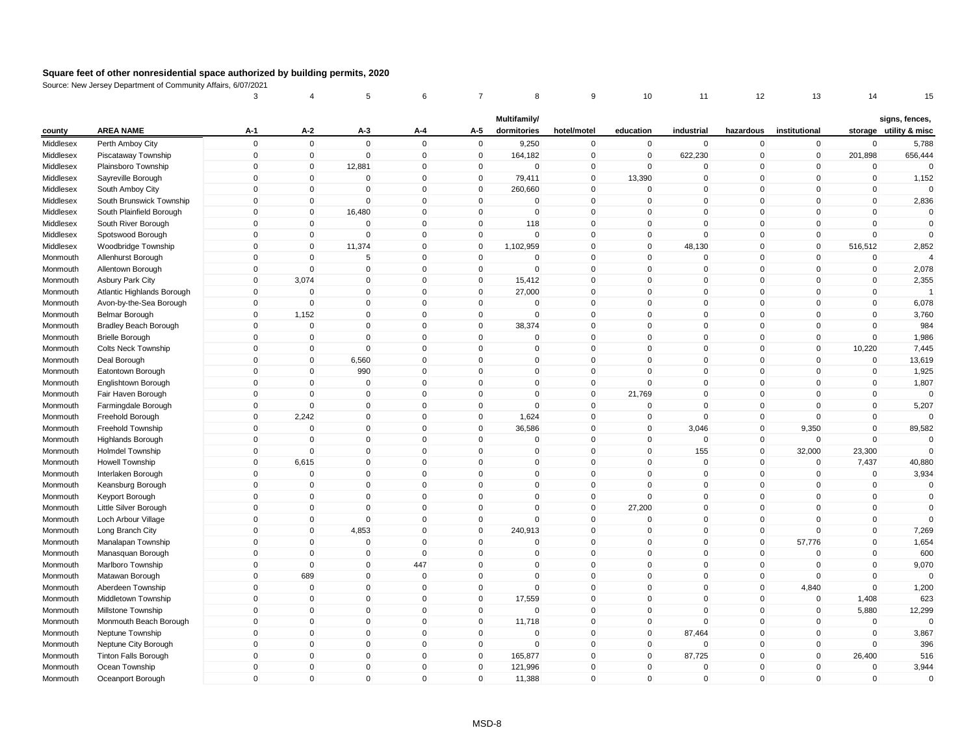|           |                              | 3              | 4           | 5            | 6           | 7            | 8                           | 9           | 10           | 11           | 12           | 13            | 14          | 15                                       |
|-----------|------------------------------|----------------|-------------|--------------|-------------|--------------|-----------------------------|-------------|--------------|--------------|--------------|---------------|-------------|------------------------------------------|
| county    | <b>AREA NAME</b>             | A-1            | $A-2$       | A-3          | A-4         | A-5          | Multifamily/<br>dormitories | hotel/motel | education    | industrial   | hazardous    | institutional |             | signs, fences,<br>storage utility & misc |
| Middlesex | Perth Amboy City             | $\mathbf 0$    | $\pmb{0}$   | $\mathbf 0$  | $\mathbf 0$ | $\mathbf 0$  | 9,250                       | $\mathbf 0$ | $\mathbf 0$  | $\mathbf 0$  | $\mathbf 0$  | $\pmb{0}$     | $\mathbf 0$ | 5,788                                    |
| Middlesex | Piscataway Township          | $\mathbf 0$    | $\pmb{0}$   | $\mathbf{0}$ | $\mathbf 0$ | $\mathbf 0$  | 164,182                     | $\mathsf 0$ | $\mathbf 0$  | 622,230      | $\mathbf 0$  | $\mathbf 0$   | 201,898     | 656,444                                  |
| Middlesex | Plainsboro Township          | 0              | $\pmb{0}$   | 12,881       | $\mathbf 0$ | $\mathbf 0$  | $\mathbf 0$                 | $\mathbf 0$ | $\Omega$     | 0            | $\Omega$     | $\mathbf 0$   | $\mathbf 0$ |                                          |
| Middlesex | Sayreville Borough           | $\mathbf 0$    | $\pmb{0}$   | $\mathbf{0}$ | $\mathbf 0$ | $\mathbf 0$  | 79,411                      | $\mathsf 0$ | 13,390       | 0            | $\mathbf{0}$ | $\mathbf 0$   | $\mathbf 0$ | 1,152                                    |
| Middlesex | South Amboy City             | 0              | $\mathbf 0$ | $\mathbf{0}$ | $\mathbf 0$ | $\mathbf 0$  | 260,660                     | $\mathbf 0$ | $\mathbf 0$  | 0            | $\mathbf 0$  | $\mathbf 0$   | $\mathbf 0$ | $\Omega$                                 |
| Middlesex | South Brunswick Township     | 0              | $\pmb{0}$   | $\Omega$     | $\mathbf 0$ | $\mathbf 0$  | $\Omega$                    | $\mathsf 0$ | $\mathbf{0}$ | $\mathbf 0$  | $\mathbf 0$  | $\Omega$      | $\mathbf 0$ | 2,836                                    |
| Middlesex | South Plainfield Borough     | 0              | $\pmb{0}$   | 16,480       | $\Omega$    | $\mathbf 0$  | $\mathbf 0$                 | $\mathsf 0$ | $\mathbf{0}$ | 0            | $\mathbf{0}$ | $\Omega$      | $\mathbf 0$ | $\Omega$                                 |
| Middlesex | South River Borough          | $\Omega$       | $\mathbf 0$ | $\Omega$     | $\Omega$    | $\mathbf 0$  | 118                         | $\mathsf 0$ | $\Omega$     | $\mathbf{0}$ | $\mathbf{0}$ | $\Omega$      | $\Omega$    | $\Omega$                                 |
| Middlesex | Spotswood Borough            | $\overline{0}$ | $\mathbf 0$ | $\mathbf{0}$ | $\mathbf 0$ | $\mathbf 0$  | $\mathsf 0$                 | $\mathsf 0$ | $\mathbf 0$  | $\mathbf 0$  | $\mathbf{0}$ | $\mathbf 0$   | $\mathbf 0$ | $\Omega$                                 |
| Middlesex | Woodbridge Township          | 0              | $\pmb{0}$   | 11,374       | 0           | $\mathbf 0$  | 1,102,959                   | $\mathbf 0$ | $\mathbf 0$  | 48,130       | $\mathbf 0$  | $\mathbf 0$   | 516,512     | 2,852                                    |
| Monmouth  | Allenhurst Borough           | 0              | $\mathbf 0$ | 5            | $\Omega$    | $\Omega$     | $\mathbf 0$                 | $\mathbf 0$ | $\mathbf{0}$ | 0            | $\mathbf{0}$ | $\mathbf 0$   | $\mathbf 0$ | $\Delta$                                 |
| Monmouth  | Allentown Borough            | 0              | $\mathbf 0$ | $\mathbf 0$  | $\mathbf 0$ | 0            | $\mathbf 0$                 | $\pmb{0}$   | $\mathbf 0$  | 0            | $\mathbf 0$  | $\mathbf 0$   | $\mathbf 0$ | 2,078                                    |
| Monmouth  | <b>Asbury Park City</b>      | $\mathbf{0}$   | 3,074       | $\mathbf 0$  | $\Omega$    | $\mathbf 0$  | 15,412                      | $\mathbf 0$ | $\mathbf 0$  | $\Omega$     | $\mathbf 0$  | $\Omega$      | $\mathbf 0$ | 2,355                                    |
| Monmouth  | Atlantic Highlands Borough   | $\Omega$       | $\mathbf 0$ | $\mathbf 0$  | $\Omega$    | $\mathbf 0$  | 27,000                      | $\mathbf 0$ | $\mathbf{0}$ | 0            | $\mathbf 0$  | $\Omega$      | $\mathbf 0$ | $\overline{1}$                           |
| Monmouth  | Avon-by-the-Sea Borough      | 0              | $\mathbf 0$ | $\mathbf{0}$ | $\mathbf 0$ | 0            | $\mathbf 0$                 | $\mathbf 0$ | $\mathbf{0}$ | $\mathbf 0$  | $\mathbf 0$  | $\Omega$      | $\mathbf 0$ | 6,078                                    |
| Monmouth  | Belmar Borough               | $\Omega$       | 1,152       | $\mathbf{0}$ | $\Omega$    | $\mathbf 0$  | $\mathbf 0$                 | $\mathbf 0$ | $\Omega$     | $\Omega$     | $\mathbf{0}$ | $\Omega$      | $\mathbf 0$ | 3,760                                    |
| Monmouth  | <b>Bradley Beach Borough</b> | 0              | $\mathbf 0$ | $\mathbf{0}$ | $\mathbf 0$ | $\mathbf 0$  | 38,374                      | $\mathsf 0$ | $\mathbf 0$  | $\mathbf 0$  | $\mathbf 0$  | 0             | $\mathbf 0$ | 984                                      |
| Monmouth  | <b>Brielle Borough</b>       | $\mathbf{0}$   | $\pmb{0}$   | $\mathbf 0$  | $\mathbf 0$ | $\mathbf 0$  | $\mathbf 0$                 | $\mathbf 0$ | $\mathbf 0$  | $\mathbf 0$  | $\mathbf 0$  | $\pmb{0}$     | $\mathbf 0$ | 1,986                                    |
| Monmouth  | <b>Colts Neck Township</b>   | $\mathbf 0$    | $\mathbf 0$ | $\mathbf{0}$ | $\mathbf 0$ | $\mathbf 0$  | $\mathbf 0$                 | $\mathbf 0$ | $\mathbf 0$  | $\mathbf 0$  | $\mathbf 0$  | $\mathbf 0$   | 10,220      | 7,445                                    |
| Monmouth  | Deal Borough                 | $\mathbf 0$    | $\pmb{0}$   | 6,560        | $\mathbf 0$ | $\mathbf 0$  | $\mathbf 0$                 | $\mathsf 0$ | $\Omega$     | $\mathbf 0$  | $\mathbf{0}$ | $\mathbf 0$   | $\mathbf 0$ | 13,619                                   |
| Monmouth  | Eatontown Borough            | $\Omega$       | $\mathbf 0$ | 990          | $\Omega$    | $\mathbf 0$  | $\mathbf 0$                 | $\mathsf 0$ | $\Omega$     | $\mathbf 0$  | $\mathbf{0}$ | $\Omega$      | $\mathbf 0$ | 1,925                                    |
| Monmouth  | Englishtown Borough          | 0              | $\mathbf 0$ | $\mathbf 0$  | $\mathbf 0$ | $\mathbf 0$  | $\mathbf 0$                 | $\mathbf 0$ | $\Omega$     | $\mathbf 0$  | $\mathbf 0$  | $\Omega$      | $\mathbf 0$ | 1,807                                    |
| Monmouth  | Fair Haven Borough           | 0              | $\mathbf 0$ | $\mathbf 0$  | $\mathbf 0$ | $\mathbf 0$  | $\mathbf 0$                 | $\mathbf 0$ | 21,769       | 0            | $\mathbf 0$  | $\Omega$      | $\mathbf 0$ | $\Omega$                                 |
| Monmouth  | Farmingdale Borough          | 0              | $\mathbf 0$ | $\mathbf{0}$ | $\Omega$    | $\mathbf{0}$ | $\Omega$                    | $\mathsf 0$ | $\Omega$     | $\Omega$     | $\mathbf{0}$ | $\Omega$      | $\mathbf 0$ | 5,207                                    |
| Monmouth  | Freehold Borough             | 0              | 2,242       | $\mathbf 0$  | $\mathbf 0$ | $\mathbf 0$  | 1,624                       | $\mathsf 0$ | $\mathbf 0$  | $\mathbf 0$  | $\mathbf 0$  | $\mathbf 0$   | $\mathbf 0$ | $\Omega$                                 |
| Monmouth  | Freehold Township            | $\mathbf 0$    | $\pmb{0}$   | $\mathbf{0}$ | $\pmb{0}$   | $\mathsf 0$  | 36,586                      | $\pmb{0}$   | 0            | 3,046        | $\mathsf 0$  | 9,350         | $\mathbf 0$ | 89,582                                   |
| Monmouth  | <b>Highlands Borough</b>     | $\mathbf 0$    | $\mathbf 0$ | $\mathbf 0$  | $\mathbf 0$ | $\mathbf 0$  | $\mathbf 0$                 | $\mathsf 0$ | $\mathbf 0$  | $\mathbf 0$  | $\mathbf 0$  | $\mathbf 0$   | $\mathbf 0$ | $\mathbf 0$                              |
| Monmouth  | <b>Holmdel Township</b>      | $\mathbf 0$    | $\mathbf 0$ | $\mathbf 0$  | $\mathbf 0$ | 0            | $\mathbf 0$                 | $\mathbf 0$ | $\mathbf 0$  | 155          | $\mathbf 0$  | 32,000        | 23,300      | $\Omega$                                 |
| Monmouth  | Howell Township              | $\overline{0}$ | 6,615       | $\mathbf{0}$ | $\Omega$    | $\mathbf{0}$ | $\Omega$                    | $\mathsf 0$ | $\mathbf{0}$ | 0            | $\mathbf{0}$ | $\mathbf 0$   | 7,437       | 40,880                                   |
| Monmouth  | Interlaken Borough           | 0              | $\mathbf 0$ | $\mathbf 0$  | $\mathbf 0$ | $\mathbf 0$  | $\mathbf 0$                 | $\mathsf 0$ | $\mathbf{0}$ | $\mathbf 0$  | $\mathbf 0$  | $\mathbf 0$   | $\mathbf 0$ | 3,934                                    |
| Monmouth  | Keansburg Borough            | $\Omega$       | $\mathbf 0$ | $\mathbf 0$  | $\Omega$    | $\mathbf 0$  | $\Omega$                    | $\mathbf 0$ | $\Omega$     | $\mathbf 0$  | $\mathbf 0$  | $\Omega$      | 0           | 0                                        |
| Monmouth  | Keyport Borough              | $\Omega$       | $\mathbf 0$ | $\mathbf{0}$ | $\Omega$    | $\mathbf 0$  | $\mathbf 0$                 | $\mathsf 0$ | $\Omega$     | $\Omega$     | $\mathbf{0}$ | $\Omega$      | $\mathbf 0$ | $\mathbf 0$                              |
| Monmouth  | Little Silver Borough        | 0              | $\pmb{0}$   | $\mathbf 0$  | $\mathbf 0$ | $\mathbf 0$  | 0                           | $\pmb{0}$   | 27,200       | 0            | $\mathbf 0$  | 0             | $\mathbf 0$ | $\Omega$                                 |
| Monmouth  | Loch Arbour Village          | $\overline{0}$ | $\mathbf 0$ | $\mathbf{0}$ | $\Omega$    | $\mathbf 0$  | $\mathbf 0$                 | $\mathsf 0$ | $\Omega$     | $\mathbf 0$  | $\mathbf 0$  | $\Omega$      | $\mathbf 0$ | $\Omega$                                 |
| Monmouth  | Long Branch City             | 0              | $\pmb{0}$   | 4,853        | $\mathbf 0$ | $\mathbf 0$  | 240,913                     | $\mathbf 0$ | $\mathbf 0$  | $\mathbf 0$  | $\mathbf 0$  | $\mathbf 0$   | $\mathbf 0$ | 7,269                                    |
| Monmouth  | Manalapan Township           | $\Omega$       | $\pmb{0}$   | $\mathbf 0$  | $\Omega$    | 0            | 0                           | $\mathbf 0$ | $\Omega$     | $\Omega$     | $\mathbf 0$  | 57,776        | $\mathbf 0$ | 1,654                                    |
| Monmouth  | Manasquan Borough            | $\Omega$       | $\mathbf 0$ | $\mathbf 0$  | $\Omega$    | $\Omega$     | $\mathbf 0$                 | $\mathsf 0$ | $\Omega$     | $\mathbf 0$  | $\mathbf{0}$ | $\mathbf 0$   | $\mathbf 0$ | 600                                      |
| Monmouth  | Marlboro Township            | 0              | $\mathbf 0$ | $\mathbf{0}$ | 447         | $\mathbf 0$  | 0                           | $\mathsf 0$ | $\mathbf 0$  | $\mathbf 0$  | $\mathbf 0$  | $\mathbf 0$   | $\mathbf 0$ | 9,070                                    |
| Monmouth  | Matawan Borough              | $\Omega$       | 689         | $\mathbf{0}$ | $\Omega$    | $\mathbf{0}$ | $\mathbf{0}$                | $\mathsf 0$ | $\Omega$     | $\mathbf 0$  | $\mathbf 0$  | $\mathbf 0$   | $\mathbf 0$ | $\Omega$                                 |
| Monmouth  | Aberdeen Township            | 0              | $\mathbf 0$ | $\mathbf{0}$ | $\mathbf 0$ | $\mathbf 0$  | $\mathbf 0$                 | $\mathbf 0$ | $\Omega$     | 0            | $\mathbf 0$  | 4,840         | $\Omega$    | 1,200                                    |
| Monmouth  | Middletown Township          | 0              | $\mathbf 0$ | $\mathbf{0}$ | $\Omega$    | $\mathbf 0$  | 17,559                      | $\mathsf 0$ | $\Omega$     | $\mathbf 0$  | $\mathbf{0}$ | $\mathbf 0$   | 1,408       | 623                                      |
| Monmouth  | Millstone Township           | $\overline{0}$ | $\mathbf 0$ | $\mathbf{0}$ | $\mathbf 0$ | $\mathbf 0$  | $\mathbf 0$                 | $\mathsf 0$ | $\mathbf{0}$ | $\mathbf 0$  | $\mathbf 0$  | $\mathbf 0$   | 5,880       | 12,299                                   |
| Monmouth  | Monmouth Beach Borough       | $\mathbf{0}$   | $\pmb{0}$   | $\mathbf 0$  | $\mathbf 0$ | $\mathbf 0$  | 11,718                      | $\mathsf 0$ | $\mathbf 0$  | $\mathbf 0$  | $\mathbf 0$  | $\mathbf 0$   | $\mathbf 0$ | $\Omega$                                 |
| Monmouth  | Neptune Township             | 0              | $\mathbf 0$ | $\mathbf 0$  | 0           | 0            | 0                           | $\mathbf 0$ | 0            | 87,464       | 0            | 0             | $\mathbf 0$ | 3,867                                    |
| Monmouth  | Neptune City Borough         | 0              | $\mathbf 0$ | $\mathbf 0$  | $\mathbf 0$ | $\mathbf 0$  | $\mathbf 0$                 | $\mathsf 0$ | $\mathbf 0$  | 0            | $\mathbf{0}$ | $\mathbf 0$   | $\Omega$    | 396                                      |
| Monmouth  | <b>Tinton Falls Borough</b>  | 0              | $\pmb{0}$   | $\mathbf 0$  | $\mathbf 0$ | $\mathbf 0$  | 165,877                     | $\mathsf 0$ | $\mathbf 0$  | 87,725       | 0            | $\mathbf 0$   | 26,400      | 516                                      |
| Monmouth  | Ocean Township               | $\Omega$       | $\mathbf 0$ | $\mathbf{0}$ | $\Omega$    | $\mathbf{0}$ | 121,996                     | $\mathbf 0$ | $\mathbf{0}$ | $\Omega$     | $\mathbf{0}$ | $\Omega$      | $\mathbf 0$ | 3,944                                    |
| Monmouth  | Oceanport Borough            | $\overline{0}$ | $\mathbf 0$ | $\mathbf{0}$ | $\Omega$    | $\mathbf{0}$ | 11,388                      | $\mathbf 0$ | $\mathbf{0}$ | $\Omega$     | $\mathbf{0}$ | $\Omega$      | $\mathbf 0$ | $\Omega$                                 |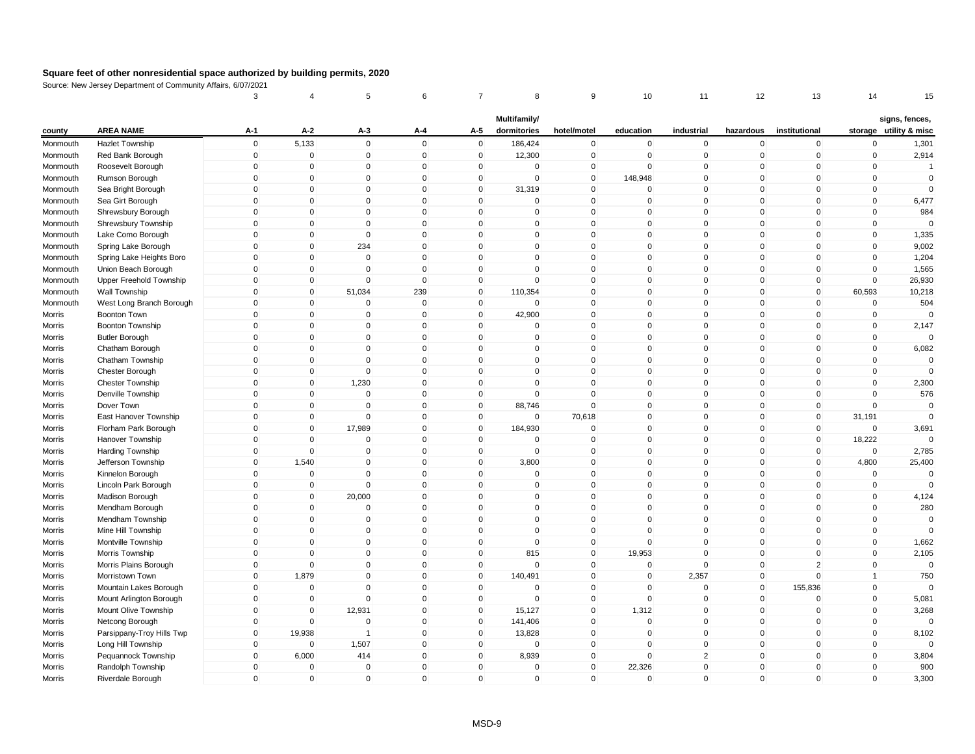|          |                           | 3           | 4              | 5              | 6            | 7            | 8                           | 9              | 10          | 11             | 12           | 13             | 14             | 15                                       |
|----------|---------------------------|-------------|----------------|----------------|--------------|--------------|-----------------------------|----------------|-------------|----------------|--------------|----------------|----------------|------------------------------------------|
| county   | <b>AREA NAME</b>          | $A-1$       | $A-2$          | $A-3$          | A-4          | A-5          | Multifamily/<br>dormitories | hotel/motel    | education   | industrial     | hazardous    | institutional  |                | signs, fences,<br>storage utility & misc |
| Monmouth | <b>Hazlet Township</b>    | $\mathsf 0$ | 5,133          | $\mathbf 0$    | $\mathbf 0$  | $\mathbf 0$  | 186,424                     | $\mathbf 0$    | $\mathbf 0$ | $\mathbf 0$    | $\mathbf 0$  | $\mathbf 0$    | $\mathbf 0$    | 1,301                                    |
| Monmouth | Red Bank Borough          | $\mathsf 0$ | $\overline{0}$ | $\overline{0}$ | $\mathbf 0$  | $\mathbf 0$  | 12,300                      | $\mathbf 0$    | $\mathbf 0$ | $\mathbf 0$    | $\mathbf 0$  | $\mathbf 0$    | $\mathbf 0$    | 2,914                                    |
| Monmouth | Roosevelt Borough         | $\mathbf 0$ | $\pmb{0}$      | $\mathbf 0$    | $\mathbf{0}$ | 0            | 0                           | $\mathbf 0$    | $\mathbf 0$ | $\mathbf 0$    | $\mathbf 0$  | $\Omega$       | $\pmb{0}$      | $\overline{1}$                           |
| Monmouth | Rumson Borough            | $\mathsf 0$ | $\mathbf{0}$   | $\Omega$       | $\mathbf{0}$ | $\mathbf 0$  | $\mathbf 0$                 | $\mathbf 0$    | 148,948     | $\Omega$       | $\mathbf{0}$ | $\mathbf{0}$   | $\mathbf 0$    | $\mathbf 0$                              |
| Monmouth | Sea Bright Borough        | $\mathsf 0$ | $\mathbf 0$    | $\mathbf 0$    | $\mathbf 0$  | $\mathbf 0$  | 31,319                      | $\overline{0}$ | $\mathbf 0$ | $\mathbf 0$    | $\mathbf 0$  | $\mathbf 0$    | $\mathbf 0$    | $\mathbf 0$                              |
| Monmouth | Sea Girt Borough          | $\mathbf 0$ | $\mathbf{0}$   | $\Omega$       | $\mathbf{0}$ | $\mathbf{0}$ | $\mathbf{0}$                | $\mathbf 0$    | $\mathbf 0$ | $\mathbf 0$    | $\mathbf 0$  | $\Omega$       | $\mathbf 0$    | 6,477                                    |
| Monmouth | Shrewsbury Borough        | $\Omega$    | $\mathbf{0}$   | $\Omega$       | $\mathbf{0}$ | $\Omega$     | $\mathbf{0}$                | $\pmb{0}$      | $\mathbf 0$ | $\mathbf 0$    | $\mathbf 0$  | $\Omega$       | $\mathbf 0$    | 984                                      |
| Monmouth | Shrewsbury Township       | $\mathsf 0$ | $\mathbf 0$    | $\mathbf 0$    | $\mathbf 0$  | $\mathbf 0$  | $\mathbf 0$                 | $\mathbf 0$    | $\mathbf 0$ | $\mathbf 0$    | $\mathbf 0$  | $\mathbf 0$    | $\pmb{0}$      | $\Omega$                                 |
| Monmouth | Lake Como Borough         | $\mathsf 0$ | $\mathbf 0$    | $\mathbf 0$    | $\mathbf{0}$ | $\Omega$     | $\mathbf{0}$                | $\mathbf 0$    | $\mathbf 0$ | $\mathbf 0$    | $\mathbf 0$  | $\mathbf{0}$   | $\mathbf 0$    | 1,335                                    |
| Monmouth | Spring Lake Borough       | $\mathbf 0$ | $\mathbf 0$    | 234            | $\mathbf 0$  | $\mathbf 0$  | $\mathbf 0$                 | $\mathbf 0$    | $\mathbf 0$ | $\mathbf 0$    | $\mathbf 0$  | $\mathbf 0$    | $\mathbf 0$    | 9,002                                    |
| Monmouth | Spring Lake Heights Boro  | $\Omega$    | $\mathbf 0$    | $\mathbf 0$    | $\mathbf 0$  | $\Omega$     | $\mathbf 0$                 | $\pmb{0}$      | 0           | $\Omega$       | 0            | $\mathbf 0$    | $\mathbf 0$    | 1,204                                    |
| Monmouth | Union Beach Borough       | $\Omega$    | $\mathbf 0$    | $\mathbf 0$    | $\mathbf{0}$ | $\mathbf 0$  | $\mathbf 0$                 | $\mathbf 0$    | $\mathbf 0$ | $\mathbf 0$    | $\mathbf 0$  | $\mathbf{0}$   | $\mathbf 0$    | 1,565                                    |
| Monmouth | Upper Freehold Township   | $\mathsf 0$ | $\mathbf 0$    | $\mathbf 0$    | $\mathbf 0$  | $\mathbf 0$  | $\mathbf 0$                 | $\mathbf 0$    | $\mathbf 0$ | $\mathbf 0$    | $\mathbf 0$  | $\overline{0}$ | $\mathbf 0$    | 26,930                                   |
| Monmouth | Wall Township             | $\Omega$    | $\mathbf 0$    | 51,034         | 239          | $\mathbf{0}$ | 110,354                     | $\mathbf 0$    | $\mathbf 0$ | $\mathbf 0$    | $\mathbf 0$  | $\mathbf{0}$   | 60,593         | 10,218                                   |
| Monmouth | West Long Branch Borough  | $\Omega$    | $\mathbf 0$    | $\Omega$       | $\mathbf 0$  | $\mathbf 0$  | $\Omega$                    | $\mathbf 0$    | $\mathbf 0$ | $\mathsf 0$    | $\mathbf 0$  | $\mathbf 0$    | $\mathbf 0$    | 504                                      |
| Morris   | Boonton Town              | $\Omega$    | $\mathbf 0$    | $\mathbf 0$    | $\mathbf 0$  | $\mathbf 0$  | 42,900                      | $\mathbf 0$    | $\Omega$    | $\mathbf 0$    | $\mathbf 0$  | $\mathbf{0}$   | $\mathbf 0$    |                                          |
| Morris   | <b>Boonton Township</b>   | $\mathsf 0$ | $\mathbf 0$    | $\mathbf 0$    | $\mathbf 0$  | $\mathbf 0$  | $\mathbf 0$                 | $\mathbf 0$    | $\mathbf 0$ | $\mathsf 0$    | $\mathbf 0$  | $\mathbf 0$    | $\mathbf 0$    | 2,147                                    |
| Morris   | <b>Butler Borough</b>     | $\mathsf 0$ | $\mathbf 0$    | $\mathbf 0$    | $\mathbf 0$  | $\mathbf 0$  | $\mathbf 0$                 | $\mathbf 0$    | $\mathbf 0$ | $\mathbf 0$    | $\mathbf 0$  | $\mathbf 0$    | $\mathbf 0$    | $\Omega$                                 |
| Morris   | Chatham Borough           | 0           | $\Omega$       | 0              | $\mathbf 0$  | $\Omega$     | 0                           | $\pmb{0}$      | 0           | $\mathbf 0$    | 0            | $\mathbf 0$    | $\pmb{0}$      | 6,082                                    |
| Morris   | Chatham Township          | $\mathsf 0$ | $\mathbf{0}$   | $\mathbf 0$    | $\mathbf{0}$ | $\mathbf{0}$ | $\mathbf{0}$                | $\pmb{0}$      | $\mathbf 0$ | $\mathbf 0$    | $\mathbf 0$  | $\mathbf{0}$   | $\mathbf 0$    | $\mathbf 0$                              |
| Morris   | Chester Borough           | $\mathbf 0$ | $\mathbf 0$    | $\mathbf 0$    | $\mathbf 0$  | $\mathbf 0$  | $\mathbf 0$                 | $\mathbf 0$    | $\mathbf 0$ | $\mathbf 0$    | $\mathbf 0$  | $\mathbf{0}$   | $\mathbf 0$    | $\mathbf 0$                              |
| Morris   | <b>Chester Township</b>   | $\mathbf 0$ | $\mathbf{0}$   | 1,230          | $\mathbf{0}$ | $\mathbf{0}$ | $\mathbf{0}$                | $\mathbf 0$    | $\mathbf 0$ | $\Omega$       | $\mathsf 0$  | $\mathbf{0}$   | $\mathbf 0$    | 2,300                                    |
| Morris   | Denville Township         | $\Omega$    | $\mathbf{0}$   | $\Omega$       | $\mathbf{0}$ | $\Omega$     | $\mathbf{0}$                | $\mathbf 0$    | $\mathbf 0$ | $\mathbf 0$    | $\mathbf{0}$ | $\mathbf{0}$   | $\mathbf 0$    | 576                                      |
| Morris   | Dover Town                | $\mathbf 0$ | $\mathbf 0$    | $\mathbf 0$    | $\mathbf 0$  | $\mathbf 0$  | 88,746                      | $\mathbf 0$    | $\Omega$    | $\mathbf 0$    | $\mathbf 0$  | $\mathbf 0$    | $\mathbf 0$    | $\Omega$                                 |
| Morris   | East Hanover Township     | $\mathbf 0$ | $\mathbf 0$    | $\mathbf 0$    | $\mathbf{0}$ | $\mathbf 0$  | $\mathbf{0}$                | 70,618         | $\mathbf 0$ | $\mathbf 0$    | $\mathbf{0}$ | $\mathbf 0$    | 31,191         | $\Omega$                                 |
| Morris   | Florham Park Borough      | $\mathbf 0$ | $\mathbf 0$    | 17,989         | $\mathbf 0$  | $\mathbf 0$  | 184,930                     | $\mathbf 0$    | $\mathbf 0$ | $\pmb{0}$      | $\mathbf 0$  | $\mathbf 0$    | $\mathbf 0$    | 3,691                                    |
| Morris   | Hanover Township          | 0           | $\mathbf 0$    | $\mathbf 0$    | $\mathbf 0$  | $\mathbf 0$  | $\mathbf 0$                 | $\mathbf 0$    | $\mathbf 0$ | $\mathbf 0$    | $\mathbf 0$  | $\mathbf 0$    | 18,222         | $\Omega$                                 |
| Morris   | Harding Township          | $\Omega$    | $\mathbf{0}$   | $\mathbf 0$    | $\mathbf{0}$ | $\Omega$     | $\mathbf{0}$                | $\mathbf 0$    | $\mathbf 0$ | $\mathbf 0$    | $\mathbf 0$  | $\mathbf{0}$   | $\mathbf 0$    | 2,785                                    |
| Morris   | Jefferson Township        | $\mathsf 0$ | 1,540          | $\mathbf 0$    | $\mathbf 0$  | $\mathbf 0$  | 3,800                       | $\mathbf 0$    | $\mathbf 0$ | $\mathbf 0$    | $\mathbf 0$  | $\mathbf 0$    | 4,800          | 25,400                                   |
| Morris   | Kinnelon Borough          | $\Omega$    | $\overline{0}$ | $\mathbf 0$    | $\mathbf 0$  | $\Omega$     | $\mathbf 0$                 | $\overline{0}$ | $\mathbf 0$ | $\mathbf 0$    | $\mathbf 0$  | $\mathbf 0$    | $\mathbf 0$    | $\mathbf 0$                              |
| Morris   | Lincoln Park Borough      | $\mathbf 0$ | $\mathbf 0$    | $\mathbf 0$    | $\mathbf 0$  | $\Omega$     | $\Omega$                    | $\mathbf 0$    | $\mathbf 0$ | $\mathbf 0$    | $\mathbf 0$  | $\mathbf{0}$   | $\mathbf 0$    | $\Omega$                                 |
| Morris   | Madison Borough           | $\Omega$    | $\mathbf 0$    | 20,000         | $\mathbf{0}$ | $\Omega$     | $\mathbf{0}$                | $\mathbf 0$    | $\Omega$    | $\mathbf 0$    | $\mathbf 0$  | $\mathbf{0}$   | $\mathbf 0$    | 4,124                                    |
| Morris   | Mendham Borough           | $\mathbf 0$ | $\Omega$       | $\Omega$       | $\mathbf{0}$ | $\Omega$     | $\mathbf{0}$                | $\mathbf{0}$   | $\Omega$    | $\mathbf 0$    | $\mathbf{0}$ | $\Omega$       | $\mathbf 0$    | 280                                      |
| Morris   | Mendham Township          | $\mathsf 0$ | $\mathbf 0$    | $\mathbf 0$    | $\mathbf{0}$ | $\mathbf 0$  | $\mathbf 0$                 | $\mathbf 0$    | $\mathbf 0$ | $\mathbf 0$    | $\mathbf 0$  | $\mathbf 0$    | $\mathbf 0$    | $\mathbf 0$                              |
| Morris   | Mine Hill Township        | $\mathsf 0$ | $\mathbf 0$    | 0              | $\mathbf 0$  | 0            | $\mathbf 0$                 | $\mathbf 0$    | 0           | $\mathbf 0$    | $\mathbf 0$  | $\mathbf 0$    | $\pmb{0}$      | $\Omega$                                 |
| Morris   | Montville Township        | $\Omega$    | $\mathbf{0}$   | $\Omega$       | $\mathbf{0}$ | $\mathbf{0}$ | $\mathbf{0}$                | $\mathbf 0$    | $\Omega$    | $\Omega$       | $\mathbf{0}$ | $\mathbf{0}$   | $\mathbf 0$    | 1,662                                    |
| Morris   | Morris Township           | $\mathbf 0$ | $\mathbf 0$    | $\overline{0}$ | $\mathbf 0$  | $\mathbf 0$  | 815                         | $\mathbf 0$    | 19,953      | $\mathsf 0$    | $\mathbf 0$  | $\mathbf 0$    | $\mathbf 0$    | 2,105                                    |
| Morris   | Morris Plains Borough     | $\mathbf 0$ | $\mathbf 0$    | $\mathbf 0$    | $\mathbf 0$  | $\mathbf 0$  | $\mathbf 0$                 | $\overline{0}$ | 0           | $\mathbf 0$    | $\mathbf 0$  | $\overline{2}$ | $\pmb{0}$      | $\mathbf 0$                              |
| Morris   | Morristown Town           | $\Omega$    | 1,879          | $\mathbf 0$    | $\mathbf{0}$ | $\mathbf 0$  | 140,491                     | $\mathbf 0$    | $\mathbf 0$ | 2,357          | $\mathbf 0$  | $\mathbf 0$    | $\overline{1}$ | 750                                      |
| Morris   | Mountain Lakes Borough    | $\mathsf 0$ | $\mathbf 0$    | $\mathbf 0$    | $\mathbf 0$  | $\mathbf 0$  | $\Omega$                    | $\pmb{0}$      | $\Omega$    | $\mathbf 0$    | $\mathbf 0$  | 155,836        | $\mathbf 0$    | $\Omega$                                 |
| Morris   | Mount Arlington Borough   | $\mathbf 0$ | $\mathbf{0}$   | $\Omega$       | $\mathbf{0}$ | $\Omega$     | $\mathbf{0}$                | $\mathbf{0}$   | $\mathbf 0$ | $\Omega$       | $\mathbf{0}$ | $\mathbf{0}$   | $\mathbf 0$    | 5,081                                    |
| Morris   | Mount Olive Township      | $\mathbf 0$ | $\mathbf 0$    | 12,931         | $\mathbf 0$  | $\mathbf 0$  | 15,127                      | $\mathbf 0$    | 1,312       | $\mathbf 0$    | $\mathbf 0$  | $\mathbf 0$    | $\mathbf 0$    | 3,268                                    |
| Morris   | Netcong Borough           | $\mathsf 0$ | $\mathbf 0$    | $\mathbf 0$    | $\mathbf 0$  | $\mathbf 0$  | 141,406                     | $\mathbf 0$    | $\mathbf 0$ | $\mathbf 0$    | $\mathbf 0$  | $\mathbf 0$    | $\pmb{0}$      | $\mathbf 0$                              |
| Morris   | Parsippany-Troy Hills Twp | $\mathbf 0$ | 19,938         | 1              | $\mathbf 0$  | $\mathbf 0$  | 13,828                      | $\pmb{0}$      | $\mathbf 0$ | $\mathsf 0$    | $\mathbf 0$  | $\mathbf 0$    | $\mathbf 0$    | 8,102                                    |
| Morris   | Long Hill Township        | $\mathsf 0$ | $\Omega$       | 1,507          | $\mathbf 0$  | $\mathbf 0$  | $\mathbf 0$                 | $\mathbf 0$    | $\mathbf 0$ | $\mathsf 0$    | $\mathbf 0$  | $\mathbf 0$    | $\mathbf 0$    | $\Omega$                                 |
| Morris   | Pequannock Township       | $\mathbf 0$ | 6,000          | 414            | $\mathbf 0$  | $\mathbf 0$  | 8,939                       | $\overline{0}$ | $\mathbf 0$ | $\overline{2}$ | $\mathbf 0$  | $\mathbf 0$    | $\pmb{0}$      | 3,804                                    |
| Morris   | Randolph Township         | $\mathbf 0$ | $\Omega$       | $\Omega$       | $\mathbf 0$  | $\Omega$     | $\mathbf{0}$                | $\mathbf 0$    | 22,326      | $\mathbf 0$    | $\mathbf 0$  | $\mathbf{0}$   | $\mathbf 0$    | 900                                      |
| Morris   | Riverdale Borough         | $\Omega$    | $\mathbf 0$    | $\mathbf 0$    | $\mathbf{0}$ | $\Omega$     | $\mathbf{0}$                | $\mathbf 0$    | $\mathbf 0$ | $\mathbf 0$    | $\mathbf 0$  | $\mathbf{0}$   | $\mathbf 0$    | 3,300                                    |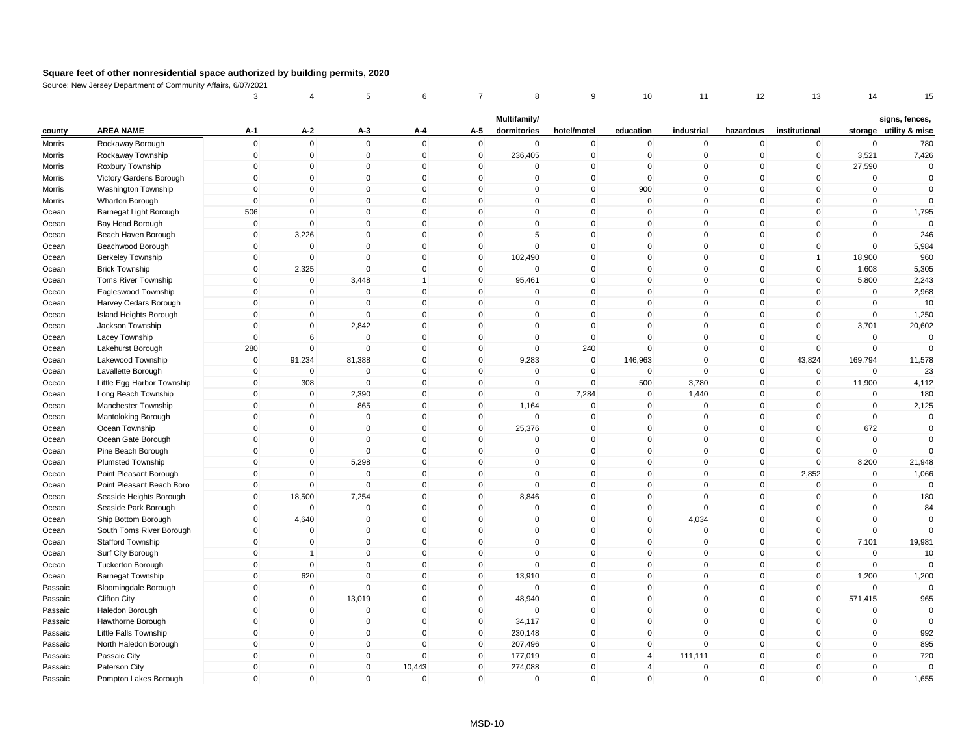|               | <b>Dopummont</b> of        | 3           | 4              | 5                   | 6            | $\overline{7}$      | 8                   | 9            | 10             | 11          | 12           | 13             | 14          | 15                     |
|---------------|----------------------------|-------------|----------------|---------------------|--------------|---------------------|---------------------|--------------|----------------|-------------|--------------|----------------|-------------|------------------------|
|               |                            |             |                |                     |              |                     | Multifamily/        |              |                |             |              |                |             | signs, fences,         |
| county        | <b>AREA NAME</b>           | A-1         | $A-2$          | $A-3$               | A-4          | A-5                 | dormitories         | hotel/motel  | education      | industrial  | hazardous    | institutional  |             | storage utility & misc |
| Morris        | Rockaway Borough           | $\mathsf 0$ | $\mathbf 0$    | $\mathbf 0$         | $\mathbf{0}$ | $\mathbf 0$         | $\mathbf 0$         | $\mathbf 0$  | $\mathbf 0$    | $\mathbf 0$ | $\mathbf 0$  | $\overline{0}$ | $\mathbf 0$ | 780                    |
| Morris        | Rockaway Township          | $\mathsf 0$ | $\mathbf 0$    | $\Omega$            | $\mathbf 0$  | $\mathbf 0$         | 236,405             | $\pmb{0}$    | $\mathbf 0$    | $\mathbf 0$ | $\mathbf 0$  | $\mathbf 0$    | 3,521       | 7,426                  |
| <b>Morris</b> | Roxbury Township           | $\mathbf 0$ | $\mathbf{0}$   | $\mathbf{0}$        | $\mathbf{0}$ | $\mathbf{0}$        | $\Omega$            | $\mathbf{0}$ | $\mathbf 0$    | $\Omega$    | $\mathbf{0}$ | $\mathbf{0}$   | 27,590      | $\mathbf 0$            |
| Morris        | Victory Gardens Borough    | $\mathsf 0$ | $\mathbf 0$    | $\mathbf 0$         | $\mathbf 0$  | $\mathbf 0$         | $\mathbf 0$         | $\mathbf 0$  | $\mathsf 0$    | $\mathbf 0$ | $\mathbf 0$  | $\mathbf 0$    | $\mathbf 0$ | $\mathbf 0$            |
| Morris        | Washington Township        | $\mathbf 0$ | $\mathbf{0}$   | 0                   | $\mathbf 0$  | $\Omega$            | $\mathbf{0}$        | $\mathbf 0$  | 900            | $\mathbf 0$ | $\mathbf 0$  | $\mathbf 0$    | $\mathbf 0$ | $\mathbf 0$            |
| Morris        | Wharton Borough            | $\mathsf 0$ | $\mathbf{0}$   | $\mathbf 0$         | $\mathbf 0$  | $\Omega$            | $\mathbf 0$         | $\mathbf 0$  | $\mathbf 0$    | $\mathbf 0$ | $\mathbf 0$  | $\mathbf{0}$   | $\pmb{0}$   | $\mathbf 0$            |
| Ocean         | Barnegat Light Borough     | 506         | $\mathbf{0}$   | 0                   | $\mathbf 0$  | $\mathbf 0$         | $\mathbf 0$         | $\mathbf 0$  | $\mathbf 0$    | $\mathbf 0$ | $\mathbf 0$  | $\mathbf 0$    | $\mathbf 0$ | 1,795                  |
| Ocean         | Bay Head Borough           | $\mathbf 0$ | $\mathbf 0$    | $\mathbf 0$         | $\mathbf{0}$ | $\Omega$            | $\mathbf 0$         | $\mathbf 0$  | $\mathbf 0$    | $\mathbf 0$ | $\mathbf 0$  | $\mathbf{0}$   | $\mathbf 0$ | $\Omega$               |
| Ocean         | Beach Haven Borough        | $\mathbf 0$ | 3,226          | 0                   | $\mathbf 0$  | $\Omega$            | 5                   | $\mathbf 0$  | $\mathbf 0$    | $\mathbf 0$ | $\mathbf 0$  | $\mathbf 0$    | $\mathbf 0$ | 246                    |
| Ocean         | Beachwood Borough          | $\mathsf 0$ | $\overline{0}$ | $\mathbf{0}$        | $\mathbf 0$  | $\mathsf{O}\xspace$ | $\mathsf{O}\xspace$ | $\mathsf 0$  | $\mathbf 0$    | $\mathbf 0$ | $\mathbf 0$  | $\mathbf{0}$   | $\mathbf 0$ | 5,984                  |
| Ocean         | Berkeley Township          | $\mathbf 0$ | $\overline{0}$ | 0                   | $\pmb{0}$    | $\mathbf 0$         | 102,490             | $\mathbf 0$  | $\mathbf 0$    | $\mathbf 0$ | $\mathbf 0$  | 1              | 18,900      | 960                    |
| Ocean         | <b>Brick Township</b>      | $\mathbf 0$ | 2,325          | $\Omega$            | $\mathbf{0}$ | $\mathbf 0$         | $\mathbf{0}$        | $\mathbf 0$  | $\mathbf 0$    | $\Omega$    | $\mathbf{0}$ | $\mathbf 0$    | 1,608       | 5,305                  |
| Ocean         | <b>Toms River Township</b> | $\Omega$    | $\mathbf 0$    | 3,448               | $\mathbf{1}$ | $\mathbf 0$         | 95,461              | $\mathbf 0$  | $\mathbf 0$    | $\mathbf 0$ | $\mathbf 0$  | $\mathbf{0}$   | 5,800       | 2,243                  |
| Ocean         | Eagleswood Township        | $\mathsf 0$ | $\overline{0}$ | $\Omega$            | $\mathbf{0}$ | $\mathbf 0$         | $\mathbf{0}$        | $\mathbf 0$  | $\mathbf 0$    | $\mathbf 0$ | $\mathbf 0$  | $\mathbf{0}$   | $\mathbf 0$ | 2,968                  |
| Ocean         | Harvey Cedars Borough      | $\Omega$    | $\mathbf 0$    | $\Omega$            | $\mathbf{0}$ | $\Omega$            | $\mathbf{0}$        | $\mathbf 0$  | $\mathbf 0$    | $\mathbf 0$ | $\mathbf 0$  | $\mathbf{0}$   | $\mathbf 0$ | 10                     |
| Ocean         | Island Heights Borough     | $\mathbf 0$ | $\mathbf 0$    | $\Omega$            | $\mathbf{0}$ | $\Omega$            | $\mathbf{0}$        | $\mathbf 0$  | $\mathbf 0$    | $\mathbf 0$ | $\mathbf 0$  | $\mathbf{0}$   | $\mathbf 0$ | 1,250                  |
| Ocean         | Jackson Township           | $\mathsf 0$ | $\mathbf 0$    | 2,842               | $\mathbf 0$  | $\mathbf 0$         | $\mathbf 0$         | $\mathbf 0$  | $\mathbf 0$    | $\mathbf 0$ | $\mathbf 0$  | $\mathbf 0$    | 3,701       | 20,602                 |
| Ocean         | Lacey Township             | $\mathsf 0$ | 6              | $\mathbf 0$         | $\mathbf 0$  | 0                   | $\mathbf 0$         | $\mathbf 0$  | 0              | $\mathbf 0$ | $\mathbf 0$  | $\mathbf 0$    | $\mathbf 0$ |                        |
| Ocean         | Lakehurst Borough          | 280         | $\mathbf 0$    | $\mathbf 0$         | $\mathbf 0$  | $\mathbf 0$         | $\mathbf 0$         | 240          | $\mathbf 0$    | $\mathbf 0$ | $\mathbf 0$  | $\mathbf 0$    | $\mathbf 0$ | $\Omega$               |
| Ocean         | Lakewood Township          | $\mathsf 0$ | 91,234         | 81,388              | $\mathbf 0$  | $\mathbf 0$         | 9,283               | $\mathbf 0$  | 146,963        | $\mathbf 0$ | $\mathbf 0$  | 43,824         | 169,794     | 11,578                 |
| Ocean         | Lavallette Borough         | $\mathsf 0$ | $\Omega$       | $\Omega$            | $\mathbf 0$  | $\Omega$            | $\mathbf 0$         | $\mathbf 0$  | $\mathbf 0$    | $\mathsf 0$ | $\mathbf 0$  | $\mathbf 0$    | $\mathbf 0$ | 23                     |
| Ocean         | Little Egg Harbor Township | $\mathbf 0$ | 308            | $\mathbf{0}$        | $\mathbf{0}$ | $\Omega$            | $\mathbf{0}$        | $\mathbf 0$  | 500            | 3,780       | $\mathbf{0}$ | $\mathbf{0}$   | 11,900      | 4,112                  |
| Ocean         | Long Beach Township        | $\mathsf 0$ | $\mathbf 0$    | 2,390               | $\mathbf 0$  | $\mathbf 0$         | $\mathbf 0$         | 7,284        | $\mathbf 0$    | 1,440       | $\mathbf 0$  | $\mathbf 0$    | $\mathbf 0$ | 180                    |
| Ocean         | Manchester Township        | $\mathbf 0$ | $\overline{0}$ | 865                 | $\mathbf{0}$ | $\mathbf 0$         | 1,164               | $\mathbf 0$  | $\mathbf 0$    | $\mathbf 0$ | $\mathbf 0$  | $\mathbf 0$    | $\mathbf 0$ | 2,125                  |
| Ocean         | Mantoloking Borough        | $\mathbf 0$ | $\mathbf 0$    | $\mathbf 0$         | $\mathbf 0$  | 0                   | $\mathbf 0$         | $\pmb{0}$    | 0              | $\mathbf 0$ | $\mathbf 0$  | $\mathbf{0}$   | $\mathbf 0$ | $\mathbf 0$            |
| Ocean         | Ocean Township             | $\mathsf 0$ | $\mathbf 0$    | $\mathbf 0$         | $\mathbf 0$  | $\mathbf 0$         | 25,376              | $\mathbf 0$  | $\mathbf 0$    | $\mathbf 0$ | $\mathbf 0$  | $\mathbf{0}$   | 672         | $\mathbf 0$            |
| Ocean         | Ocean Gate Borough         | $\mathsf 0$ | $\mathbf 0$    | $\mathbf 0$         | $\mathbf 0$  | $\mathbf 0$         | $\mathbf 0$         | $\mathbf 0$  | $\mathbf 0$    | $\mathbf 0$ | $\mathbf 0$  | $\mathbf{0}$   | $\mathbf 0$ | $\Omega$               |
| Ocean         | Pine Beach Borough         | $\mathbf 0$ | 0              | $\mathbf 0$         | $\mathbf 0$  | 0                   | $\mathbf 0$         | $\mathbf 0$  | 0              | $\mathbf 0$ | 0            | 0              | $\mathbf 0$ | $\Omega$               |
| Ocean         | Plumsted Township          | $\mathsf 0$ | $\mathbf 0$    | 5,298               | $\mathbf 0$  | $\mathsf{O}\xspace$ | $\mathbf 0$         | $\mathsf 0$  | $\mathbf 0$    | $\mathbf 0$ | $\mathbf 0$  | $\mathbf{0}$   | 8,200       | 21,948                 |
| Ocean         | Point Pleasant Borough     | $\pmb{0}$   | $\Omega$       | $\mathbf 0$         | $\mathbf 0$  | $\Omega$            | $\mathbf 0$         | $\mathbf 0$  | $\mathsf 0$    | $\pmb{0}$   | $\mathbf 0$  | 2,852          | $\mathbf 0$ | 1,066                  |
| Ocean         | Point Pleasant Beach Boro  | $\mathbf 0$ | $\Omega$       | $\Omega$            | $\mathbf{0}$ | $\mathbf 0$         | $\mathbf{0}$        | $\pmb{0}$    | $\mathbf 0$    | $\Omega$    | $\mathbf{0}$ | $\mathbf{0}$   | $\mathbf 0$ | $\Omega$               |
| Ocean         | Seaside Heights Borough    | $\mathbf 0$ | 18,500         | 7,254               | $\mathbf 0$  | $\mathbf 0$         | 8,846               | $\mathbf 0$  | $\mathbf 0$    | $\mathbf 0$ | $\mathbf 0$  | $\mathbf{0}$   | $\mathbf 0$ | 180                    |
| Ocean         | Seaside Park Borough       | $\mathsf 0$ | $\mathbf{0}$   | $\mathbf 0$         | $\mathbf 0$  | $\mathbf 0$         | $\mathbf{0}$        | $\mathbf 0$  | $\mathbf 0$    | $\mathsf 0$ | $\mathbf 0$  | $\mathbf 0$    | $\mathbf 0$ | 84                     |
| Ocean         | Ship Bottom Borough        | $\Omega$    | 4,640          | $\mathbf 0$         | $\mathbf{0}$ | $\Omega$            | $\mathbf{0}$        | $\mathbf 0$  | $\mathbf 0$    | 4,034       | $\mathbf 0$  | $\mathbf{0}$   | $\mathbf 0$ | $\mathbf 0$            |
| Ocean         | South Toms River Borough   | $\mathbf 0$ | $\mathbf 0$    | $\Omega$            | $\mathbf 0$  | $\Omega$            | $\mathbf{0}$        | $\mathbf 0$  | $\mathbf 0$    | $\mathbf 0$ | $\mathbf 0$  | $\mathbf{0}$   | $\mathbf 0$ | $\Omega$               |
| Ocean         | Stafford Township          | $\mathbf 0$ | $\overline{0}$ | $\mathbf 0$         | $\mathbf 0$  | $\mathbf 0$         | $\mathbf 0$         | $\mathbf 0$  | $\mathbf 0$    | $\mathbf 0$ | $\mathbf 0$  | $\mathbf 0$    | 7,101       | 19,981                 |
| Ocean         | Surf City Borough          | 0           | 1              | 0                   | $\mathbf 0$  | $\mathbf 0$         | $\mathbf 0$         | $\mathbf 0$  | $\mathbf 0$    | $\mathbf 0$ | $\mathbf 0$  | $\mathbf 0$    | $\mathbf 0$ | 10                     |
| Ocean         | <b>Tuckerton Borough</b>   | $\mathbf 0$ | $\mathbf 0$    | 0                   | $\mathbf 0$  | 0                   | $\mathbf 0$         | $\pmb{0}$    | 0              | $\mathbf 0$ | 0            | $\mathbf 0$    | $\mathbf 0$ | $\Omega$               |
| Ocean         | <b>Barnegat Township</b>   | $\mathbf 0$ | 620            | $\mathsf{O}\xspace$ | $\mathbf 0$  | $\mathbf 0$         | 13,910              | $\mathbf 0$  | $\mathsf 0$    | $\mathbf 0$ | $\mathbf 0$  | $\mathbf 0$    | 1,200       | 1,200                  |
| Passaic       | Bloomingdale Borough       | $\mathsf 0$ | $\mathbf 0$    | $\Omega$            | $\mathbf 0$  | $\mathbf 0$         | $\Omega$            | $\mathbf 0$  | $\mathbf 0$    | $\Omega$    | $\mathbf 0$  | $\mathbf 0$    | $\mathbf 0$ | $\Omega$               |
| Passaic       | <b>Clifton City</b>        | $\mathbf 0$ | $\mathbf{0}$   | 13,019              | $\mathbf{0}$ | $\Omega$            | 48,940              | $\mathbf{0}$ | $\mathbf 0$    | $\Omega$    | $\mathbf{0}$ | $\mathbf{0}$   | 571,415     | 965                    |
| Passaic       | Haledon Borough            | $\mathsf 0$ | $\mathbf 0$    | $\mathbf 0$         | $\mathbf 0$  | $\mathbf 0$         | $\Omega$            | $\mathbf 0$  | $\mathbf 0$    | $\mathbf 0$ | $\mathbf 0$  | $\mathbf 0$    | $\mathbf 0$ | $\Omega$               |
| Passaic       | Hawthorne Borough          | $\mathsf 0$ | $\mathbf 0$    | $\mathbf 0$         | $\mathbf{0}$ | $\mathbf 0$         | 34,117              | $\mathbf 0$  | $\mathsf 0$    | $\mathbf 0$ | $\mathbf 0$  | $\mathbf 0$    | $\mathbf 0$ | $\Omega$               |
| Passaic       | Little Falls Township      | $\mathbf 0$ | $\mathbf 0$    | 0                   | $\mathbf 0$  | $\mathbf 0$         | 230,148             | $\pmb{0}$    | $\mathbf 0$    | $\mathbf 0$ | $\mathbf 0$  | $\mathbf 0$    | $\pmb{0}$   | 992                    |
| Passaic       | North Haledon Borough      | $\mathbf 0$ | $\mathbf 0$    | 0                   | $\Omega$     | $\mathbf 0$         | 207,496             | $\pmb{0}$    | $\mathbf 0$    | $\mathbf 0$ | $\mathbf 0$  | $\mathbf 0$    | $\mathbf 0$ | 895                    |
| Passaic       | Passaic City               | $\Omega$    | $\mathbf 0$    | $\mathbf 0$         | $\mathbf 0$  | $\mathbf 0$         | 177,019             | $\mathbf 0$  | $\overline{4}$ | 111,111     | $\mathbf 0$  | $\mathbf{0}$   | $\mathbf 0$ | 720                    |
| Passaic       | Paterson City              | $\Omega$    | $\mathbf{0}$   | 0                   | 10,443       | $\Omega$            | 274,088             | $\mathbf 0$  | 4              | 0           | $\mathbf 0$  | $\Omega$       | $\mathbf 0$ | $\Omega$               |
| Passaic       | Pompton Lakes Borough      | $\Omega$    | $\mathbf 0$    | $\mathbf{0}$        | $\mathbf 0$  | $\Omega$            | $\mathbf 0$         | $\mathsf 0$  | $\mathbf{0}$   | $\mathbf 0$ | $\mathbf 0$  | $\mathbf{0}$   | $\mathbf 0$ | 1,655                  |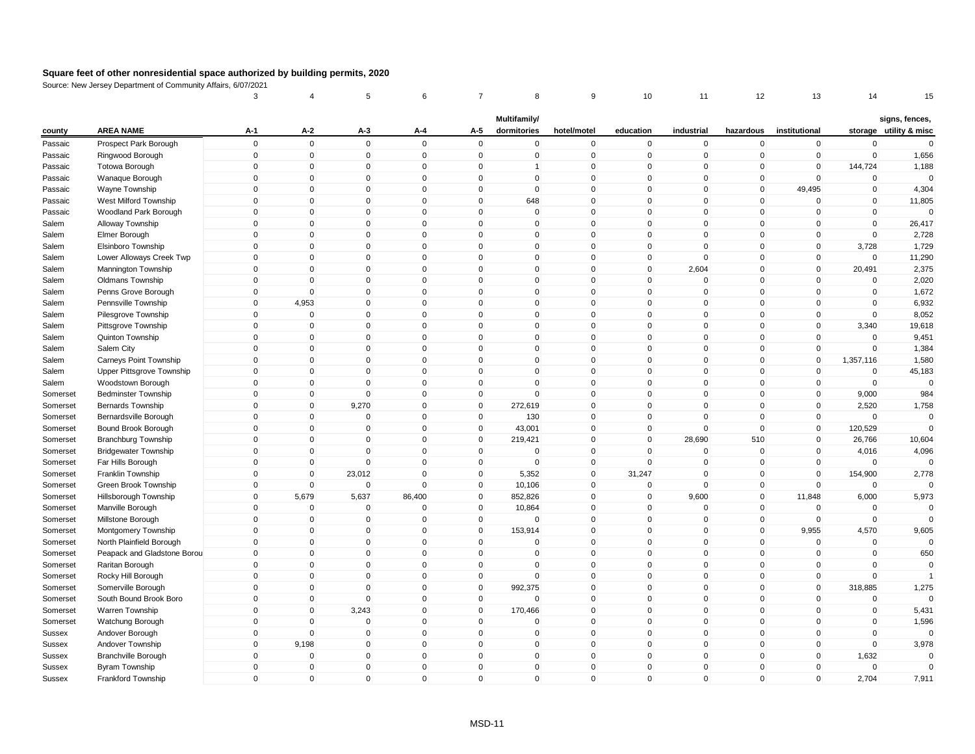|          |                             | 3           |                | 5              | 6            |              | 8                           | 9              | 10           | 11          | 12                  | 13             | 14          | 15                                       |
|----------|-----------------------------|-------------|----------------|----------------|--------------|--------------|-----------------------------|----------------|--------------|-------------|---------------------|----------------|-------------|------------------------------------------|
| county   | <b>AREA NAME</b>            | $A-1$       | $A-2$          | A-3            | A-4          | A-5          | Multifamily/<br>dormitories | hotel/motel    | education    | industrial  | hazardous           | institutional  |             | signs, fences,<br>storage utility & misc |
| Passaic  | Prospect Park Borough       | $\mathsf 0$ | $\mathbf 0$    | $\mathbf 0$    | $\mathbf 0$  | $\mathbf 0$  | $\mathbf 0$                 | $\pmb{0}$      | $\mathbf 0$  | $\mathbf 0$ | $\mathbf 0$         | $\mathbf 0$    | $\mathbf 0$ | $\mathbf 0$                              |
| Passaic  | Ringwood Borough            | $\mathsf 0$ | $\overline{0}$ | $\overline{0}$ | $\mathbf 0$  | $\mathbf 0$  | $\mathbf 0$                 | $\mathbf 0$    | $\mathbf 0$  | $\mathbf 0$ | $\mathbf 0$         | $\mathbf 0$    | $\mathbf 0$ | 1,656                                    |
| Passaic  | <b>Totowa Borough</b>       | 0           | $\mathbf 0$    | 0              | $\mathbf 0$  | 0            | $\mathbf{1}$                | $\mathbf 0$    | 0            | $\mathbf 0$ | 0                   | $\mathbf 0$    | 144,724     | 1,188                                    |
| Passaic  | Wanaque Borough             | $\mathbf 0$ | $\overline{0}$ | $\Omega$       | $\mathbf{0}$ | $\mathbf{0}$ | $\mathbf{0}$                | $\pmb{0}$      | $\mathbf 0$  | $\Omega$    | $\mathbf{0}$        | $\mathbf{0}$   | $\mathbf 0$ | $\Omega$                                 |
| Passaic  | Wayne Township              | $\mathbf 0$ | $\mathbf 0$    | $\mathbf 0$    | $\mathbf 0$  | $\mathbf 0$  | $\mathbf 0$                 | $\mathbf 0$    | $\mathbf 0$  | $\mathbf 0$ | $\mathbf 0$         | 49,495         | $\mathbf 0$ | 4,304                                    |
| Passaic  | West Milford Township       | $\mathbf 0$ | $\Omega$       | $\Omega$       | $\mathbf 0$  | $\Omega$     | 648                         | $\mathbf 0$    | 0            | $\Omega$    | $\mathbf 0$         | $\Omega$       | 0           | 11,805                                   |
| Passaic  | Woodland Park Borough       | $\Omega$    | $\mathbf{0}$   | $\mathbf{0}$   | $\mathbf{0}$ | $\Omega$     | $\mathbf{0}$                | $\mathbf 0$    | $\mathbf 0$  | $\mathbf 0$ | $\mathbf 0$         | $\mathbf{0}$   | $\mathbf 0$ | $\Omega$                                 |
| Salem    | Alloway Township            | $\mathsf 0$ | $\mathbf 0$    | 0              | $\mathbf 0$  | $\mathbf 0$  | $\mathbf 0$                 | $\mathbf 0$    | $\mathbf 0$  | $\mathbf 0$ | $\mathbf 0$         | $\mathbf 0$    | $\mathbf 0$ | 26,417                                   |
| Salem    | Elmer Borough               | $\Omega$    | $\mathbf{0}$   | $\Omega$       | $\mathbf{0}$ | $\Omega$     | $\mathbf{0}$                | $\,0\,$        | $\mathbf 0$  | $\Omega$    | $\mathbf{0}$        | $\mathbf 0$    | $\mathbf 0$ | 2,728                                    |
| Salem    | Elsinboro Township          | $\mathbf 0$ | $\mathbf 0$    | $\mathbf 0$    | $\mathbf 0$  | $\mathbf 0$  | $\mathbf 0$                 | $\mathbf 0$    | $\mathbf 0$  | $\mathbf 0$ | $\mathbf 0$         | $\mathbf 0$    | 3,728       | 1,729                                    |
| Salem    | Lower Alloways Creek Twp    | $\mathbf 0$ | $\mathbf 0$    | $\mathbf 0$    | $\mathbf 0$  | $\mathbf 0$  | $\mathbf 0$                 | $\pmb{0}$      | $\mathbf 0$  | $\mathbf 0$ | 0                   | $\mathbf 0$    | $\mathbf 0$ | 11,290                                   |
| Salem    | Mannington Township         | $\Omega$    | $\mathbf{0}$   | $\mathbf 0$    | $\mathbf{0}$ | $\Omega$     | $\mathbf 0$                 | $\,0\,$        | $\mathbf 0$  | 2,604       | $\mathsf{O}\xspace$ | $\mathbf{0}$   | 20,491      | 2,375                                    |
| Salem    | Oldmans Township            | $\mathbf 0$ | $\mathbf{0}$   | $\mathbf 0$    | $\mathbf 0$  | $\mathbf 0$  | $\mathbf 0$                 | $\mathbf 0$    | $\mathbf 0$  | $\mathbf 0$ | $\mathbf 0$         | $\overline{0}$ | $\mathbf 0$ | 2,020                                    |
| Salem    | Penns Grove Borough         | $\mathbf 0$ | $\mathbf 0$    | $\mathbf 0$    | $\mathbf 0$  | $\Omega$     | $\mathbf 0$                 | $\mathbf 0$    | $\mathbf 0$  | $\mathbf 0$ | $\mathbf 0$         | $\mathbf 0$    | 0           | 1,672                                    |
| Salem    | Pennsville Township         | $\Omega$    | 4,953          | $\Omega$       | $\mathbf{0}$ | $\Omega$     | $\mathbf{0}$                | $\mathbf 0$    | $\mathbf 0$  | $\mathbf 0$ | $\mathbf{0}$        | $\mathbf{0}$   | $\mathbf 0$ | 6,932                                    |
| Salem    | Pilesgrove Township         | $\Omega$    | $\mathbf{0}$   | $\mathbf{0}$   | $\mathbf{0}$ | $\Omega$     | $\mathbf{0}$                | $\mathbf{0}$   | $\mathbf 0$  | $\Omega$    | $\mathbf{0}$        | $\mathbf{0}$   | $\mathbf 0$ | 8,052                                    |
| Salem    | Pittsgrove Township         | $\mathsf 0$ | 0              | 0              | $\mathbf 0$  | $\mathbf 0$  | $\mathbf 0$                 | $\overline{0}$ | $\mathbf 0$  | $\mathbf 0$ | $\mathbf 0$         | $\mathbf 0$    | 3,340       | 19,618                                   |
| Salem    | Quinton Township            | $\mathbf 0$ | $\mathbf{0}$   | $\Omega$       | $\mathbf{0}$ | $\Omega$     | $\mathbf{0}$                | $\mathbf 0$    | $\mathbf 0$  | $\mathbf 0$ | $\mathbf 0$         | $\mathbf 0$    | $\mathbf 0$ | 9,451                                    |
| Salem    | Salem City                  | $\mathbf 0$ | $\mathbf 0$    | $\mathbf 0$    | $\mathbf 0$  | $\mathbf 0$  | $\mathbf 0$                 | $\mathbf 0$    | $\mathbf 0$  | $\mathbf 0$ | $\mathbf 0$         | $\mathbf 0$    | $\mathbf 0$ | 1,384                                    |
| Salem    | Carneys Point Township      | $\mathbf 0$ | $\mathbf 0$    | $\mathbf 0$    | $\mathbf 0$  | $\mathbf 0$  | $\mathbf 0$                 | $\mathbf 0$    | $\mathbf 0$  | $\mathbf 0$ | $\mathbf 0$         | $\mathbf 0$    | 1,357,116   | 1,580                                    |
| Salem    | Upper Pittsgrove Township   | $\Omega$    | $\mathbf 0$    | $\mathbf 0$    | $\mathbf{0}$ | $\Omega$     | $\mathbf{0}$                | $\mathbf 0$    | $\mathbf 0$  | $\mathbf 0$ | $\mathbf 0$         | $\mathbf{0}$   | $\mathbf 0$ | 45,183                                   |
| Salem    | Woodstown Borough           | $\Omega$    | $\mathbf 0$    | $\Omega$       | $\mathbf 0$  | $\Omega$     | $\Omega$                    | $\mathbf 0$    | $\mathbf 0$  | $\mathbf 0$ | $\mathbf 0$         | $\mathbf 0$    | $\mathbf 0$ | $\mathbf 0$                              |
| Somerset | <b>Bedminster Township</b>  | $\mathbf 0$ | $\mathbf 0$    | $\mathbf 0$    | $\mathbf 0$  | $\mathbf 0$  | $\mathbf 0$                 | $\mathbf 0$    | $\Omega$     | $\mathbf 0$ | $\mathbf 0$         | $\mathbf 0$    | 9,000       | 984                                      |
| Somerset | <b>Bernards Township</b>    | $\mathbf 0$ | $\mathbf 0$    | 9,270          | $\mathbf 0$  | $\mathbf 0$  | 272,619                     | $\mathbf 0$    | $\Omega$     | $\Omega$    | $\mathbf 0$         | $\mathbf{0}$   | 2,520       | 1,758                                    |
| Somerset | Bernardsville Borough       | $\mathbf 0$ | $\mathbf 0$    | $\mathbf 0$    | $\mathbf 0$  | $\mathbf 0$  | 130                         | $\mathbf 0$    | $\mathbf 0$  | $\mathbf 0$ | $\mathbf 0$         | $\mathbf 0$    | $\mathbf 0$ | $\mathbf 0$                              |
| Somerset | Bound Brook Borough         | 0           | 0              | 0              | $\mathbf 0$  | 0            | 43,001                      | $\mathbf 0$    | 0            | $\mathbf 0$ | $\mathbf 0$         | $\mathbf 0$    | 120,529     | $\Omega$                                 |
| Somerset | <b>Branchburg Township</b>  | $\mathbf 0$ | $\Omega$       | $\mathbf 0$    | $\mathbf 0$  | $\mathbf 0$  | 219,421                     | $\pmb{0}$      | $\mathbf 0$  | 28,690      | 510                 | $\mathbf 0$    | 26,766      | 10,604                                   |
| Somerset | <b>Bridgewater Township</b> | $\mathbf 0$ | $\overline{0}$ | $\mathbf 0$    | $\mathbf 0$  | $\mathbf 0$  | 0                           | $\mathbf 0$    | 0            | $\mathbf 0$ | $\mathbf 0$         | $\overline{0}$ | 4,016       | 4,096                                    |
| Somerset | Far Hills Borough           | $\mathbf 0$ | $\mathbf{0}$   | $\Omega$       | $\mathbf{0}$ | $\pmb{0}$    | $\Omega$                    | $\mathbf 0$    | $\mathbf 0$  | $\Omega$    | $\mathsf 0$         | $\mathbf 0$    | $\Omega$    | $\Omega$                                 |
| Somerset | Franklin Township           | $\Omega$    | $\mathbf 0$    | 23,012         | $\mathbf 0$  | $\mathbf 0$  | 5,352                       | $\mathbf 0$    | 31,247       | $\mathbf 0$ | $\mathbf 0$         | $\mathbf{0}$   | 154,900     | 2,778                                    |
| Somerset | Green Brook Township        | $\mathbf 0$ | $\mathbf 0$    | $\mathbf 0$    | $\mathbf 0$  | 0            | 10,106                      | $\mathbf 0$    | 0            | $\mathbf 0$ | 0                   | $\mathbf 0$    | $\mathbf 0$ |                                          |
| Somerset | Hillsborough Township       | $\Omega$    | 5,679          | 5,637          | 86,400       | $\mathbf{0}$ | 852,826                     | $\mathbf{0}$   | $\mathbf{0}$ | 9,600       | $\mathbf{0}$        | 11,848         | 6,000       | 5,973                                    |
| Somerset | Manville Borough            | $\mathsf 0$ | $\mathbf 0$    | $\mathbf 0$    | $\Omega$     | $\mathbf 0$  | 10,864                      | $\mathbf 0$    | $\mathbf 0$  | $\mathsf 0$ | $\mathbf 0$         | $\mathbf 0$    | $\mathbf 0$ | $\Omega$                                 |
| Somerset | Millstone Borough           | $\mathbf 0$ | $\mathbf 0$    | $\mathbf 0$    | $\mathbf 0$  | $\mathbf 0$  | 0                           | $\mathbf 0$    | $\mathbf 0$  | $\mathbf 0$ | $\mathbf 0$         | $\mathbf 0$    | 0           | $\Omega$                                 |
| Somerset | Montgomery Township         | $\mathbf 0$ | $\mathbf 0$    | $\mathbf 0$    | $\mathbf 0$  | $\mathbf 0$  | 153,914                     | $\pmb{0}$      | $\mathbf 0$  | $\mathbf 0$ | $\mathbf 0$         | 9,955          | 4,570       | 9,605                                    |
| Somerset | North Plainfield Borough    | $\mathbf 0$ | $\overline{0}$ | $\mathbf 0$    | $\mathbf 0$  | $\mathbf 0$  | 0                           | $\mathbf 0$    | $\mathbf 0$  | $\mathbf 0$ | $\mathbf 0$         | $\overline{0}$ | 0           | $\mathbf 0$                              |
| Somerset | Peapack and Gladstone Borou | $\mathbf 0$ | $\mathbf 0$    | $\mathbf 0$    | $\mathbf 0$  | $\mathbf 0$  | $\mathbf 0$                 | $\mathbf 0$    | $\mathbf 0$  | $\mathbf 0$ | $\mathbf 0$         | $\mathbf 0$    | $\mathbf 0$ | 650                                      |
| Somerset | Raritan Borough             | $\Omega$    | $\mathbf{0}$   | $\Omega$       | $\mathbf{0}$ | $\Omega$     | $\Omega$                    | $\pmb{0}$      | $\mathbf 0$  | $\mathbf 0$ | $\mathbf 0$         | $\mathbf{0}$   | $\mathbf 0$ | $\mathbf 0$                              |
| Somerset | Rocky Hill Borough          | $\Omega$    | $\mathbf{0}$   | $\Omega$       | $\mathbf{0}$ | $\Omega$     | $\mathbf 0$                 | $\mathbf{0}$   | $\mathbf 0$  | $\mathbf 0$ | $\mathbf{0}$        | $\mathbf{0}$   | $\mathbf 0$ | $\overline{1}$                           |
| Somerset | Somerville Borough          | $\mathsf 0$ | $\mathbf 0$    | $\mathbf 0$    | $\mathbf 0$  | $\mathbf 0$  | 992,375                     | $\mathbf 0$    | $\mathbf 0$  | $\mathbf 0$ | $\mathbf 0$         | $\overline{0}$ | 318,885     | 1,275                                    |
| Somerset | South Bound Brook Boro      | $\mathbf 0$ | $\mathbf 0$    | $\mathbf 0$    | $\mathbf{0}$ | $\mathbf 0$  | $\mathbf{0}$                | $\mathbf 0$    | $\mathbf 0$  | $\mathbf 0$ | $\mathbf{0}$        | $\mathbf{0}$   | $\mathbf 0$ | $\Omega$                                 |
| Somerset | Warren Township             | 0           | $\overline{0}$ | 3,243          | $\mathbf 0$  | $\mathbf 0$  | 170,466                     | $\mathbf 0$    | $\mathbf 0$  | $\mathbf 0$ | $\mathbf 0$         | 0              | $\pmb{0}$   | 5,431                                    |
| Somerset | Watchung Borough            | 0           | $\Omega$       | $\mathbf 0$    | $\mathbf 0$  | $\Omega$     | 0                           | $\pmb{0}$      | $\mathbf 0$  | $\Omega$    | 0                   | $\mathbf 0$    | $\mathbf 0$ | 1,596                                    |
| Sussex   | Andover Borough             | $\mathbf 0$ | $\Omega$       | $\mathbf 0$    | $\mathbf 0$  | $\mathbf 0$  | $\mathbf 0$                 | $\mathbf 0$    | $\mathbf 0$  | $\mathbf 0$ | $\mathbf 0$         | $\mathbf{0}$   | $\mathbf 0$ | $\mathbf 0$                              |
| Sussex   | Andover Township            | $\mathbf 0$ | 9,198          | $\mathbf 0$    | $\mathbf 0$  | $\mathbf 0$  | $\mathbf 0$                 | $\mathbf 0$    | $\mathbf 0$  | $\mathbf 0$ | $\mathbf 0$         | $\mathbf 0$    | $\mathbf 0$ | 3,978                                    |
| Sussex   | <b>Branchville Borough</b>  | $\Omega$    | $\mathbf{0}$   | $\Omega$       | $\mathbf{0}$ | $\Omega$     | $\mathbf 0$                 | $\mathbf 0$    | $\Omega$     | $\mathbf 0$ | $\mathsf 0$         | $\mathbf{0}$   | 1,632       | $\Omega$                                 |
| Sussex   | <b>Byram Township</b>       | $\Omega$    | $\Omega$       | $\Omega$       | $\mathbf 0$  | $\Omega$     | $\mathbf{0}$                | $\pmb{0}$      | $\mathbf 0$  | $\mathbf 0$ | $\mathbf 0$         | $\mathbf{0}$   | $\mathbf 0$ | $\Omega$                                 |
| Sussex   | Frankford Township          | $\mathbf 0$ | $\mathbf 0$    | $\mathbf 0$    | $\mathbf 0$  | $\Omega$     | $\mathbf 0$                 | $\mathbf 0$    | $\mathbf{0}$ | $\mathbf 0$ | $\mathbf 0$         | $\Omega$       | 2,704       | 7,911                                    |
|          |                             |             |                |                |              |              |                             |                |              |             |                     |                |             |                                          |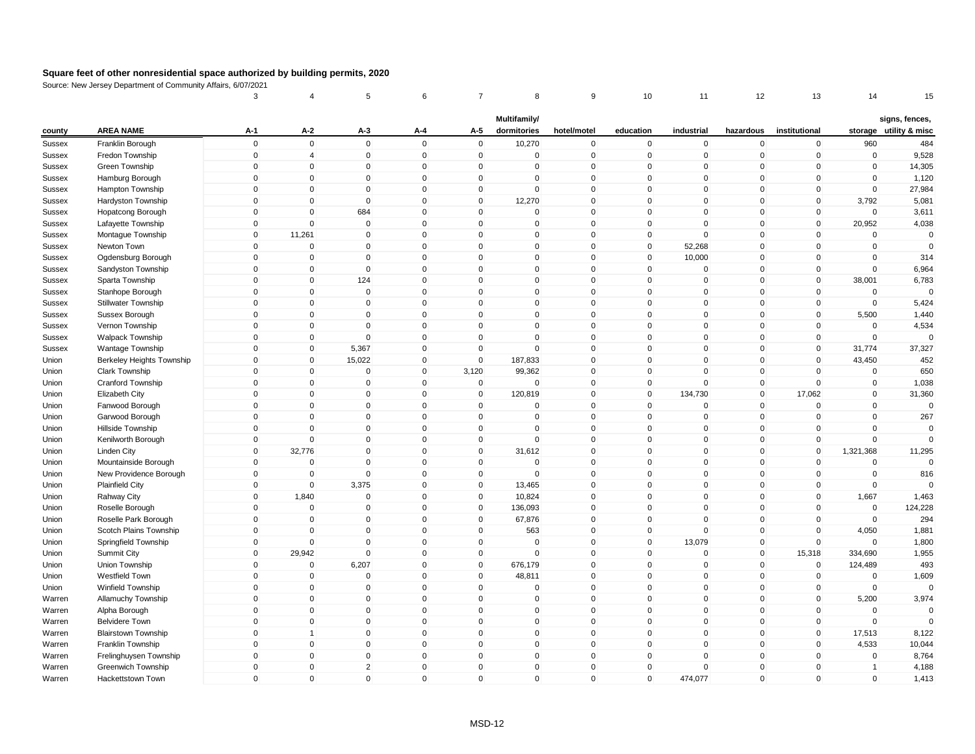|               |                            | 3                   | 4              | 5                   | 6            | $\overline{7}$      | 8                   | 9              | 10           | 11          | 12                  | 13             | 14             | 15                     |
|---------------|----------------------------|---------------------|----------------|---------------------|--------------|---------------------|---------------------|----------------|--------------|-------------|---------------------|----------------|----------------|------------------------|
|               |                            |                     |                |                     |              |                     | Multifamily/        |                |              |             |                     |                |                | signs, fences,         |
| county        | <b>AREA NAME</b>           | A-1                 | $A-2$          | $A-3$               | A-4          | A-5                 | dormitories         | hotel/motel    | education    | industrial  | hazardous           | institutional  |                | storage utility & misc |
| Sussex        | Franklin Borough           | $\mathsf 0$         | $\mathbf 0$    | $\mathbf 0$         | $\mathbf{0}$ | $\mathbf 0$         | 10,270              | $\overline{0}$ | $\mathbf 0$  | $\mathbf 0$ | $\mathbf 0$         | $\overline{0}$ | 960            | 484                    |
| Sussex        | Fredon Township            | $\mathsf 0$         | $\overline{4}$ | $\mathbf 0$         | $\mathbf 0$  | $\mathbf 0$         | $\mathbf 0$         | $\pmb{0}$      | $\mathbf 0$  | $\pmb{0}$   | $\mathsf{O}\xspace$ | $\mathbf 0$    | $\pmb{0}$      | 9,528                  |
| Sussex        | Green Township             | $\mathbf 0$         | $\mathbf{0}$   | $\mathbf{0}$        | $\mathbf{0}$ | $\mathbf{0}$        | $\mathbf{0}$        | $\mathbf{0}$   | $\mathbf 0$  | $\Omega$    | $\mathbf{0}$        | $\mathbf{0}$   | $\mathbf 0$    | 14,305                 |
| <b>Sussex</b> | Hamburg Borough            | $\mathsf 0$         | $\mathbf 0$    | $\mathbf 0$         | $\mathbf 0$  | $\mathbf 0$         | $\mathbf 0$         | $\mathbf 0$    | $\mathbf 0$  | $\mathbf 0$ | $\mathbf 0$         | $\mathbf 0$    | $\mathbf 0$    | 1,120                  |
| Sussex        | Hampton Township           | $\mathbf 0$         | $\Omega$       | 0                   | $\mathbf 0$  | $\mathbf 0$         | $\mathbf{0}$        | $\mathbf 0$    | $\mathbf 0$  | $\mathbf 0$ | $\mathbf 0$         | $\mathbf 0$    | $\mathbf 0$    | 27,984                 |
| Sussex        | Hardyston Township         | $\mathsf 0$         | $\mathbf 0$    | $\mathbf 0$         | $\mathbf 0$  | $\mathbf 0$         | 12,270              | $\mathbf 0$    | $\mathbf 0$  | $\mathbf 0$ | $\mathbf 0$         | $\mathbf{0}$   | 3,792          | 5,081                  |
| <b>Sussex</b> | Hopatcong Borough          | $\mathsf 0$         | $\mathbf 0$    | 684                 | $\mathbf 0$  | $\mathbf 0$         | $\mathbf 0$         | $\mathbf 0$    | $\mathbf 0$  | $\mathbf 0$ | $\mathbf 0$         | $\mathbf 0$    | $\mathbf 0$    | 3,611                  |
| Sussex        | Lafayette Township         | $\mathsf 0$         | $\mathbf 0$    | $\mathbf 0$         | $\mathbf{0}$ | $\Omega$            | $\mathbf 0$         | $\mathbf 0$    | $\mathbf 0$  | $\mathbf 0$ | $\mathbf 0$         | $\mathbf 0$    | 20,952         | 4,038                  |
| Sussex        | Montague Township          | $\mathbf 0$         | 11,261         | 0                   | $\mathbf 0$  | 0                   | $\mathbf 0$         | $\mathbf 0$    | $\mathbf 0$  | $\mathsf 0$ | 0                   | $\mathbf 0$    | 0              | $\Omega$               |
| Sussex        | Newton Town                | $\mathsf 0$         | $\mathbf 0$    | $\mathbf{0}$        | $\mathbf 0$  | $\mathsf{O}\xspace$ | $\mathbf 0$         | $\mathsf 0$    | $\mathsf 0$  | 52,268      | $\mathbf 0$         | $\mathbf 0$    | $\mathbf 0$    | $\mathbf 0$            |
| Sussex        | Ogdensburg Borough         | $\mathbf 0$         | 0              | 0                   | $\pmb{0}$    | $\mathbf 0$         | $\mathbf 0$         | $\mathbf 0$    | $\mathbf 0$  | 10,000      | $\mathbf 0$         | $\mathbf 0$    | $\mathbf 0$    | 314                    |
| Sussex        | Sandyston Township         | $\mathbf 0$         | $\mathbf{0}$   | $\Omega$            | $\mathbf{0}$ | $\Omega$            | $\mathbf{0}$        | $\pmb{0}$      | $\mathbf 0$  | $\mathbf 0$ | $\mathbf{0}$        | $\mathbf 0$    | $\mathbf 0$    | 6,964                  |
| Sussex        | Sparta Township            | $\mathbf 0$         | $\mathbf 0$    | 124                 | $\mathbf 0$  | $\mathbf{0}$        | $\mathbf 0$         | $\mathbf 0$    | $\mathbf 0$  | $\mathbf 0$ | $\mathbf 0$         | $\mathbf{0}$   | 38,001         | 6,783                  |
| <b>Sussex</b> | Stanhope Borough           | $\mathsf 0$         | $\mathbf{0}$   | $\mathbf 0$         | $\mathbf{0}$ | $\mathbf{0}$        | $\mathbf{0}$        | $\mathbf 0$    | $\mathbf 0$  | $\mathbf 0$ | $\mathbf 0$         | $\mathbf 0$    | $\mathbf 0$    | $\Omega$               |
| Sussex        | Stillwater Township        | $\Omega$            | $\mathbf 0$    | $\mathbf 0$         | $\mathbf{0}$ | $\Omega$            | $\mathbf{0}$        | $\mathbf 0$    | $\mathbf 0$  | $\mathbf 0$ | $\mathbf 0$         | $\mathbf 0$    | $\mathbf 0$    | 5,424                  |
| Sussex        | Sussex Borough             | $\mathbf 0$         | $\mathbf 0$    | $\mathbf 0$         | $\mathbf 0$  | $\Omega$            | $\mathbf{0}$        | $\mathbf 0$    | $\mathbf 0$  | $\mathsf 0$ | $\mathbf 0$         | $\mathbf 0$    | 5,500          | 1,440                  |
| Sussex        | Vernon Township            | $\mathsf 0$         | $\mathbf 0$    | $\mathbf 0$         | $\mathbf 0$  | $\mathbf 0$         | $\mathbf 0$         | $\mathbf 0$    | $\mathbf 0$  | $\mathbf 0$ | $\mathbf 0$         | $\mathbf 0$    | $\mathbf 0$    | 4,534                  |
| Sussex        | <b>Walpack Township</b>    | $\mathsf 0$         | $\mathbf 0$    | $\mathbf 0$         | $\mathbf 0$  | $\mathbf 0$         | $\mathbf 0$         | $\mathbf 0$    | $\mathbf 0$  | $\mathbf 0$ | $\mathbf 0$         | $\mathbf 0$    | $\mathbf 0$    | $\Omega$               |
| <b>Sussex</b> | Wantage Township           | $\mathbf 0$         | $\overline{0}$ | 5,367               | $\mathbf 0$  | $\mathbf 0$         | $\mathbf 0$         | $\mathbf 0$    | $\mathbf 0$  | $\mathbf 0$ | $\mathbf 0$         | $\overline{0}$ | 31,774         | 37,327                 |
| Union         | Berkeley Heights Township  | $\mathsf 0$         | $\mathbf 0$    | 15,022              | $\mathbf 0$  | $\mathbf 0$         | 187,833             | $\mathbf 0$    | $\mathsf 0$  | $\mathsf 0$ | $\mathbf 0$         | $\mathbf 0$    | 43,450         | 452                    |
| Union         | Clark Township             | $\mathsf 0$         | $\mathbf 0$    | $\Omega$            | $\mathbf 0$  | 3,120               | 99,362              | $\pmb{0}$      | $\mathbf 0$  | $\Omega$    | $\mathbf 0$         | $\mathbf 0$    | $\mathbf 0$    | 650                    |
| Union         | <b>Cranford Township</b>   | $\mathbf 0$         | $\mathbf{0}$   | $\Omega$            | $\mathbf{0}$ | $\mathbf{0}$        | $\mathbf{0}$        | $\mathbf{0}$   | $\mathbf{0}$ | $\Omega$    | $\mathbf{0}$        | $\mathbf{0}$   | $\mathbf 0$    | 1,038                  |
| Union         | Elizabeth City             | $\mathsf 0$         | $\mathbf 0$    | $\mathbf 0$         | $\mathbf 0$  | $\mathbf 0$         | 120,819             | $\mathbf 0$    | $\mathbf 0$  | 134,730     | $\mathbf 0$         | 17,062         | $\mathbf 0$    | 31,360                 |
| Union         | Fanwood Borough            | $\mathsf 0$         | $\mathbf{0}$   | $\mathbf 0$         | $\mathbf{0}$ | $\mathbf 0$         | $\mathbf 0$         | $\mathbf 0$    | $\mathbf 0$  | $\mathsf 0$ | $\mathbf 0$         | $\mathbf 0$    | $\mathbf 0$    | $\mathbf 0$            |
| Union         | Garwood Borough            | $\mathbf 0$         | $\mathbf 0$    | $\mathbf 0$         | $\mathbf 0$  | $\mathbf 0$         | $\mathbf 0$         | $\mathbf 0$    | $\mathbf 0$  | $\mathbf 0$ | $\mathbf 0$         | $\mathbf 0$    | $\mathbf 0$    | 267                    |
| Union         | Hillside Township          | $\mathsf 0$         | $\mathbf 0$    | $\mathbf 0$         | $\mathbf 0$  | $\mathbf 0$         | $\mathbf 0$         | $\mathbf 0$    | $\mathbf 0$  | $\mathbf 0$ | $\mathbf 0$         | $\mathbf 0$    | $\mathbf 0$    | $\mathbf 0$            |
| Union         | Kenilworth Borough         | $\mathbf 0$         | $\mathbf 0$    | $\mathbf 0$         | $\mathbf 0$  | $\mathbf 0$         | $\mathbf 0$         | $\mathbf 0$    | $\mathbf 0$  | $\mathbf 0$ | $\mathbf 0$         | $\mathbf 0$    | $\mathbf 0$    | $\Omega$               |
| Union         | Linden City                | $\mathbf 0$         | 32,776         | 0                   | $\mathbf 0$  | 0                   | 31,612              | $\mathbf 0$    | $\mathbf 0$  | $\mathbf 0$ | 0                   | $\mathbf 0$    | 1,321,368      | 11,295                 |
| Union         | Mountainside Borough       | $\mathsf 0$         | $\mathbf 0$    | $\mathbf 0$         | $\mathbf 0$  | $\mathbf 0$         | $\mathbf 0$         | $\mathsf 0$    | $\mathbf 0$  | $\mathbf 0$ | $\mathbf 0$         | $\mathbf 0$    | $\mathbf 0$    | $\Omega$               |
| Union         | New Providence Borough     | $\mathsf 0$         | $\Omega$       | $\mathsf{O}\xspace$ | $\mathbf 0$  | $\mathbf 0$         | $\mathbf 0$         | $\mathbf 0$    | $\mathsf 0$  | $\pmb{0}$   | $\mathsf 0$         | $\mathbf 0$    | $\Omega$       | 816                    |
| Union         | <b>Plainfield City</b>     | $\mathbf 0$         | $\Omega$       | 3,375               | $\mathbf{0}$ | $\mathbf 0$         | 13,465              | $\mathbf 0$    | $\mathbf 0$  | $\Omega$    | $\mathbf{0}$        | $\mathbf 0$    | $\mathbf 0$    | $\Omega$               |
| Union         | Rahway City                | $\mathsf{O}\xspace$ | 1,840          | $\mathbf 0$         | $\mathbf 0$  | $\Omega$            | 10,824              | $\mathbf 0$    | $\mathbf 0$  | $\mathbf 0$ | $\mathbf 0$         | $\mathbf{0}$   | 1,667          | 1,463                  |
| Union         | Roselle Borough            | $\mathsf 0$         | $\mathbf 0$    | $\mathbf 0$         | $\mathbf 0$  | $\mathbf 0$         | 136,093             | $\mathbf 0$    | $\mathbf 0$  | $\mathbf 0$ | $\mathbf 0$         | $\mathbf 0$    | $\mathbf 0$    | 124,228                |
| Union         | Roselle Park Borough       | $\Omega$            | $\Omega$       | $\Omega$            | $\mathbf 0$  | $\Omega$            | 67,876              | $\mathbf 0$    | $\mathbf 0$  | $\mathbf 0$ | $\mathbf{0}$        | $\mathbf{0}$   | $\mathbf 0$    | 294                    |
| Union         | Scotch Plains Township     | $\mathsf 0$         | $\Omega$       | $\Omega$            | $\mathbf 0$  | $\mathbf 0$         | 563                 | $\mathbf 0$    | $\mathbf 0$  | $\mathsf 0$ | $\mathbf 0$         | $\mathbf{0}$   | 4,050          | 1,881                  |
| Union         | Springfield Township       | $\mathbf 0$         | $\mathbf 0$    | $\mathbf 0$         | $\mathbf 0$  | $\mathbf 0$         | $\mathbf 0$         | $\mathbf 0$    | $\mathbf 0$  | 13,079      | $\mathbf 0$         | $\mathbf 0$    | $\mathbf 0$    | 1,800                  |
| Union         | Summit City                | $\mathbf 0$         | 29,942         | $\mathbf 0$         | $\mathbf 0$  | $\mathbf 0$         | $\mathbf 0$         | $\mathbf 0$    | $\mathbf 0$  | $\mathbf 0$ | $\mathbf 0$         | 15,318         | 334,690        | 1,955                  |
| Union         | Union Township             | $\mathbf 0$         | $\mathbf 0$    | 6,207               | $\mathbf 0$  | $\mathbf 0$         | 676,179             | $\pmb{0}$      | 0            | $\mathbf 0$ | 0                   | $\mathbf 0$    | 124,489        | 493                    |
| Union         | Westfield Town             | $\mathsf 0$         | $\mathbf 0$    | $\pmb{0}$           | $\mathbf 0$  | $\mathbf 0$         | 48,811              | $\mathbf 0$    | $\mathsf 0$  | $\mathbf 0$ | $\mathsf 0$         | $\mathbf 0$    | $\mathbf 0$    | 1,609                  |
| Union         | Winfield Township          | $\mathsf 0$         | $\mathbf 0$    | $\Omega$            | $\mathbf 0$  | $\mathbf 0$         | $\Omega$            | $\mathbf 0$    | $\mathbf 0$  | $\mathbf 0$ | $\mathsf 0$         | $\mathbf 0$    | $\pmb{0}$      | $\Omega$               |
| Warren        | Allamuchy Township         | $\mathbf 0$         | $\mathbf{0}$   | $\mathbf{0}$        | $\mathbf{0}$ | $\Omega$            | $\mathbf{0}$        | $\mathbf{0}$   | $\mathbf 0$  | $\Omega$    | $\mathbf{0}$        | $\mathbf{0}$   | 5,200          | 3,974                  |
| Warren        | Alpha Borough              | $\mathsf 0$         | $\mathbf 0$    | $\mathbf{0}$        | $\mathbf 0$  | $\mathbf 0$         | $\mathbf 0$         | $\mathbf 0$    | $\mathbf 0$  | $\mathsf 0$ | $\mathbf 0$         | $\mathbf 0$    | $\Omega$       | $\Omega$               |
| Warren        | <b>Belvidere Town</b>      | $\mathsf 0$         | $\mathbf 0$    | $\mathbf 0$         | $\mathbf{0}$ | $\mathbf 0$         | $\mathbf 0$         | $\mathbf 0$    | $\mathsf 0$  | $\mathbf 0$ | $\mathbf 0$         | $\mathbf 0$    | $\mathbf 0$    | $\Omega$               |
| Warren        | <b>Blairstown Township</b> | $\mathbf 0$         | 1              | 0                   | $\mathbf 0$  | $\mathbf 0$         | $\mathbf 0$         | $\mathbf 0$    | $\mathbf 0$  | $\mathbf 0$ | $\mathbf 0$         | $\mathbf 0$    | 17,513         | 8,122                  |
| Warren        | Franklin Township          | $\mathsf 0$         | $\mathbf 0$    | $\mathbf 0$         | $\mathbf 0$  | $\mathbf 0$         | $\mathbf 0$         | $\mathbf 0$    | $\mathbf 0$  | $\mathbf 0$ | $\mathbf 0$         | $\mathbf 0$    | 4,533          | 10,044                 |
| Warren        | Frelinghuysen Township     | $\mathsf 0$         | $\mathbf 0$    | $\overline{0}$      | $\mathbf 0$  | $\mathbf 0$         | $\mathbf 0$         | $\mathbf 0$    | $\mathbf 0$  | $\mathbf 0$ | $\mathbf 0$         | $\mathbf 0$    | $\mathbf 0$    | 8,764                  |
| Warren        | <b>Greenwich Township</b>  | $\mathbf 0$         | $\Omega$       | $\overline{2}$      | $\mathbf 0$  | $\Omega$            | $\mathbf{0}$        | $\mathbf 0$    | $\mathbf 0$  | $\mathbf 0$ | $\mathbf 0$         | $\mathbf{0}$   | $\overline{1}$ | 4,188                  |
| Warren        | Hackettstown Town          | $\mathbf 0$         | $\mathbf 0$    | $\mathbf{0}$        | $\mathbf 0$  | $\mathbf 0$         | $\mathsf{O}\xspace$ | $\mathbf 0$    | $\mathbf{0}$ | 474,077     | $\mathbf 0$         | $\mathbf{0}$   | $\mathbf 0$    | 1,413                  |